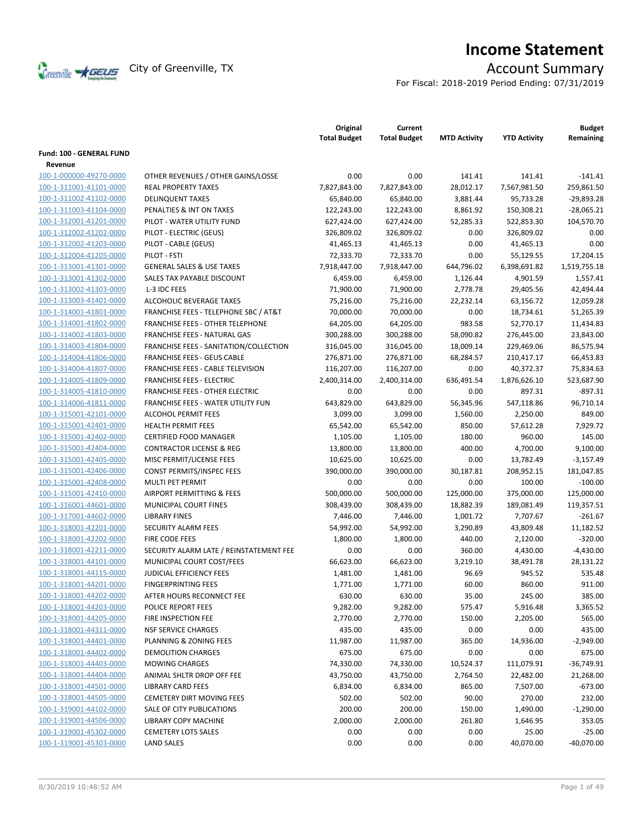

# **Income Statement**

For Fiscal: 2018-2019 Period Ending: 07/31/2019

|                          |                                           | Original<br><b>Total Budget</b> | Current<br><b>Total Budget</b> | <b>MTD Activity</b> | <b>YTD Activity</b> | <b>Budget</b><br>Remaining |
|--------------------------|-------------------------------------------|---------------------------------|--------------------------------|---------------------|---------------------|----------------------------|
| Fund: 100 - GENERAL FUND |                                           |                                 |                                |                     |                     |                            |
| Revenue                  |                                           |                                 |                                |                     |                     |                            |
| 100-1-000000-49270-0000  | OTHER REVENUES / OTHER GAINS/LOSSE        | 0.00                            | 0.00                           | 141.41              | 141.41              | $-141.41$                  |
| 100-1-311001-41101-0000  | <b>REAL PROPERTY TAXES</b>                | 7,827,843.00                    | 7,827,843.00                   | 28,012.17           | 7,567,981.50        | 259,861.50                 |
| 100-1-311002-41102-0000  | <b>DELINQUENT TAXES</b>                   | 65,840.00                       | 65,840.00                      | 3,881.44            | 95,733.28           | $-29,893.28$               |
| 100-1-311003-41104-0000  | PENALTIES & INT ON TAXES                  | 122,243.00                      | 122,243.00                     | 8,861.92            | 150,308.21          | $-28,065.21$               |
| 100-1-312001-41201-0000  | PILOT - WATER UTILITY FUND                | 627,424.00                      | 627,424.00                     | 52,285.33           | 522,853.30          | 104,570.70                 |
| 100-1-312002-41202-0000  | PILOT - ELECTRIC (GEUS)                   | 326,809.02                      | 326,809.02                     | 0.00                | 326,809.02          | 0.00                       |
| 100-1-312002-41203-0000  | PILOT - CABLE (GEUS)                      | 41,465.13                       | 41,465.13                      | 0.00                | 41,465.13           | 0.00                       |
| 100-1-312004-41205-0000  | PILOT - FSTI                              | 72,333.70                       | 72,333.70                      | 0.00                | 55,129.55           | 17,204.15                  |
| 100-1-313001-41301-0000  | <b>GENERAL SALES &amp; USE TAXES</b>      | 7,918,447.00                    | 7,918,447.00                   | 644,796.02          | 6,398,691.82        | 1,519,755.18               |
| 100-1-313001-41302-0000  | SALES TAX PAYABLE DISCOUNT                | 6,459.00                        | 6,459.00                       | 1,126.44            | 4,901.59            | 1,557.41                   |
| 100-1-313002-41303-0000  | L-3 IDC FEES                              | 71,900.00                       | 71,900.00                      | 2,778.78            | 29,405.56           | 42,494.44                  |
| 100-1-313003-41401-0000  | ALCOHOLIC BEVERAGE TAXES                  | 75,216.00                       | 75,216.00                      | 22,232.14           | 63,156.72           | 12,059.28                  |
| 100-1-314001-41801-0000  | FRANCHISE FEES - TELEPHONE SBC / AT&T     | 70,000.00                       | 70,000.00                      | 0.00                | 18,734.61           | 51,265.39                  |
| 100-1-314001-41802-0000  | FRANCHISE FEES - OTHER TELEPHONE          | 64,205.00                       | 64,205.00                      | 983.58              | 52,770.17           | 11,434.83                  |
| 100-1-314002-41803-0000  | <b>FRANCHISE FEES - NATURAL GAS</b>       | 300,288.00                      | 300,288.00                     | 58,090.82           | 276,445.00          | 23,843.00                  |
| 100-1-314003-41804-0000  | FRANCHISE FEES - SANITATION/COLLECTION    | 316,045.00                      | 316,045.00                     | 18,009.14           | 229,469.06          | 86,575.94                  |
| 100-1-314004-41806-0000  | <b>FRANCHISE FEES - GEUS CABLE</b>        | 276,871.00                      | 276,871.00                     | 68,284.57           | 210,417.17          | 66,453.83                  |
| 100-1-314004-41807-0000  | FRANCHISE FEES - CABLE TELEVISION         | 116,207.00                      | 116,207.00                     | 0.00                | 40,372.37           | 75,834.63                  |
| 100-1-314005-41809-0000  | <b>FRANCHISE FEES - ELECTRIC</b>          | 2,400,314.00                    | 2,400,314.00                   | 636,491.54          | 1,876,626.10        | 523,687.90                 |
| 100-1-314005-41810-0000  | <b>FRANCHISE FEES - OTHER ELECTRIC</b>    | 0.00                            | 0.00                           | 0.00                | 897.31              | $-897.31$                  |
| 100-1-314006-41811-0000  | <b>FRANCHISE FEES - WATER UTILITY FUN</b> | 643,829.00                      | 643,829.00                     | 56,345.96           | 547,118.86          | 96.710.14                  |
| 100-1-315001-42101-0000  | <b>ALCOHOL PERMIT FEES</b>                | 3,099.00                        | 3,099.00                       | 1,560.00            | 2,250.00            | 849.00                     |
| 100-1-315001-42401-0000  | <b>HEALTH PERMIT FEES</b>                 | 65,542.00                       | 65,542.00                      | 850.00              | 57,612.28           | 7,929.72                   |
| 100-1-315001-42402-0000  | <b>CERTIFIED FOOD MANAGER</b>             | 1,105.00                        | 1,105.00                       | 180.00              | 960.00              | 145.00                     |
| 100-1-315001-42404-0000  | <b>CONTRACTOR LICENSE &amp; REG</b>       | 13,800.00                       | 13,800.00                      | 400.00              | 4,700.00            | 9,100.00                   |
| 100-1-315001-42405-0000  | MISC PERMIT/LICENSE FEES                  | 10,625.00                       | 10,625.00                      | 0.00                | 13,782.49           | $-3,157.49$                |
| 100-1-315001-42406-0000  | <b>CONST PERMITS/INSPEC FEES</b>          | 390,000.00                      | 390,000.00                     | 30,187.81           | 208,952.15          | 181,047.85                 |
| 100-1-315001-42408-0000  | MULTI PET PERMIT                          | 0.00                            | 0.00                           | 0.00                | 100.00              | $-100.00$                  |
| 100-1-315001-42410-0000  | AIRPORT PERMITTING & FEES                 | 500,000.00                      | 500,000.00                     | 125,000.00          | 375,000.00          | 125,000.00                 |
| 100-1-316001-44601-0000  | MUNICIPAL COURT FINES                     | 308,439.00                      | 308,439.00                     | 18,882.39           | 189,081.49          | 119,357.51                 |
| 100-1-317001-44602-0000  | <b>LIBRARY FINES</b>                      | 7,446.00                        | 7,446.00                       | 1,001.72            | 7,707.67            | $-261.67$                  |
| 100-1-318001-42201-0000  | SECURITY ALARM FEES                       | 54,992.00                       | 54,992.00                      | 3,290.89            | 43,809.48           | 11,182.52                  |
| 100-1-318001-42202-0000  | FIRE CODE FEES                            | 1,800.00                        | 1,800.00                       | 440.00              | 2,120.00            | $-320.00$                  |
| 100-1-318001-42211-0000  | SECURITY ALARM LATE / REINSTATEMENT FEE   | 0.00                            | 0.00                           | 360.00              | 4,430.00            | $-4,430.00$                |
| 100-1-318001-44101-0000  | MUNICIPAL COURT COST/FEES                 | 66,623.00                       | 66,623.00                      | 3,219.10            | 38,491.78           | 28,131.22                  |
| 100-1-318001-44115-0000  | JUDICIAL EFFICIENCY FEES                  | 1,481.00                        | 1,481.00                       | 96.69               | 945.52              | 535.48                     |
| 100-1-318001-44201-0000  | <b>FINGERPRINTING FEES</b>                | 1,771.00                        | 1,771.00                       | 60.00               | 860.00              | 911.00                     |
| 100-1-318001-44202-0000  | AFTER HOURS RECONNECT FEE                 | 630.00                          | 630.00                         | 35.00               | 245.00              | 385.00                     |
| 100-1-318001-44203-0000  | POLICE REPORT FEES                        | 9,282.00                        | 9,282.00                       | 575.47              | 5,916.48            | 3,365.52                   |
| 100-1-318001-44205-0000  | FIRE INSPECTION FEE                       | 2,770.00                        | 2,770.00                       | 150.00              | 2,205.00            | 565.00                     |
| 100-1-318001-44311-0000  | <b>NSF SERVICE CHARGES</b>                | 435.00                          | 435.00                         | 0.00                | 0.00                | 435.00                     |
| 100-1-318001-44401-0000  | PLANNING & ZONING FEES                    | 11,987.00                       | 11,987.00                      | 365.00              | 14,936.00           | $-2,949.00$                |
| 100-1-318001-44402-0000  | <b>DEMOLITION CHARGES</b>                 | 675.00                          | 675.00                         | 0.00                | 0.00                | 675.00                     |
| 100-1-318001-44403-0000  | <b>MOWING CHARGES</b>                     | 74,330.00                       | 74,330.00                      | 10,524.37           | 111,079.91          | $-36,749.91$               |
| 100-1-318001-44404-0000  | ANIMAL SHLTR DROP OFF FEE                 | 43,750.00                       | 43,750.00                      | 2,764.50            | 22,482.00           | 21,268.00                  |
| 100-1-318001-44501-0000  | <b>LIBRARY CARD FEES</b>                  | 6,834.00                        | 6,834.00                       | 865.00              | 7,507.00            | $-673.00$                  |
| 100-1-318001-44505-0000  | <b>CEMETERY DIRT MOVING FEES</b>          | 502.00                          | 502.00                         | 90.00               | 270.00              | 232.00                     |
| 100-1-319001-44102-0000  | SALE OF CITY PUBLICATIONS                 | 200.00                          | 200.00                         | 150.00              | 1,490.00            | $-1,290.00$                |
| 100-1-319001-44506-0000  | LIBRARY COPY MACHINE                      | 2,000.00                        | 2,000.00                       | 261.80              | 1,646.95            | 353.05                     |
| 100-1-319001-45302-0000  | <b>CEMETERY LOTS SALES</b>                | 0.00                            | 0.00                           | 0.00                | 25.00               | $-25.00$                   |
| 100-1-319001-45303-0000  | <b>LAND SALES</b>                         | 0.00                            | 0.00                           | 0.00                | 40,070.00           | $-40,070.00$               |
|                          |                                           |                                 |                                |                     |                     |                            |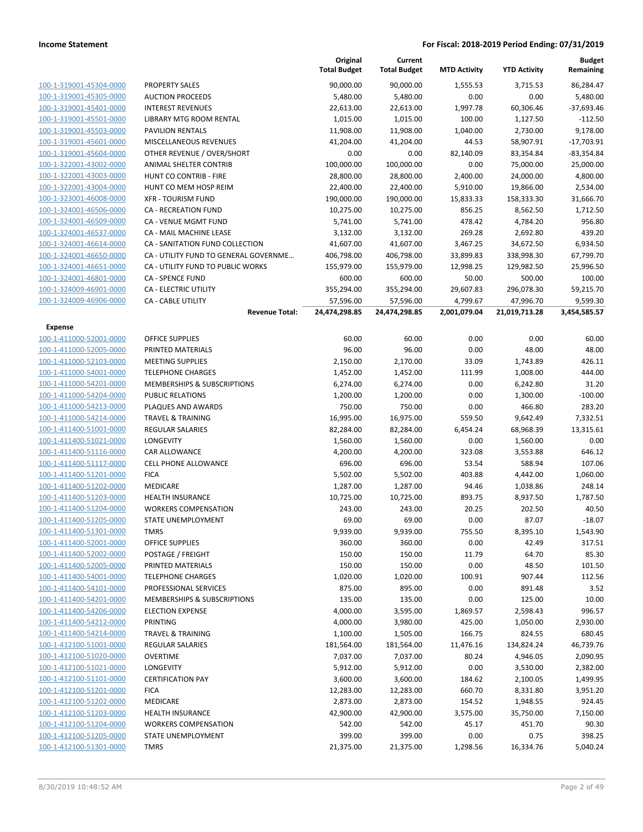|                         |                                        | Original<br><b>Total Budget</b> | Current<br><b>Total Budget</b> | <b>MTD Activity</b> | <b>YTD Activity</b> | <b>Budget</b><br>Remaining |
|-------------------------|----------------------------------------|---------------------------------|--------------------------------|---------------------|---------------------|----------------------------|
| 100-1-319001-45304-0000 | <b>PROPERTY SALES</b>                  | 90,000.00                       | 90,000.00                      | 1,555.53            | 3,715.53            | 86,284.47                  |
| 100-1-319001-45305-0000 | <b>AUCTION PROCEEDS</b>                | 5,480.00                        | 5,480.00                       | 0.00                | 0.00                | 5,480.00                   |
| 100-1-319001-45401-0000 | <b>INTEREST REVENUES</b>               | 22,613.00                       | 22,613.00                      | 1,997.78            | 60,306.46           | $-37,693.46$               |
| 100-1-319001-45501-0000 | LIBRARY MTG ROOM RENTAL                | 1,015.00                        | 1,015.00                       | 100.00              | 1,127.50            | $-112.50$                  |
| 100-1-319001-45503-0000 | <b>PAVILION RENTALS</b>                | 11,908.00                       | 11,908.00                      | 1,040.00            | 2,730.00            | 9,178.00                   |
| 100-1-319001-45601-0000 | MISCELLANEOUS REVENUES                 | 41,204.00                       | 41,204.00                      | 44.53               | 58,907.91           | $-17,703.91$               |
| 100-1-319001-45604-0000 | OTHER REVENUE / OVER/SHORT             | 0.00                            | 0.00                           | 82,140.09           | 83,354.84           | $-83,354.84$               |
| 100-1-322001-43002-0000 | ANIMAL SHELTER CONTRIB                 | 100,000.00                      | 100,000.00                     | 0.00                | 75,000.00           | 25,000.00                  |
| 100-1-322001-43003-0000 | HUNT CO CONTRIB - FIRE                 | 28,800.00                       | 28,800.00                      | 2,400.00            | 24,000.00           | 4,800.00                   |
| 100-1-322001-43004-0000 | HUNT CO MEM HOSP REIM                  | 22,400.00                       | 22,400.00                      | 5,910.00            | 19,866.00           | 2,534.00                   |
| 100-1-323001-46008-0000 | <b>XFR - TOURISM FUND</b>              | 190,000.00                      | 190,000.00                     | 15,833.33           | 158,333.30          | 31,666.70                  |
| 100-1-324001-46506-0000 | <b>CA - RECREATION FUND</b>            | 10,275.00                       | 10,275.00                      | 856.25              | 8,562.50            | 1,712.50                   |
| 100-1-324001-46509-0000 | CA - VENUE MGMT FUND                   | 5,741.00                        | 5,741.00                       | 478.42              | 4,784.20            | 956.80                     |
| 100-1-324001-46537-0000 | CA - MAIL MACHINE LEASE                | 3,132.00                        | 3,132.00                       | 269.28              | 2,692.80            | 439.20                     |
| 100-1-324001-46614-0000 | CA - SANITATION FUND COLLECTION        | 41,607.00                       | 41,607.00                      | 3,467.25            | 34,672.50           | 6,934.50                   |
| 100-1-324001-46650-0000 | CA - UTILITY FUND TO GENERAL GOVERNME  | 406,798.00                      | 406,798.00                     | 33,899.83           | 338,998.30          | 67,799.70                  |
| 100-1-324001-46651-0000 | CA - UTILITY FUND TO PUBLIC WORKS      | 155,979.00                      | 155,979.00                     | 12,998.25           | 129,982.50          | 25,996.50                  |
| 100-1-324001-46801-0000 | <b>CA - SPENCE FUND</b>                | 600.00                          | 600.00                         | 50.00               | 500.00              | 100.00                     |
| 100-1-324009-46901-0000 | CA - ELECTRIC UTILITY                  | 355,294.00                      | 355,294.00                     | 29,607.83           | 296,078.30          | 59,215.70                  |
| 100-1-324009-46906-0000 | <b>CA - CABLE UTILITY</b>              | 57,596.00                       | 57,596.00                      | 4,799.67            | 47,996.70           | 9,599.30                   |
|                         | <b>Revenue Total:</b>                  | 24,474,298.85                   | 24,474,298.85                  | 2,001,079.04        | 21,019,713.28       | 3,454,585.57               |
| Expense                 |                                        |                                 |                                |                     |                     |                            |
| 100-1-411000-52001-0000 | <b>OFFICE SUPPLIES</b>                 | 60.00                           | 60.00                          | 0.00                | 0.00                | 60.00                      |
| 100-1-411000-52005-0000 | PRINTED MATERIALS                      | 96.00                           | 96.00                          | 0.00                | 48.00               | 48.00                      |
| 100-1-411000-52103-0000 | <b>MEETING SUPPLIES</b>                | 2,150.00                        | 2,170.00                       | 33.09               | 1,743.89            | 426.11                     |
| 100-1-411000-54001-0000 | <b>TELEPHONE CHARGES</b>               | 1,452.00                        | 1,452.00                       | 111.99              | 1,008.00            | 444.00                     |
| 100-1-411000-54201-0000 | MEMBERSHIPS & SUBSCRIPTIONS            | 6,274.00                        | 6,274.00                       | 0.00                | 6,242.80            | 31.20                      |
| 100-1-411000-54204-0000 | PUBLIC RELATIONS                       | 1,200.00                        | 1,200.00                       | 0.00                | 1,300.00            | $-100.00$                  |
| 100-1-411000-54213-0000 | PLAQUES AND AWARDS                     | 750.00                          | 750.00                         | 0.00                | 466.80              | 283.20                     |
| 100-1-411000-54214-0000 | <b>TRAVEL &amp; TRAINING</b>           | 16,995.00                       | 16,975.00                      | 559.50              | 9,642.49            | 7,332.51                   |
| 100-1-411400-51001-0000 | <b>REGULAR SALARIES</b>                | 82,284.00                       | 82,284.00                      | 6,454.24            | 68,968.39           | 13,315.61                  |
| 100-1-411400-51021-0000 | LONGEVITY                              | 1,560.00                        | 1,560.00                       | 0.00                | 1,560.00            | 0.00                       |
| 100-1-411400-51116-0000 | CAR ALLOWANCE                          | 4,200.00                        | 4,200.00                       | 323.08              | 3,553.88            | 646.12                     |
| 100-1-411400-51117-0000 | <b>CELL PHONE ALLOWANCE</b>            | 696.00                          | 696.00                         | 53.54               | 588.94              | 107.06                     |
| 100-1-411400-51201-0000 | <b>FICA</b>                            | 5,502.00                        | 5,502.00                       | 403.88              | 4,442.00            | 1,060.00                   |
| 100-1-411400-51202-0000 | MEDICARE                               | 1,287.00                        | 1,287.00                       | 94.46               | 1,038.86            | 248.14                     |
| 100-1-411400-51203-0000 | <b>HEALTH INSURANCE</b>                | 10,725.00                       | 10,725.00                      | 893.75              | 8,937.50            | 1,787.50                   |
| 100-1-411400-51204-0000 | <b>WORKERS COMPENSATION</b>            | 243.00                          | 243.00                         | 20.25               | 202.50              | 40.50                      |
| 100-1-411400-51205-0000 | STATE UNEMPLOYMENT                     | 69.00                           | 69.00                          | 0.00                | 87.07               | $-18.07$                   |
| 100-1-411400-51301-0000 | <b>TMRS</b>                            | 9,939.00                        | 9,939.00                       | 755.50              | 8,395.10            | 1,543.90                   |
| 100-1-411400-52001-0000 | <b>OFFICE SUPPLIES</b>                 | 360.00                          | 360.00                         | 0.00                | 42.49               | 317.51                     |
| 100-1-411400-52002-0000 | POSTAGE / FREIGHT                      | 150.00                          | 150.00                         | 11.79               | 64.70               | 85.30                      |
| 100-1-411400-52005-0000 | PRINTED MATERIALS                      | 150.00                          | 150.00                         | 0.00                | 48.50               | 101.50                     |
| 100-1-411400-54001-0000 | <b>TELEPHONE CHARGES</b>               | 1,020.00                        | 1,020.00                       | 100.91              | 907.44              | 112.56                     |
| 100-1-411400-54101-0000 | PROFESSIONAL SERVICES                  | 875.00                          | 895.00                         | 0.00                | 891.48              | 3.52                       |
| 100-1-411400-54201-0000 | <b>MEMBERSHIPS &amp; SUBSCRIPTIONS</b> | 135.00                          | 135.00                         | 0.00                | 125.00              | 10.00                      |
| 100-1-411400-54206-0000 | <b>ELECTION EXPENSE</b>                | 4,000.00                        | 3,595.00                       | 1,869.57            | 2,598.43            | 996.57                     |
| 100-1-411400-54212-0000 | PRINTING                               | 4,000.00                        | 3,980.00                       | 425.00              | 1,050.00            | 2,930.00                   |
| 100-1-411400-54214-0000 | <b>TRAVEL &amp; TRAINING</b>           | 1,100.00                        | 1,505.00                       | 166.75              | 824.55              | 680.45                     |
| 100-1-412100-51001-0000 | <b>REGULAR SALARIES</b>                | 181,564.00                      | 181,564.00                     | 11,476.16           | 134,824.24          | 46,739.76                  |
| 100-1-412100-51020-0000 | <b>OVERTIME</b>                        | 7,037.00                        | 7,037.00                       | 80.24               | 4,946.05            | 2,090.95                   |
| 100-1-412100-51021-0000 | LONGEVITY                              | 5,912.00                        | 5,912.00                       | 0.00                | 3,530.00            | 2,382.00                   |
| 100-1-412100-51101-0000 | <b>CERTIFICATION PAY</b>               | 3,600.00                        | 3,600.00                       | 184.62              | 2,100.05            | 1,499.95                   |
| 100-1-412100-51201-0000 | <b>FICA</b>                            | 12,283.00                       | 12,283.00                      | 660.70              | 8,331.80            | 3,951.20                   |
| 100-1-412100-51202-0000 | MEDICARE                               | 2,873.00                        | 2,873.00                       | 154.52              | 1,948.55            | 924.45                     |
| 100-1-412100-51203-0000 | <b>HEALTH INSURANCE</b>                | 42,900.00                       | 42,900.00                      | 3,575.00            | 35,750.00           | 7,150.00                   |
| 100-1-412100-51204-0000 | <b>WORKERS COMPENSATION</b>            | 542.00                          | 542.00                         | 45.17               | 451.70              | 90.30                      |
| 100-1-412100-51205-0000 | STATE UNEMPLOYMENT                     | 399.00                          | 399.00                         | 0.00                | 0.75                | 398.25                     |
| 100-1-412100-51301-0000 | <b>TMRS</b>                            | 21,375.00                       | 21,375.00                      | 1,298.56            | 16,334.76           | 5,040.24                   |
|                         |                                        |                                 |                                |                     |                     |                            |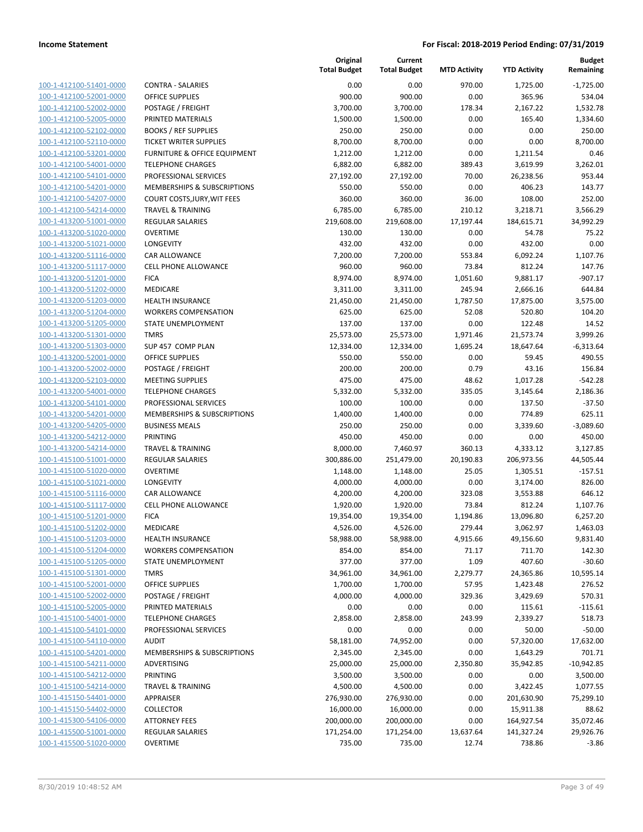| 100-1-412100-51401-0000                            |
|----------------------------------------------------|
| 100-1-412100-52001-0000                            |
| 100-1-412100-52002-0000                            |
| 100-1-412100-52005-0000                            |
| 100-1-412100-52102-0000                            |
| 100-1-412100-52110-0000                            |
| 100-1-412100-53201-0000                            |
| 100-1-412100-54001-0000                            |
| <u>100-1-412100-54101-0000</u>                     |
| 100-1-412100-54201-0000                            |
| 100-1-412100-54207-0000                            |
| 100-1-412100-54214-0000                            |
| 100-1-413200-51001-0000                            |
| 100-1-413200-51020-0000                            |
| 100-1-413200-51021-0000                            |
| 100-1-413200-51116-0000                            |
| 100-1-413200-51117-0000                            |
| 100-1-413200-51201-0000                            |
| <u>100-1-413200-51202-0000</u>                     |
| 100-1-413200-51203-0000                            |
| 100-1-413200-51204-0000                            |
| 100-1-413200-51205-0000                            |
| 100-1-413200-51301-0000                            |
| 100-1-413200-51303-0000                            |
| 100-1-413200-52001-0000                            |
| 100-1-413200-52002-0000<br>100-1-413200-52103-0000 |
| 100-1-413200-54001-0000                            |
|                                                    |
| <u>100-1-413200-54101-0000</u>                     |
| 100-1-413200-54201-0000<br>100-1-413200-54205-0000 |
| 100-1-413200-54212-0000                            |
| 100-1-413200-54214-0000                            |
| <u>100-1-415100-51001-0000</u>                     |
| 100-1-415100-51020-0000                            |
| 100-1-415100-51021-0000                            |
| 100-1-415100-51116-0000                            |
| 100-1-415100-51117-0000                            |
| <u>100-1-415100-51201-0000</u>                     |
| 100-1-415100-51202-0000                            |
| 100-1-415100-51203-0000                            |
| <u>100-1-415100-51204-0000</u>                     |
| 100-1-415100-51205-0000                            |
| 100-1-415100-51301-0000                            |
| <u>100-1-415100-52001-0000</u>                     |
| 100-1-415100-52002-0000                            |
| <u>100-1-415100-52005-0000</u>                     |
| 100-1-415100-54001-0000                            |
| 100-1-415100-54101-0000                            |
| <u>100-1-415100-54110-0000</u>                     |
| 100-1-415100-54201-0000                            |
| 100-1-415100-54211-0000                            |
| 100-1-415100-54212-0000                            |
| 100-1-415100-54214-0000                            |
| <u>100-1-415150-54401-0000</u>                     |
| <u>100-1-415150-54402-0000</u>                     |
| <u>100-1-415300-54106-0000</u>                     |
| 100-1-415500-51001-0000                            |
| <u>100-1-415500-51020-0000</u>                     |
|                                                    |

|                         |                               | Original<br><b>Total Budget</b> | Current<br><b>Total Budget</b> | <b>MTD Activity</b> | <b>YTD Activity</b> | <b>Budget</b><br>Remaining |
|-------------------------|-------------------------------|---------------------------------|--------------------------------|---------------------|---------------------|----------------------------|
| 100-1-412100-51401-0000 | <b>CONTRA - SALARIES</b>      | 0.00                            | 0.00                           | 970.00              | 1,725.00            | $-1,725.00$                |
| 100-1-412100-52001-0000 | <b>OFFICE SUPPLIES</b>        | 900.00                          | 900.00                         | 0.00                | 365.96              | 534.04                     |
| 100-1-412100-52002-0000 | POSTAGE / FREIGHT             | 3,700.00                        | 3,700.00                       | 178.34              | 2,167.22            | 1,532.78                   |
| 100-1-412100-52005-0000 | PRINTED MATERIALS             | 1,500.00                        | 1,500.00                       | 0.00                | 165.40              | 1,334.60                   |
| 100-1-412100-52102-0000 | <b>BOOKS / REF SUPPLIES</b>   | 250.00                          | 250.00                         | 0.00                | 0.00                | 250.00                     |
| 100-1-412100-52110-0000 | <b>TICKET WRITER SUPPLIES</b> | 8,700.00                        | 8,700.00                       | 0.00                | 0.00                | 8,700.00                   |
| 100-1-412100-53201-0000 | FURNITURE & OFFICE EQUIPMENT  | 1,212.00                        | 1,212.00                       | 0.00                | 1,211.54            | 0.46                       |
| 100-1-412100-54001-0000 | <b>TELEPHONE CHARGES</b>      | 6,882.00                        | 6,882.00                       | 389.43              | 3,619.99            | 3,262.01                   |
| 100-1-412100-54101-0000 | PROFESSIONAL SERVICES         | 27,192.00                       | 27,192.00                      | 70.00               | 26,238.56           | 953.44                     |
| 100-1-412100-54201-0000 | MEMBERSHIPS & SUBSCRIPTIONS   | 550.00                          | 550.00                         | 0.00                | 406.23              | 143.77                     |
| 100-1-412100-54207-0000 | COURT COSTS, JURY, WIT FEES   | 360.00                          | 360.00                         | 36.00               | 108.00              | 252.00                     |
| 100-1-412100-54214-0000 | <b>TRAVEL &amp; TRAINING</b>  | 6,785.00                        | 6,785.00                       | 210.12              | 3,218.71            | 3,566.29                   |
| 100-1-413200-51001-0000 | <b>REGULAR SALARIES</b>       | 219,608.00                      | 219,608.00                     | 17,197.44           | 184,615.71          | 34,992.29                  |
| 100-1-413200-51020-0000 | <b>OVERTIME</b>               | 130.00                          | 130.00                         | 0.00                | 54.78               | 75.22                      |
| 100-1-413200-51021-0000 | LONGEVITY                     | 432.00                          | 432.00                         | 0.00                | 432.00              | 0.00                       |
| 100-1-413200-51116-0000 | CAR ALLOWANCE                 | 7,200.00                        | 7,200.00                       | 553.84              | 6,092.24            | 1,107.76                   |
| 100-1-413200-51117-0000 | CELL PHONE ALLOWANCE          | 960.00                          | 960.00                         | 73.84               | 812.24              | 147.76                     |
| 100-1-413200-51201-0000 | <b>FICA</b>                   | 8,974.00                        | 8,974.00                       | 1,051.60            | 9,881.17            | $-907.17$                  |
| 100-1-413200-51202-0000 | MEDICARE                      | 3,311.00                        | 3,311.00                       | 245.94              | 2,666.16            | 644.84                     |
| 100-1-413200-51203-0000 | HEALTH INSURANCE              | 21,450.00                       | 21,450.00                      | 1,787.50            | 17,875.00           | 3,575.00                   |
| 100-1-413200-51204-0000 | <b>WORKERS COMPENSATION</b>   | 625.00                          | 625.00                         | 52.08               | 520.80              | 104.20                     |
| 100-1-413200-51205-0000 | <b>STATE UNEMPLOYMENT</b>     | 137.00                          | 137.00                         | 0.00                | 122.48              | 14.52                      |
| 100-1-413200-51301-0000 | <b>TMRS</b>                   | 25,573.00                       | 25,573.00                      | 1,971.46            | 21,573.74           | 3,999.26                   |
| 100-1-413200-51303-0000 | SUP 457 COMP PLAN             | 12,334.00                       | 12,334.00                      | 1,695.24            | 18,647.64           | $-6,313.64$                |
| 100-1-413200-52001-0000 | <b>OFFICE SUPPLIES</b>        | 550.00                          | 550.00                         | 0.00                | 59.45               | 490.55                     |
| 100-1-413200-52002-0000 | POSTAGE / FREIGHT             | 200.00                          | 200.00                         | 0.79                | 43.16               | 156.84                     |
| 100-1-413200-52103-0000 | <b>MEETING SUPPLIES</b>       | 475.00                          | 475.00                         | 48.62               | 1,017.28            | $-542.28$                  |
| 100-1-413200-54001-0000 | <b>TELEPHONE CHARGES</b>      | 5,332.00                        |                                | 335.05              |                     | 2,186.36                   |
| 100-1-413200-54101-0000 | PROFESSIONAL SERVICES         |                                 | 5,332.00                       | 0.00                | 3,145.64            | $-37.50$                   |
| 100-1-413200-54201-0000 | MEMBERSHIPS & SUBSCRIPTIONS   | 100.00<br>1,400.00              | 100.00<br>1,400.00             | 0.00                | 137.50<br>774.89    | 625.11                     |
| 100-1-413200-54205-0000 |                               |                                 | 250.00                         |                     |                     |                            |
|                         | <b>BUSINESS MEALS</b>         | 250.00                          |                                | 0.00                | 3,339.60            | $-3,089.60$                |
| 100-1-413200-54212-0000 | PRINTING                      | 450.00                          | 450.00                         | 0.00                | 0.00                | 450.00                     |
| 100-1-413200-54214-0000 | <b>TRAVEL &amp; TRAINING</b>  | 8,000.00                        | 7,460.97                       | 360.13              | 4,333.12            | 3,127.85                   |
| 100-1-415100-51001-0000 | <b>REGULAR SALARIES</b>       | 300,886.00                      | 251,479.00                     | 20,190.83           | 206,973.56          | 44,505.44                  |
| 100-1-415100-51020-0000 | <b>OVERTIME</b>               | 1,148.00                        | 1,148.00                       | 25.05               | 1,305.51            | $-157.51$                  |
| 100-1-415100-51021-0000 | LONGEVITY                     | 4,000.00                        | 4,000.00                       | 0.00                | 3,174.00            | 826.00                     |
| 100-1-415100-51116-0000 | CAR ALLOWANCE                 | 4,200.00                        | 4,200.00                       | 323.08              | 3,553.88            | 646.12                     |
| 100-1-415100-51117-0000 | CELL PHONE ALLOWANCE          | 1,920.00                        | 1,920.00                       | 73.84               | 812.24              | 1,107.76                   |
| 100-1-415100-51201-0000 | <b>FICA</b>                   | 19,354.00                       | 19,354.00                      | 1,194.86            | 13,096.80           | 6,257.20                   |
| 100-1-415100-51202-0000 | MEDICARE                      | 4,526.00                        | 4,526.00                       | 279.44              | 3,062.97            | 1,463.03                   |
| 100-1-415100-51203-0000 | <b>HEALTH INSURANCE</b>       | 58,988.00                       | 58,988.00                      | 4,915.66            | 49,156.60           | 9,831.40                   |
| 100-1-415100-51204-0000 | <b>WORKERS COMPENSATION</b>   | 854.00                          | 854.00                         | 71.17               | 711.70              | 142.30                     |
| 100-1-415100-51205-0000 | STATE UNEMPLOYMENT            | 377.00                          | 377.00                         | 1.09                | 407.60              | $-30.60$                   |
| 100-1-415100-51301-0000 | <b>TMRS</b>                   | 34,961.00                       | 34,961.00                      | 2,279.77            | 24,365.86           | 10,595.14                  |
| 100-1-415100-52001-0000 | OFFICE SUPPLIES               | 1,700.00                        | 1,700.00                       | 57.95               | 1,423.48            | 276.52                     |
| 100-1-415100-52002-0000 | POSTAGE / FREIGHT             | 4,000.00                        | 4,000.00                       | 329.36              | 3,429.69            | 570.31                     |
| 100-1-415100-52005-0000 | PRINTED MATERIALS             | 0.00                            | 0.00                           | 0.00                | 115.61              | $-115.61$                  |
| 100-1-415100-54001-0000 | <b>TELEPHONE CHARGES</b>      | 2,858.00                        | 2,858.00                       | 243.99              | 2,339.27            | 518.73                     |
| 100-1-415100-54101-0000 | PROFESSIONAL SERVICES         | 0.00                            | 0.00                           | 0.00                | 50.00               | $-50.00$                   |
| 100-1-415100-54110-0000 | <b>AUDIT</b>                  | 58,181.00                       | 74,952.00                      | 0.00                | 57,320.00           | 17,632.00                  |
| 100-1-415100-54201-0000 | MEMBERSHIPS & SUBSCRIPTIONS   | 2,345.00                        | 2,345.00                       | 0.00                | 1,643.29            | 701.71                     |
| 100-1-415100-54211-0000 | ADVERTISING                   | 25,000.00                       | 25,000.00                      | 2,350.80            | 35,942.85           | $-10,942.85$               |
| 100-1-415100-54212-0000 | PRINTING                      | 3,500.00                        | 3,500.00                       | 0.00                | 0.00                | 3,500.00                   |
| 100-1-415100-54214-0000 | <b>TRAVEL &amp; TRAINING</b>  | 4,500.00                        | 4,500.00                       | 0.00                | 3,422.45            | 1,077.55                   |
| 100-1-415150-54401-0000 | APPRAISER                     | 276,930.00                      | 276,930.00                     | 0.00                | 201,630.90          | 75,299.10                  |
| 100-1-415150-54402-0000 | <b>COLLECTOR</b>              | 16,000.00                       | 16,000.00                      | 0.00                | 15,911.38           | 88.62                      |
| 100-1-415300-54106-0000 | <b>ATTORNEY FEES</b>          | 200,000.00                      | 200,000.00                     | 0.00                | 164,927.54          | 35,072.46                  |
| 100-1-415500-51001-0000 | <b>REGULAR SALARIES</b>       | 171,254.00                      | 171,254.00                     | 13,637.64           | 141,327.24          | 29,926.76                  |
| 100-1-415500-51020-0000 | <b>OVERTIME</b>               | 735.00                          | 735.00                         | 12.74               | 738.86              | $-3.86$                    |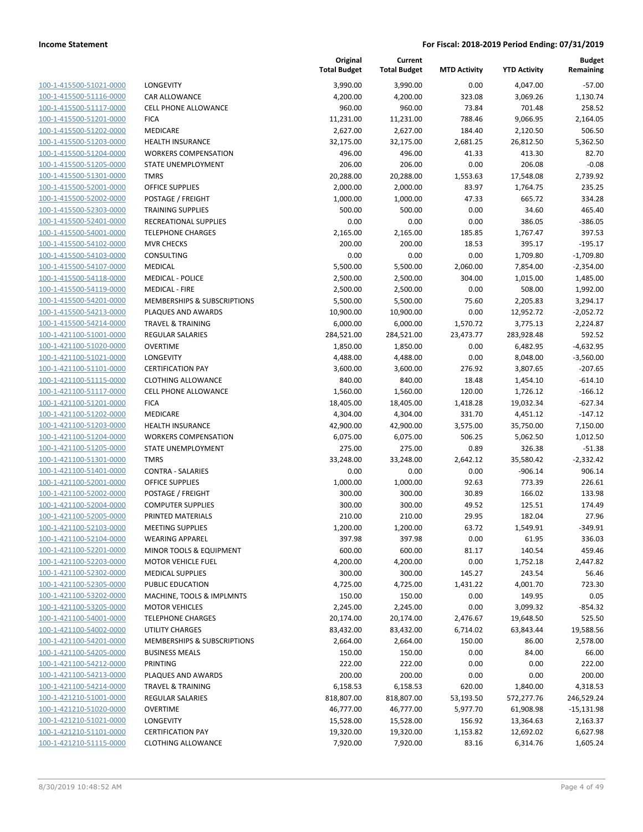| 100-1-415500-51021-0000        |
|--------------------------------|
| 100-1-415500-51116-0000        |
| 100-1-415500-51117-0000        |
| 100-1-415500-51201-0000        |
| 100-1-415500-51202-0000        |
| <u>100-1-415500-51203-0000</u> |
| 100-1-415500-51204-0000        |
| 100-1-415500-51205-0000        |
| 100-1-415500-51301-0000        |
| 100-1-415500-52001-0000        |
| 100-1-415500-52002-0000        |
| 100-1-415500-52303-0000        |
| 100-1-415500-52401-0000        |
| 100-1-415500-54001-0000        |
| 100-1-415500-54102-0000        |
| 100-1-415500-54103-0000        |
| 100-1-415500-54107-0000        |
| 100-1-415500-54118-0000        |
| 100-1-415500-54119-0000        |
| 100-1-415500-54201-0000        |
| 100-1-415500-54213-0000        |
| 100-1-415500-54214-0000        |
| 100-1-421100-51001-0000        |
| 100-1-421100-51020-0000        |
| 100-1-421100-51021-0000        |
| <u>100-1-421100-51101-0000</u> |
| 100-1-421100-51115-0000        |
| 100-1-421100-51117-0000        |
| 100-1-421100-51201-0000        |
| 100-1-421100-51202-0000        |
| <u>100-1-421100-51203-0000</u> |
| 100-1-421100-51204-0000        |
| 100-1-421100-51205-0000        |
| 100-1-421100-51301-0000        |
|                                |
| 100-1-421100-51401-0000        |
| 100-1-421100-52001-0000        |
| 100-1-421100-52002-0000        |
| 100-1-421100-52004-0000        |
| 100-1-421100-52005-0000        |
| 100-1-421100-52103-0000        |
| 100-1-421100-52104-0000        |
| <u>100-1-421100-52201-0000</u> |
| 100-1-421100-52203-0000        |
| 100-1-421100-52302-0000        |
| 100-1-421100-52305-0000        |
| <u>100-1-421100-53202-0000</u> |
| 100-1-421100-53205-0000        |
| 100-1-421100-54001-0000        |
| 100-1-421100-54002-0000        |
| <u>100-1-421100-54201-0000</u> |
| <u>100-1-421100-54205-0000</u> |
| <u>100-1-421100-54212-0000</u> |
| <u>100-1-421100-54213-0000</u> |
| 100-1-421100-54214-0000        |
| 100-1-421210-51001-0000        |
| <u>100-1-421210-51020-0000</u> |
| <u>100-1-421210-51021-0000</u> |
| <u>100-1-421210-51101-0000</u> |
| 100-1-421210-51115-0000        |
|                                |

| <b>ONGEVITY</b>                                      |
|------------------------------------------------------|
| AR ALLOWANCE                                         |
| ELL PHONE ALLOWANCE                                  |
| <b>ICA</b>                                           |
| 1EDICARE                                             |
| <b>EALTH INSURANCE</b>                               |
| /ORKERS COMPENSATION                                 |
| <b>TATE UNEMPLOYMENT</b>                             |
| MRS                                                  |
| <b>FFICE SUPPLIES</b>                                |
| OSTAGE / FREIGHT                                     |
| RAINING SUPPLIES                                     |
| ECREATIONAL SUPPLIES                                 |
| ELEPHONE CHARGES                                     |
| IVR CHECKS                                           |
| ONSULTING                                            |
| <b>IEDICAL</b>                                       |
| <b>IEDICAL - POLICE</b>                              |
| <b>IEDICAL - FIRE</b>                                |
| 1EMBERSHIPS & SUBSCRIPTIONS                          |
| LAQUES AND AWARDS                                    |
| RAVEL & TRAINING                                     |
| <b>EGULAR SALARIES</b>                               |
| VERTIME                                              |
| ONGEVITY                                             |
| ERTIFICATION PAY                                     |
| LOTHING ALLOWANCE                                    |
| ELL PHONE ALLOWANCE                                  |
| <b>ICA</b>                                           |
| <b>IEDICARE</b>                                      |
| <b>EALTH INSURANCE</b>                               |
| /ORKERS COMPENSATION                                 |
| TATE UNEMPLOYMENT                                    |
| MRS                                                  |
| ONTRA - SALARIES                                     |
| <b>FFICE SUPPLIES</b>                                |
| OSTAGE / FREIGHT                                     |
| OMPUTER SUPPLIES                                     |
| RINTED MATERIALS                                     |
| <b>IEETING SUPPLIES</b>                              |
| /EARING APPAREL                                      |
| 1INOR TOOLS & EQUIPMENT                              |
| <b>IOTOR VEHICLE FUEL</b><br><b>IEDICAL SUPPLIES</b> |
|                                                      |
| <b>UBLIC EDUCATION</b>                               |
| 1ACHINE, TOOLS & IMPLMNTS<br><b>IOTOR VEHICLES</b>   |
| ELEPHONE CHARGES                                     |
| <b>TILITY CHARGES</b>                                |
| IEMBERSHIPS & SUBSCRIPTIONS                          |
| USINESS MEALS                                        |
| RINTING                                              |
| LAQUES AND AWARDS                                    |
| RAVEL & TRAINING                                     |
| EGULAR SALARIES                                      |
| VERTIME                                              |
| <b>ONGEVITY</b>                                      |
| ERTIFICATION PAY                                     |
|                                                      |

|                                                    |                                                          | Original<br><b>Total Budget</b> | Current<br><b>Total Budget</b> | <b>MTD Activity</b> | <b>YTD Activity</b>  | <b>Budget</b><br>Remaining |
|----------------------------------------------------|----------------------------------------------------------|---------------------------------|--------------------------------|---------------------|----------------------|----------------------------|
| 100-1-415500-51021-0000                            | <b>LONGEVITY</b>                                         | 3,990.00                        | 3,990.00                       | 0.00                | 4,047.00             | $-57.00$                   |
| 100-1-415500-51116-0000                            | CAR ALLOWANCE                                            | 4,200.00                        | 4,200.00                       | 323.08              | 3,069.26             | 1,130.74                   |
| 100-1-415500-51117-0000                            | <b>CELL PHONE ALLOWANCE</b>                              | 960.00                          | 960.00                         | 73.84               | 701.48               | 258.52                     |
| 100-1-415500-51201-0000                            | <b>FICA</b>                                              | 11,231.00                       | 11,231.00                      | 788.46              | 9,066.95             | 2,164.05                   |
| 100-1-415500-51202-0000                            | MEDICARE                                                 | 2,627.00                        | 2,627.00                       | 184.40              | 2,120.50             | 506.50                     |
| 100-1-415500-51203-0000                            | <b>HEALTH INSURANCE</b>                                  | 32,175.00                       | 32,175.00                      | 2,681.25            | 26,812.50            | 5,362.50                   |
| 100-1-415500-51204-0000                            | <b>WORKERS COMPENSATION</b>                              | 496.00                          | 496.00                         | 41.33               | 413.30               | 82.70                      |
| 100-1-415500-51205-0000                            | <b>STATE UNEMPLOYMENT</b>                                | 206.00                          | 206.00                         | 0.00                | 206.08               | $-0.08$                    |
| 100-1-415500-51301-0000                            | <b>TMRS</b>                                              | 20,288.00                       | 20,288.00                      | 1,553.63            | 17,548.08            | 2,739.92                   |
| 100-1-415500-52001-0000                            | <b>OFFICE SUPPLIES</b>                                   | 2,000.00                        | 2,000.00                       | 83.97               | 1,764.75             | 235.25                     |
| 100-1-415500-52002-0000                            | POSTAGE / FREIGHT                                        | 1,000.00                        | 1,000.00                       | 47.33               | 665.72               | 334.28                     |
| 100-1-415500-52303-0000                            | <b>TRAINING SUPPLIES</b>                                 | 500.00                          | 500.00                         | 0.00                | 34.60                | 465.40                     |
| 100-1-415500-52401-0000                            | RECREATIONAL SUPPLIES                                    | 0.00                            | 0.00                           | 0.00                | 386.05               | $-386.05$                  |
| 100-1-415500-54001-0000                            | <b>TELEPHONE CHARGES</b>                                 | 2,165.00                        | 2,165.00                       | 185.85              | 1,767.47             | 397.53                     |
| 100-1-415500-54102-0000                            | <b>MVR CHECKS</b>                                        | 200.00                          | 200.00                         | 18.53               | 395.17               | $-195.17$                  |
| 100-1-415500-54103-0000                            | CONSULTING                                               | 0.00                            | 0.00                           | 0.00                | 1,709.80             | $-1,709.80$                |
| 100-1-415500-54107-0000                            | <b>MEDICAL</b>                                           | 5,500.00                        | 5,500.00                       | 2,060.00            | 7,854.00             | $-2,354.00$                |
| 100-1-415500-54118-0000                            | <b>MEDICAL - POLICE</b>                                  | 2,500.00                        | 2,500.00                       | 304.00              | 1,015.00             | 1,485.00                   |
| 100-1-415500-54119-0000                            | <b>MEDICAL - FIRE</b>                                    | 2,500.00                        | 2,500.00                       | 0.00                | 508.00               | 1,992.00                   |
| 100-1-415500-54201-0000                            | <b>MEMBERSHIPS &amp; SUBSCRIPTIONS</b>                   | 5,500.00                        | 5,500.00                       | 75.60               | 2,205.83             | 3,294.17                   |
| 100-1-415500-54213-0000                            | PLAQUES AND AWARDS                                       | 10,900.00                       | 10,900.00                      | 0.00                | 12,952.72            | $-2,052.72$                |
| 100-1-415500-54214-0000                            | <b>TRAVEL &amp; TRAINING</b>                             | 6,000.00                        | 6,000.00                       | 1,570.72            | 3,775.13             | 2,224.87                   |
| 100-1-421100-51001-0000                            | <b>REGULAR SALARIES</b>                                  | 284,521.00                      | 284,521.00                     | 23,473.77           | 283,928.48           | 592.52                     |
| 100-1-421100-51020-0000                            | <b>OVERTIME</b>                                          |                                 |                                |                     |                      |                            |
| 100-1-421100-51021-0000                            | <b>LONGEVITY</b>                                         | 1,850.00<br>4,488.00            | 1,850.00<br>4,488.00           | 0.00<br>0.00        | 6,482.95<br>8,048.00 | $-4,632.95$<br>$-3,560.00$ |
| 100-1-421100-51101-0000                            | <b>CERTIFICATION PAY</b>                                 | 3,600.00                        | 3,600.00                       | 276.92              | 3,807.65             | $-207.65$                  |
| 100-1-421100-51115-0000                            |                                                          | 840.00                          | 840.00                         | 18.48               |                      | $-614.10$                  |
|                                                    | <b>CLOTHING ALLOWANCE</b><br><b>CELL PHONE ALLOWANCE</b> |                                 |                                |                     | 1,454.10             |                            |
| 100-1-421100-51117-0000<br>100-1-421100-51201-0000 | <b>FICA</b>                                              | 1,560.00                        | 1,560.00                       | 120.00              | 1,726.12             | $-166.12$<br>$-627.34$     |
| 100-1-421100-51202-0000                            | MEDICARE                                                 | 18,405.00<br>4,304.00           | 18,405.00<br>4,304.00          | 1,418.28<br>331.70  | 19,032.34            | $-147.12$                  |
|                                                    |                                                          |                                 |                                |                     | 4,451.12             |                            |
| 100-1-421100-51203-0000                            | <b>HEALTH INSURANCE</b>                                  | 42,900.00                       | 42,900.00                      | 3,575.00            | 35,750.00            | 7,150.00                   |
| 100-1-421100-51204-0000                            | <b>WORKERS COMPENSATION</b>                              | 6,075.00                        | 6,075.00                       | 506.25              | 5,062.50             | 1,012.50                   |
| 100-1-421100-51205-0000<br>100-1-421100-51301-0000 | STATE UNEMPLOYMENT                                       | 275.00                          | 275.00                         | 0.89                | 326.38               | $-51.38$                   |
|                                                    | <b>TMRS</b><br><b>CONTRA - SALARIES</b>                  | 33,248.00<br>0.00               | 33,248.00<br>0.00              | 2,642.12<br>0.00    | 35,580.42            | $-2,332.42$                |
| 100-1-421100-51401-0000                            |                                                          |                                 |                                |                     | $-906.14$            | 906.14                     |
| 100-1-421100-52001-0000                            | OFFICE SUPPLIES                                          | 1,000.00                        | 1,000.00                       | 92.63               | 773.39               | 226.61                     |
| 100-1-421100-52002-0000                            | POSTAGE / FREIGHT                                        | 300.00                          | 300.00                         | 30.89               | 166.02               | 133.98                     |
| 100-1-421100-52004-0000<br>100-1-421100-52005-0000 | <b>COMPUTER SUPPLIES</b>                                 | 300.00                          | 300.00                         | 49.52               | 125.51               | 174.49                     |
|                                                    | PRINTED MATERIALS                                        | 210.00                          | 210.00<br>1,200.00             | 29.95               | 182.04               | 27.96                      |
| 100-1-421100-52103-0000                            | <b>MEETING SUPPLIES</b>                                  | 1,200.00                        |                                | 63.72               | 1,549.91             | $-349.91$                  |
| 100-1-421100-52104-0000                            | <b>WEARING APPAREL</b>                                   | 397.98                          | 397.98                         | 0.00                | 61.95                | 336.03                     |
| 100-1-421100-52201-0000                            | MINOR TOOLS & EQUIPMENT                                  | 600.00                          | 600.00                         | 81.17               | 140.54               | 459.46                     |
| 100-1-421100-52203-0000                            | <b>MOTOR VEHICLE FUEL</b>                                | 4,200.00                        | 4,200.00                       | 0.00                | 1,752.18             | 2,447.82                   |
| 100-1-421100-52302-0000                            | <b>MEDICAL SUPPLIES</b>                                  | 300.00                          | 300.00                         | 145.27              | 243.54               | 56.46                      |
| 100-1-421100-52305-0000                            | PUBLIC EDUCATION                                         | 4,725.00                        | 4,725.00                       | 1,431.22            | 4,001.70             | 723.30                     |
| 100-1-421100-53202-0000                            | MACHINE, TOOLS & IMPLMNTS                                | 150.00                          | 150.00                         | 0.00                | 149.95               | 0.05                       |
| 100-1-421100-53205-0000                            | <b>MOTOR VEHICLES</b>                                    | 2,245.00                        | 2,245.00                       | 0.00                | 3,099.32             | $-854.32$                  |
| 100-1-421100-54001-0000                            | <b>TELEPHONE CHARGES</b>                                 | 20,174.00                       | 20,174.00                      | 2,476.67            | 19,648.50            | 525.50                     |
| 100-1-421100-54002-0000                            | UTILITY CHARGES                                          | 83,432.00                       | 83,432.00                      | 6,714.02            | 63,843.44            | 19,588.56                  |
| 100-1-421100-54201-0000                            | MEMBERSHIPS & SUBSCRIPTIONS                              | 2,664.00                        | 2,664.00                       | 150.00              | 86.00                | 2,578.00                   |
| 100-1-421100-54205-0000                            | <b>BUSINESS MEALS</b>                                    | 150.00                          | 150.00                         | 0.00                | 84.00                | 66.00                      |
| 100-1-421100-54212-0000                            | PRINTING                                                 | 222.00                          | 222.00                         | 0.00                | 0.00                 | 222.00                     |
| 100-1-421100-54213-0000                            | PLAQUES AND AWARDS                                       | 200.00                          | 200.00                         | 0.00                | 0.00                 | 200.00                     |
| 100-1-421100-54214-0000                            | <b>TRAVEL &amp; TRAINING</b>                             | 6,158.53                        | 6,158.53                       | 620.00              | 1,840.00             | 4,318.53                   |
| 100-1-421210-51001-0000                            | REGULAR SALARIES                                         | 818,807.00                      | 818,807.00                     | 53,193.50           | 572,277.76           | 246,529.24                 |
| 100-1-421210-51020-0000                            | <b>OVERTIME</b>                                          | 46,777.00                       | 46,777.00                      | 5,977.70            | 61,908.98            | $-15,131.98$               |
| 100-1-421210-51021-0000                            | LONGEVITY                                                | 15,528.00                       | 15,528.00                      | 156.92              | 13,364.63            | 2,163.37                   |
| 100-1-421210-51101-0000                            | <b>CERTIFICATION PAY</b>                                 | 19,320.00                       | 19,320.00                      | 1,153.82            | 12,692.02            | 6,627.98                   |
| 100-1-421210-51115-0000                            | <b>CLOTHING ALLOWANCE</b>                                | 7,920.00                        | 7,920.00                       | 83.16               | 6,314.76             | 1,605.24                   |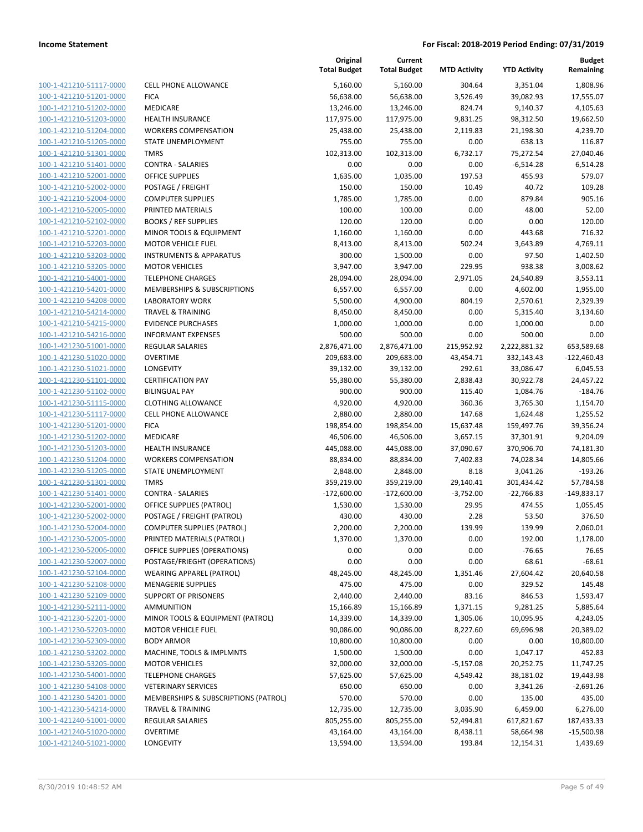| 100-1-421210-51117-0000                            | <b>CELL PHONE ALLOWAN</b>                         |
|----------------------------------------------------|---------------------------------------------------|
| 100-1-421210-51201-0000                            | <b>FICA</b>                                       |
| 100-1-421210-51202-0000                            | MEDICARE                                          |
| 100-1-421210-51203-0000                            | <b>HEALTH INSURANCE</b>                           |
| 100-1-421210-51204-0000                            | <b>WORKERS COMPENSAT</b>                          |
| 100-1-421210-51205-0000                            | STATE UNEMPLOYMEN                                 |
| 100-1-421210-51301-0000                            | TMRS                                              |
| 100-1-421210-51401-0000                            | CONTRA - SALARIES                                 |
| 100-1-421210-52001-0000                            | OFFICE SUPPLIES                                   |
| 100-1-421210-52002-0000                            | POSTAGE / FREIGHT                                 |
| 100-1-421210-52004-0000                            | <b>COMPUTER SUPPLIES</b>                          |
| 100-1-421210-52005-0000                            | PRINTED MATERIALS                                 |
| 100-1-421210-52102-0000                            | <b>BOOKS / REF SUPPLIES</b>                       |
| 100-1-421210-52201-0000                            | <b>MINOR TOOLS &amp; EQUIP</b>                    |
| 100-1-421210-52203-0000                            | <b>MOTOR VEHICLE FUEL</b>                         |
| <u>100-1-421210-53203-0000</u>                     | <b>INSTRUMENTS &amp; APPAI</b>                    |
| 100-1-421210-53205-0000                            | <b>MOTOR VEHICLES</b>                             |
| 100-1-421210-54001-0000                            | <b>TELEPHONE CHARGES</b>                          |
| 100-1-421210-54201-0000                            | MEMBERSHIPS & SUBS                                |
| 100-1-421210-54208-0000                            | <b>LABORATORY WORK</b>                            |
| <u>100-1-421210-54214-0000</u>                     | <b>TRAVEL &amp; TRAINING</b>                      |
| 100-1-421210-54215-0000                            | <b>EVIDENCE PURCHASES</b>                         |
| 100-1-421210-54216-0000                            | <b>INFORMANT EXPENSES</b>                         |
| 100-1-421230-51001-0000                            | <b>REGULAR SALARIES</b>                           |
| 100-1-421230-51020-0000                            | OVERTIME                                          |
| <u>100-1-421230-51021-0000</u>                     | LONGEVITY                                         |
| 100-1-421230-51101-0000                            | <b>CERTIFICATION PAY</b>                          |
| 100-1-421230-51102-0000                            | <b>BILINGUAL PAY</b>                              |
| 100-1-421230-51115-0000                            | <b>CLOTHING ALLOWANCE</b>                         |
| 100-1-421230-51117-0000                            | <b>CELL PHONE ALLOWAN</b>                         |
| <u>100-1-421230-51201-0000</u>                     | FICA                                              |
| 100-1-421230-51202-0000                            | MEDICARE                                          |
| 100-1-421230-51203-0000                            | <b>HEALTH INSURANCE</b>                           |
| 100-1-421230-51204-0000                            | <b>WORKERS COMPENSAT</b>                          |
| 100-1-421230-51205-0000                            | STATE UNEMPLOYMEN<br><b>TMRS</b>                  |
| 100-1-421230-51301-0000                            |                                                   |
| 100-1-421230-51401-0000                            | CONTRA - SALARIES<br><b>OFFICE SUPPLIES (PATR</b> |
| 100-1-421230-52001-0000                            | POSTAGE / FREIGHT (PA                             |
| 100-1-421230-52002-0000<br>100-1-421230-52004-0000 | <b>COMPUTER SUPPLIES (I</b>                       |
| 100-1-421230-52005-0000                            | PRINTED MATERIALS (P                              |
| 100-1-421230-52006-0000                            | OFFICE SUPPLIES (OPER                             |
| 100-1-421230-52007-0000                            | POSTAGE/FRIEGHT (OP                               |
| 100-1-421230-52104-0000                            | <b>WEARING APPAREL (PA</b>                        |
| 100-1-421230-52108-0000                            | <b>MENAGERIE SUPPLIES</b>                         |
| 100-1-421230-52109-0000                            | <b>SUPPORT OF PRISONER</b>                        |
| 100-1-421230-52111-0000                            | <b>AMMUNITION</b>                                 |
| 100-1-421230-52201-0000                            | <b>MINOR TOOLS &amp; EQUIF</b>                    |
| <u>100-1-421230-52203-0000</u>                     | <b>MOTOR VEHICLE FUEL</b>                         |
| 100-1-421230-52309-0000                            | <b>BODY ARMOR</b>                                 |
| 100-1-421230-53202-0000                            | MACHINE, TOOLS & IM                               |
| 100-1-421230-53205-0000                            | <b>MOTOR VEHICLES</b>                             |
| 100-1-421230-54001-0000                            | <b>TELEPHONE CHARGES</b>                          |
| 100-1-421230-54108-0000                            | <b>VETERINARY SERVICES</b>                        |
| 100-1-421230-54201-0000                            | <b>MEMBERSHIPS &amp; SUBS</b>                     |
| 100-1-421230-54214-0000                            | TRAVEL & TRAINING                                 |
| 100-1-421240-51001-0000                            | REGULAR SALARIES                                  |
| 100-1-421240-51020-0000                            | OVERTIME                                          |
| 100-1-421240-51021-0000                            | LONGEVITY                                         |
|                                                    |                                                   |

|                         |                                      | Original<br><b>Total Budget</b> | Current<br><b>Total Budget</b> | <b>MTD Activity</b> | <b>YTD Activity</b> | <b>Budget</b><br>Remaining |
|-------------------------|--------------------------------------|---------------------------------|--------------------------------|---------------------|---------------------|----------------------------|
| 100-1-421210-51117-0000 | <b>CELL PHONE ALLOWANCE</b>          | 5,160.00                        | 5,160.00                       | 304.64              | 3,351.04            | 1,808.96                   |
| 100-1-421210-51201-0000 | <b>FICA</b>                          | 56,638.00                       | 56,638.00                      | 3,526.49            | 39,082.93           | 17,555.07                  |
| 100-1-421210-51202-0000 | MEDICARE                             | 13,246.00                       | 13,246.00                      | 824.74              | 9,140.37            | 4,105.63                   |
| 100-1-421210-51203-0000 | <b>HEALTH INSURANCE</b>              | 117,975.00                      | 117,975.00                     | 9,831.25            | 98,312.50           | 19,662.50                  |
| 100-1-421210-51204-0000 | <b>WORKERS COMPENSATION</b>          | 25,438.00                       | 25,438.00                      | 2,119.83            | 21,198.30           | 4,239.70                   |
| 100-1-421210-51205-0000 | STATE UNEMPLOYMENT                   | 755.00                          | 755.00                         | 0.00                | 638.13              | 116.87                     |
| 100-1-421210-51301-0000 | <b>TMRS</b>                          | 102,313.00                      | 102,313.00                     | 6,732.17            | 75,272.54           | 27,040.46                  |
| 100-1-421210-51401-0000 | <b>CONTRA - SALARIES</b>             | 0.00                            | 0.00                           | 0.00                | $-6,514.28$         | 6,514.28                   |
| 100-1-421210-52001-0000 | <b>OFFICE SUPPLIES</b>               | 1,635.00                        | 1,035.00                       | 197.53              | 455.93              | 579.07                     |
| 100-1-421210-52002-0000 | POSTAGE / FREIGHT                    | 150.00                          | 150.00                         | 10.49               | 40.72               | 109.28                     |
| 100-1-421210-52004-0000 | <b>COMPUTER SUPPLIES</b>             | 1,785.00                        | 1,785.00                       | 0.00                | 879.84              | 905.16                     |
| 100-1-421210-52005-0000 | PRINTED MATERIALS                    | 100.00                          | 100.00                         | 0.00                | 48.00               | 52.00                      |
| 100-1-421210-52102-0000 | <b>BOOKS / REF SUPPLIES</b>          | 120.00                          | 120.00                         | 0.00                | 0.00                | 120.00                     |
| 100-1-421210-52201-0000 | MINOR TOOLS & EQUIPMENT              | 1,160.00                        | 1,160.00                       | 0.00                | 443.68              | 716.32                     |
| 100-1-421210-52203-0000 | <b>MOTOR VEHICLE FUEL</b>            | 8,413.00                        | 8,413.00                       | 502.24              | 3,643.89            | 4,769.11                   |
| 100-1-421210-53203-0000 | <b>INSTRUMENTS &amp; APPARATUS</b>   | 300.00                          | 1,500.00                       | 0.00                | 97.50               | 1,402.50                   |
| 100-1-421210-53205-0000 | <b>MOTOR VEHICLES</b>                | 3,947.00                        | 3,947.00                       | 229.95              | 938.38              | 3,008.62                   |
| 100-1-421210-54001-0000 | <b>TELEPHONE CHARGES</b>             | 28,094.00                       | 28,094.00                      | 2,971.05            | 24,540.89           | 3,553.11                   |
| 100-1-421210-54201-0000 | MEMBERSHIPS & SUBSCRIPTIONS          | 6,557.00                        | 6,557.00                       | 0.00                | 4,602.00            | 1,955.00                   |
| 100-1-421210-54208-0000 | <b>LABORATORY WORK</b>               | 5,500.00                        | 4,900.00                       | 804.19              | 2,570.61            | 2,329.39                   |
| 100-1-421210-54214-0000 | <b>TRAVEL &amp; TRAINING</b>         | 8,450.00                        | 8,450.00                       | 0.00                | 5,315.40            | 3,134.60                   |
| 100-1-421210-54215-0000 | <b>EVIDENCE PURCHASES</b>            | 1,000.00                        | 1,000.00                       | 0.00                | 1,000.00            | 0.00                       |
| 100-1-421210-54216-0000 | <b>INFORMANT EXPENSES</b>            | 500.00                          | 500.00                         | 0.00                | 500.00              | 0.00                       |
| 100-1-421230-51001-0000 | <b>REGULAR SALARIES</b>              | 2,876,471.00                    | 2,876,471.00                   | 215,952.92          | 2,222,881.32        | 653,589.68                 |
| 100-1-421230-51020-0000 | <b>OVERTIME</b>                      | 209,683.00                      | 209,683.00                     | 43,454.71           | 332,143.43          | $-122,460.43$              |
| 100-1-421230-51021-0000 | <b>LONGEVITY</b>                     | 39,132.00                       | 39,132.00                      | 292.61              | 33,086.47           | 6,045.53                   |
| 100-1-421230-51101-0000 | <b>CERTIFICATION PAY</b>             | 55,380.00                       | 55,380.00                      | 2,838.43            | 30,922.78           | 24,457.22                  |
| 100-1-421230-51102-0000 | <b>BILINGUAL PAY</b>                 | 900.00                          | 900.00                         | 115.40              | 1,084.76            | $-184.76$                  |
| 100-1-421230-51115-0000 | <b>CLOTHING ALLOWANCE</b>            | 4,920.00                        | 4,920.00                       | 360.36              | 3,765.30            | 1,154.70                   |
| 100-1-421230-51117-0000 | <b>CELL PHONE ALLOWANCE</b>          | 2,880.00                        | 2,880.00                       | 147.68              | 1,624.48            | 1,255.52                   |
| 100-1-421230-51201-0000 | <b>FICA</b>                          | 198,854.00                      | 198,854.00                     | 15,637.48           | 159,497.76          | 39,356.24                  |
| 100-1-421230-51202-0000 | MEDICARE                             | 46,506.00                       | 46,506.00                      | 3,657.15            | 37,301.91           | 9,204.09                   |
| 100-1-421230-51203-0000 | <b>HEALTH INSURANCE</b>              | 445,088.00                      | 445,088.00                     | 37,090.67           | 370,906.70          | 74,181.30                  |
| 100-1-421230-51204-0000 | <b>WORKERS COMPENSATION</b>          | 88,834.00                       | 88,834.00                      | 7,402.83            | 74,028.34           | 14,805.66                  |
| 100-1-421230-51205-0000 | STATE UNEMPLOYMENT                   | 2,848.00                        | 2,848.00                       | 8.18                | 3,041.26            | $-193.26$                  |
| 100-1-421230-51301-0000 | <b>TMRS</b>                          | 359,219.00                      | 359,219.00                     | 29,140.41           | 301,434.42          | 57,784.58                  |
| 100-1-421230-51401-0000 | <b>CONTRA - SALARIES</b>             | $-172,600.00$                   | $-172,600.00$                  | $-3,752.00$         | $-22,766.83$        | $-149,833.17$              |
| 100-1-421230-52001-0000 | OFFICE SUPPLIES (PATROL)             | 1,530.00                        | 1,530.00                       | 29.95               | 474.55              | 1,055.45                   |
| 100-1-421230-52002-0000 | POSTAGE / FREIGHT (PATROL)           | 430.00                          | 430.00                         | 2.28                | 53.50               | 376.50                     |
| 100-1-421230-52004-0000 | <b>COMPUTER SUPPLIES (PATROL)</b>    | 2,200.00                        | 2,200.00                       | 139.99              | 139.99              | 2,060.01                   |
| 100-1-421230-52005-0000 | PRINTED MATERIALS (PATROL)           | 1,370.00                        | 1,370.00                       | 0.00                | 192.00              | 1,178.00                   |
| 100-1-421230-52006-0000 | OFFICE SUPPLIES (OPERATIONS)         | 0.00                            | 0.00                           | 0.00                | $-76.65$            | 76.65                      |
| 100-1-421230-52007-0000 | POSTAGE/FRIEGHT (OPERATIONS)         | 0.00                            | 0.00                           | 0.00                | 68.61               | $-68.61$                   |
| 100-1-421230-52104-0000 | <b>WEARING APPAREL (PATROL)</b>      | 48,245.00                       | 48,245.00                      | 1,351.46            | 27,604.42           | 20,640.58                  |
| 100-1-421230-52108-0000 | <b>MENAGERIE SUPPLIES</b>            | 475.00                          | 475.00                         | 0.00                | 329.52              | 145.48                     |
| 100-1-421230-52109-0000 | <b>SUPPORT OF PRISONERS</b>          | 2,440.00                        | 2,440.00                       | 83.16               | 846.53              | 1,593.47                   |
| 100-1-421230-52111-0000 | <b>AMMUNITION</b>                    | 15,166.89                       | 15,166.89                      | 1,371.15            | 9,281.25            | 5,885.64                   |
| 100-1-421230-52201-0000 | MINOR TOOLS & EQUIPMENT (PATROL)     | 14,339.00                       | 14,339.00                      | 1,305.06            | 10,095.95           | 4,243.05                   |
| 100-1-421230-52203-0000 | <b>MOTOR VEHICLE FUEL</b>            | 90,086.00                       | 90,086.00                      | 8,227.60            | 69,696.98           | 20,389.02                  |
| 100-1-421230-52309-0000 | <b>BODY ARMOR</b>                    | 10,800.00                       | 10,800.00                      | 0.00                | 0.00                | 10,800.00                  |
| 100-1-421230-53202-0000 | MACHINE, TOOLS & IMPLMNTS            | 1,500.00                        | 1,500.00                       | 0.00                | 1,047.17            | 452.83                     |
| 100-1-421230-53205-0000 | <b>MOTOR VEHICLES</b>                | 32,000.00                       | 32,000.00                      | $-5,157.08$         | 20,252.75           | 11,747.25                  |
| 100-1-421230-54001-0000 | <b>TELEPHONE CHARGES</b>             | 57,625.00                       | 57,625.00                      | 4,549.42            | 38,181.02           | 19,443.98                  |
| 100-1-421230-54108-0000 | <b>VETERINARY SERVICES</b>           | 650.00                          | 650.00                         | 0.00                | 3,341.26            | $-2,691.26$                |
| 100-1-421230-54201-0000 | MEMBERSHIPS & SUBSCRIPTIONS (PATROL) | 570.00                          | 570.00                         | 0.00                | 135.00              | 435.00                     |
| 100-1-421230-54214-0000 | <b>TRAVEL &amp; TRAINING</b>         | 12,735.00                       | 12,735.00                      | 3,035.90            | 6,459.00            | 6,276.00                   |
| 100-1-421240-51001-0000 | <b>REGULAR SALARIES</b>              | 805,255.00                      | 805,255.00                     | 52,494.81           | 617,821.67          | 187,433.33                 |
| 100-1-421240-51020-0000 | <b>OVERTIME</b>                      | 43,164.00                       | 43,164.00                      | 8,438.11            | 58,664.98           | $-15,500.98$               |
| 100-1-421240-51021-0000 | LONGEVITY                            | 13,594.00                       | 13,594.00                      | 193.84              | 12,154.31           | 1,439.69                   |
|                         |                                      |                                 |                                |                     |                     |                            |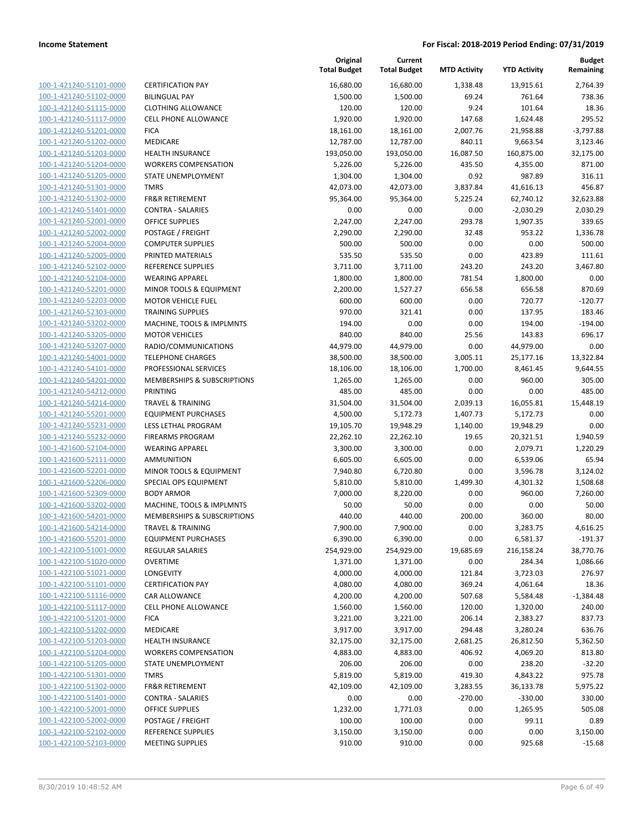| 100-1-421240-51101-0000        | C |
|--------------------------------|---|
|                                | B |
| 100-1-421240-51102-0000        |   |
| 100-1-421240-51115-0000        | C |
| 100-1-421240-51117-0000        | C |
| <u>100-1-421240-51201-0000</u> | F |
| 100-1-421240-51202-0000        | Ν |
| 100-1-421240-51203-0000        | ۲ |
| 100-1-421240-51204-0000        | ٧ |
| 100-1-421240-51205-0000        | S |
| 100-1-421240-51301-0000        | T |
|                                | F |
| 100-1-421240-51302-0000        |   |
| 100-1-421240-51401-0000        | C |
| 100-1-421240-52001-0000        | C |
| 100-1-421240-52002-0000        | P |
| 100-1-421240-52004-0000        | C |
| 100-1-421240-52005-0000        | P |
| 100-1-421240-52102-0000        | R |
| 100-1-421240-52104-0000        | ٧ |
| 100-1-421240-52201-0000        | Λ |
| 100-1-421240-52203-0000        | Λ |
| 100-1-421240-52303-0000        | T |
|                                |   |
| 100-1-421240-53202-0000        | Λ |
| 100-1-421240-53205-0000        | Λ |
| 100-1-421240-53207-0000        | R |
| 100-1-421240-54001-0000        | Т |
| 100-1-421240-54101-0000        | P |
| 100-1-421240-54201-0000        | Λ |
| 100-1-421240-54212-0000        | P |
| 100-1-421240-54214-0000        | Т |
| 100-1-421240-55201-0000        | E |
| 100-1-421240-55231-0000        | L |
| 100-1-421240-55232-0000        | F |
| 100-1-421600-52104-0000        | ٧ |
|                                |   |
| 100-1-421600-52111-0000        | А |
| <u>100-1-421600-52201-0000</u> | Λ |
| 100-1-421600-52206-0000        | S |
| 100-1-421600-52309-0000        | B |
| 100-1-421600-53202-0000        | Λ |
| 100-1-421600-54201-0000        | Λ |
| 100-1-421600-54214-0000        | Т |
| 100-1-421600-55201-0000        | E |
| 100-1-422100-51001-0000        | R |
| 100-1-422100-51020-0000        | C |
| 100-1-422100-51021-0000        | L |
| 100-1-422100-51101-0000        | c |
| 100-1-422100-51116-0000        | C |
|                                |   |
| 100-1-422100-51117-0000        | C |
| 100-1-422100-51201-0000        | F |
| 100-1-422100-51202-0000        | Λ |
| <u>100-1-422100-51203-0000</u> | ۲ |
| 100-1-422100-51204-0000        | ٧ |
| 100-1-422100-51205-0000        | S |
| 100-1-422100-51301-0000        | Т |
| 100-1-422100-51302-0000        | F |
| <u>100-1-422100-51401-0000</u> | c |
| <u>100-1-422100-52001-0000</u> | C |
| 100-1-422100-52002-0000        | Ρ |
|                                |   |
| 100-1-422100-52102-0000        | R |
| <u>100-1-422100-52103-0000</u> | Λ |
|                                |   |

| <b>ERTIFICATION PAY</b>                        |
|------------------------------------------------|
| <b>ILINGUAL PAY</b>                            |
| LOTHING ALLOWANCE                              |
| ELL PHONE ALLOWANCE:                           |
| ICA                                            |
| <i><b>AEDICARE</b></i>                         |
| IEALTH INSURANCE                               |
| <b>VORKERS COMPENSATION</b>                    |
| <b>TATE UNEMPLOYMENT</b>                       |
| <b>MRS</b>                                     |
| R&R RETIREMENT                                 |
| ONTRA - SALARIES:                              |
| )FFICE SUPPLIES                                |
| OSTAGE / FREIGHT                               |
| OMPUTER SUPPLIES:                              |
| RINTED MATERIALS                               |
| EFERENCE SUPPLIES                              |
| VEARING APPAREL                                |
| AINOR TOOLS & EQUIPMENT                        |
| <i><b>IOTOR VEHICLE FUEL</b></i>               |
| <b>RAINING SUPPLIES</b>                        |
| AACHINE, TOOLS & IMPLMNTS                      |
| <i><b>IOTOR VEHICLES</b></i>                   |
| ADIO/COMMUNICATIONS<br><b>ELEPHONE CHARGES</b> |
| ROFESSIONAL SERVICES                           |
| <b><i>AEMBERSHIPS &amp; SUBSCRIPTIONS</i></b>  |
| RINTING                                        |
| RAVEL & TRAINING                               |
| <b>QUIPMENT PURCHASES</b>                      |
| ESS LETHAL PROGRAM                             |
| <b>IREARMS PROGRAM</b>                         |
| VEARING APPAREL                                |
| MMUNITION                                      |
| <i>I</i> INOR TOOLS & EQUIPMENT                |
| PECIAL OPS EQUIPMENT                           |
| ODY ARMOR                                      |
| <b>AACHINE, TOOLS &amp; IMPLMNTS</b>           |
| <b><i>AEMBERSHIPS &amp; SUBSCRIPTIONS</i></b>  |
| <b>RAVEL &amp; TRAINING</b>                    |
| <b>QUIPMENT PURCHASES</b>                      |
| <b>EGULAR SALARIES</b><br><b>VERTIME</b>       |
| ONGEVITY                                       |
| <b>ERTIFICATION PAY</b>                        |
| AR ALLOWANCE                                   |
| ELL PHONE ALLOWANCE                            |
| <b>ICA</b>                                     |
| <i><b>AEDICARE</b></i>                         |
| <b>IEALTH INSURANCE</b>                        |
| VORKERS COMPENSATION                           |
| TATE UNEMPLOYMENT                              |
| <b>MRS</b>                                     |
| <b>R&amp;R RETIREMENT</b>                      |
| ONTRA - SALARIES:                              |
| <b>PERCE SUPPLIES</b>                          |
| OSTAGE / FREIGHT                               |
| EFERENCE SUPPLIES                              |

|                                                    |                                                | Original<br><b>Total Budget</b> | Current<br><b>Total Budget</b> | <b>MTD Activity</b> | <b>YTD Activity</b>   | <b>Budget</b><br>Remaining |
|----------------------------------------------------|------------------------------------------------|---------------------------------|--------------------------------|---------------------|-----------------------|----------------------------|
| 100-1-421240-51101-0000                            | <b>CERTIFICATION PAY</b>                       | 16,680.00                       | 16,680.00                      | 1,338.48            | 13,915.61             | 2,764.39                   |
| 100-1-421240-51102-0000                            | <b>BILINGUAL PAY</b>                           | 1,500.00                        | 1,500.00                       | 69.24               | 761.64                | 738.36                     |
| 100-1-421240-51115-0000                            | <b>CLOTHING ALLOWANCE</b>                      | 120.00                          | 120.00                         | 9.24                | 101.64                | 18.36                      |
| 100-1-421240-51117-0000                            | <b>CELL PHONE ALLOWANCE</b>                    | 1,920.00                        | 1,920.00                       | 147.68              | 1,624.48              | 295.52                     |
| 100-1-421240-51201-0000                            | <b>FICA</b>                                    | 18,161.00                       | 18,161.00                      | 2,007.76            | 21,958.88             | $-3,797.88$                |
| 100-1-421240-51202-0000                            | MEDICARE                                       | 12,787.00                       | 12,787.00                      | 840.11              | 9,663.54              | 3,123.46                   |
| 100-1-421240-51203-0000                            | <b>HEALTH INSURANCE</b>                        | 193,050.00                      | 193,050.00                     | 16,087.50           | 160,875.00            | 32,175.00                  |
| 100-1-421240-51204-0000                            | <b>WORKERS COMPENSATION</b>                    | 5,226.00                        | 5,226.00                       | 435.50              | 4,355.00              | 871.00                     |
| 100-1-421240-51205-0000                            | STATE UNEMPLOYMENT                             | 1,304.00                        | 1,304.00                       | 0.92                | 987.89                | 316.11                     |
| 100-1-421240-51301-0000                            | <b>TMRS</b>                                    | 42,073.00                       | 42,073.00                      | 3,837.84            | 41,616.13             | 456.87                     |
| 100-1-421240-51302-0000                            | <b>FR&amp;R RETIREMENT</b>                     | 95,364.00                       | 95,364.00                      | 5,225.24            | 62,740.12             | 32,623.88                  |
| 100-1-421240-51401-0000                            | <b>CONTRA - SALARIES</b>                       | 0.00                            | 0.00                           | 0.00                | $-2,030.29$           | 2,030.29                   |
| 100-1-421240-52001-0000                            | <b>OFFICE SUPPLIES</b>                         | 2,247.00                        | 2,247.00                       | 293.78              | 1,907.35              | 339.65                     |
| 100-1-421240-52002-0000                            | POSTAGE / FREIGHT                              | 2,290.00                        | 2,290.00                       | 32.48               | 953.22                | 1,336.78                   |
| 100-1-421240-52004-0000                            | <b>COMPUTER SUPPLIES</b>                       | 500.00                          | 500.00                         | 0.00                | 0.00                  | 500.00                     |
| 100-1-421240-52005-0000                            | PRINTED MATERIALS                              | 535.50                          | 535.50                         | 0.00                | 423.89                | 111.61                     |
| 100-1-421240-52102-0000                            | REFERENCE SUPPLIES                             | 3,711.00                        | 3,711.00                       | 243.20              | 243.20                | 3,467.80                   |
| 100-1-421240-52104-0000                            | <b>WEARING APPAREL</b>                         | 1,800.00                        | 1,800.00                       | 781.54              | 1,800.00              | 0.00                       |
| 100-1-421240-52201-0000                            | MINOR TOOLS & EQUIPMENT                        | 2,200.00                        | 1,527.27                       | 656.58              | 656.58                | 870.69                     |
| 100-1-421240-52203-0000                            | <b>MOTOR VEHICLE FUEL</b>                      | 600.00                          | 600.00                         | 0.00                | 720.77                | $-120.77$                  |
| 100-1-421240-52303-0000                            | <b>TRAINING SUPPLIES</b>                       | 970.00                          | 321.41                         | 0.00                | 137.95                | 183.46                     |
| 100-1-421240-53202-0000                            | MACHINE, TOOLS & IMPLMNTS                      | 194.00                          | 0.00                           | 0.00                | 194.00                | $-194.00$                  |
| 100-1-421240-53205-0000                            | <b>MOTOR VEHICLES</b>                          | 840.00                          | 840.00                         | 25.56               | 143.83                | 696.17                     |
| 100-1-421240-53207-0000                            | RADIO/COMMUNICATIONS                           | 44,979.00                       | 44,979.00                      | 0.00                | 44,979.00             | 0.00                       |
| 100-1-421240-54001-0000                            | <b>TELEPHONE CHARGES</b>                       | 38,500.00                       | 38,500.00                      | 3,005.11            | 25,177.16             | 13,322.84                  |
| 100-1-421240-54101-0000                            | PROFESSIONAL SERVICES                          | 18,106.00                       | 18,106.00                      | 1,700.00            | 8,461.45              | 9,644.55                   |
| 100-1-421240-54201-0000                            | MEMBERSHIPS & SUBSCRIPTIONS                    | 1,265.00                        | 1,265.00                       | 0.00                | 960.00                | 305.00                     |
| 100-1-421240-54212-0000                            | <b>PRINTING</b>                                | 485.00                          | 485.00                         | 0.00                | 0.00                  | 485.00                     |
| 100-1-421240-54214-0000                            | <b>TRAVEL &amp; TRAINING</b>                   | 31,504.00                       | 31,504.00                      | 2,039.13            | 16,055.81             | 15,448.19                  |
| 100-1-421240-55201-0000<br>100-1-421240-55231-0000 | <b>EQUIPMENT PURCHASES</b>                     | 4,500.00                        | 5,172.73                       | 1,407.73            | 5,172.73              | 0.00<br>0.00               |
| 100-1-421240-55232-0000                            | LESS LETHAL PROGRAM<br><b>FIREARMS PROGRAM</b> | 19,105.70<br>22,262.10          | 19,948.29<br>22,262.10         | 1,140.00<br>19.65   | 19,948.29             | 1,940.59                   |
| 100-1-421600-52104-0000                            | <b>WEARING APPAREL</b>                         | 3,300.00                        | 3,300.00                       | 0.00                | 20,321.51<br>2,079.71 | 1,220.29                   |
| 100-1-421600-52111-0000                            | <b>AMMUNITION</b>                              | 6,605.00                        | 6,605.00                       | 0.00                | 6,539.06              | 65.94                      |
| 100-1-421600-52201-0000                            | MINOR TOOLS & EQUIPMENT                        | 7,940.80                        | 6,720.80                       | 0.00                | 3,596.78              | 3,124.02                   |
| 100-1-421600-52206-0000                            | SPECIAL OPS EQUIPMENT                          | 5,810.00                        | 5,810.00                       | 1,499.30            | 4,301.32              | 1,508.68                   |
| 100-1-421600-52309-0000                            | <b>BODY ARMOR</b>                              | 7,000.00                        | 8,220.00                       | 0.00                | 960.00                | 7,260.00                   |
| 100-1-421600-53202-0000                            | MACHINE, TOOLS & IMPLMNTS                      | 50.00                           | 50.00                          | 0.00                | 0.00                  | 50.00                      |
| 100-1-421600-54201-0000                            | MEMBERSHIPS & SUBSCRIPTIONS                    | 440.00                          | 440.00                         | 200.00              | 360.00                | 80.00                      |
| 100-1-421600-54214-0000                            | TRAVEL & TRAINING                              | 7,900.00                        | 7,900.00                       | 0.00                | 3,283.75              | 4,616.25                   |
| 100-1-421600-55201-0000                            | <b>EQUIPMENT PURCHASES</b>                     | 6,390.00                        | 6,390.00                       | 0.00                | 6,581.37              | $-191.37$                  |
| 100-1-422100-51001-0000                            | <b>REGULAR SALARIES</b>                        | 254,929.00                      | 254,929.00                     | 19,685.69           | 216,158.24            | 38,770.76                  |
| 100-1-422100-51020-0000                            | <b>OVERTIME</b>                                | 1,371.00                        | 1,371.00                       | 0.00                | 284.34                | 1,086.66                   |
| 100-1-422100-51021-0000                            | LONGEVITY                                      | 4,000.00                        | 4,000.00                       | 121.84              | 3,723.03              | 276.97                     |
| 100-1-422100-51101-0000                            | <b>CERTIFICATION PAY</b>                       | 4,080.00                        | 4,080.00                       | 369.24              | 4,061.64              | 18.36                      |
| 100-1-422100-51116-0000                            | CAR ALLOWANCE                                  | 4,200.00                        | 4,200.00                       | 507.68              | 5,584.48              | $-1,384.48$                |
| 100-1-422100-51117-0000                            | <b>CELL PHONE ALLOWANCE</b>                    | 1,560.00                        | 1,560.00                       | 120.00              | 1,320.00              | 240.00                     |
| 100-1-422100-51201-0000                            | <b>FICA</b>                                    | 3,221.00                        | 3,221.00                       | 206.14              | 2,383.27              | 837.73                     |
| 100-1-422100-51202-0000                            | MEDICARE                                       | 3,917.00                        | 3,917.00                       | 294.48              | 3,280.24              | 636.76                     |
| 100-1-422100-51203-0000                            | <b>HEALTH INSURANCE</b>                        | 32,175.00                       | 32,175.00                      | 2,681.25            | 26,812.50             | 5,362.50                   |
| 100-1-422100-51204-0000                            | <b>WORKERS COMPENSATION</b>                    | 4,883.00                        | 4,883.00                       | 406.92              | 4,069.20              | 813.80                     |
| 100-1-422100-51205-0000                            | STATE UNEMPLOYMENT                             | 206.00                          | 206.00                         | 0.00                | 238.20                | $-32.20$                   |
| 100-1-422100-51301-0000                            | <b>TMRS</b>                                    | 5,819.00                        | 5,819.00                       | 419.30              | 4,843.22              | 975.78                     |
| 100-1-422100-51302-0000                            | <b>FR&amp;R RETIREMENT</b>                     | 42,109.00                       | 42,109.00                      | 3,283.55            | 36,133.78             | 5,975.22                   |
| 100-1-422100-51401-0000                            | CONTRA - SALARIES                              | 0.00                            | 0.00                           | $-270.00$           | $-330.00$             | 330.00                     |
| 100-1-422100-52001-0000                            | <b>OFFICE SUPPLIES</b>                         | 1,232.00                        | 1,771.03                       | 0.00                | 1,265.95              | 505.08                     |
| 100-1-422100-52002-0000                            | POSTAGE / FREIGHT                              | 100.00                          | 100.00                         | 0.00                | 99.11                 | 0.89                       |
| 100-1-422100-52102-0000                            | REFERENCE SUPPLIES                             | 3,150.00                        | 3,150.00                       | 0.00                | 0.00                  | 3,150.00                   |
| 100-1-422100-52103-0000                            | <b>MEETING SUPPLIES</b>                        | 910.00                          | 910.00                         | 0.00                | 925.68                | $-15.68$                   |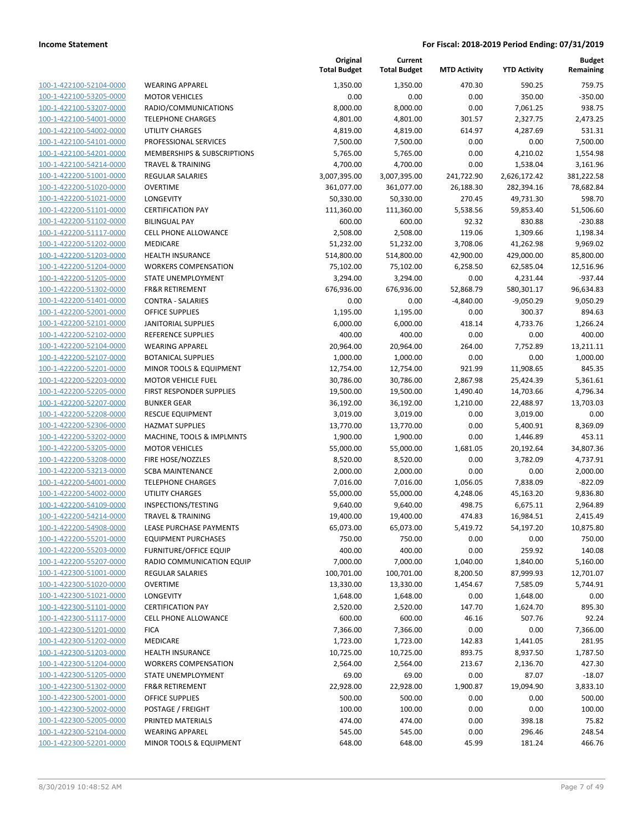| 100-1-422100-52104-0000        |
|--------------------------------|
| 100-1-422100-53205-0000        |
| 100-1-422100-53207-0000        |
| 100-1-422100-54001-0000        |
| 100-1-422100-54002-0000        |
| 100-1-422100-54101-0000        |
| 100-1-422100-54201-0000        |
| 100-1-422100-54214-0000        |
| 100-1-422200-51001-0000        |
| 100-1-422200-51020-0000        |
| 100-1-422200-51021-0000        |
| 100-1-422200-51101-0000        |
| 100-1-422200-51102-0000        |
| 100-1-422200-51117-0000        |
| 100-1-422200-51202-0000        |
| 100-1-422200-51203-0000        |
| 100-1-422200-51204-0000        |
| 100-1-422200-51205-0000        |
| 100-1-422200-51302-0000        |
| 100-1-422200-51401-0000        |
| 100-1-422200-52001-0000        |
| 100-1-422200-52101-0000        |
| 100-1-422200-52102-0000        |
| 100-1-422200-52104-0000        |
| 100-1-422200-52107-0000        |
| 100-1-422200-52201-0000        |
| 100-1-422200-52203-0000        |
|                                |
| 100-1-422200-52205-0000        |
| 100-1-422200-52207-0000        |
| 100-1-422200-52208-0000        |
| 100-1-422200-52306-0000        |
| 100-1-422200-53202-0000        |
| 100-1-422200-53205-0000        |
| 100-1-422200-53208-0000        |
| 100-1-422200-53213-0000        |
| 100-1-422200-54001-0000        |
| 100-1-422200-54002-0000        |
| 100-1-422200-54109-0000        |
| 100-1-422200-54214-0000        |
| 100-1-422200-54908-0000        |
| 100-1-422200-55201-0000        |
| <u>100-1-422200-55203-0000</u> |
| <u>100-1-422200-55207-0000</u> |
| <u>100-1-422300-51001-0000</u> |
| <u>100-1-422300-51020-0000</u> |
| 100-1-422300-51021-0000        |
| 100-1-422300-51101-0000        |
| 100-1-422300-51117-0000        |
| <u>100-1-422300-51201-0000</u> |
| <u>100-1-422300-51202-0000</u> |
| <u>100-1-422300-51203-0000</u> |
| 100-1-422300-51204-0000        |
| 100-1-422300-51205-0000        |
| <u>100-1-422300-51302-0000</u> |
| 100-1-422300-52001-0000        |
| <u>100-1-422300-52002-0000</u> |
| <u>100-1-422300-52005-0000</u> |
| <u>100-1-422300-52104-0000</u> |
| <u>100-1-422300-52201-0000</u> |
|                                |

|                                                    |                                              | Original<br><b>Total Budget</b> | Current<br><b>Total Budget</b> | <b>MTD Activity</b> | <b>YTD Activity</b>   | <b>Budget</b><br>Remaining |
|----------------------------------------------------|----------------------------------------------|---------------------------------|--------------------------------|---------------------|-----------------------|----------------------------|
| 100-1-422100-52104-0000                            | <b>WEARING APPAREL</b>                       | 1,350.00                        | 1,350.00                       | 470.30              | 590.25                | 759.75                     |
| 100-1-422100-53205-0000                            | <b>MOTOR VEHICLES</b>                        | 0.00                            | 0.00                           | 0.00                | 350.00                | $-350.00$                  |
| 100-1-422100-53207-0000                            | RADIO/COMMUNICATIONS                         | 8,000.00                        | 8,000.00                       | 0.00                | 7,061.25              | 938.75                     |
| 100-1-422100-54001-0000                            | <b>TELEPHONE CHARGES</b>                     | 4,801.00                        | 4,801.00                       | 301.57              | 2,327.75              | 2,473.25                   |
| 100-1-422100-54002-0000                            | <b>UTILITY CHARGES</b>                       | 4,819.00                        | 4,819.00                       | 614.97              | 4,287.69              | 531.31                     |
| 100-1-422100-54101-0000                            | PROFESSIONAL SERVICES                        | 7,500.00                        | 7,500.00                       | 0.00                | 0.00                  | 7,500.00                   |
| 100-1-422100-54201-0000                            | MEMBERSHIPS & SUBSCRIPTIONS                  | 5,765.00                        | 5,765.00                       | 0.00                | 4,210.02              | 1,554.98                   |
| 100-1-422100-54214-0000                            | <b>TRAVEL &amp; TRAINING</b>                 | 4,700.00                        | 4,700.00                       | 0.00                | 1,538.04              | 3,161.96                   |
| 100-1-422200-51001-0000                            | <b>REGULAR SALARIES</b>                      | 3,007,395.00                    | 3,007,395.00                   | 241,722.90          | 2,626,172.42          | 381,222.58                 |
| 100-1-422200-51020-0000                            | <b>OVERTIME</b>                              | 361,077.00                      | 361,077.00                     | 26,188.30           | 282,394.16            | 78,682.84                  |
| 100-1-422200-51021-0000                            | LONGEVITY                                    | 50,330.00                       | 50,330.00                      | 270.45              | 49,731.30             | 598.70                     |
| 100-1-422200-51101-0000                            | <b>CERTIFICATION PAY</b>                     | 111,360.00                      | 111,360.00                     | 5,538.56            | 59,853.40             | 51,506.60                  |
| 100-1-422200-51102-0000                            | <b>BILINGUAL PAY</b>                         | 600.00                          | 600.00                         | 92.32               | 830.88                | $-230.88$                  |
| 100-1-422200-51117-0000                            | <b>CELL PHONE ALLOWANCE</b>                  | 2,508.00                        | 2,508.00                       | 119.06              | 1,309.66              | 1,198.34                   |
| 100-1-422200-51202-0000                            | <b>MEDICARE</b>                              | 51,232.00                       | 51,232.00                      | 3,708.06            | 41,262.98             | 9,969.02                   |
| 100-1-422200-51203-0000                            | <b>HEALTH INSURANCE</b>                      | 514,800.00                      | 514,800.00                     | 42,900.00           | 429,000.00            | 85,800.00                  |
| 100-1-422200-51204-0000                            | <b>WORKERS COMPENSATION</b>                  | 75,102.00                       | 75,102.00                      | 6,258.50            | 62,585.04             | 12,516.96                  |
| 100-1-422200-51205-0000                            | <b>STATE UNEMPLOYMENT</b>                    | 3,294.00                        | 3,294.00                       | 0.00                | 4,231.44              | $-937.44$                  |
| 100-1-422200-51302-0000                            | <b>FR&amp;R RETIREMENT</b>                   | 676,936.00                      | 676,936.00                     | 52,868.79           | 580,301.17            | 96,634.83                  |
| 100-1-422200-51401-0000                            | <b>CONTRA - SALARIES</b>                     | 0.00                            | 0.00                           | $-4,840.00$         | $-9,050.29$           | 9,050.29                   |
| 100-1-422200-52001-0000                            | <b>OFFICE SUPPLIES</b>                       | 1,195.00                        | 1,195.00                       | 0.00                | 300.37                | 894.63                     |
| 100-1-422200-52101-0000                            | <b>JANITORIAL SUPPLIES</b>                   | 6,000.00                        | 6,000.00                       | 418.14              | 4,733.76              | 1,266.24                   |
| 100-1-422200-52102-0000                            | REFERENCE SUPPLIES                           | 400.00                          | 400.00                         | 0.00                | 0.00                  | 400.00                     |
| 100-1-422200-52104-0000                            | <b>WEARING APPAREL</b>                       | 20,964.00                       | 20,964.00                      | 264.00              | 7,752.89              | 13,211.11                  |
| 100-1-422200-52107-0000                            | <b>BOTANICAL SUPPLIES</b>                    | 1,000.00                        | 1,000.00                       | 0.00                | 0.00                  | 1,000.00                   |
| 100-1-422200-52201-0000                            | MINOR TOOLS & EQUIPMENT                      | 12,754.00                       | 12,754.00                      | 921.99              | 11,908.65             | 845.35                     |
| 100-1-422200-52203-0000                            | <b>MOTOR VEHICLE FUEL</b>                    | 30,786.00                       | 30,786.00                      | 2,867.98            | 25,424.39             | 5,361.61                   |
| 100-1-422200-52205-0000                            | FIRST RESPONDER SUPPLIES                     | 19,500.00                       | 19,500.00                      | 1,490.40            | 14,703.66             | 4,796.34                   |
| 100-1-422200-52207-0000                            | <b>BUNKER GEAR</b>                           | 36,192.00                       | 36,192.00                      | 1,210.00            | 22,488.97             | 13,703.03                  |
| 100-1-422200-52208-0000                            | RESCUE EQUIPMENT                             | 3,019.00                        | 3,019.00                       | 0.00                | 3,019.00              | 0.00                       |
| 100-1-422200-52306-0000                            | <b>HAZMAT SUPPLIES</b>                       | 13,770.00                       | 13,770.00                      | 0.00                | 5,400.91              | 8,369.09                   |
| 100-1-422200-53202-0000                            | MACHINE, TOOLS & IMPLMNTS                    | 1,900.00                        | 1,900.00                       | 0.00                | 1,446.89              | 453.11                     |
| 100-1-422200-53205-0000<br>100-1-422200-53208-0000 | <b>MOTOR VEHICLES</b>                        | 55,000.00                       | 55,000.00                      | 1,681.05            | 20,192.64             | 34,807.36                  |
| 100-1-422200-53213-0000                            | FIRE HOSE/NOZZLES<br><b>SCBA MAINTENANCE</b> | 8,520.00<br>2,000.00            | 8,520.00<br>2,000.00           | 0.00<br>0.00        | 3,782.09<br>0.00      | 4,737.91<br>2,000.00       |
| 100-1-422200-54001-0000                            | <b>TELEPHONE CHARGES</b>                     | 7,016.00                        | 7,016.00                       | 1,056.05            |                       | $-822.09$                  |
| 100-1-422200-54002-0000                            | UTILITY CHARGES                              | 55,000.00                       | 55,000.00                      | 4,248.06            | 7,838.09<br>45,163.20 | 9,836.80                   |
| 100-1-422200-54109-0000                            | INSPECTIONS/TESTING                          | 9,640.00                        | 9,640.00                       | 498.75              | 6,675.11              | 2,964.89                   |
| 100-1-422200-54214-0000                            | <b>TRAVEL &amp; TRAINING</b>                 | 19,400.00                       | 19,400.00                      | 474.83              | 16,984.51             | 2,415.49                   |
| 100-1-422200-54908-0000                            | LEASE PURCHASE PAYMENTS                      | 65,073.00                       | 65,073.00                      | 5,419.72            | 54,197.20             | 10,875.80                  |
| 100-1-422200-55201-0000                            | <b>EQUIPMENT PURCHASES</b>                   | 750.00                          | 750.00                         | 0.00                | 0.00                  | 750.00                     |
| 100-1-422200-55203-0000                            | <b>FURNITURE/OFFICE EQUIP</b>                | 400.00                          | 400.00                         | 0.00                | 259.92                | 140.08                     |
| 100-1-422200-55207-0000                            | RADIO COMMUNICATION EQUIP                    | 7,000.00                        | 7,000.00                       | 1,040.00            | 1,840.00              | 5,160.00                   |
| 100-1-422300-51001-0000                            | <b>REGULAR SALARIES</b>                      | 100,701.00                      | 100,701.00                     | 8,200.50            | 87,999.93             | 12,701.07                  |
| 100-1-422300-51020-0000                            | <b>OVERTIME</b>                              | 13,330.00                       | 13,330.00                      | 1,454.67            | 7,585.09              | 5,744.91                   |
| 100-1-422300-51021-0000                            | LONGEVITY                                    | 1,648.00                        | 1,648.00                       | 0.00                | 1,648.00              | 0.00                       |
| 100-1-422300-51101-0000                            | <b>CERTIFICATION PAY</b>                     | 2,520.00                        | 2,520.00                       | 147.70              | 1,624.70              | 895.30                     |
| 100-1-422300-51117-0000                            | <b>CELL PHONE ALLOWANCE</b>                  | 600.00                          | 600.00                         | 46.16               | 507.76                | 92.24                      |
| 100-1-422300-51201-0000                            | <b>FICA</b>                                  | 7,366.00                        | 7,366.00                       | 0.00                | 0.00                  | 7,366.00                   |
| 100-1-422300-51202-0000                            | MEDICARE                                     | 1,723.00                        | 1,723.00                       | 142.83              | 1,441.05              | 281.95                     |
| 100-1-422300-51203-0000                            | <b>HEALTH INSURANCE</b>                      | 10,725.00                       | 10,725.00                      | 893.75              | 8,937.50              | 1,787.50                   |
| 100-1-422300-51204-0000                            | <b>WORKERS COMPENSATION</b>                  | 2,564.00                        | 2,564.00                       | 213.67              | 2,136.70              | 427.30                     |
| 100-1-422300-51205-0000                            | STATE UNEMPLOYMENT                           | 69.00                           | 69.00                          | 0.00                | 87.07                 | $-18.07$                   |
| 100-1-422300-51302-0000                            | <b>FR&amp;R RETIREMENT</b>                   | 22,928.00                       | 22,928.00                      | 1,900.87            | 19,094.90             | 3,833.10                   |
| 100-1-422300-52001-0000                            | <b>OFFICE SUPPLIES</b>                       | 500.00                          | 500.00                         | 0.00                | 0.00                  | 500.00                     |
| 100-1-422300-52002-0000                            | POSTAGE / FREIGHT                            | 100.00                          | 100.00                         | 0.00                | 0.00                  | 100.00                     |
| 100-1-422300-52005-0000                            | PRINTED MATERIALS                            | 474.00                          | 474.00                         | 0.00                | 398.18                | 75.82                      |
| 100-1-422300-52104-0000                            | <b>WEARING APPAREL</b>                       | 545.00                          | 545.00                         | 0.00                | 296.46                | 248.54                     |
| 100-1-422300-52201-0000                            | MINOR TOOLS & EQUIPMENT                      | 648.00                          | 648.00                         | 45.99               | 181.24                | 466.76                     |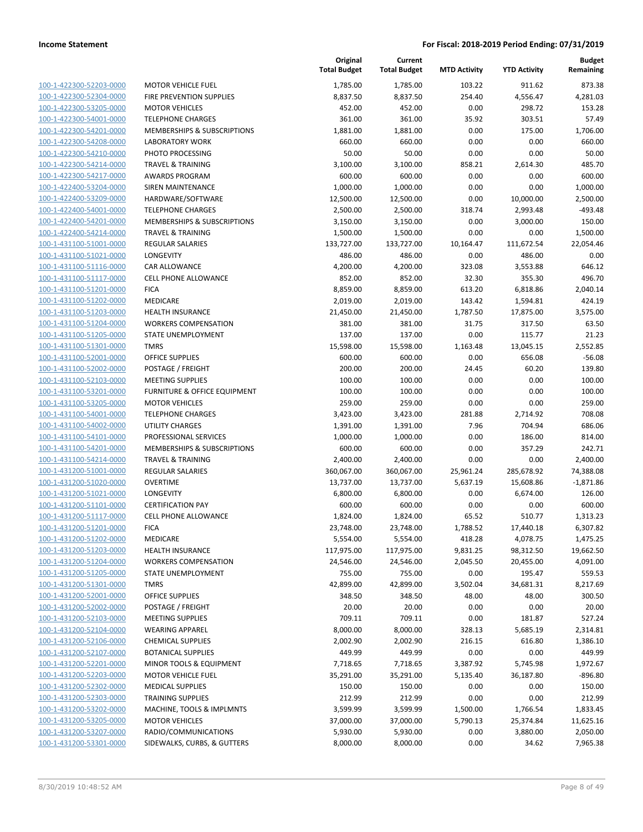| 100-1-422300-52203-0000        |
|--------------------------------|
| 100-1-422300-52304-0000        |
| 100-1-422300-53205-0000        |
| 100-1-422300-54001-0000        |
| 100-1-422300-54201-0000        |
|                                |
| 100-1-422300-54208-0000        |
| 100-1-422300-54210-0000        |
| 100-1-422300-54214-0000        |
| 100-1-422300-54217-0000        |
| 100-1-422400-53204-0000        |
| 100-1-422400-53209-0000        |
| 100-1-422400-54001-0000        |
| 100-1-422400-54201-0000        |
| 100-1-422400-54214-0000        |
| 100-1-431100-51001-0000        |
|                                |
| 100-1-431100-51021-0000        |
| 100-1-431100-51116-0000        |
| 100-1-431100-51117-0000        |
| 100-1-431100-51201-0000        |
| 100-1-431100-51202-0000        |
| 100-1-431100-51203-0000        |
| 100-1-431100-51204-0000        |
| 100-1-431100-51205-0000        |
| 100-1-431100-51301-0000        |
| 100-1-431100-52001-0000        |
| 100-1-431100-52002-0000        |
|                                |
| 100-1-431100-52103-0000        |
| 100-1-431100-53201-0000        |
| 100-1-431100-53205-0000        |
| 100-1-431100-54001-0000        |
| 100-1-431100-54002-0000        |
| 100-1-431100-54101-0000        |
| <u>100-1-431100-54201-0000</u> |
| 100-1-431100-54214-0000        |
| 100-1-431200-51001-0000        |
| 100-1-431200-51020-0000        |
| 100-1-431200-51021-0000        |
| 100-1-431200-51101-0000        |
|                                |
| 100-1-431200-51117-0000        |
| 100-1-431200-51201-0000        |
| 100-1-431200-51202-0000        |
| 100-1-431200-51203-0000        |
| <u>100-1-431200-51204-0000</u> |
| <u>100-1-431200-51205-0000</u> |
| 100-1-431200-51301-0000        |
| 100-1-431200-52001-0000        |
| 100-1-431200-52002-0000        |
| <u>100-1-431200-52103-0000</u> |
|                                |
| <u>100-1-431200-52104-0000</u> |
| 100-1-431200-52106-0000        |
| 100-1-431200-52107-0000        |
| <u>100-1-431200-52201-0000</u> |
| <u>100-1-431200-52203-0000</u> |
| <u>100-1-431200-52302-0000</u> |
| 100-1-431200-52303-0000        |
| 100-1-431200-53202-0000        |
| 100-1-431200-53205-0000        |
| <u>100-1-431200-53207-0000</u> |
|                                |
| 100-1-431200-53301-0000        |

|                         |                              | Original<br><b>Total Budget</b> | Current<br><b>Total Budget</b> | <b>MTD Activity</b> | <b>YTD Activity</b> | <b>Budget</b><br>Remaining |
|-------------------------|------------------------------|---------------------------------|--------------------------------|---------------------|---------------------|----------------------------|
| 100-1-422300-52203-0000 | <b>MOTOR VEHICLE FUEL</b>    | 1,785.00                        | 1,785.00                       | 103.22              | 911.62              | 873.38                     |
| 100-1-422300-52304-0000 | FIRE PREVENTION SUPPLIES     | 8,837.50                        | 8,837.50                       | 254.40              | 4,556.47            | 4,281.03                   |
| 100-1-422300-53205-0000 | <b>MOTOR VEHICLES</b>        | 452.00                          | 452.00                         | 0.00                | 298.72              | 153.28                     |
| 100-1-422300-54001-0000 | <b>TELEPHONE CHARGES</b>     | 361.00                          | 361.00                         | 35.92               | 303.51              | 57.49                      |
| 100-1-422300-54201-0000 | MEMBERSHIPS & SUBSCRIPTIONS  | 1,881.00                        | 1,881.00                       | 0.00                | 175.00              | 1,706.00                   |
| 100-1-422300-54208-0000 | <b>LABORATORY WORK</b>       | 660.00                          | 660.00                         | 0.00                | 0.00                | 660.00                     |
| 100-1-422300-54210-0000 | PHOTO PROCESSING             | 50.00                           | 50.00                          | 0.00                | 0.00                | 50.00                      |
| 100-1-422300-54214-0000 | <b>TRAVEL &amp; TRAINING</b> | 3,100.00                        | 3,100.00                       | 858.21              | 2,614.30            | 485.70                     |
| 100-1-422300-54217-0000 | <b>AWARDS PROGRAM</b>        | 600.00                          | 600.00                         | 0.00                | 0.00                | 600.00                     |
| 100-1-422400-53204-0000 | <b>SIREN MAINTENANCE</b>     | 1,000.00                        | 1,000.00                       | 0.00                | 0.00                | 1,000.00                   |
| 100-1-422400-53209-0000 | HARDWARE/SOFTWARE            | 12,500.00                       | 12,500.00                      | 0.00                | 10,000.00           | 2,500.00                   |
| 100-1-422400-54001-0000 | <b>TELEPHONE CHARGES</b>     | 2,500.00                        | 2,500.00                       | 318.74              | 2,993.48            | $-493.48$                  |
| 100-1-422400-54201-0000 | MEMBERSHIPS & SUBSCRIPTIONS  | 3,150.00                        | 3,150.00                       | 0.00                | 3,000.00            | 150.00                     |
| 100-1-422400-54214-0000 | <b>TRAVEL &amp; TRAINING</b> | 1,500.00                        | 1,500.00                       | 0.00                | 0.00                | 1,500.00                   |
| 100-1-431100-51001-0000 | <b>REGULAR SALARIES</b>      | 133,727.00                      | 133,727.00                     | 10,164.47           | 111,672.54          | 22,054.46                  |
| 100-1-431100-51021-0000 | <b>LONGEVITY</b>             | 486.00                          | 486.00                         | 0.00                | 486.00              | 0.00                       |
| 100-1-431100-51116-0000 | CAR ALLOWANCE                | 4,200.00                        | 4,200.00                       | 323.08              | 3,553.88            | 646.12                     |
| 100-1-431100-51117-0000 | <b>CELL PHONE ALLOWANCE</b>  | 852.00                          | 852.00                         | 32.30               | 355.30              | 496.70                     |
| 100-1-431100-51201-0000 | <b>FICA</b>                  | 8,859.00                        | 8,859.00                       | 613.20              | 6,818.86            | 2,040.14                   |
| 100-1-431100-51202-0000 | <b>MEDICARE</b>              | 2,019.00                        | 2,019.00                       | 143.42              | 1,594.81            | 424.19                     |
| 100-1-431100-51203-0000 | HEALTH INSURANCE             | 21,450.00                       | 21,450.00                      | 1,787.50            | 17,875.00           | 3,575.00                   |
| 100-1-431100-51204-0000 | <b>WORKERS COMPENSATION</b>  | 381.00                          | 381.00                         | 31.75               | 317.50              | 63.50                      |
| 100-1-431100-51205-0000 | STATE UNEMPLOYMENT           | 137.00                          | 137.00                         | 0.00                | 115.77              | 21.23                      |
| 100-1-431100-51301-0000 | <b>TMRS</b>                  | 15,598.00                       | 15,598.00                      | 1,163.48            | 13,045.15           | 2,552.85                   |
| 100-1-431100-52001-0000 | <b>OFFICE SUPPLIES</b>       | 600.00                          | 600.00                         | 0.00                | 656.08              | $-56.08$                   |
| 100-1-431100-52002-0000 | POSTAGE / FREIGHT            | 200.00                          | 200.00                         | 24.45               | 60.20               | 139.80                     |
| 100-1-431100-52103-0000 | <b>MEETING SUPPLIES</b>      | 100.00                          | 100.00                         | 0.00                | 0.00                | 100.00                     |
| 100-1-431100-53201-0000 | FURNITURE & OFFICE EQUIPMENT | 100.00                          | 100.00                         | 0.00                | 0.00                | 100.00                     |
| 100-1-431100-53205-0000 | <b>MOTOR VEHICLES</b>        | 259.00                          | 259.00                         | 0.00                | 0.00                | 259.00                     |
| 100-1-431100-54001-0000 | <b>TELEPHONE CHARGES</b>     | 3,423.00                        | 3,423.00                       | 281.88              | 2,714.92            | 708.08                     |
| 100-1-431100-54002-0000 | <b>UTILITY CHARGES</b>       | 1,391.00                        | 1,391.00                       | 7.96                | 704.94              | 686.06                     |
| 100-1-431100-54101-0000 | PROFESSIONAL SERVICES        | 1,000.00                        | 1,000.00                       | 0.00                | 186.00              | 814.00                     |
| 100-1-431100-54201-0000 | MEMBERSHIPS & SUBSCRIPTIONS  | 600.00                          | 600.00                         | 0.00                | 357.29              | 242.71                     |
| 100-1-431100-54214-0000 | <b>TRAVEL &amp; TRAINING</b> | 2,400.00                        | 2,400.00                       | 0.00                | 0.00                | 2,400.00                   |
| 100-1-431200-51001-0000 | <b>REGULAR SALARIES</b>      | 360,067.00                      | 360,067.00                     | 25,961.24           | 285,678.92          | 74,388.08                  |
| 100-1-431200-51020-0000 | <b>OVERTIME</b>              | 13,737.00                       | 13,737.00                      | 5,637.19            | 15,608.86           | $-1,871.86$                |
| 100-1-431200-51021-0000 | <b>LONGEVITY</b>             | 6,800.00                        | 6,800.00                       | 0.00                | 6,674.00            | 126.00                     |
| 100-1-431200-51101-0000 | <b>CERTIFICATION PAY</b>     | 600.00                          | 600.00                         | 0.00                | 0.00                | 600.00                     |
| 100-1-431200-51117-0000 | <b>CELL PHONE ALLOWANCE</b>  | 1,824.00                        | 1,824.00                       | 65.52               | 510.77              | 1,313.23                   |
| 100-1-431200-51201-0000 | <b>FICA</b>                  | 23,748.00                       | 23,748.00                      | 1,788.52            | 17,440.18           | 6,307.82                   |
| 100-1-431200-51202-0000 | MEDICARE                     | 5,554.00                        | 5,554.00                       | 418.28              | 4,078.75            | 1,475.25                   |
| 100-1-431200-51203-0000 | HEALTH INSURANCE             | 117,975.00                      | 117,975.00                     | 9,831.25            | 98,312.50           | 19,662.50                  |
| 100-1-431200-51204-0000 | <b>WORKERS COMPENSATION</b>  | 24,546.00                       | 24,546.00                      | 2,045.50            | 20,455.00           | 4,091.00                   |
| 100-1-431200-51205-0000 | STATE UNEMPLOYMENT           | 755.00                          | 755.00                         | 0.00                | 195.47              | 559.53                     |
| 100-1-431200-51301-0000 | <b>TMRS</b>                  | 42,899.00                       | 42,899.00                      | 3,502.04            | 34,681.31           | 8,217.69                   |
| 100-1-431200-52001-0000 | OFFICE SUPPLIES              | 348.50                          | 348.50                         | 48.00               | 48.00               | 300.50                     |
| 100-1-431200-52002-0000 | POSTAGE / FREIGHT            | 20.00                           | 20.00                          | 0.00                | 0.00                | 20.00                      |
| 100-1-431200-52103-0000 | <b>MEETING SUPPLIES</b>      | 709.11                          | 709.11                         | 0.00                | 181.87              | 527.24                     |
| 100-1-431200-52104-0000 | <b>WEARING APPAREL</b>       | 8,000.00                        | 8,000.00                       | 328.13              | 5,685.19            | 2,314.81                   |
| 100-1-431200-52106-0000 | <b>CHEMICAL SUPPLIES</b>     | 2,002.90                        | 2,002.90                       | 216.15              | 616.80              | 1,386.10                   |
| 100-1-431200-52107-0000 | <b>BOTANICAL SUPPLIES</b>    | 449.99                          | 449.99                         | 0.00                | 0.00                | 449.99                     |
| 100-1-431200-52201-0000 | MINOR TOOLS & EQUIPMENT      | 7,718.65                        | 7,718.65                       | 3,387.92            | 5,745.98            | 1,972.67                   |
| 100-1-431200-52203-0000 | <b>MOTOR VEHICLE FUEL</b>    | 35,291.00                       | 35,291.00                      | 5,135.40            | 36,187.80           | $-896.80$                  |
| 100-1-431200-52302-0000 | <b>MEDICAL SUPPLIES</b>      | 150.00                          | 150.00                         | 0.00                | 0.00                | 150.00                     |
| 100-1-431200-52303-0000 | <b>TRAINING SUPPLIES</b>     | 212.99                          | 212.99                         | 0.00                | 0.00                | 212.99                     |
| 100-1-431200-53202-0000 | MACHINE, TOOLS & IMPLMNTS    | 3,599.99                        | 3,599.99                       | 1,500.00            | 1,766.54            | 1,833.45                   |
| 100-1-431200-53205-0000 | <b>MOTOR VEHICLES</b>        | 37,000.00                       | 37,000.00                      | 5,790.13            | 25,374.84           | 11,625.16                  |
| 100-1-431200-53207-0000 | RADIO/COMMUNICATIONS         | 5,930.00                        | 5,930.00                       | 0.00                | 3,880.00            | 2,050.00                   |
| 100-1-431200-53301-0000 | SIDEWALKS, CURBS, & GUTTERS  | 8,000.00                        | 8,000.00                       | 0.00                | 34.62               | 7,965.38                   |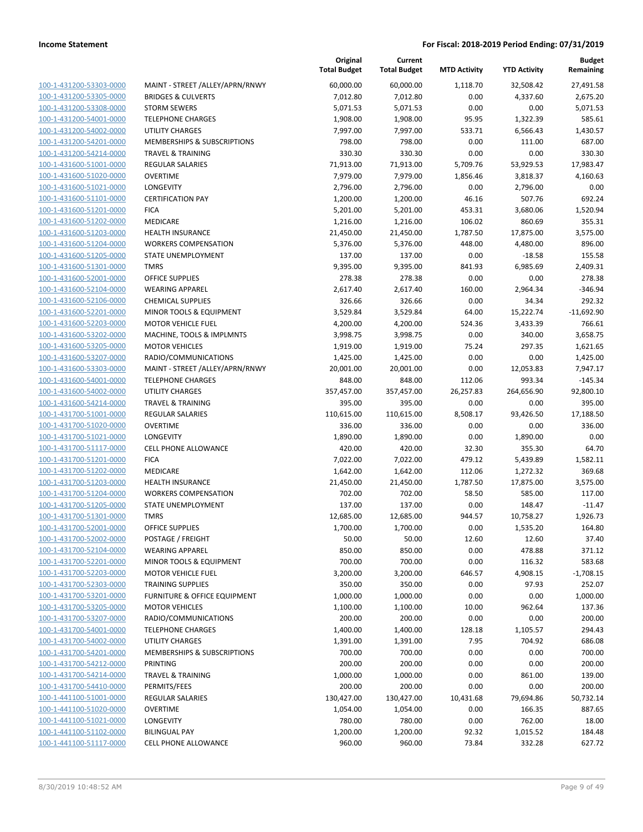| 100-1-431200-53303-0000                                          |
|------------------------------------------------------------------|
| 100-1-431200-53305-0000                                          |
| 100-1-431200-53308-0000                                          |
| 100-1-431200-54001-0000                                          |
| 100-1-431200-54002-0000                                          |
| 100-1-431200-54201-0000                                          |
| 100-1-431200-54214-0000                                          |
| 100-1-431600-51001-0000                                          |
| 100-1-431600-51020-0000                                          |
| 100-1-431600-51021-0000                                          |
| 100-1-431600-51101-0000                                          |
| 100-1-431600-51201-0000                                          |
| 100-1-431600-51202-0000                                          |
| 100-1-431600-51203-0000                                          |
| 100-1-431600-51204-0000                                          |
| 100-1-431600-51205-0000                                          |
| 100-1-431600-51301-0000                                          |
| 100-1-431600-52001-0000                                          |
|                                                                  |
| 100-1-431600-52104-0000                                          |
| 100-1-431600-52106-0000                                          |
| 100-1-431600-52201-0000                                          |
| 100-1-431600-52203-0000                                          |
| 100-1-431600-53202-0000                                          |
| 100-1-431600-53205-0000                                          |
| 100-1-431600-53207-0000                                          |
| 100-1-431600-53303-0000                                          |
| 100-1-431600-54001-0000                                          |
| <u>100-1-431600-54002-0000</u>                                   |
| 100-1-431600-54214-0000                                          |
| 100-1-431700-51001-0000                                          |
| 100-1-431700-51020-0000                                          |
| 100-1-431700-51021-0000                                          |
| 100-1-431700-51117-0000                                          |
| 100-1-431700-51201-0000                                          |
| 100-1-431700-51202-0000                                          |
| 100-1-431700-51203-0000                                          |
| 100-1-431700-51204-0000                                          |
| 100-1-431700-51205-0000                                          |
| 100-1-431700-51301-0000                                          |
| 100-1-431700-52001-0000                                          |
| 100-1-431700-52002-0000                                          |
| 100-1-431700-52104-0000                                          |
| <u>100-1-431700-52201-0000</u>                                   |
| <u>100-1-431700-52203-0000</u>                                   |
|                                                                  |
|                                                                  |
| 100-1-431700-52303-0000                                          |
| <u>100-1-431700-53201-0000</u>                                   |
| 100-1-431700-53205-0000                                          |
| 100-1-431700-53207-0000                                          |
| 100-1-431700-54001-0000                                          |
| <u>100-1-431700-54002-0000</u>                                   |
| 100-1-431700-54201-0000                                          |
| 100-1-431700-54212-0000                                          |
| <u>100-1-431700-54214-0000</u>                                   |
| <u>100-1-431700-54410-0000</u>                                   |
| <u>100-1-441100-51001-0000</u>                                   |
| <u>100-1-441100-51020-0000</u>                                   |
| 100-1-441100-51021-0000                                          |
| <u>100-1-441100-51102-0000</u><br><u>100-1-441100-51117-0000</u> |

|                         |                                 | Original<br><b>Total Budget</b> | Current<br><b>Total Budget</b> | <b>MTD Activity</b> | <b>YTD Activity</b> | <b>Budget</b><br>Remaining |
|-------------------------|---------------------------------|---------------------------------|--------------------------------|---------------------|---------------------|----------------------------|
| 100-1-431200-53303-0000 | MAINT - STREET /ALLEY/APRN/RNWY | 60,000.00                       | 60,000.00                      | 1,118.70            | 32,508.42           | 27,491.58                  |
| 100-1-431200-53305-0000 | <b>BRIDGES &amp; CULVERTS</b>   | 7,012.80                        | 7,012.80                       | 0.00                | 4,337.60            | 2,675.20                   |
| 100-1-431200-53308-0000 | <b>STORM SEWERS</b>             | 5,071.53                        | 5,071.53                       | 0.00                | 0.00                | 5,071.53                   |
| 100-1-431200-54001-0000 | <b>TELEPHONE CHARGES</b>        | 1,908.00                        | 1,908.00                       | 95.95               | 1,322.39            | 585.61                     |
| 100-1-431200-54002-0000 | <b>UTILITY CHARGES</b>          | 7,997.00                        | 7,997.00                       | 533.71              | 6,566.43            | 1,430.57                   |
| 100-1-431200-54201-0000 | MEMBERSHIPS & SUBSCRIPTIONS     | 798.00                          | 798.00                         | 0.00                | 111.00              | 687.00                     |
| 100-1-431200-54214-0000 | <b>TRAVEL &amp; TRAINING</b>    | 330.30                          | 330.30                         | 0.00                | 0.00                | 330.30                     |
| 100-1-431600-51001-0000 | <b>REGULAR SALARIES</b>         | 71,913.00                       | 71,913.00                      | 5,709.76            | 53,929.53           | 17,983.47                  |
| 100-1-431600-51020-0000 | <b>OVERTIME</b>                 | 7,979.00                        | 7,979.00                       | 1,856.46            | 3,818.37            | 4,160.63                   |
| 100-1-431600-51021-0000 | <b>LONGEVITY</b>                | 2,796.00                        | 2,796.00                       | 0.00                | 2,796.00            | 0.00                       |
| 100-1-431600-51101-0000 | <b>CERTIFICATION PAY</b>        | 1,200.00                        | 1,200.00                       | 46.16               | 507.76              | 692.24                     |
| 100-1-431600-51201-0000 | <b>FICA</b>                     | 5,201.00                        | 5,201.00                       | 453.31              | 3,680.06            | 1,520.94                   |
| 100-1-431600-51202-0000 | MEDICARE                        | 1,216.00                        | 1,216.00                       | 106.02              | 860.69              | 355.31                     |
| 100-1-431600-51203-0000 | <b>HEALTH INSURANCE</b>         | 21,450.00                       | 21,450.00                      | 1,787.50            | 17,875.00           | 3,575.00                   |
| 100-1-431600-51204-0000 | <b>WORKERS COMPENSATION</b>     | 5,376.00                        | 5,376.00                       | 448.00              | 4,480.00            | 896.00                     |
| 100-1-431600-51205-0000 | STATE UNEMPLOYMENT              | 137.00                          | 137.00                         | 0.00                | $-18.58$            | 155.58                     |
| 100-1-431600-51301-0000 | <b>TMRS</b>                     | 9,395.00                        | 9,395.00                       | 841.93              | 6,985.69            | 2,409.31                   |
| 100-1-431600-52001-0000 | <b>OFFICE SUPPLIES</b>          | 278.38                          | 278.38                         | 0.00                | 0.00                | 278.38                     |
| 100-1-431600-52104-0000 | <b>WEARING APPAREL</b>          | 2,617.40                        | 2,617.40                       | 160.00              | 2,964.34            | $-346.94$                  |
| 100-1-431600-52106-0000 | <b>CHEMICAL SUPPLIES</b>        | 326.66                          | 326.66                         | 0.00                | 34.34               | 292.32                     |
| 100-1-431600-52201-0000 | MINOR TOOLS & EQUIPMENT         | 3,529.84                        | 3,529.84                       | 64.00               | 15,222.74           | $-11,692.90$               |
| 100-1-431600-52203-0000 | <b>MOTOR VEHICLE FUEL</b>       | 4,200.00                        | 4,200.00                       | 524.36              | 3,433.39            | 766.61                     |
| 100-1-431600-53202-0000 | MACHINE, TOOLS & IMPLMNTS       | 3,998.75                        | 3,998.75                       | 0.00                | 340.00              | 3,658.75                   |
| 100-1-431600-53205-0000 | <b>MOTOR VEHICLES</b>           | 1,919.00                        | 1,919.00                       | 75.24               | 297.35              | 1,621.65                   |
| 100-1-431600-53207-0000 | RADIO/COMMUNICATIONS            | 1,425.00                        | 1,425.00                       | 0.00                | 0.00                | 1,425.00                   |
| 100-1-431600-53303-0000 | MAINT - STREET /ALLEY/APRN/RNWY | 20,001.00                       | 20,001.00                      | 0.00                | 12,053.83           | 7,947.17                   |
| 100-1-431600-54001-0000 | <b>TELEPHONE CHARGES</b>        | 848.00                          | 848.00                         | 112.06              | 993.34              | $-145.34$                  |
| 100-1-431600-54002-0000 | <b>UTILITY CHARGES</b>          | 357,457.00                      | 357,457.00                     | 26,257.83           | 264,656.90          | 92,800.10                  |
| 100-1-431600-54214-0000 | <b>TRAVEL &amp; TRAINING</b>    | 395.00                          | 395.00                         | 0.00                | 0.00                | 395.00                     |
| 100-1-431700-51001-0000 | <b>REGULAR SALARIES</b>         | 110,615.00                      | 110,615.00                     | 8,508.17            | 93,426.50           | 17,188.50                  |
| 100-1-431700-51020-0000 | <b>OVERTIME</b>                 | 336.00                          | 336.00                         | 0.00                | 0.00                | 336.00                     |
| 100-1-431700-51021-0000 | LONGEVITY                       | 1,890.00                        | 1,890.00                       | 0.00                | 1,890.00            | 0.00                       |
| 100-1-431700-51117-0000 | <b>CELL PHONE ALLOWANCE</b>     | 420.00                          | 420.00                         | 32.30               | 355.30              | 64.70                      |
| 100-1-431700-51201-0000 | <b>FICA</b>                     | 7,022.00                        | 7,022.00                       | 479.12              | 5,439.89            | 1,582.11                   |
| 100-1-431700-51202-0000 | MEDICARE                        | 1,642.00                        | 1,642.00                       | 112.06              | 1,272.32            | 369.68                     |
| 100-1-431700-51203-0000 | <b>HEALTH INSURANCE</b>         | 21,450.00                       | 21,450.00                      | 1,787.50            | 17,875.00           | 3,575.00                   |
| 100-1-431700-51204-0000 | <b>WORKERS COMPENSATION</b>     | 702.00                          | 702.00                         | 58.50               | 585.00              | 117.00                     |
| 100-1-431700-51205-0000 | STATE UNEMPLOYMENT              | 137.00                          | 137.00                         | 0.00                | 148.47              | $-11.47$                   |
| 100-1-431700-51301-0000 | <b>TMRS</b>                     | 12,685.00                       | 12,685.00                      | 944.57              | 10,758.27           | 1,926.73                   |
| 100-1-431700-52001-0000 | OFFICE SUPPLIES                 | 1,700.00                        | 1,700.00                       | 0.00                | 1,535.20            | 164.80                     |
| 100-1-431700-52002-0000 | POSTAGE / FREIGHT               | 50.00                           | 50.00                          | 12.60               | 12.60               | 37.40                      |
| 100-1-431700-52104-0000 | <b>WEARING APPAREL</b>          | 850.00                          | 850.00                         | 0.00                | 478.88              | 371.12                     |
| 100-1-431700-52201-0000 | MINOR TOOLS & EQUIPMENT         | 700.00                          | 700.00                         | 0.00                | 116.32              | 583.68                     |
| 100-1-431700-52203-0000 | <b>MOTOR VEHICLE FUEL</b>       | 3,200.00                        | 3,200.00                       | 646.57              | 4,908.15            | $-1,708.15$                |
| 100-1-431700-52303-0000 | <b>TRAINING SUPPLIES</b>        | 350.00                          | 350.00                         | 0.00                | 97.93               | 252.07                     |
| 100-1-431700-53201-0000 | FURNITURE & OFFICE EQUIPMENT    | 1,000.00                        | 1,000.00                       | 0.00                | 0.00                | 1,000.00                   |
| 100-1-431700-53205-0000 | <b>MOTOR VEHICLES</b>           | 1,100.00                        | 1,100.00                       | 10.00               | 962.64              | 137.36                     |
| 100-1-431700-53207-0000 | RADIO/COMMUNICATIONS            | 200.00                          | 200.00                         | 0.00                | 0.00                | 200.00                     |
| 100-1-431700-54001-0000 | <b>TELEPHONE CHARGES</b>        | 1,400.00                        | 1,400.00                       | 128.18              | 1,105.57            | 294.43                     |
| 100-1-431700-54002-0000 | UTILITY CHARGES                 | 1,391.00                        | 1,391.00                       | 7.95                | 704.92              | 686.08                     |
| 100-1-431700-54201-0000 | MEMBERSHIPS & SUBSCRIPTIONS     | 700.00                          | 700.00                         | 0.00                | 0.00                | 700.00                     |
| 100-1-431700-54212-0000 | PRINTING                        | 200.00                          | 200.00                         | 0.00                | 0.00                | 200.00                     |
| 100-1-431700-54214-0000 | <b>TRAVEL &amp; TRAINING</b>    | 1,000.00                        | 1,000.00                       | 0.00                | 861.00              | 139.00                     |
| 100-1-431700-54410-0000 | PERMITS/FEES                    | 200.00                          | 200.00                         | 0.00                | 0.00                | 200.00                     |
| 100-1-441100-51001-0000 | REGULAR SALARIES                | 130,427.00                      | 130,427.00                     | 10,431.68           | 79,694.86           | 50,732.14                  |
| 100-1-441100-51020-0000 | <b>OVERTIME</b>                 | 1,054.00                        | 1,054.00                       | 0.00                | 166.35              | 887.65                     |
| 100-1-441100-51021-0000 | <b>LONGEVITY</b>                | 780.00                          | 780.00                         | 0.00                | 762.00              | 18.00                      |
| 100-1-441100-51102-0000 | <b>BILINGUAL PAY</b>            | 1,200.00                        | 1,200.00                       | 92.32               | 1,015.52            | 184.48                     |
| 100-1-441100-51117-0000 | CELL PHONE ALLOWANCE            | 960.00                          | 960.00                         | 73.84               | 332.28              | 627.72                     |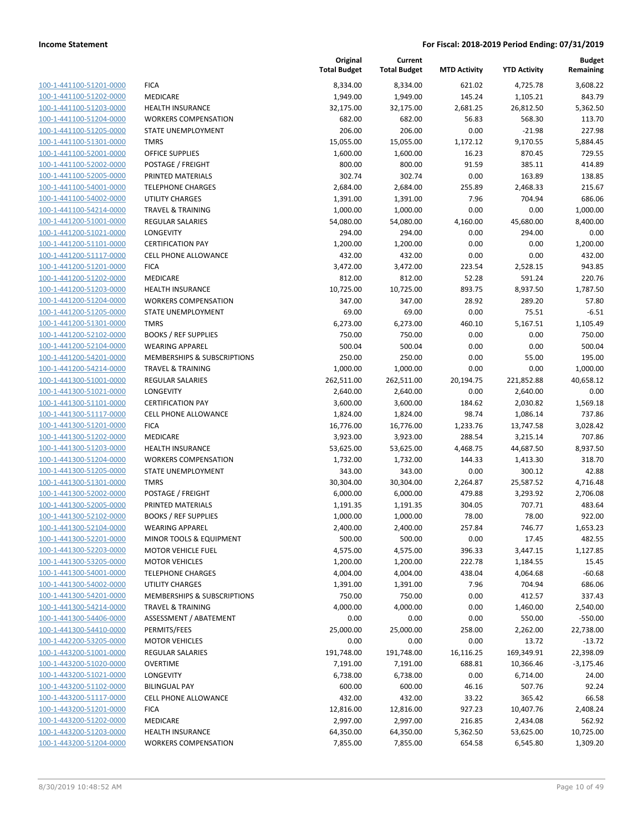| 100-1-441100-51201-0000        |
|--------------------------------|
| 100-1-441100-51202-0000        |
| 100-1-441100-51203-0000        |
| 100-1-441100-51204-0000        |
| 100-1-441100-51205-0000        |
| 100-1-441100-51301-0000        |
|                                |
| 100-1-441100-52001-0000        |
| 100-1-441100-52002-0000        |
| 100-1-441100-52005-0000        |
| 100-1-441100-54001-0000        |
| 100-1-441100-54002-0000        |
| 100-1-441100-54214-0000        |
| 100-1-441200-51001-0000        |
| 100-1-441200-51021-0000        |
| 100-1-441200-51101-0000        |
| 100-1-441200-51117-0000        |
| 100-1-441200-51201-0000        |
| 100-1-441200-51202-0000        |
| 100-1-441200-51203-0000        |
|                                |
| 100-1-441200-51204-0000        |
| 100-1-441200-51205-0000        |
| 100-1-441200-51301-0000        |
| 100-1-441200-52102-0000        |
| 100-1-441200-52104-0000        |
| 100-1-441200-54201-0000        |
| 100-1-441200-54214-0000        |
| 100-1-441300-51001-0000        |
| 100-1-441300-51021-0000        |
| 100-1-441300-51101-0000        |
| 100-1-441300-51117-0000        |
| 100-1-441300-51201-0000        |
|                                |
| 100-1-441300-51202-0000        |
| 100-1-441300-51203-0000        |
| 100-1-441300-51204-0000        |
| 100-1-441300-51205-0000        |
| 100-1-441300-51301-0000        |
| 100-1-441300-52002-0000        |
| 100-1-441300-52005-0000        |
| 100-1-441300-52102-0000        |
| 100-1-441300-52104-0000        |
| 100-1-441300-52201-0000        |
| 100-1-441300-52203-0000        |
| 100-1-441300-53205-0000        |
| 100-1-441300-54001-0000        |
| 100-1-441300-54002-0000        |
|                                |
| 100-1-441300-54201-0000        |
| <u>100-1-441300-54214-0000</u> |
| 100-1-441300-54406-0000        |
| 100-1-441300-54410-0000        |
| 100-1-442200-53205-0000        |
| <u>100-1-443200-51001-0000</u> |
| 100-1-443200-51020-0000        |
| 100-1-443200-51021-0000        |
| 100-1-443200-51102-0000        |
| 100-1-443200-51117-0000        |
| 100-1-443200-51201-0000        |
| 100-1-443200-51202-0000        |
| 100-1-443200-51203-0000        |
|                                |
| 100-1-443200-51204-0000        |

|                         |                              | Original<br><b>Total Budget</b> | Current<br><b>Total Budget</b> | <b>MTD Activity</b> | <b>YTD Activity</b> | <b>Budget</b><br>Remaining |
|-------------------------|------------------------------|---------------------------------|--------------------------------|---------------------|---------------------|----------------------------|
| 100-1-441100-51201-0000 | <b>FICA</b>                  | 8,334.00                        | 8,334.00                       | 621.02              | 4,725.78            | 3,608.22                   |
| 100-1-441100-51202-0000 | MEDICARE                     | 1,949.00                        | 1,949.00                       | 145.24              | 1,105.21            | 843.79                     |
| 100-1-441100-51203-0000 | <b>HEALTH INSURANCE</b>      | 32,175.00                       | 32,175.00                      | 2,681.25            | 26,812.50           | 5,362.50                   |
| 100-1-441100-51204-0000 | <b>WORKERS COMPENSATION</b>  | 682.00                          | 682.00                         | 56.83               | 568.30              | 113.70                     |
| 100-1-441100-51205-0000 | STATE UNEMPLOYMENT           | 206.00                          | 206.00                         | 0.00                | $-21.98$            | 227.98                     |
| 100-1-441100-51301-0000 | <b>TMRS</b>                  | 15,055.00                       | 15,055.00                      | 1,172.12            | 9,170.55            | 5,884.45                   |
| 100-1-441100-52001-0000 | <b>OFFICE SUPPLIES</b>       | 1,600.00                        | 1,600.00                       | 16.23               | 870.45              | 729.55                     |
| 100-1-441100-52002-0000 | POSTAGE / FREIGHT            | 800.00                          | 800.00                         | 91.59               | 385.11              | 414.89                     |
| 100-1-441100-52005-0000 | PRINTED MATERIALS            | 302.74                          | 302.74                         | 0.00                | 163.89              | 138.85                     |
| 100-1-441100-54001-0000 | <b>TELEPHONE CHARGES</b>     | 2,684.00                        | 2,684.00                       | 255.89              | 2,468.33            | 215.67                     |
| 100-1-441100-54002-0000 | <b>UTILITY CHARGES</b>       | 1,391.00                        | 1,391.00                       | 7.96                | 704.94              | 686.06                     |
| 100-1-441100-54214-0000 | <b>TRAVEL &amp; TRAINING</b> | 1,000.00                        | 1,000.00                       | 0.00                | 0.00                | 1,000.00                   |
| 100-1-441200-51001-0000 | <b>REGULAR SALARIES</b>      | 54,080.00                       | 54,080.00                      | 4,160.00            | 45,680.00           | 8,400.00                   |
| 100-1-441200-51021-0000 | LONGEVITY                    | 294.00                          | 294.00                         | 0.00                | 294.00              | 0.00                       |
| 100-1-441200-51101-0000 | <b>CERTIFICATION PAY</b>     | 1,200.00                        | 1,200.00                       | 0.00                | 0.00                | 1,200.00                   |
| 100-1-441200-51117-0000 | <b>CELL PHONE ALLOWANCE</b>  | 432.00                          | 432.00                         | 0.00                | 0.00                | 432.00                     |
| 100-1-441200-51201-0000 | <b>FICA</b>                  | 3,472.00                        | 3,472.00                       | 223.54              | 2,528.15            | 943.85                     |
| 100-1-441200-51202-0000 | MEDICARE                     | 812.00                          | 812.00                         | 52.28               | 591.24              | 220.76                     |
| 100-1-441200-51203-0000 | <b>HEALTH INSURANCE</b>      | 10,725.00                       | 10,725.00                      | 893.75              | 8,937.50            | 1,787.50                   |
| 100-1-441200-51204-0000 | <b>WORKERS COMPENSATION</b>  | 347.00                          | 347.00                         | 28.92               | 289.20              | 57.80                      |
| 100-1-441200-51205-0000 | STATE UNEMPLOYMENT           | 69.00                           | 69.00                          | 0.00                | 75.51               | $-6.51$                    |
| 100-1-441200-51301-0000 | <b>TMRS</b>                  | 6,273.00                        | 6,273.00                       | 460.10              | 5,167.51            | 1,105.49                   |
| 100-1-441200-52102-0000 | <b>BOOKS / REF SUPPLIES</b>  | 750.00                          | 750.00                         | 0.00                | 0.00                | 750.00                     |
| 100-1-441200-52104-0000 | <b>WEARING APPAREL</b>       | 500.04                          | 500.04                         | 0.00                | 0.00                | 500.04                     |
| 100-1-441200-54201-0000 | MEMBERSHIPS & SUBSCRIPTIONS  | 250.00                          | 250.00                         | 0.00                | 55.00               | 195.00                     |
| 100-1-441200-54214-0000 | <b>TRAVEL &amp; TRAINING</b> | 1,000.00                        | 1,000.00                       | 0.00                | 0.00                | 1,000.00                   |
| 100-1-441300-51001-0000 | <b>REGULAR SALARIES</b>      | 262,511.00                      | 262,511.00                     | 20,194.75           | 221,852.88          | 40,658.12                  |
| 100-1-441300-51021-0000 | LONGEVITY                    | 2,640.00                        | 2,640.00                       | 0.00                | 2,640.00            | 0.00                       |
| 100-1-441300-51101-0000 | <b>CERTIFICATION PAY</b>     | 3,600.00                        | 3,600.00                       | 184.62              | 2,030.82            | 1,569.18                   |
| 100-1-441300-51117-0000 | <b>CELL PHONE ALLOWANCE</b>  | 1,824.00                        | 1,824.00                       | 98.74               | 1,086.14            | 737.86                     |
| 100-1-441300-51201-0000 | <b>FICA</b>                  | 16,776.00                       | 16,776.00                      | 1,233.76            | 13,747.58           | 3,028.42                   |
| 100-1-441300-51202-0000 | MEDICARE                     | 3,923.00                        | 3,923.00                       | 288.54              | 3,215.14            | 707.86                     |
| 100-1-441300-51203-0000 | <b>HEALTH INSURANCE</b>      | 53,625.00                       | 53,625.00                      | 4,468.75            | 44,687.50           | 8,937.50                   |
| 100-1-441300-51204-0000 | <b>WORKERS COMPENSATION</b>  | 1,732.00                        | 1,732.00                       | 144.33              | 1,413.30            | 318.70                     |
| 100-1-441300-51205-0000 | STATE UNEMPLOYMENT           | 343.00                          | 343.00                         | 0.00                | 300.12              | 42.88                      |
| 100-1-441300-51301-0000 | <b>TMRS</b>                  | 30,304.00                       | 30,304.00                      | 2,264.87            | 25,587.52           | 4,716.48                   |
| 100-1-441300-52002-0000 | POSTAGE / FREIGHT            | 6,000.00                        | 6,000.00                       | 479.88              | 3,293.92            | 2,706.08                   |
| 100-1-441300-52005-0000 | PRINTED MATERIALS            | 1,191.35                        | 1,191.35                       | 304.05              | 707.71              | 483.64                     |
| 100-1-441300-52102-0000 | <b>BOOKS / REF SUPPLIES</b>  | 1,000.00                        | 1,000.00                       | 78.00               | 78.00               | 922.00                     |
| 100-1-441300-52104-0000 | <b>WEARING APPAREL</b>       | 2,400.00                        | 2,400.00                       | 257.84              | 746.77              | 1,653.23                   |
| 100-1-441300-52201-0000 | MINOR TOOLS & EQUIPMENT      | 500.00                          | 500.00                         | 0.00                | 17.45               | 482.55                     |
| 100-1-441300-52203-0000 | <b>MOTOR VEHICLE FUEL</b>    | 4,575.00                        | 4,575.00                       | 396.33              | 3,447.15            | 1,127.85                   |
| 100-1-441300-53205-0000 | <b>MOTOR VEHICLES</b>        | 1,200.00                        | 1,200.00                       | 222.78              | 1,184.55            | 15.45                      |
| 100-1-441300-54001-0000 | <b>TELEPHONE CHARGES</b>     | 4,004.00                        | 4,004.00                       | 438.04              | 4,064.68            | $-60.68$                   |
| 100-1-441300-54002-0000 | UTILITY CHARGES              | 1,391.00                        | 1,391.00                       | 7.96                | 704.94              | 686.06                     |
| 100-1-441300-54201-0000 | MEMBERSHIPS & SUBSCRIPTIONS  | 750.00                          | 750.00                         | 0.00                | 412.57              | 337.43                     |
| 100-1-441300-54214-0000 | <b>TRAVEL &amp; TRAINING</b> | 4,000.00                        | 4,000.00                       | 0.00                | 1,460.00            | 2,540.00                   |
| 100-1-441300-54406-0000 | ASSESSMENT / ABATEMENT       | 0.00                            | 0.00                           | 0.00                | 550.00              | $-550.00$                  |
| 100-1-441300-54410-0000 | PERMITS/FEES                 | 25,000.00                       | 25,000.00                      | 258.00              | 2,262.00            | 22,738.00                  |
| 100-1-442200-53205-0000 | <b>MOTOR VEHICLES</b>        | 0.00                            | 0.00                           | 0.00                | 13.72               | $-13.72$                   |
| 100-1-443200-51001-0000 | <b>REGULAR SALARIES</b>      | 191,748.00                      | 191,748.00                     | 16,116.25           | 169,349.91          | 22,398.09                  |
| 100-1-443200-51020-0000 | <b>OVERTIME</b>              | 7,191.00                        | 7,191.00                       | 688.81              | 10,366.46           | $-3,175.46$                |
| 100-1-443200-51021-0000 | LONGEVITY                    | 6,738.00                        | 6,738.00                       | 0.00                | 6,714.00            | 24.00                      |
| 100-1-443200-51102-0000 | <b>BILINGUAL PAY</b>         | 600.00                          | 600.00                         | 46.16               | 507.76              | 92.24                      |
| 100-1-443200-51117-0000 | <b>CELL PHONE ALLOWANCE</b>  | 432.00                          | 432.00                         | 33.22               | 365.42              | 66.58                      |
| 100-1-443200-51201-0000 | <b>FICA</b>                  | 12,816.00                       | 12,816.00                      | 927.23              | 10,407.76           | 2,408.24                   |
| 100-1-443200-51202-0000 | MEDICARE                     | 2,997.00                        | 2,997.00                       | 216.85              | 2,434.08            | 562.92                     |
| 100-1-443200-51203-0000 | HEALTH INSURANCE             | 64,350.00                       | 64,350.00                      | 5,362.50            | 53,625.00           | 10,725.00                  |
| 100-1-443200-51204-0000 | <b>WORKERS COMPENSATION</b>  | 7,855.00                        | 7,855.00                       | 654.58              | 6,545.80            | 1,309.20                   |
|                         |                              |                                 |                                |                     |                     |                            |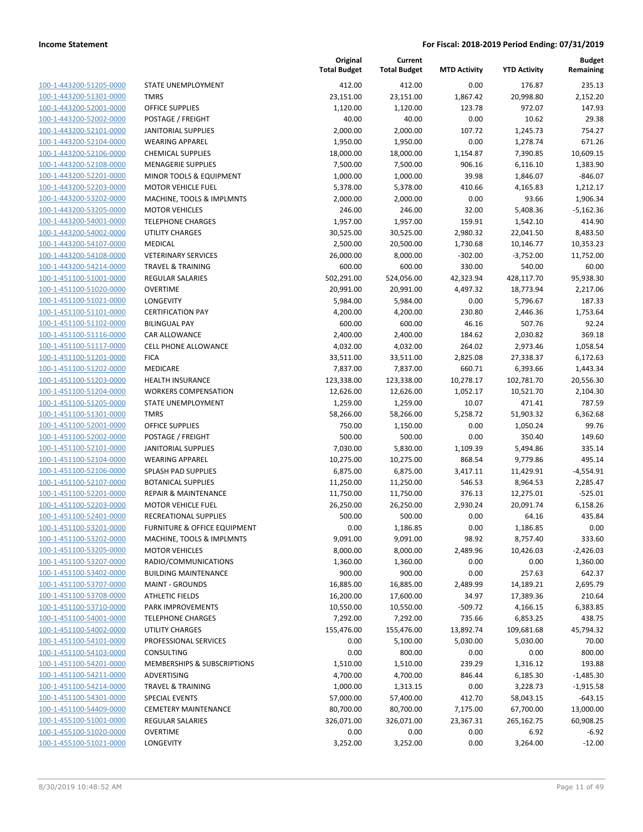100-1-443200-51205-0000 100-1-443200-51301-0000 100-1-443200-52001-0000 100-1-443200-52002-0000 100-1-443200-52101-0000 100-1-443200-52104-0000 100-1-443200-52106-0000 100-1-443200-52108-0000 100-1-443200-52201-0000 100-1-443200-52203-0000 100-1-443200-53202-0000 100-1-443200-53205-0000 100-1-443200-54001-0000 100-1-443200-54002-0000 100-1-443200-54107-0000 100-1-443200-54108-0000 100-1-443200-54214-0000 100-1-451100-51001-0000 100-1-451100-51020-0000 100-1-451100-51021-0000 LONGEVITY 5,984.00 5,984.00 0.00 5,796.67 187.33 100-1-451100-51101-0000 100-1-451100-51102-0000 100-1-451100-51116-0000 100-1-451100-51117-0000 100-1-451100-51201-0000 100-1-451100-51202-0000 100-1-451100-51203-0000 100-1-451100-51204-0000 100-1-451100-51205-0000 100-1-451100-51301-0000 100-1-451100-52001-0000 100-1-451100-52002-0000 100-1-451100-52101-0000 100-1-451100-52104-0000 100-1-451100-52106-0000 100-1-451100-52107-0000 100-1-451100-52201-0000 100-1-451100-52203-0000 100-1-451100-52401-0000 100-1-451100-53201-0000 100-1-451100-53202-0000 100-1-451100-53205-0000 100-1-451100-53207-0000 100-1-451100-53402-0000 100-1-451100-53707-0000 100-1-451100-53708-0000 100-1-451100-53710-0000 100-1-451100-54001-0000 100-1-451100-54002-0000 100-1-451100-54101-0000 100-1-451100-54103-0000 100-1-451100-54201-0000 100-1-451100-54211-0000 100-1-451100-54214-0000 100-1-451100-54301-0000 100-1-451100-54409-0000 100-1-455100-51001-0000 100-1-455100-51020-0000 100-1-455100-51021-0000

|                                 | Original<br><b>Total Budget</b> | Current<br><b>Total Budget</b> | <b>MTD Activity</b> | <b>YTD Activity</b> | <b>Budget</b><br>Remaining |
|---------------------------------|---------------------------------|--------------------------------|---------------------|---------------------|----------------------------|
| STATE UNEMPLOYMENT              | 412.00                          | 412.00                         | 0.00                | 176.87              | 235.13                     |
| <b>TMRS</b>                     | 23,151.00                       | 23,151.00                      | 1,867.42            | 20,998.80           | 2,152.20                   |
| <b>OFFICE SUPPLIES</b>          | 1,120.00                        | 1,120.00                       | 123.78              | 972.07              | 147.93                     |
| POSTAGE / FREIGHT               | 40.00                           | 40.00                          | 0.00                | 10.62               | 29.38                      |
| <b>JANITORIAL SUPPLIES</b>      | 2,000.00                        | 2,000.00                       | 107.72              | 1,245.73            | 754.27                     |
| <b>WEARING APPAREL</b>          | 1,950.00                        | 1,950.00                       | 0.00                | 1,278.74            | 671.26                     |
| <b>CHEMICAL SUPPLIES</b>        | 18,000.00                       | 18,000.00                      | 1,154.87            | 7,390.85            | 10,609.15                  |
| <b>MENAGERIE SUPPLIES</b>       | 7,500.00                        | 7,500.00                       | 906.16              | 6,116.10            | 1,383.90                   |
| MINOR TOOLS & EQUIPMENT         | 1,000.00                        | 1,000.00                       | 39.98               | 1,846.07            | $-846.07$                  |
| <b>MOTOR VEHICLE FUEL</b>       | 5,378.00                        | 5,378.00                       | 410.66              | 4,165.83            | 1,212.17                   |
| MACHINE, TOOLS & IMPLMNTS       | 2,000.00                        | 2,000.00                       | 0.00                | 93.66               | 1,906.34                   |
| <b>MOTOR VEHICLES</b>           | 246.00                          | 246.00                         | 32.00               | 5,408.36            | $-5,162.36$                |
| <b>TELEPHONE CHARGES</b>        | 1,957.00                        | 1,957.00                       | 159.91              | 1,542.10            | 414.90                     |
| <b>UTILITY CHARGES</b>          | 30,525.00                       | 30,525.00                      | 2,980.32            | 22,041.50           | 8,483.50                   |
| MEDICAL                         | 2,500.00                        | 20,500.00                      | 1,730.68            | 10,146.77           | 10,353.23                  |
| <b>VETERINARY SERVICES</b>      | 26,000.00                       | 8,000.00                       | $-302.00$           | $-3,752.00$         | 11,752.00                  |
| <b>TRAVEL &amp; TRAINING</b>    | 600.00                          | 600.00                         | 330.00              | 540.00              | 60.00                      |
| <b>REGULAR SALARIES</b>         | 502,291.00                      | 524,056.00                     | 42,323.94           | 428,117.70          | 95,938.30                  |
| <b>OVERTIME</b>                 | 20,991.00                       | 20,991.00                      | 4,497.32            | 18,773.94           | 2,217.06                   |
| LONGEVITY                       | 5,984.00                        | 5,984.00                       | 0.00                | 5,796.67            | 187.33                     |
| <b>CERTIFICATION PAY</b>        | 4,200.00                        | 4,200.00                       | 230.80              | 2,446.36            | 1,753.64                   |
| <b>BILINGUAL PAY</b>            | 600.00                          | 600.00                         | 46.16               | 507.76              | 92.24                      |
| CAR ALLOWANCE                   | 2,400.00                        | 2,400.00                       | 184.62              | 2,030.82            | 369.18                     |
| <b>CELL PHONE ALLOWANCE</b>     | 4,032.00                        | 4,032.00                       | 264.02              | 2,973.46            | 1,058.54                   |
| <b>FICA</b>                     | 33,511.00                       | 33,511.00                      | 2,825.08            | 27,338.37           | 6,172.63                   |
| MEDICARE                        | 7,837.00                        | 7,837.00                       | 660.71              | 6,393.66            | 1,443.34                   |
| <b>HEALTH INSURANCE</b>         | 123,338.00                      | 123,338.00                     | 10,278.17           | 102,781.70          | 20,556.30                  |
| <b>WORKERS COMPENSATION</b>     | 12,626.00                       | 12,626.00                      | 1,052.17            | 10,521.70           | 2,104.30                   |
| STATE UNEMPLOYMENT              | 1,259.00                        | 1,259.00                       | 10.07               | 471.41              | 787.59                     |
| <b>TMRS</b>                     | 58,266.00                       | 58,266.00                      | 5,258.72            | 51,903.32           | 6,362.68                   |
| <b>OFFICE SUPPLIES</b>          | 750.00                          | 1,150.00                       | 0.00                | 1,050.24            | 99.76                      |
| POSTAGE / FREIGHT               | 500.00                          | 500.00                         | 0.00                | 350.40              | 149.60                     |
| <b>JANITORIAL SUPPLIES</b>      | 7,030.00                        | 5,830.00                       | 1,109.39            | 5,494.86            | 335.14                     |
| <b>WEARING APPAREL</b>          | 10,275.00                       | 10,275.00                      | 868.54              | 9,779.86            | 495.14                     |
| SPLASH PAD SUPPLIES             | 6,875.00                        | 6,875.00                       | 3,417.11            | 11,429.91           | -4,554.91                  |
| <b>BOTANICAL SUPPLIES</b>       | 11,250.00                       | 11,250.00                      | 546.53              | 8,964.53            | 2,285.47                   |
| <b>REPAIR &amp; MAINTENANCE</b> | 11,750.00                       | 11,750.00                      | 376.13              | 12,275.01           | $-525.01$                  |
| <b>MOTOR VEHICLE FUEL</b>       | 26,250.00                       | 26,250.00                      | 2,930.24            | 20,091.74           | 6,158.26                   |
| RECREATIONAL SUPPLIES           | 500.00                          | 500.00                         | 0.00                | 64.16               | 435.84                     |
| FURNITURE & OFFICE EQUIPMENT    | 0.00                            | 1,186.85                       | 0.00                | 1,186.85            | 0.00                       |
| MACHINE, TOOLS & IMPLMNTS       | 9,091.00                        | 9,091.00                       | 98.92               | 8,757.40            | 333.60                     |
| <b>MOTOR VEHICLES</b>           | 8,000.00                        | 8,000.00                       | 2,489.96            | 10,426.03           | $-2,426.03$                |
| RADIO/COMMUNICATIONS            | 1,360.00                        | 1,360.00                       | 0.00                | 0.00                | 1,360.00                   |
| <b>BUILDING MAINTENANCE</b>     | 900.00                          | 900.00                         | 0.00                | 257.63              | 642.37                     |
| <b>MAINT - GROUNDS</b>          | 16,885.00                       | 16,885.00                      | 2,489.99            | 14,189.21           | 2,695.79                   |
| <b>ATHLETIC FIELDS</b>          | 16,200.00                       | 17,600.00                      | 34.97               | 17,389.36           | 210.64                     |
| PARK IMPROVEMENTS               | 10,550.00                       | 10,550.00                      | $-509.72$           | 4,166.15            | 6,383.85                   |
| <b>TELEPHONE CHARGES</b>        | 7,292.00                        | 7,292.00                       | 735.66              | 6,853.25            | 438.75                     |
| UTILITY CHARGES                 | 155,476.00                      | 155,476.00                     | 13,892.74           | 109,681.68          | 45,794.32                  |
| PROFESSIONAL SERVICES           | 0.00                            | 5,100.00                       | 5,030.00            | 5,030.00            | 70.00                      |
| CONSULTING                      | 0.00                            | 800.00                         | 0.00                | 0.00                | 800.00                     |
| MEMBERSHIPS & SUBSCRIPTIONS     | 1,510.00                        | 1,510.00                       | 239.29              | 1,316.12            | 193.88                     |
| ADVERTISING                     | 4,700.00                        | 4,700.00                       | 846.44              | 6,185.30            | $-1,485.30$                |
| <b>TRAVEL &amp; TRAINING</b>    | 1,000.00                        | 1,313.15                       | 0.00                | 3,228.73            | $-1,915.58$                |
| SPECIAL EVENTS                  | 57,000.00                       | 57,400.00                      | 412.70              | 58,043.15           | $-643.15$                  |
| <b>CEMETERY MAINTENANCE</b>     | 80,700.00                       | 80,700.00                      | 7,175.00            | 67,700.00           | 13,000.00                  |
| <b>REGULAR SALARIES</b>         | 326,071.00                      | 326,071.00                     | 23,367.31           | 265,162.75          | 60,908.25                  |
| <b>OVERTIME</b>                 | 0.00                            | 0.00                           | 0.00                | 6.92                | $-6.92$                    |
| LONGEVITY                       | 3,252.00                        | 3,252.00                       | 0.00                | 3,264.00            | $-12.00$                   |
|                                 |                                 |                                |                     |                     |                            |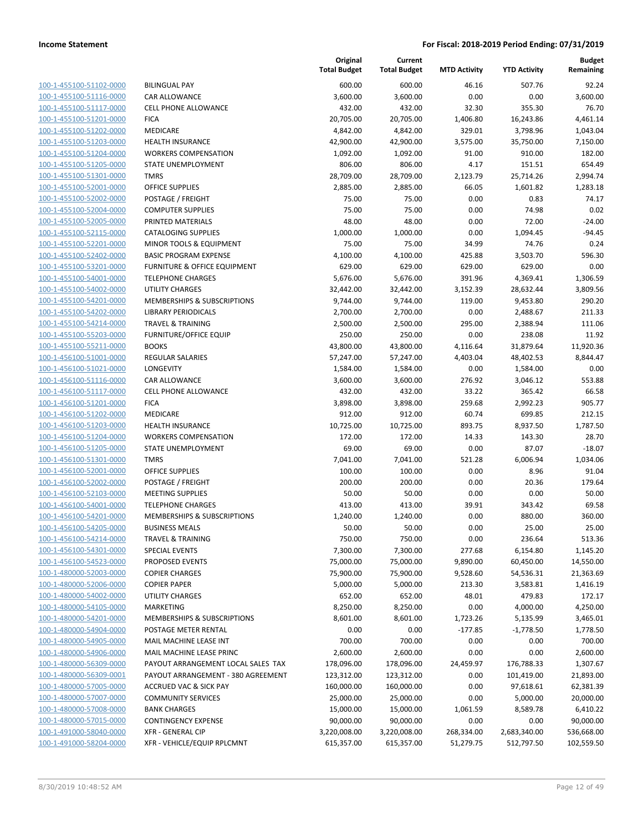| 100-1-455100-51102-0000        |
|--------------------------------|
| 100-1-455100-51116-0000        |
| 100-1-455100-51117-0000        |
| 100-1-455100-51201-0000        |
| 100-1-455100-51202-0000        |
| <u>100-1-455100-51203-0000</u> |
| 100-1-455100-51204-0000        |
| 100-1-455100-51205-0000        |
| 100-1-455100-51301-0000        |
| 100-1-455100-52001-0000        |
| <u>100-1-455100-52002-0000</u> |
| 100-1-455100-52004-0000        |
| 100-1-455100-52005-0000        |
| 100-1-455100-52115-0000        |
| 100-1-455100-52201-0000        |
|                                |
| <u>100-1-455100-52402-0000</u> |
| <u>100-1-455100-53201-0000</u> |
| 100-1-455100-54001-0000        |
| 100-1-455100-54002-0000        |
| 100-1-455100-54201-0000        |
| 100-1-455100-54202-0000        |
| 100-1-455100-54214-0000        |
| 100-1-455100-55203-0000        |
| 100-1-455100-55211-0000        |
| 100-1-456100-51001-0000        |
| 100-1-456100-51021-0000        |
| 100-1-456100-51116-0000        |
| 100-1-456100-51117-0000        |
| 100-1-456100-51201-0000        |
| 100-1-456100-51202-0000        |
| 100-1-456100-51203-0000        |
| 100-1-456100-51204-0000        |
| 100-1-456100-51205-0000        |
| 100-1-456100-51301-0000        |
| 100-1-456100-52001-0000        |
| 100-1-456100-52002-0000        |
|                                |
| <u>100-1-456100-52103-0000</u> |
| 100-1-456100-54001-0000        |
| 100-1-456100-54201-0000        |
| 100-1-456100-54205-0000        |
| 100-1-456100-54214-0000        |
| <u>100-1-456100-54301-0000</u> |
| 100-1-456100-54523-0000        |
| 100-1-480000-52003-0000        |
| 100-1-480000-52006-0000        |
| <u>100-1-480000-54002-0000</u> |
| 100-1-480000-54105-0000        |
| 100-1-480000-54201-0000        |
| 100-1-480000-54904-0000        |
| 100-1-480000-54905-0000        |
| <u>100-1-480000-54906-0000</u> |
| <u>100-1-480000-56309-0000</u> |
| 100-1-480000-56309-0001        |
| 100-1-480000-57005-0000        |
| 100-1-480000-57007-0000        |
| <u>100-1-480000-57008-0000</u> |
| 100-1-480000-57015-0000        |
| 100-1-491000-58040-0000        |
| <u>100-1-491000-58204-0000</u> |
|                                |

|                                                    |                                              | Original<br><b>Total Budget</b> | Current<br><b>Total Budget</b> | <b>MTD Activity</b>  | <b>YTD Activity</b>   | <b>Budget</b><br>Remaining |
|----------------------------------------------------|----------------------------------------------|---------------------------------|--------------------------------|----------------------|-----------------------|----------------------------|
| 100-1-455100-51102-0000                            | <b>BILINGUAL PAY</b>                         | 600.00                          | 600.00                         | 46.16                | 507.76                | 92.24                      |
| 100-1-455100-51116-0000                            | CAR ALLOWANCE                                | 3,600.00                        | 3,600.00                       | 0.00                 | 0.00                  | 3,600.00                   |
| 100-1-455100-51117-0000                            | <b>CELL PHONE ALLOWANCE</b>                  | 432.00                          | 432.00                         | 32.30                | 355.30                | 76.70                      |
| 100-1-455100-51201-0000                            | <b>FICA</b>                                  | 20,705.00                       | 20,705.00                      | 1,406.80             | 16,243.86             | 4,461.14                   |
| 100-1-455100-51202-0000                            | MEDICARE                                     | 4,842.00                        | 4,842.00                       | 329.01               | 3,798.96              | 1,043.04                   |
| 100-1-455100-51203-0000                            | <b>HEALTH INSURANCE</b>                      | 42,900.00                       | 42,900.00                      | 3,575.00             | 35,750.00             | 7,150.00                   |
| 100-1-455100-51204-0000                            | <b>WORKERS COMPENSATION</b>                  | 1,092.00                        | 1,092.00                       | 91.00                | 910.00                | 182.00                     |
| 100-1-455100-51205-0000                            | STATE UNEMPLOYMENT                           | 806.00                          | 806.00                         | 4.17                 | 151.51                | 654.49                     |
| 100-1-455100-51301-0000                            | <b>TMRS</b>                                  | 28,709.00                       | 28,709.00                      | 2,123.79             | 25,714.26             | 2,994.74                   |
| 100-1-455100-52001-0000                            | <b>OFFICE SUPPLIES</b>                       | 2,885.00                        | 2,885.00                       | 66.05                | 1,601.82              | 1,283.18                   |
| 100-1-455100-52002-0000                            | POSTAGE / FREIGHT                            | 75.00                           | 75.00                          | 0.00                 | 0.83                  | 74.17                      |
| 100-1-455100-52004-0000                            | <b>COMPUTER SUPPLIES</b>                     | 75.00                           | 75.00                          | 0.00                 | 74.98                 | 0.02                       |
| 100-1-455100-52005-0000                            | PRINTED MATERIALS                            | 48.00                           | 48.00                          | 0.00                 | 72.00                 | $-24.00$                   |
| 100-1-455100-52115-0000                            | <b>CATALOGING SUPPLIES</b>                   | 1,000.00                        | 1,000.00                       | 0.00                 | 1,094.45              | $-94.45$                   |
| 100-1-455100-52201-0000                            | MINOR TOOLS & EQUIPMENT                      | 75.00                           | 75.00                          | 34.99                | 74.76                 | 0.24                       |
| 100-1-455100-52402-0000                            | <b>BASIC PROGRAM EXPENSE</b>                 | 4,100.00                        | 4,100.00                       | 425.88               | 3,503.70              | 596.30                     |
| 100-1-455100-53201-0000                            | <b>FURNITURE &amp; OFFICE EQUIPMENT</b>      | 629.00                          | 629.00                         | 629.00               | 629.00                | 0.00                       |
| 100-1-455100-54001-0000                            | <b>TELEPHONE CHARGES</b>                     | 5,676.00                        | 5,676.00                       | 391.96               | 4,369.41              | 1,306.59                   |
| 100-1-455100-54002-0000                            | <b>UTILITY CHARGES</b>                       | 32,442.00                       | 32,442.00                      | 3,152.39             | 28,632.44             | 3,809.56                   |
| 100-1-455100-54201-0000                            | MEMBERSHIPS & SUBSCRIPTIONS                  | 9,744.00                        | 9,744.00                       | 119.00               | 9,453.80              | 290.20                     |
| 100-1-455100-54202-0000                            | <b>LIBRARY PERIODICALS</b>                   | 2,700.00                        | 2,700.00                       | 0.00                 | 2,488.67              | 211.33                     |
| 100-1-455100-54214-0000                            | <b>TRAVEL &amp; TRAINING</b>                 | 2,500.00                        | 2,500.00                       | 295.00               | 2,388.94              | 111.06                     |
| 100-1-455100-55203-0000                            | <b>FURNITURE/OFFICE EQUIP</b>                | 250.00                          | 250.00                         | 0.00                 | 238.08                | 11.92                      |
| 100-1-455100-55211-0000                            | <b>BOOKS</b>                                 | 43,800.00                       | 43,800.00                      | 4,116.64             | 31,879.64             | 11,920.36                  |
| 100-1-456100-51001-0000                            | REGULAR SALARIES                             | 57,247.00                       | 57,247.00                      | 4,403.04             | 48,402.53             | 8,844.47                   |
| 100-1-456100-51021-0000                            | LONGEVITY                                    | 1,584.00                        | 1,584.00                       | 0.00                 | 1,584.00              | 0.00                       |
| 100-1-456100-51116-0000                            | CAR ALLOWANCE                                | 3,600.00                        | 3,600.00                       | 276.92               | 3,046.12              | 553.88                     |
| 100-1-456100-51117-0000                            | <b>CELL PHONE ALLOWANCE</b>                  | 432.00                          | 432.00                         | 33.22                | 365.42                | 66.58                      |
| 100-1-456100-51201-0000                            | <b>FICA</b>                                  | 3,898.00                        | 3,898.00                       | 259.68               | 2,992.23              | 905.77                     |
| 100-1-456100-51202-0000                            | MEDICARE                                     | 912.00                          | 912.00                         | 60.74                | 699.85                | 212.15                     |
| 100-1-456100-51203-0000                            | HEALTH INSURANCE                             | 10,725.00                       | 10,725.00                      | 893.75               | 8,937.50              | 1,787.50                   |
| 100-1-456100-51204-0000                            | <b>WORKERS COMPENSATION</b>                  | 172.00                          | 172.00                         | 14.33                | 143.30                | 28.70                      |
| 100-1-456100-51205-0000                            | STATE UNEMPLOYMENT                           | 69.00                           | 69.00                          | 0.00                 | 87.07                 | $-18.07$                   |
| 100-1-456100-51301-0000                            | <b>TMRS</b>                                  | 7,041.00                        | 7,041.00                       | 521.28               | 6,006.94              | 1,034.06                   |
| 100-1-456100-52001-0000                            | <b>OFFICE SUPPLIES</b>                       | 100.00                          | 100.00                         | 0.00                 | 8.96                  | 91.04                      |
| 100-1-456100-52002-0000                            | POSTAGE / FREIGHT                            | 200.00                          | 200.00                         | 0.00                 | 20.36                 | 179.64                     |
| 100-1-456100-52103-0000                            | <b>MEETING SUPPLIES</b>                      | 50.00                           | 50.00                          | 0.00                 | 0.00                  | 50.00                      |
| 100-1-456100-54001-0000                            | <b>TELEPHONE CHARGES</b>                     | 413.00                          | 413.00                         | 39.91                | 343.42                | 69.58                      |
| 100-1-456100-54201-0000                            | MEMBERSHIPS & SUBSCRIPTIONS                  | 1,240.00                        | 1,240.00                       | 0.00                 | 880.00                | 360.00                     |
| 100-1-456100-54205-0000                            | <b>BUSINESS MEALS</b>                        | 50.00                           | 50.00                          | 0.00                 | 25.00                 | 25.00                      |
| 100-1-456100-54214-0000                            | <b>TRAVEL &amp; TRAINING</b>                 | 750.00                          | 750.00                         | 0.00                 | 236.64                | 513.36                     |
| 100-1-456100-54301-0000                            | <b>SPECIAL EVENTS</b>                        | 7,300.00                        | 7,300.00                       | 277.68               | 6,154.80              | 1,145.20                   |
| 100-1-456100-54523-0000                            | PROPOSED EVENTS                              | 75,000.00<br>75,900.00          | 75,000.00                      | 9,890.00<br>9,528.60 | 60,450.00             | 14,550.00                  |
| 100-1-480000-52003-0000<br>100-1-480000-52006-0000 | <b>COPIER CHARGES</b><br><b>COPIER PAPER</b> | 5,000.00                        | 75,900.00<br>5,000.00          | 213.30               | 54,536.31<br>3,583.81 | 21,363.69<br>1,416.19      |
| 100-1-480000-54002-0000                            | <b>UTILITY CHARGES</b>                       | 652.00                          | 652.00                         | 48.01                | 479.83                | 172.17                     |
| 100-1-480000-54105-0000                            | <b>MARKETING</b>                             | 8,250.00                        | 8,250.00                       | 0.00                 | 4,000.00              | 4,250.00                   |
| 100-1-480000-54201-0000                            | MEMBERSHIPS & SUBSCRIPTIONS                  | 8,601.00                        | 8,601.00                       | 1,723.26             | 5,135.99              | 3,465.01                   |
| 100-1-480000-54904-0000                            | POSTAGE METER RENTAL                         | 0.00                            | 0.00                           | $-177.85$            | $-1,778.50$           | 1,778.50                   |
| 100-1-480000-54905-0000                            | MAIL MACHINE LEASE INT                       | 700.00                          | 700.00                         | 0.00                 | 0.00                  | 700.00                     |
| 100-1-480000-54906-0000                            | MAIL MACHINE LEASE PRINC                     | 2,600.00                        | 2,600.00                       | 0.00                 | 0.00                  | 2,600.00                   |
| 100-1-480000-56309-0000                            | PAYOUT ARRANGEMENT LOCAL SALES TAX           | 178,096.00                      | 178,096.00                     | 24,459.97            | 176,788.33            | 1,307.67                   |
| 100-1-480000-56309-0001                            | PAYOUT ARRANGEMENT - 380 AGREEMENT           | 123,312.00                      | 123,312.00                     | 0.00                 | 101,419.00            | 21,893.00                  |
| 100-1-480000-57005-0000                            | <b>ACCRUED VAC &amp; SICK PAY</b>            | 160,000.00                      | 160,000.00                     | 0.00                 | 97,618.61             | 62,381.39                  |
| 100-1-480000-57007-0000                            | <b>COMMUNITY SERVICES</b>                    | 25,000.00                       | 25,000.00                      | 0.00                 | 5,000.00              | 20,000.00                  |
| 100-1-480000-57008-0000                            | <b>BANK CHARGES</b>                          | 15,000.00                       | 15,000.00                      | 1,061.59             | 8,589.78              | 6,410.22                   |
| 100-1-480000-57015-0000                            | <b>CONTINGENCY EXPENSE</b>                   | 90,000.00                       | 90,000.00                      | 0.00                 | 0.00                  | 90,000.00                  |
| 100-1-491000-58040-0000                            | <b>XFR - GENERAL CIP</b>                     | 3,220,008.00                    | 3,220,008.00                   | 268,334.00           | 2,683,340.00          | 536,668.00                 |
| 100-1-491000-58204-0000                            | XFR - VEHICLE/EQUIP RPLCMNT                  | 615,357.00                      | 615,357.00                     | 51,279.75            | 512,797.50            | 102,559.50                 |
|                                                    |                                              |                                 |                                |                      |                       |                            |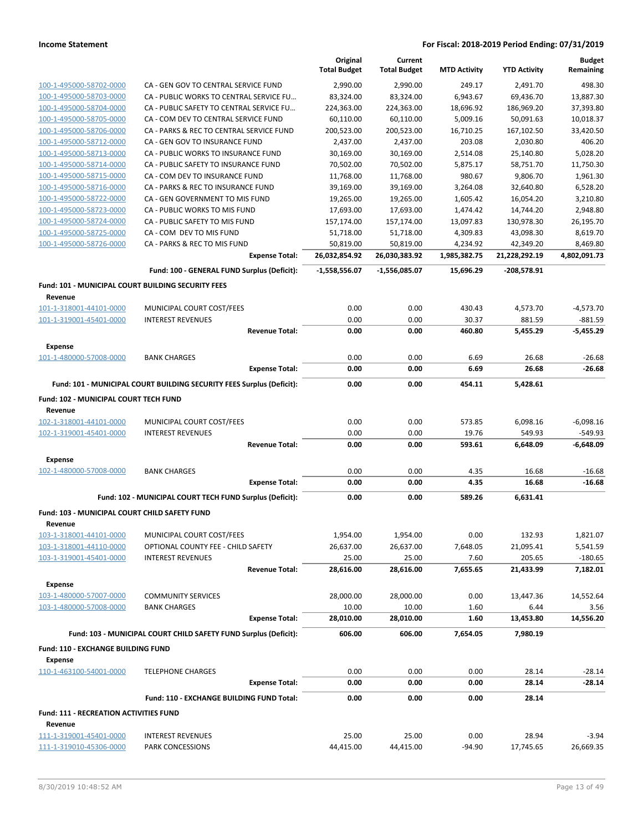|                                                             |                                                                                           | Original<br><b>Total Budget</b> | Current<br><b>Total Budget</b> | <b>MTD Activity</b> | <b>YTD Activity</b>   | <b>Budget</b><br>Remaining |
|-------------------------------------------------------------|-------------------------------------------------------------------------------------------|---------------------------------|--------------------------------|---------------------|-----------------------|----------------------------|
| 100-1-495000-58702-0000                                     | CA - GEN GOV TO CENTRAL SERVICE FUND                                                      | 2,990.00                        | 2,990.00                       | 249.17              | 2,491.70              | 498.30                     |
| 100-1-495000-58703-0000                                     | CA - PUBLIC WORKS TO CENTRAL SERVICE FU                                                   | 83,324.00                       | 83,324.00                      | 6,943.67            | 69,436.70             | 13,887.30                  |
| 100-1-495000-58704-0000                                     | CA - PUBLIC SAFETY TO CENTRAL SERVICE FU                                                  | 224,363.00                      | 224,363.00                     | 18,696.92           | 186,969.20            | 37,393.80                  |
| 100-1-495000-58705-0000                                     | CA - COM DEV TO CENTRAL SERVICE FUND                                                      | 60,110.00                       | 60,110.00                      | 5,009.16            | 50,091.63             | 10,018.37                  |
| 100-1-495000-58706-0000                                     | CA - PARKS & REC TO CENTRAL SERVICE FUND                                                  | 200,523.00                      | 200,523.00                     | 16,710.25           | 167,102.50            | 33,420.50                  |
| 100-1-495000-58712-0000                                     | CA - GEN GOV TO INSURANCE FUND                                                            | 2,437.00                        | 2,437.00                       | 203.08              | 2,030.80              | 406.20                     |
| 100-1-495000-58713-0000                                     | CA - PUBLIC WORKS TO INSURANCE FUND                                                       | 30,169.00                       | 30,169.00                      | 2,514.08            | 25,140.80             | 5,028.20                   |
| 100-1-495000-58714-0000                                     | CA - PUBLIC SAFETY TO INSURANCE FUND                                                      | 70,502.00                       | 70,502.00                      | 5,875.17            | 58,751.70             | 11,750.30                  |
| 100-1-495000-58715-0000                                     | CA - COM DEV TO INSURANCE FUND                                                            | 11,768.00                       | 11,768.00                      | 980.67              | 9,806.70              | 1,961.30                   |
| 100-1-495000-58716-0000                                     | CA - PARKS & REC TO INSURANCE FUND                                                        | 39,169.00                       | 39,169.00                      | 3,264.08            | 32,640.80             | 6,528.20                   |
| 100-1-495000-58722-0000                                     | CA - GEN GOVERNMENT TO MIS FUND                                                           | 19,265.00                       | 19,265.00                      | 1,605.42            | 16,054.20             | 3,210.80                   |
| 100-1-495000-58723-0000                                     | CA - PUBLIC WORKS TO MIS FUND                                                             | 17,693.00                       | 17,693.00                      | 1,474.42            | 14,744.20             | 2,948.80                   |
| 100-1-495000-58724-0000                                     | CA - PUBLIC SAFETY TO MIS FUND                                                            | 157,174.00                      | 157,174.00                     | 13,097.83           | 130,978.30            | 26,195.70                  |
| 100-1-495000-58725-0000                                     | CA - COM DEV TO MIS FUND                                                                  | 51,718.00                       | 51,718.00                      | 4,309.83            | 43,098.30             | 8,619.70                   |
| 100-1-495000-58726-0000                                     | CA - PARKS & REC TO MIS FUND                                                              | 50,819.00                       | 50,819.00                      | 4,234.92            | 42,349.20             | 8,469.80                   |
|                                                             | <b>Expense Total:</b>                                                                     | 26,032,854.92                   | 26,030,383.92                  | 1,985,382.75        | 21,228,292.19         | 4,802,091.73               |
|                                                             | Fund: 100 - GENERAL FUND Surplus (Deficit):                                               | -1,558,556.07                   | -1,556,085.07                  | 15,696.29           | -208,578.91           |                            |
| Fund: 101 - MUNICIPAL COURT BUILDING SECURITY FEES          |                                                                                           |                                 |                                |                     |                       |                            |
| Revenue                                                     |                                                                                           |                                 |                                |                     |                       |                            |
| 101-1-318001-44101-0000                                     | MUNICIPAL COURT COST/FEES                                                                 | 0.00                            | 0.00                           | 430.43              | 4,573.70              | $-4,573.70$                |
| 101-1-319001-45401-0000                                     | <b>INTEREST REVENUES</b>                                                                  | 0.00                            | 0.00                           | 30.37               | 881.59                | $-881.59$                  |
|                                                             | <b>Revenue Total:</b>                                                                     | 0.00                            | 0.00                           | 460.80              | 5,455.29              | $-5,455.29$                |
| <b>Expense</b>                                              |                                                                                           |                                 |                                |                     |                       |                            |
| 101-1-480000-57008-0000                                     | <b>BANK CHARGES</b>                                                                       | 0.00                            | 0.00                           | 6.69                | 26.68                 | $-26.68$                   |
|                                                             | <b>Expense Total:</b>                                                                     | 0.00                            | 0.00                           | 6.69                | 26.68                 | $-26.68$                   |
|                                                             | Fund: 101 - MUNICIPAL COURT BUILDING SECURITY FEES Surplus (Deficit):                     | 0.00                            | 0.00                           | 454.11              | 5,428.61              |                            |
| Fund: 102 - MUNICIPAL COURT TECH FUND<br>Revenue            |                                                                                           |                                 |                                |                     |                       |                            |
| 102-1-318001-44101-0000                                     | MUNICIPAL COURT COST/FEES                                                                 | 0.00                            | 0.00                           | 573.85              | 6,098.16              | $-6,098.16$                |
| 102-1-319001-45401-0000                                     | <b>INTEREST REVENUES</b>                                                                  | 0.00                            | 0.00                           | 19.76               | 549.93                | $-549.93$                  |
|                                                             | <b>Revenue Total:</b>                                                                     | 0.00                            | 0.00                           | 593.61              | 6,648.09              | $-6,648.09$                |
| <b>Expense</b>                                              |                                                                                           |                                 |                                |                     |                       |                            |
| 102-1-480000-57008-0000                                     | <b>BANK CHARGES</b>                                                                       | 0.00                            | 0.00                           | 4.35                | 16.68                 | $-16.68$                   |
|                                                             | <b>Expense Total:</b>                                                                     | 0.00                            | 0.00                           | 4.35                | 16.68                 | $-16.68$                   |
|                                                             | Fund: 102 - MUNICIPAL COURT TECH FUND Surplus (Deficit):                                  | 0.00                            | 0.00                           | 589.26              | 6,631.41              |                            |
| <b>Fund: 103 - MUNICIPAL COURT CHILD SAFETY FUND</b>        |                                                                                           |                                 |                                |                     |                       |                            |
| Revenue                                                     |                                                                                           |                                 |                                |                     |                       |                            |
| 103-1-318001-44101-0000                                     | MUNICIPAL COURT COST/FEES                                                                 | 1,954.00                        | 1,954.00                       | 0.00                | 132.93                | 1,821.07                   |
| 103-1-318001-44110-0000                                     | OPTIONAL COUNTY FEE - CHILD SAFETY                                                        | 26,637.00                       | 26,637.00                      | 7,648.05            | 21,095.41             | 5,541.59                   |
| 103-1-319001-45401-0000                                     | <b>INTEREST REVENUES</b>                                                                  | 25.00                           | 25.00                          | 7.60                | 205.65                | $-180.65$                  |
|                                                             | <b>Revenue Total:</b>                                                                     | 28,616.00                       | 28,616.00                      | 7,655.65            | 21,433.99             | 7,182.01                   |
| <b>Expense</b><br>103-1-480000-57007-0000                   |                                                                                           |                                 |                                |                     |                       |                            |
|                                                             | <b>COMMUNITY SERVICES</b>                                                                 | 28,000.00                       | 28,000.00                      | 0.00                | 13,447.36             | 14,552.64                  |
| 103-1-480000-57008-0000                                     | <b>BANK CHARGES</b>                                                                       | 10.00                           | 10.00                          | 1.60                | 6.44                  | 3.56                       |
|                                                             | <b>Expense Total:</b><br>Fund: 103 - MUNICIPAL COURT CHILD SAFETY FUND Surplus (Deficit): | 28,010.00<br>606.00             | 28,010.00<br>606.00            | 1.60<br>7,654.05    | 13,453.80<br>7,980.19 | 14,556.20                  |
|                                                             |                                                                                           |                                 |                                |                     |                       |                            |
| <b>Fund: 110 - EXCHANGE BUILDING FUND</b><br><b>Expense</b> |                                                                                           |                                 |                                |                     |                       |                            |
| 110-1-463100-54001-0000                                     | <b>TELEPHONE CHARGES</b>                                                                  | 0.00                            | 0.00                           | 0.00                | 28.14                 | $-28.14$                   |
|                                                             | <b>Expense Total:</b>                                                                     | 0.00                            | 0.00                           | 0.00                | 28.14                 | $-28.14$                   |
|                                                             | Fund: 110 - EXCHANGE BUILDING FUND Total:                                                 | 0.00                            | 0.00                           | 0.00                | 28.14                 |                            |
| <b>Fund: 111 - RECREATION ACTIVITIES FUND</b>               |                                                                                           |                                 |                                |                     |                       |                            |
| Revenue                                                     |                                                                                           |                                 |                                |                     |                       |                            |
| 111-1-319001-45401-0000                                     | <b>INTEREST REVENUES</b>                                                                  | 25.00                           | 25.00                          | 0.00                | 28.94                 | $-3.94$                    |
| 111-1-319010-45306-0000                                     | PARK CONCESSIONS                                                                          | 44,415.00                       | 44,415.00                      | $-94.90$            | 17,745.65             | 26,669.35                  |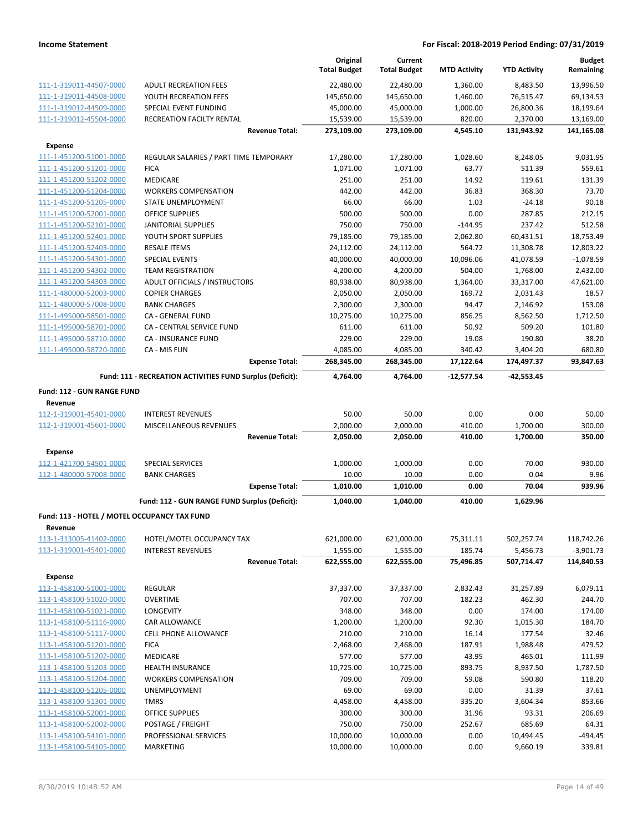|                                                    |                                                           | Original<br><b>Total Budget</b> | Current<br><b>Total Budget</b> | <b>MTD Activity</b> | <b>YTD Activity</b>    | <b>Budget</b><br>Remaining |
|----------------------------------------------------|-----------------------------------------------------------|---------------------------------|--------------------------------|---------------------|------------------------|----------------------------|
| 111-1-319011-44507-0000                            | <b>ADULT RECREATION FEES</b>                              | 22,480.00                       | 22,480.00                      | 1,360.00            | 8,483.50               | 13,996.50                  |
| 111-1-319011-44508-0000                            | YOUTH RECREATION FEES                                     | 145,650.00                      | 145,650.00                     | 1,460.00            | 76,515.47              | 69,134.53                  |
| 111-1-319012-44509-0000                            | SPECIAL EVENT FUNDING                                     | 45,000.00                       | 45,000.00                      | 1,000.00            | 26,800.36              | 18,199.64                  |
| 111-1-319012-45504-0000                            | RECREATION FACILTY RENTAL                                 | 15,539.00                       | 15,539.00                      | 820.00              | 2,370.00               | 13,169.00                  |
|                                                    | <b>Revenue Total:</b>                                     | 273,109.00                      | 273,109.00                     | 4,545.10            | 131,943.92             | 141,165.08                 |
| <b>Expense</b>                                     |                                                           |                                 |                                |                     |                        |                            |
| 111-1-451200-51001-0000                            | REGULAR SALARIES / PART TIME TEMPORARY                    | 17,280.00                       | 17,280.00                      | 1,028.60            | 8,248.05               | 9,031.95                   |
| 111-1-451200-51201-0000                            | <b>FICA</b>                                               | 1,071.00                        | 1,071.00                       | 63.77               | 511.39                 | 559.61                     |
| 111-1-451200-51202-0000                            | <b>MEDICARE</b>                                           | 251.00                          | 251.00                         | 14.92               | 119.61                 | 131.39                     |
| 111-1-451200-51204-0000                            | <b>WORKERS COMPENSATION</b>                               | 442.00                          | 442.00                         | 36.83               | 368.30                 | 73.70                      |
| 111-1-451200-51205-0000                            | STATE UNEMPLOYMENT                                        | 66.00                           | 66.00                          | 1.03                | $-24.18$               | 90.18                      |
| 111-1-451200-52001-0000                            | <b>OFFICE SUPPLIES</b>                                    | 500.00                          | 500.00                         | 0.00                | 287.85                 | 212.15                     |
| 111-1-451200-52101-0000                            | JANITORIAL SUPPLIES                                       | 750.00                          | 750.00                         | $-144.95$           | 237.42                 | 512.58                     |
| 111-1-451200-52401-0000                            | YOUTH SPORT SUPPLIES                                      | 79,185.00                       | 79,185.00                      | 2,062.80            | 60,431.51              | 18,753.49                  |
| 111-1-451200-52403-0000                            | <b>RESALE ITEMS</b>                                       | 24,112.00                       | 24,112.00                      | 564.72              | 11,308.78              | 12,803.22                  |
| 111-1-451200-54301-0000                            | <b>SPECIAL EVENTS</b>                                     | 40,000.00                       | 40,000.00                      | 10,096.06           | 41,078.59              | $-1,078.59$                |
| 111-1-451200-54302-0000                            | <b>TEAM REGISTRATION</b>                                  | 4,200.00                        | 4,200.00                       | 504.00              | 1,768.00               | 2,432.00                   |
| 111-1-451200-54303-0000                            | ADULT OFFICIALS / INSTRUCTORS                             | 80,938.00                       | 80,938.00                      | 1,364.00            | 33,317.00              | 47,621.00                  |
| 111-1-480000-52003-0000                            | <b>COPIER CHARGES</b>                                     | 2,050.00                        | 2,050.00                       | 169.72              | 2,031.43               | 18.57                      |
| 111-1-480000-57008-0000                            | <b>BANK CHARGES</b>                                       | 2,300.00                        | 2,300.00                       | 94.47               | 2,146.92               | 153.08                     |
| 111-1-495000-58501-0000                            | CA - GENERAL FUND                                         | 10,275.00                       | 10,275.00                      | 856.25              | 8,562.50               | 1,712.50                   |
| 111-1-495000-58701-0000                            | CA - CENTRAL SERVICE FUND                                 | 611.00                          | 611.00                         | 50.92               | 509.20                 | 101.80                     |
| 111-1-495000-58710-0000                            | <b>CA - INSURANCE FUND</b>                                | 229.00                          | 229.00                         | 19.08               | 190.80                 | 38.20                      |
| 111-1-495000-58720-0000                            | CA - MIS FUN                                              | 4,085.00                        | 4,085.00                       | 340.42              | 3,404.20               | 680.80                     |
|                                                    | <b>Expense Total:</b>                                     | 268,345.00                      | 268,345.00                     | 17,122.64           | 174,497.37             | 93,847.63                  |
|                                                    | Fund: 111 - RECREATION ACTIVITIES FUND Surplus (Deficit): | 4,764.00                        | 4,764.00                       | $-12,577.54$        | $-42,553.45$           |                            |
| Fund: 112 - GUN RANGE FUND                         |                                                           |                                 |                                |                     |                        |                            |
| Revenue                                            |                                                           |                                 |                                |                     |                        |                            |
| 112-1-319001-45401-0000                            | <b>INTEREST REVENUES</b>                                  | 50.00                           | 50.00                          | 0.00                | 0.00                   | 50.00                      |
| 112-1-319001-45601-0000                            | MISCELLANEOUS REVENUES                                    | 2,000.00                        | 2,000.00                       | 410.00              | 1,700.00               | 300.00                     |
|                                                    | <b>Revenue Total:</b>                                     | 2,050.00                        | 2,050.00                       | 410.00              | 1,700.00               | 350.00                     |
| Expense                                            |                                                           |                                 |                                |                     |                        |                            |
| 112-1-421700-54501-0000                            | SPECIAL SERVICES                                          | 1,000.00                        | 1,000.00                       | 0.00                | 70.00                  | 930.00                     |
| 112-1-480000-57008-0000                            | <b>BANK CHARGES</b>                                       | 10.00                           | 10.00                          | 0.00                | 0.04                   | 9.96                       |
|                                                    | <b>Expense Total:</b>                                     | 1,010.00                        | 1,010.00                       | 0.00                | 70.04                  | 939.96                     |
|                                                    | Fund: 112 - GUN RANGE FUND Surplus (Deficit):             | 1,040.00                        | 1,040.00                       | 410.00              | 1,629.96               |                            |
|                                                    |                                                           |                                 |                                |                     |                        |                            |
| Fund: 113 - HOTEL / MOTEL OCCUPANCY TAX FUND       |                                                           |                                 |                                |                     |                        |                            |
|                                                    | HOTEL/MOTEL OCCUPANCY TAX                                 |                                 |                                |                     |                        | 118,742.26                 |
| 113-1-313005-41402-0000                            |                                                           | 621,000.00                      | 621,000.00                     | 75,311.11           | 502,257.74             |                            |
| 113-1-319001-45401-0000                            | <b>INTEREST REVENUES</b><br><b>Revenue Total:</b>         | 1,555.00<br>622,555.00          | 1,555.00<br>622,555.00         | 185.74<br>75,496.85 | 5,456.73<br>507,714.47 | $-3,901.73$<br>114,840.53  |
|                                                    |                                                           |                                 |                                |                     |                        |                            |
| <b>Expense</b>                                     |                                                           |                                 |                                |                     |                        |                            |
| 113-1-458100-51001-0000                            | REGULAR                                                   | 37,337.00                       | 37,337.00                      | 2,832.43            | 31,257.89              | 6,079.11                   |
| 113-1-458100-51020-0000                            | <b>OVERTIME</b>                                           | 707.00                          | 707.00                         | 182.23              | 462.30                 | 244.70                     |
| 113-1-458100-51021-0000                            | <b>LONGEVITY</b>                                          | 348.00                          | 348.00                         | 0.00                | 174.00                 | 174.00                     |
| 113-1-458100-51116-0000                            | CAR ALLOWANCE                                             | 1,200.00                        | 1,200.00                       | 92.30               | 1,015.30               | 184.70                     |
| 113-1-458100-51117-0000                            | <b>CELL PHONE ALLOWANCE</b>                               | 210.00                          | 210.00                         | 16.14               | 177.54                 | 32.46                      |
| 113-1-458100-51201-0000                            | <b>FICA</b>                                               | 2,468.00                        | 2,468.00                       | 187.91              | 1,988.48               | 479.52                     |
| 113-1-458100-51202-0000                            | MEDICARE                                                  | 577.00                          | 577.00                         | 43.95               | 465.01                 | 111.99                     |
| 113-1-458100-51203-0000                            | <b>HEALTH INSURANCE</b>                                   | 10,725.00                       | 10,725.00                      | 893.75              | 8,937.50               | 1,787.50                   |
| 113-1-458100-51204-0000                            | <b>WORKERS COMPENSATION</b>                               | 709.00                          | 709.00                         | 59.08               | 590.80                 | 118.20                     |
| 113-1-458100-51205-0000                            | <b>UNEMPLOYMENT</b>                                       | 69.00                           | 69.00                          | 0.00                | 31.39                  | 37.61                      |
| 113-1-458100-51301-0000                            | TMRS                                                      | 4,458.00                        | 4,458.00                       | 335.20              | 3,604.34               | 853.66                     |
| 113-1-458100-52001-0000<br>113-1-458100-52002-0000 | OFFICE SUPPLIES                                           | 300.00<br>750.00                | 300.00<br>750.00               | 31.96               | 93.31<br>685.69        | 206.69                     |
| 113-1-458100-54101-0000                            | POSTAGE / FREIGHT<br>PROFESSIONAL SERVICES                | 10,000.00                       | 10,000.00                      | 252.67<br>0.00      | 10,494.45              | 64.31<br>-494.45           |
| 113-1-458100-54105-0000                            | MARKETING                                                 | 10,000.00                       | 10,000.00                      | 0.00                | 9,660.19               | 339.81                     |
|                                                    |                                                           |                                 |                                |                     |                        |                            |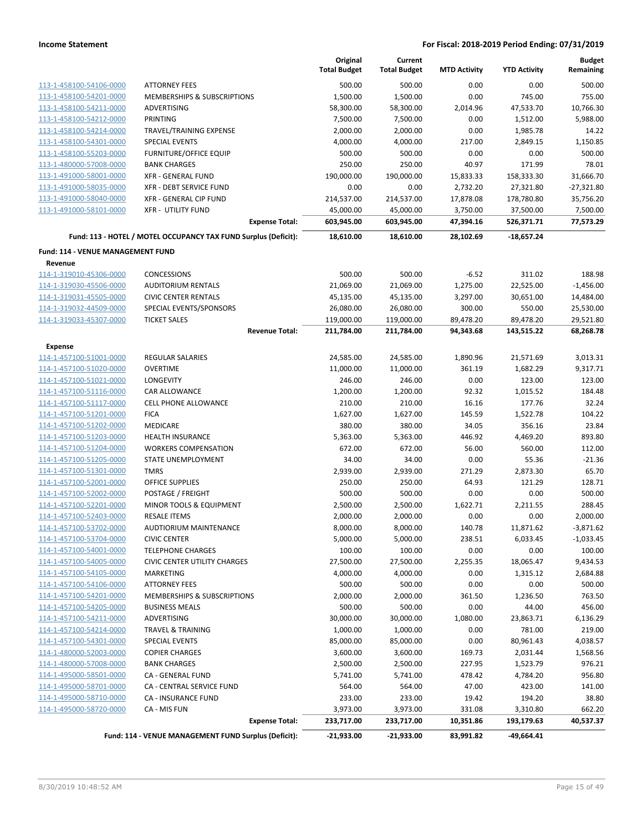|                                                    |                                                                 | Original<br><b>Total Budget</b> | Current<br><b>Total Budget</b> | <b>MTD Activity</b> | <b>YTD Activity</b> | <b>Budget</b><br>Remaining |
|----------------------------------------------------|-----------------------------------------------------------------|---------------------------------|--------------------------------|---------------------|---------------------|----------------------------|
| 113-1-458100-54106-0000                            | <b>ATTORNEY FEES</b>                                            | 500.00                          | 500.00                         | 0.00                | 0.00                | 500.00                     |
| 113-1-458100-54201-0000                            | <b>MEMBERSHIPS &amp; SUBSCRIPTIONS</b>                          | 1,500.00                        | 1,500.00                       | 0.00                | 745.00              | 755.00                     |
| 113-1-458100-54211-0000                            | ADVERTISING                                                     | 58,300.00                       | 58,300.00                      | 2,014.96            | 47,533.70           | 10,766.30                  |
| 113-1-458100-54212-0000                            | <b>PRINTING</b>                                                 | 7,500.00                        | 7,500.00                       | 0.00                | 1,512.00            | 5,988.00                   |
| 113-1-458100-54214-0000                            | TRAVEL/TRAINING EXPENSE                                         | 2,000.00                        | 2,000.00                       | 0.00                | 1,985.78            | 14.22                      |
| 113-1-458100-54301-0000                            | <b>SPECIAL EVENTS</b>                                           | 4,000.00                        | 4,000.00                       | 217.00              | 2,849.15            | 1,150.85                   |
| 113-1-458100-55203-0000                            | <b>FURNITURE/OFFICE EQUIP</b>                                   | 500.00                          | 500.00                         | 0.00                | 0.00                | 500.00                     |
| 113-1-480000-57008-0000                            | <b>BANK CHARGES</b>                                             | 250.00                          | 250.00                         | 40.97               | 171.99              | 78.01                      |
| 113-1-491000-58001-0000                            | <b>XFR - GENERAL FUND</b>                                       | 190,000.00                      | 190,000.00                     | 15,833.33           | 158,333.30          | 31,666.70                  |
| 113-1-491000-58035-0000                            | XFR - DEBT SERVICE FUND                                         | 0.00                            | 0.00                           | 2,732.20            | 27,321.80           | $-27,321.80$               |
| 113-1-491000-58040-0000                            | XFR - GENERAL CIP FUND                                          | 214,537.00                      | 214,537.00                     | 17,878.08           | 178,780.80          | 35,756.20                  |
| 113-1-491000-58101-0000                            | <b>XFR - UTILITY FUND</b>                                       | 45,000.00                       | 45,000.00                      | 3,750.00            | 37,500.00           | 7,500.00                   |
|                                                    | <b>Expense Total:</b>                                           | 603,945.00                      | 603,945.00                     | 47,394.16           | 526,371.71          | 77,573.29                  |
|                                                    | Fund: 113 - HOTEL / MOTEL OCCUPANCY TAX FUND Surplus (Deficit): | 18,610.00                       | 18,610.00                      | 28,102.69           | $-18,657.24$        |                            |
| Fund: 114 - VENUE MANAGEMENT FUND                  |                                                                 |                                 |                                |                     |                     |                            |
| Revenue                                            |                                                                 |                                 |                                |                     |                     |                            |
| 114-1-319010-45306-0000                            | <b>CONCESSIONS</b>                                              | 500.00                          | 500.00                         | $-6.52$             | 311.02              | 188.98                     |
| 114-1-319030-45506-0000                            | <b>AUDITORIUM RENTALS</b>                                       | 21,069.00                       | 21,069.00                      | 1,275.00            | 22,525.00           | $-1,456.00$                |
| 114-1-319031-45505-0000                            | <b>CIVIC CENTER RENTALS</b>                                     | 45,135.00                       | 45,135.00                      | 3,297.00            | 30,651.00           | 14,484.00                  |
| 114-1-319032-44509-0000                            | SPECIAL EVENTS/SPONSORS                                         | 26,080.00                       | 26,080.00                      | 300.00              | 550.00              | 25,530.00                  |
| 114-1-319033-45307-0000                            | <b>TICKET SALES</b>                                             | 119,000.00                      | 119,000.00                     | 89,478.20           | 89,478.20           | 29,521.80                  |
|                                                    | <b>Revenue Total:</b>                                           | 211,784.00                      | 211,784.00                     | 94,343.68           | 143,515.22          | 68,268.78                  |
| <b>Expense</b>                                     |                                                                 |                                 |                                |                     |                     |                            |
| 114-1-457100-51001-0000                            | <b>REGULAR SALARIES</b>                                         | 24,585.00                       | 24,585.00                      | 1,890.96            | 21,571.69           | 3,013.31                   |
| 114-1-457100-51020-0000                            | <b>OVERTIME</b>                                                 | 11,000.00                       | 11,000.00                      | 361.19              | 1,682.29            | 9,317.71                   |
| 114-1-457100-51021-0000                            | LONGEVITY                                                       | 246.00                          | 246.00                         | 0.00                | 123.00              | 123.00                     |
| 114-1-457100-51116-0000                            | CAR ALLOWANCE                                                   | 1,200.00                        | 1,200.00                       | 92.32               | 1,015.52            | 184.48                     |
| 114-1-457100-51117-0000                            | CELL PHONE ALLOWANCE                                            | 210.00                          | 210.00                         | 16.16               | 177.76              | 32.24                      |
| 114-1-457100-51201-0000                            | <b>FICA</b>                                                     | 1,627.00                        | 1,627.00                       | 145.59              | 1,522.78            | 104.22                     |
| 114-1-457100-51202-0000                            | MEDICARE                                                        | 380.00                          | 380.00                         | 34.05               | 356.16              | 23.84                      |
| 114-1-457100-51203-0000                            | <b>HEALTH INSURANCE</b>                                         | 5,363.00                        | 5,363.00                       | 446.92              | 4,469.20            | 893.80                     |
| 114-1-457100-51204-0000                            | <b>WORKERS COMPENSATION</b>                                     | 672.00                          | 672.00                         | 56.00               | 560.00              | 112.00                     |
| 114-1-457100-51205-0000                            | STATE UNEMPLOYMENT                                              | 34.00                           | 34.00                          | 0.00                | 55.36               | $-21.36$                   |
| 114-1-457100-51301-0000                            | <b>TMRS</b>                                                     | 2,939.00                        | 2,939.00                       | 271.29              | 2,873.30            | 65.70                      |
| 114-1-457100-52001-0000<br>114-1-457100-52002-0000 | OFFICE SUPPLIES<br>POSTAGE / FREIGHT                            | 250.00                          | 250.00                         | 64.93               | 121.29              | 128.71                     |
| 114-1-457100-52201-0000                            |                                                                 | 500.00                          | 500.00                         | 0.00                | 0.00                | 500.00<br>288.45           |
| 114-1-457100-52403-0000                            | MINOR TOOLS & EQUIPMENT                                         | 2,500.00                        | 2,500.00<br>2,000.00           | 1,622.71            | 2,211.55            |                            |
| 114-1-457100-53702-0000                            | RESALE ITEMS<br>AUDTIORIUM MAINTENANCE                          | 2,000.00<br>8,000.00            | 8,000.00                       | 0.00<br>140.78      | 0.00<br>11,871.62   | 2,000.00<br>$-3,871.62$    |
| 114-1-457100-53704-0000                            | <b>CIVIC CENTER</b>                                             | 5,000.00                        | 5,000.00                       | 238.51              | 6,033.45            | $-1,033.45$                |
| 114-1-457100-54001-0000                            | <b>TELEPHONE CHARGES</b>                                        | 100.00                          | 100.00                         | 0.00                | 0.00                | 100.00                     |
| 114-1-457100-54005-0000                            | <b>CIVIC CENTER UTILITY CHARGES</b>                             | 27,500.00                       | 27,500.00                      | 2,255.35            | 18,065.47           | 9,434.53                   |
| 114-1-457100-54105-0000                            | MARKETING                                                       | 4,000.00                        | 4,000.00                       | 0.00                | 1,315.12            | 2,684.88                   |
| 114-1-457100-54106-0000                            | <b>ATTORNEY FEES</b>                                            | 500.00                          | 500.00                         | 0.00                | 0.00                | 500.00                     |
| 114-1-457100-54201-0000                            | MEMBERSHIPS & SUBSCRIPTIONS                                     | 2,000.00                        | 2,000.00                       | 361.50              | 1,236.50            | 763.50                     |
| 114-1-457100-54205-0000                            | <b>BUSINESS MEALS</b>                                           | 500.00                          | 500.00                         | 0.00                | 44.00               | 456.00                     |
| 114-1-457100-54211-0000                            | <b>ADVERTISING</b>                                              | 30,000.00                       | 30,000.00                      | 1,080.00            | 23,863.71           | 6,136.29                   |
| 114-1-457100-54214-0000                            | <b>TRAVEL &amp; TRAINING</b>                                    | 1,000.00                        | 1,000.00                       | 0.00                | 781.00              | 219.00                     |
| 114-1-457100-54301-0000                            | <b>SPECIAL EVENTS</b>                                           | 85,000.00                       | 85,000.00                      | 0.00                | 80,961.43           | 4,038.57                   |
| 114-1-480000-52003-0000                            | <b>COPIER CHARGES</b>                                           | 3,600.00                        | 3,600.00                       | 169.73              | 2,031.44            | 1,568.56                   |
| 114-1-480000-57008-0000                            | <b>BANK CHARGES</b>                                             | 2,500.00                        | 2,500.00                       | 227.95              | 1,523.79            | 976.21                     |
| 114-1-495000-58501-0000                            | CA - GENERAL FUND                                               | 5,741.00                        | 5,741.00                       | 478.42              | 4,784.20            | 956.80                     |
| 114-1-495000-58701-0000                            | CA - CENTRAL SERVICE FUND                                       | 564.00                          | 564.00                         | 47.00               | 423.00              | 141.00                     |
| 114-1-495000-58710-0000                            | <b>CA - INSURANCE FUND</b>                                      | 233.00                          | 233.00                         | 19.42               | 194.20              | 38.80                      |
| 114-1-495000-58720-0000                            | CA - MIS FUN                                                    | 3,973.00                        | 3,973.00                       | 331.08              | 3,310.80            | 662.20                     |
|                                                    | <b>Expense Total:</b>                                           | 233,717.00                      | 233,717.00                     | 10,351.86           | 193,179.63          | 40,537.37                  |
|                                                    | Fund: 114 - VENUE MANAGEMENT FUND Surplus (Deficit):            | $-21,933.00$                    | $-21,933.00$                   | 83,991.82           | -49,664.41          |                            |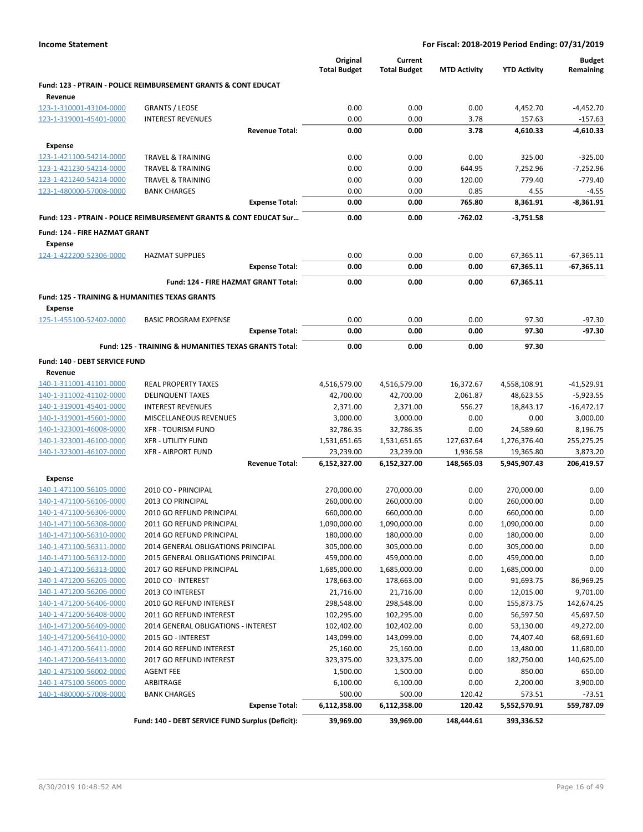|                                                                      |                                                                           | Original<br><b>Total Budget</b> | Current<br><b>Total Budget</b> | <b>MTD Activity</b> | <b>YTD Activity</b>    | <b>Budget</b><br>Remaining |
|----------------------------------------------------------------------|---------------------------------------------------------------------------|---------------------------------|--------------------------------|---------------------|------------------------|----------------------------|
| Revenue                                                              | <b>Fund: 123 - PTRAIN - POLICE REIMBURSEMENT GRANTS &amp; CONT EDUCAT</b> |                                 |                                |                     |                        |                            |
| 123-1-310001-43104-0000                                              | <b>GRANTS / LEOSE</b>                                                     | 0.00                            | 0.00                           | 0.00                | 4,452.70               | $-4,452.70$                |
| 123-1-319001-45401-0000                                              | <b>INTEREST REVENUES</b>                                                  | 0.00                            | 0.00                           | 3.78                | 157.63                 | $-157.63$                  |
|                                                                      | <b>Revenue Total:</b>                                                     | 0.00                            | 0.00                           | 3.78                | 4,610.33               | $-4.610.33$                |
| <b>Expense</b>                                                       |                                                                           |                                 |                                |                     |                        |                            |
| 123-1-421100-54214-0000                                              | <b>TRAVEL &amp; TRAINING</b>                                              | 0.00                            | 0.00                           | 0.00                | 325.00                 | $-325.00$                  |
| 123-1-421230-54214-0000                                              | <b>TRAVEL &amp; TRAINING</b>                                              | 0.00                            | 0.00                           | 644.95              | 7,252.96               | $-7,252.96$                |
| 123-1-421240-54214-0000                                              | <b>TRAVEL &amp; TRAINING</b>                                              | 0.00                            | 0.00                           | 120.00              | 779.40                 | $-779.40$                  |
| 123-1-480000-57008-0000                                              | <b>BANK CHARGES</b>                                                       | 0.00                            | 0.00                           | 0.85                | 4.55                   | $-4.55$                    |
|                                                                      | <b>Expense Total:</b>                                                     | 0.00                            | 0.00                           | 765.80              | 8,361.91               | $-8,361.91$                |
|                                                                      | Fund: 123 - PTRAIN - POLICE REIMBURSEMENT GRANTS & CONT EDUCAT Sur        | 0.00                            | 0.00                           | $-762.02$           | $-3,751.58$            |                            |
| Fund: 124 - FIRE HAZMAT GRANT                                        |                                                                           |                                 |                                |                     |                        |                            |
| Expense                                                              |                                                                           |                                 |                                |                     |                        |                            |
| 124-1-422200-52306-0000                                              | <b>HAZMAT SUPPLIES</b>                                                    | 0.00                            | 0.00                           | 0.00                | 67,365.11              | -67,365.11                 |
|                                                                      | <b>Expense Total:</b>                                                     | 0.00                            | 0.00                           | 0.00                | 67,365.11              | -67,365.11                 |
|                                                                      | Fund: 124 - FIRE HAZMAT GRANT Total:                                      | 0.00                            | 0.00                           | 0.00                | 67,365.11              |                            |
| <b>Fund: 125 - TRAINING &amp; HUMANITIES TEXAS GRANTS</b><br>Expense |                                                                           |                                 |                                |                     |                        |                            |
| 125-1-455100-52402-0000                                              | <b>BASIC PROGRAM EXPENSE</b>                                              | 0.00                            | 0.00                           | 0.00                | 97.30                  | $-97.30$                   |
|                                                                      | <b>Expense Total:</b>                                                     | 0.00                            | 0.00                           | 0.00                | 97.30                  | $-97.30$                   |
|                                                                      | Fund: 125 - TRAINING & HUMANITIES TEXAS GRANTS Total:                     | 0.00                            | 0.00                           | 0.00                | 97.30                  |                            |
| Fund: 140 - DEBT SERVICE FUND                                        |                                                                           |                                 |                                |                     |                        |                            |
| Revenue                                                              |                                                                           |                                 |                                |                     |                        |                            |
| 140-1-311001-41101-0000                                              | <b>REAL PROPERTY TAXES</b>                                                | 4,516,579.00                    | 4,516,579.00                   | 16,372.67           | 4,558,108.91           | $-41,529.91$               |
| 140-1-311002-41102-0000                                              | <b>DELINQUENT TAXES</b>                                                   | 42,700.00                       | 42,700.00                      | 2,061.87            | 48,623.55              | $-5,923.55$                |
| 140-1-319001-45401-0000                                              | <b>INTEREST REVENUES</b>                                                  | 2,371.00                        | 2,371.00                       | 556.27              | 18,843.17              | $-16,472.17$               |
| 140-1-319001-45601-0000                                              | MISCELLANEOUS REVENUES                                                    | 3,000.00                        | 3,000.00                       | 0.00                | 0.00                   | 3,000.00                   |
| 140-1-323001-46008-0000                                              | <b>XFR - TOURISM FUND</b>                                                 | 32,786.35                       | 32,786.35                      | 0.00                | 24,589.60              | 8,196.75                   |
| 140-1-323001-46100-0000                                              | <b>XFR - UTILITY FUND</b>                                                 | 1,531,651.65                    | 1,531,651.65                   | 127,637.64          | 1,276,376.40           | 255,275.25                 |
| 140-1-323001-46107-0000                                              | <b>XFR - AIRPORT FUND</b>                                                 | 23,239.00                       | 23,239.00                      | 1,936.58            | 19,365.80              | 3,873.20                   |
|                                                                      | <b>Revenue Total:</b>                                                     | 6,152,327.00                    | 6,152,327.00                   | 148,565.03          | 5,945,907.43           | 206,419.57                 |
| <b>Expense</b>                                                       |                                                                           |                                 |                                |                     |                        |                            |
| 140-1-471100-56105-0000                                              | 2010 CO - PRINCIPAL                                                       | 270,000.00                      | 270,000.00                     | 0.00                | 270,000.00             | 0.00                       |
| 140-1-471100-56106-0000                                              | 2013 CO PRINCIPAL                                                         | 260,000.00                      | 260,000.00                     | 0.00                | 260,000.00             | 0.00                       |
| 140-1-471100-56306-0000                                              | 2010 GO REFUND PRINCIPAL                                                  | 660,000.00                      | 660,000.00                     | 0.00                | 660,000.00             | 0.00                       |
| 140-1-471100-56308-0000                                              | 2011 GO REFUND PRINCIPAL                                                  | 1,090,000.00                    | 1,090,000.00                   | 0.00                | 1,090,000.00           | 0.00                       |
| 140-1-471100-56310-0000                                              | 2014 GO REFUND PRINCIPAL                                                  | 180,000.00                      | 180,000.00                     | 0.00                | 180,000.00             | 0.00                       |
| 140-1-471100-56311-0000                                              | 2014 GENERAL OBLIGATIONS PRINCIPAL                                        | 305,000.00                      | 305,000.00                     | 0.00                | 305,000.00             | 0.00                       |
| 140-1-471100-56312-0000                                              | 2015 GENERAL OBLIGATIONS PRINCIPAL                                        | 459,000.00                      | 459,000.00                     | 0.00                | 459,000.00             | 0.00                       |
| 140-1-471100-56313-0000                                              | 2017 GO REFUND PRINCIPAL                                                  | 1,685,000.00                    | 1,685,000.00                   | 0.00                | 1,685,000.00           | 0.00                       |
| 140-1-471200-56205-0000                                              | 2010 CO - INTEREST                                                        | 178,663.00                      | 178,663.00                     | 0.00                | 91,693.75              | 86,969.25                  |
| 140-1-471200-56206-0000                                              | 2013 CO INTEREST                                                          | 21,716.00                       | 21,716.00                      | 0.00                | 12,015.00              | 9,701.00                   |
| 140-1-471200-56406-0000                                              | 2010 GO REFUND INTEREST                                                   | 298,548.00                      | 298,548.00                     | 0.00                | 155,873.75             | 142,674.25                 |
| 140-1-471200-56408-0000                                              | 2011 GO REFUND INTEREST                                                   | 102,295.00                      | 102,295.00                     | 0.00                | 56,597.50              | 45,697.50                  |
| 140-1-471200-56409-0000                                              | 2014 GENERAL OBLIGATIONS - INTEREST                                       | 102,402.00                      | 102,402.00                     | 0.00                | 53,130.00              | 49,272.00                  |
| 140-1-471200-56410-0000                                              | 2015 GO - INTEREST                                                        | 143,099.00                      | 143,099.00                     | 0.00                | 74,407.40              | 68,691.60                  |
| 140-1-471200-56411-0000                                              | 2014 GO REFUND INTEREST                                                   | 25,160.00                       | 25,160.00                      | 0.00                | 13,480.00              | 11,680.00                  |
| 140-1-471200-56413-0000                                              | 2017 GO REFUND INTEREST                                                   | 323,375.00                      | 323,375.00                     | 0.00                | 182,750.00             | 140,625.00                 |
| 140-1-475100-56002-0000                                              | <b>AGENT FEE</b>                                                          | 1,500.00                        | 1,500.00                       | 0.00                | 850.00                 | 650.00                     |
| 140-1-475100-56005-0000                                              | ARBITRAGE                                                                 | 6,100.00                        | 6,100.00                       | 0.00                | 2,200.00               | 3,900.00                   |
| 140-1-480000-57008-0000                                              | <b>BANK CHARGES</b><br><b>Expense Total:</b>                              | 500.00<br>6,112,358.00          | 500.00<br>6,112,358.00         | 120.42<br>120.42    | 573.51<br>5,552,570.91 | $-73.51$<br>559,787.09     |
|                                                                      | Fund: 140 - DEBT SERVICE FUND Surplus (Deficit):                          | 39,969.00                       | 39,969.00                      | 148,444.61          | 393,336.52             |                            |
|                                                                      |                                                                           |                                 |                                |                     |                        |                            |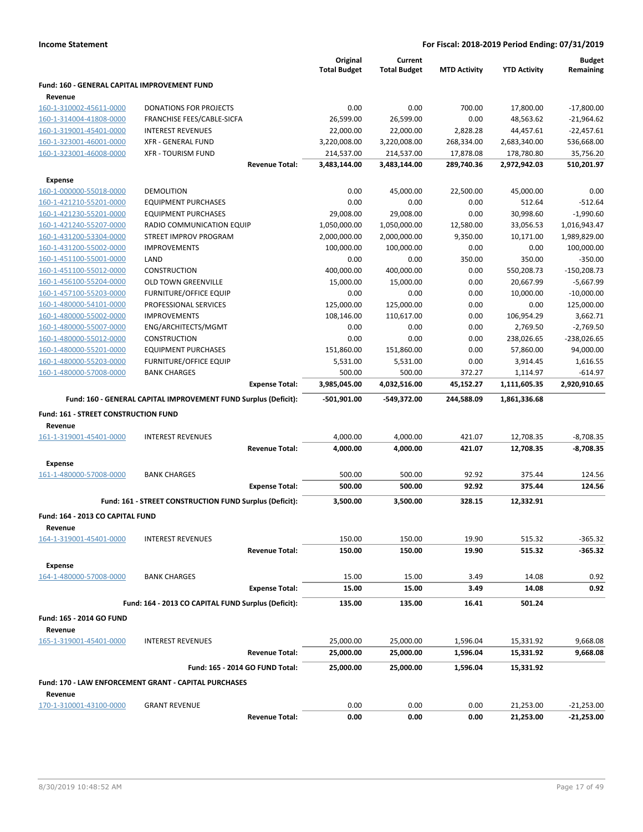|                                              |                                                                 |                       | Original<br><b>Total Budget</b> | Current<br><b>Total Budget</b> | <b>MTD Activity</b> | <b>YTD Activity</b> | <b>Budget</b><br>Remaining |
|----------------------------------------------|-----------------------------------------------------------------|-----------------------|---------------------------------|--------------------------------|---------------------|---------------------|----------------------------|
| Fund: 160 - GENERAL CAPITAL IMPROVEMENT FUND |                                                                 |                       |                                 |                                |                     |                     |                            |
| Revenue<br>160-1-310002-45611-0000           | <b>DONATIONS FOR PROJECTS</b>                                   |                       | 0.00                            | 0.00                           | 700.00              | 17,800.00           | $-17,800.00$               |
| 160-1-314004-41808-0000                      | FRANCHISE FEES/CABLE-SICFA                                      |                       | 26,599.00                       | 26,599.00                      | 0.00                | 48,563.62           | $-21,964.62$               |
| 160-1-319001-45401-0000                      | <b>INTEREST REVENUES</b>                                        |                       | 22,000.00                       | 22,000.00                      | 2,828.28            | 44,457.61           | $-22,457.61$               |
| 160-1-323001-46001-0000                      | <b>XFR - GENERAL FUND</b>                                       |                       | 3,220,008.00                    | 3,220,008.00                   | 268,334.00          | 2,683,340.00        | 536,668.00                 |
| 160-1-323001-46008-0000                      | <b>XFR - TOURISM FUND</b>                                       |                       | 214,537.00                      | 214,537.00                     | 17,878.08           | 178,780.80          | 35,756.20                  |
|                                              |                                                                 | <b>Revenue Total:</b> | 3,483,144.00                    | 3,483,144.00                   | 289,740.36          | 2,972,942.03        | 510,201.97                 |
| <b>Expense</b>                               |                                                                 |                       |                                 |                                |                     |                     |                            |
| 160-1-000000-55018-0000                      | <b>DEMOLITION</b>                                               |                       | 0.00                            | 45,000.00                      | 22,500.00           | 45,000.00           | 0.00                       |
| 160-1-421210-55201-0000                      | <b>EQUIPMENT PURCHASES</b>                                      |                       | 0.00                            | 0.00                           | 0.00                | 512.64              | $-512.64$                  |
| 160-1-421230-55201-0000                      | <b>EQUIPMENT PURCHASES</b>                                      |                       | 29,008.00                       | 29,008.00                      | 0.00                | 30,998.60           | $-1,990.60$                |
| 160-1-421240-55207-0000                      | RADIO COMMUNICATION EQUIP                                       |                       | 1,050,000.00                    | 1,050,000.00                   | 12,580.00           | 33,056.53           | 1,016,943.47               |
| 160-1-431200-53304-0000                      | STREET IMPROV PROGRAM                                           |                       | 2,000,000.00                    | 2,000,000.00                   | 9,350.00            | 10,171.00           | 1,989,829.00               |
| 160-1-431200-55002-0000                      | <b>IMPROVEMENTS</b>                                             |                       | 100,000.00                      | 100,000.00                     | 0.00                | 0.00                | 100,000.00                 |
| 160-1-451100-55001-0000                      | LAND                                                            |                       | 0.00                            | 0.00                           | 350.00              | 350.00              | $-350.00$                  |
| 160-1-451100-55012-0000                      | <b>CONSTRUCTION</b>                                             |                       | 400,000.00                      | 400,000.00                     | 0.00                | 550,208.73          | $-150,208.73$              |
| 160-1-456100-55204-0000                      | <b>OLD TOWN GREENVILLE</b>                                      |                       | 15,000.00                       | 15,000.00                      | 0.00                | 20,667.99           | $-5,667.99$                |
| 160-1-457100-55203-0000                      | <b>FURNITURE/OFFICE EQUIP</b>                                   |                       | 0.00                            | 0.00                           | 0.00                | 10,000.00           | $-10,000.00$               |
| 160-1-480000-54101-0000                      | PROFESSIONAL SERVICES                                           |                       | 125,000.00                      | 125,000.00                     | 0.00                | 0.00                | 125,000.00                 |
| 160-1-480000-55002-0000                      | <b>IMPROVEMENTS</b>                                             |                       | 108,146.00                      | 110,617.00                     | 0.00                | 106,954.29          | 3,662.71                   |
| 160-1-480000-55007-0000                      | ENG/ARCHITECTS/MGMT                                             |                       | 0.00                            | 0.00                           | 0.00                | 2,769.50            | $-2,769.50$                |
| 160-1-480000-55012-0000                      | <b>CONSTRUCTION</b>                                             |                       | 0.00                            | 0.00                           | 0.00                | 238,026.65          | $-238,026.65$              |
| 160-1-480000-55201-0000                      | <b>EQUIPMENT PURCHASES</b>                                      |                       | 151,860.00                      | 151,860.00                     | 0.00                | 57,860.00           | 94,000.00                  |
| 160-1-480000-55203-0000                      | <b>FURNITURE/OFFICE EQUIP</b>                                   |                       | 5,531.00                        | 5,531.00                       | 0.00                | 3,914.45            | 1,616.55                   |
| 160-1-480000-57008-0000                      | <b>BANK CHARGES</b>                                             |                       | 500.00                          | 500.00                         | 372.27              | 1,114.97            | $-614.97$                  |
|                                              |                                                                 | <b>Expense Total:</b> | 3,985,045.00                    | 4,032,516.00                   | 45,152.27           | 1,111,605.35        | 2,920,910.65               |
|                                              | Fund: 160 - GENERAL CAPITAL IMPROVEMENT FUND Surplus (Deficit): |                       | $-501,901.00$                   | -549,372.00                    | 244,588.09          | 1,861,336.68        |                            |
| Fund: 161 - STREET CONSTRUCTION FUND         |                                                                 |                       |                                 |                                |                     |                     |                            |
| Revenue                                      |                                                                 |                       |                                 |                                |                     |                     |                            |
| 161-1-319001-45401-0000                      | <b>INTEREST REVENUES</b>                                        |                       | 4,000.00                        | 4,000.00                       | 421.07              | 12,708.35           | $-8,708.35$                |
|                                              |                                                                 | <b>Revenue Total:</b> | 4,000.00                        | 4,000.00                       | 421.07              | 12,708.35           | $-8,708.35$                |
| <b>Expense</b>                               |                                                                 |                       |                                 |                                |                     |                     |                            |
| 161-1-480000-57008-0000                      | <b>BANK CHARGES</b>                                             |                       | 500.00                          | 500.00                         | 92.92               | 375.44              | 124.56                     |
|                                              |                                                                 | <b>Expense Total:</b> | 500.00                          | 500.00                         | 92.92               | 375.44              | 124.56                     |
|                                              | Fund: 161 - STREET CONSTRUCTION FUND Surplus (Deficit):         |                       | 3,500.00                        | 3,500.00                       | 328.15              | 12,332.91           |                            |
| Fund: 164 - 2013 CO CAPITAL FUND             |                                                                 |                       |                                 |                                |                     |                     |                            |
| Revenue                                      |                                                                 |                       |                                 |                                |                     |                     |                            |
| 164-1-319001-45401-0000                      | <b>INTEREST REVENUES</b>                                        | <b>Revenue Total:</b> | 150.00<br>150.00                | 150.00<br>150.00               | 19.90<br>19.90      | 515.32<br>515.32    | $-365.32$<br>$-365.32$     |
|                                              |                                                                 |                       |                                 |                                |                     |                     |                            |
| <b>Expense</b>                               |                                                                 |                       |                                 |                                |                     |                     |                            |
| 164-1-480000-57008-0000                      | <b>BANK CHARGES</b>                                             | <b>Expense Total:</b> | 15.00<br>15.00                  | 15.00<br>15.00                 | 3.49<br>3.49        | 14.08<br>14.08      | 0.92<br>0.92               |
|                                              | Fund: 164 - 2013 CO CAPITAL FUND Surplus (Deficit):             |                       | 135.00                          | 135.00                         | 16.41               | 501.24              |                            |
|                                              |                                                                 |                       |                                 |                                |                     |                     |                            |
| Fund: 165 - 2014 GO FUND<br>Revenue          |                                                                 |                       |                                 |                                |                     |                     |                            |
| 165-1-319001-45401-0000                      | <b>INTEREST REVENUES</b>                                        |                       | 25,000.00                       | 25,000.00                      | 1,596.04            | 15,331.92           | 9,668.08                   |
|                                              |                                                                 | <b>Revenue Total:</b> | 25,000.00                       | 25,000.00                      | 1,596.04            | 15,331.92           | 9,668.08                   |
|                                              | Fund: 165 - 2014 GO FUND Total:                                 |                       | 25,000.00                       | 25,000.00                      | 1,596.04            | 15,331.92           |                            |
|                                              | Fund: 170 - LAW ENFORCEMENT GRANT - CAPITAL PURCHASES           |                       |                                 |                                |                     |                     |                            |
| Revenue                                      |                                                                 |                       |                                 |                                |                     |                     |                            |
| 170-1-310001-43100-0000                      | <b>GRANT REVENUE</b>                                            |                       | 0.00                            | 0.00                           | 0.00                | 21,253.00           | $-21,253.00$               |
|                                              |                                                                 | <b>Revenue Total:</b> | 0.00                            | 0.00                           | 0.00                | 21,253.00           | $-21,253.00$               |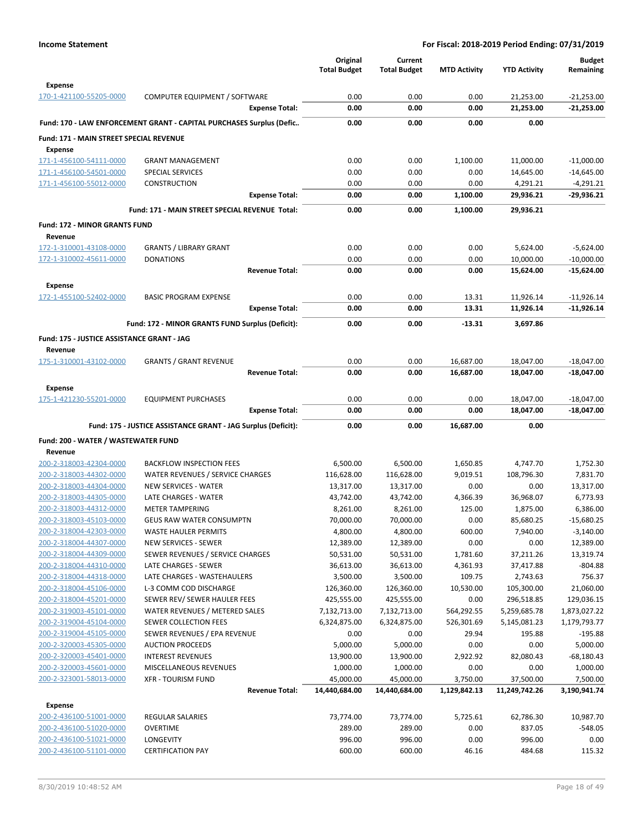|                                                    |                                                                      | Original<br><b>Total Budget</b> | Current<br><b>Total Budget</b> | <b>MTD Activity</b> | <b>YTD Activity</b> | <b>Budget</b><br>Remaining |
|----------------------------------------------------|----------------------------------------------------------------------|---------------------------------|--------------------------------|---------------------|---------------------|----------------------------|
| <b>Expense</b>                                     |                                                                      |                                 |                                |                     |                     |                            |
| 170-1-421100-55205-0000                            | COMPUTER EQUIPMENT / SOFTWARE                                        | 0.00                            | 0.00                           | 0.00                | 21,253.00           | $-21,253.00$               |
|                                                    | <b>Expense Total:</b>                                                | 0.00                            | 0.00                           | 0.00                | 21,253.00           | $-21,253.00$               |
|                                                    | Fund: 170 - LAW ENFORCEMENT GRANT - CAPITAL PURCHASES Surplus (Defic | 0.00                            | 0.00                           | 0.00                | 0.00                |                            |
| Fund: 171 - MAIN STREET SPECIAL REVENUE            |                                                                      |                                 |                                |                     |                     |                            |
| <b>Expense</b>                                     |                                                                      |                                 |                                |                     |                     |                            |
| 171-1-456100-54111-0000                            | <b>GRANT MANAGEMENT</b>                                              | 0.00                            | 0.00                           | 1,100.00            | 11,000.00           | $-11,000.00$               |
| 171-1-456100-54501-0000                            | <b>SPECIAL SERVICES</b>                                              | 0.00                            | 0.00                           | 0.00                | 14,645.00           | $-14,645.00$               |
| 171-1-456100-55012-0000                            | <b>CONSTRUCTION</b>                                                  | 0.00                            | 0.00                           | 0.00                | 4,291.21            | $-4,291.21$                |
|                                                    | <b>Expense Total:</b>                                                | 0.00                            | 0.00                           | 1,100.00            | 29,936.21           | -29,936.21                 |
|                                                    | Fund: 171 - MAIN STREET SPECIAL REVENUE Total:                       | 0.00                            | 0.00                           | 1,100.00            | 29,936.21           |                            |
| <b>Fund: 172 - MINOR GRANTS FUND</b>               |                                                                      |                                 |                                |                     |                     |                            |
| Revenue                                            |                                                                      |                                 |                                |                     |                     |                            |
| 172-1-310001-43108-0000                            | <b>GRANTS / LIBRARY GRANT</b>                                        | 0.00                            | 0.00                           | 0.00                | 5,624.00            | $-5,624.00$                |
| 172-1-310002-45611-0000                            | <b>DONATIONS</b>                                                     | 0.00                            | 0.00                           | 0.00                | 10,000.00           | $-10,000.00$               |
|                                                    | <b>Revenue Total:</b>                                                | 0.00                            | 0.00                           | 0.00                | 15,624.00           | -15,624.00                 |
| <b>Expense</b>                                     |                                                                      |                                 |                                |                     |                     |                            |
| 172-1-455100-52402-0000                            | <b>BASIC PROGRAM EXPENSE</b>                                         | 0.00                            | 0.00                           | 13.31               | 11,926.14           | $-11,926.14$               |
|                                                    | <b>Expense Total:</b>                                                | 0.00                            | 0.00                           | 13.31               | 11,926.14           | $-11,926.14$               |
|                                                    | Fund: 172 - MINOR GRANTS FUND Surplus (Deficit):                     | 0.00                            | 0.00                           | $-13.31$            | 3,697.86            |                            |
|                                                    |                                                                      |                                 |                                |                     |                     |                            |
| Fund: 175 - JUSTICE ASSISTANCE GRANT - JAG         |                                                                      |                                 |                                |                     |                     |                            |
| Revenue<br>175-1-310001-43102-0000                 | <b>GRANTS / GRANT REVENUE</b>                                        | 0.00                            | 0.00                           | 16,687.00           | 18,047.00           | $-18,047.00$               |
|                                                    | <b>Revenue Total:</b>                                                | 0.00                            | 0.00                           | 16,687.00           | 18,047.00           | $-18,047.00$               |
|                                                    |                                                                      |                                 |                                |                     |                     |                            |
| <b>Expense</b>                                     |                                                                      |                                 |                                |                     |                     |                            |
| 175-1-421230-55201-0000                            | <b>EQUIPMENT PURCHASES</b>                                           | 0.00                            | 0.00                           | 0.00                | 18,047.00           | $-18,047.00$               |
|                                                    | <b>Expense Total:</b>                                                | 0.00                            | 0.00                           | 0.00                | 18,047.00           | $-18,047.00$               |
|                                                    | Fund: 175 - JUSTICE ASSISTANCE GRANT - JAG Surplus (Deficit):        | 0.00                            | 0.00                           | 16,687.00           | 0.00                |                            |
| Fund: 200 - WATER / WASTEWATER FUND                |                                                                      |                                 |                                |                     |                     |                            |
| Revenue                                            |                                                                      |                                 |                                |                     |                     |                            |
| 200-2-318003-42304-0000                            | <b>BACKFLOW INSPECTION FEES</b>                                      | 6,500.00                        | 6,500.00                       | 1,650.85            | 4,747.70            | 1,752.30                   |
| 200-2-318003-44302-0000                            | WATER REVENUES / SERVICE CHARGES                                     | 116,628.00                      | 116,628.00                     | 9,019.51            | 108,796.30          | 7,831.70                   |
| 200-2-318003-44304-0000                            | <b>NEW SERVICES - WATER</b>                                          | 13,317.00                       | 13,317.00                      | 0.00                | 0.00                | 13,317.00                  |
| 200-2-318003-44305-0000                            | LATE CHARGES - WATER                                                 | 43,742.00                       | 43,742.00                      | 4,366.39            | 36,968.07           | 6,773.93                   |
| 200-2-318003-44312-0000                            | <b>METER TAMPERING</b>                                               | 8,261.00                        | 8,261.00                       | 125.00              | 1,875.00            | 6,386.00                   |
| 200-2-318003-45103-0000                            | <b>GEUS RAW WATER CONSUMPTN</b>                                      | 70,000.00                       | 70,000.00                      | 0.00                | 85,680.25           | $-15,680.25$               |
| 200-2-318004-42303-0000<br>200-2-318004-44307-0000 | <b>WASTE HAULER PERMITS</b><br>NEW SERVICES - SEWER                  | 4,800.00<br>12,389.00           | 4,800.00<br>12,389.00          | 600.00<br>0.00      | 7,940.00<br>0.00    | $-3,140.00$<br>12,389.00   |
| 200-2-318004-44309-0000                            | SEWER REVENUES / SERVICE CHARGES                                     | 50,531.00                       | 50,531.00                      | 1,781.60            | 37,211.26           | 13,319.74                  |
| 200-2-318004-44310-0000                            | LATE CHARGES - SEWER                                                 | 36,613.00                       | 36,613.00                      | 4,361.93            | 37,417.88           | $-804.88$                  |
| 200-2-318004-44318-0000                            | LATE CHARGES - WASTEHAULERS                                          | 3,500.00                        | 3,500.00                       | 109.75              | 2,743.63            | 756.37                     |
| 200-2-318004-45106-0000                            | L-3 COMM COD DISCHARGE                                               | 126,360.00                      | 126,360.00                     | 10,530.00           | 105,300.00          | 21,060.00                  |
| 200-2-318004-45201-0000                            | SEWER REV/ SEWER HAULER FEES                                         | 425,555.00                      | 425,555.00                     | 0.00                | 296,518.85          | 129,036.15                 |
| 200-2-319003-45101-0000                            | WATER REVENUES / METERED SALES                                       | 7,132,713.00                    | 7,132,713.00                   | 564,292.55          | 5,259,685.78        | 1,873,027.22               |
| 200-2-319004-45104-0000                            | <b>SEWER COLLECTION FEES</b>                                         | 6,324,875.00                    | 6,324,875.00                   | 526,301.69          | 5,145,081.23        | 1,179,793.77               |
| 200-2-319004-45105-0000                            | SEWER REVENUES / EPA REVENUE                                         | 0.00                            | 0.00                           | 29.94               | 195.88              | $-195.88$                  |
| 200-2-320003-45305-0000                            | <b>AUCTION PROCEEDS</b>                                              | 5,000.00                        | 5,000.00                       | 0.00                | 0.00                | 5,000.00                   |
| 200-2-320003-45401-0000                            | <b>INTEREST REVENUES</b>                                             | 13,900.00                       | 13,900.00                      | 2,922.92            | 82,080.43           | $-68,180.43$               |
| 200-2-320003-45601-0000                            | MISCELLANEOUS REVENUES                                               | 1,000.00                        | 1,000.00                       | 0.00                | 0.00                | 1,000.00                   |
| 200-2-323001-58013-0000                            | <b>XFR - TOURISM FUND</b>                                            | 45,000.00                       | 45,000.00                      | 3,750.00            | 37,500.00           | 7,500.00                   |
|                                                    | <b>Revenue Total:</b>                                                | 14,440,684.00                   | 14,440,684.00                  | 1,129,842.13        | 11,249,742.26       | 3,190,941.74               |
| <b>Expense</b>                                     |                                                                      |                                 |                                |                     |                     |                            |
| 200-2-436100-51001-0000                            | REGULAR SALARIES                                                     | 73,774.00                       | 73,774.00                      | 5,725.61            | 62,786.30           | 10,987.70                  |
| 200-2-436100-51020-0000                            | <b>OVERTIME</b>                                                      | 289.00                          | 289.00                         | 0.00                | 837.05              | $-548.05$                  |
| 200-2-436100-51021-0000                            | <b>LONGEVITY</b>                                                     | 996.00                          | 996.00                         | 0.00                | 996.00              | 0.00                       |
| 200-2-436100-51101-0000                            | <b>CERTIFICATION PAY</b>                                             | 600.00                          | 600.00                         | 46.16               | 484.68              | 115.32                     |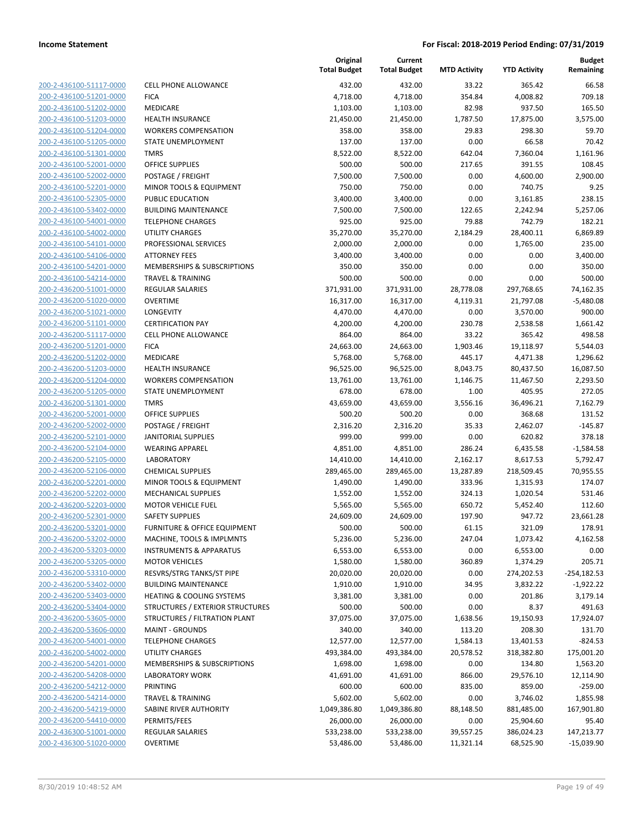| 200-2-436100-51117-0000 |
|-------------------------|
| 200-2-436100-51201-0000 |
| 200-2-436100-51202-0000 |
| 200-2-436100-51203-0000 |
| 200-2-436100-51204-0000 |
| 200-2-436100-51205-0000 |
| 200-2-436100-51301-0000 |
| 200-2-436100-52001-0000 |
| 200-2-436100-52002-0000 |
| 200-2-436100-52201-0000 |
| 200-2-436100-52305-0000 |
| 200-2-436100-53402-0000 |
| 200-2-436100-54001-0000 |
| 200-2-436100-54002-0000 |
| 200-2-436100-54101-0000 |
| 200-2-436100-54106-0000 |
| 200-2-436100-54201-0000 |
|                         |
| 200-2-436100-54214-0000 |
| 200-2-436200-51001-0000 |
| 200-2-436200-51020-0000 |
| 200-2-436200-51021-0000 |
| 200-2-436200-51101-0000 |
| 200-2-436200-51117-0000 |
| 200-2-436200-51201-0000 |
| 200-2-436200-51202-0000 |
| 200-2-436200-51203-0000 |
| 200-2-436200-51204-0000 |
| 200-2-436200-51205-0000 |
| 200-2-436200-51301-0000 |
| 200-2-436200-52001-0000 |
| 200-2-436200-52002-0000 |
| 200-2-436200-52101-0000 |
| 200-2-436200-52104-0000 |
|                         |
| 200-2-436200-52105-0000 |
| 200-2-436200-52106-0000 |
| 200-2-436200-52201-0000 |
| 200-2-436200-52202-0000 |
| 200-2-436200-52203-0000 |
| 200-2-436200-52301-0000 |
| 200-2-436200-53201-0000 |
| 200-2-436200-53202-0000 |
| 200-2-436200-53203-0000 |
| 200-2-436200-53205-0000 |
| 200-2-436200-53310-0000 |
| 200-2-436200-53402-0000 |
| 200-2-436200-53403-0000 |
| 200-2-436200-53404-0000 |
| 200-2-436200-53605-0000 |
| 200-2-436200-53606-0000 |
| 200-2-436200-54001-0000 |
|                         |
| 200-2-436200-54002-0000 |
| 200-2-436200-54201-0000 |
| 200-2-436200-54208-0000 |
| 200-2-436200-54212-0000 |
| 200-2-436200-54214-0000 |
| 200-2-436200-54219-0000 |
| 200-2-436200-54410-0000 |
| 200-2-436300-51001-0000 |
| 200-2-436300-51020-0000 |
|                         |

|                                                    |                                                                 | Original<br><b>Total Budget</b> | Current<br><b>Total Budget</b> | <b>MTD Activity</b> | <b>YTD Activity</b>    | <b>Budget</b><br>Remaining   |
|----------------------------------------------------|-----------------------------------------------------------------|---------------------------------|--------------------------------|---------------------|------------------------|------------------------------|
| 200-2-436100-51117-0000                            | <b>CELL PHONE ALLOWANCE</b>                                     | 432.00                          | 432.00                         | 33.22               | 365.42                 | 66.58                        |
| 200-2-436100-51201-0000                            | <b>FICA</b>                                                     | 4,718.00                        | 4,718.00                       | 354.84              | 4,008.82               | 709.18                       |
| 200-2-436100-51202-0000                            | MEDICARE                                                        | 1,103.00                        | 1,103.00                       | 82.98               | 937.50                 | 165.50                       |
| 200-2-436100-51203-0000                            | HEALTH INSURANCE                                                | 21,450.00                       | 21,450.00                      | 1,787.50            | 17,875.00              | 3,575.00                     |
| 200-2-436100-51204-0000                            | <b>WORKERS COMPENSATION</b>                                     | 358.00                          | 358.00                         | 29.83               | 298.30                 | 59.70                        |
| 200-2-436100-51205-0000                            | STATE UNEMPLOYMENT                                              | 137.00                          | 137.00                         | 0.00                | 66.58                  | 70.42                        |
| 200-2-436100-51301-0000                            | <b>TMRS</b>                                                     | 8,522.00                        | 8,522.00                       | 642.04              | 7,360.04               | 1,161.96                     |
| 200-2-436100-52001-0000                            | <b>OFFICE SUPPLIES</b>                                          | 500.00                          | 500.00                         | 217.65              | 391.55                 | 108.45                       |
| 200-2-436100-52002-0000                            | POSTAGE / FREIGHT                                               | 7,500.00                        | 7,500.00                       | 0.00                | 4,600.00               | 2.900.00                     |
| 200-2-436100-52201-0000                            | MINOR TOOLS & EQUIPMENT                                         | 750.00                          | 750.00                         | 0.00                | 740.75                 | 9.25                         |
| 200-2-436100-52305-0000                            | PUBLIC EDUCATION                                                | 3,400.00                        | 3,400.00                       | 0.00                | 3,161.85               | 238.15                       |
| 200-2-436100-53402-0000                            | <b>BUILDING MAINTENANCE</b>                                     | 7,500.00                        | 7,500.00                       | 122.65              | 2,242.94               | 5,257.06                     |
| 200-2-436100-54001-0000                            | <b>TELEPHONE CHARGES</b>                                        | 925.00                          | 925.00                         | 79.88               | 742.79                 | 182.21                       |
| 200-2-436100-54002-0000                            | <b>UTILITY CHARGES</b>                                          | 35,270.00                       | 35,270.00                      | 2,184.29            | 28,400.11              | 6,869.89                     |
| 200-2-436100-54101-0000                            | PROFESSIONAL SERVICES                                           | 2,000.00                        | 2,000.00                       | 0.00                | 1,765.00               | 235.00                       |
| 200-2-436100-54106-0000                            | <b>ATTORNEY FEES</b>                                            | 3,400.00                        | 3,400.00                       | 0.00                | 0.00                   | 3,400.00                     |
| 200-2-436100-54201-0000                            | MEMBERSHIPS & SUBSCRIPTIONS                                     | 350.00                          | 350.00                         | 0.00                | 0.00                   | 350.00                       |
| 200-2-436100-54214-0000                            | <b>TRAVEL &amp; TRAINING</b>                                    | 500.00                          | 500.00                         | 0.00                | 0.00                   | 500.00                       |
| 200-2-436200-51001-0000                            | <b>REGULAR SALARIES</b>                                         | 371,931.00                      | 371,931.00                     | 28,778.08           | 297,768.65             | 74,162.35                    |
| 200-2-436200-51020-0000                            | <b>OVERTIME</b>                                                 | 16,317.00                       | 16,317.00                      | 4,119.31            | 21,797.08              | $-5,480.08$                  |
| 200-2-436200-51021-0000                            | <b>LONGEVITY</b>                                                | 4,470.00                        | 4,470.00                       | 0.00                | 3,570.00               | 900.00                       |
| 200-2-436200-51101-0000                            | <b>CERTIFICATION PAY</b>                                        | 4,200.00                        | 4,200.00                       | 230.78              | 2,538.58               | 1,661.42                     |
| 200-2-436200-51117-0000                            | <b>CELL PHONE ALLOWANCE</b>                                     | 864.00                          | 864.00                         | 33.22               | 365.42                 | 498.58                       |
| 200-2-436200-51201-0000                            | <b>FICA</b>                                                     | 24,663.00                       | 24,663.00                      | 1,903.46            | 19,118.97              | 5,544.03                     |
| 200-2-436200-51202-0000                            | MEDICARE                                                        | 5,768.00                        | 5,768.00                       | 445.17              | 4,471.38               | 1,296.62                     |
| 200-2-436200-51203-0000                            | <b>HEALTH INSURANCE</b>                                         | 96,525.00                       | 96,525.00                      | 8,043.75            | 80,437.50              | 16,087.50                    |
| 200-2-436200-51204-0000                            | <b>WORKERS COMPENSATION</b>                                     | 13,761.00                       | 13,761.00                      | 1,146.75            | 11,467.50              | 2,293.50                     |
| 200-2-436200-51205-0000                            | STATE UNEMPLOYMENT                                              | 678.00                          | 678.00                         | 1.00                | 405.95                 | 272.05                       |
| 200-2-436200-51301-0000                            | <b>TMRS</b>                                                     | 43,659.00                       | 43,659.00                      | 3,556.16            | 36,496.21              | 7,162.79                     |
| 200-2-436200-52001-0000                            | <b>OFFICE SUPPLIES</b>                                          | 500.20                          | 500.20                         | 0.00                | 368.68                 | 131.52                       |
| 200-2-436200-52002-0000                            | POSTAGE / FREIGHT                                               | 2,316.20                        | 2,316.20                       | 35.33               | 2,462.07               | $-145.87$                    |
| 200-2-436200-52101-0000                            | <b>JANITORIAL SUPPLIES</b>                                      | 999.00                          | 999.00                         | 0.00                | 620.82                 | 378.18                       |
| 200-2-436200-52104-0000                            | <b>WEARING APPAREL</b>                                          | 4,851.00                        | 4,851.00                       | 286.24              | 6,435.58               | $-1,584.58$                  |
| 200-2-436200-52105-0000                            | <b>LABORATORY</b>                                               | 14,410.00                       | 14,410.00                      | 2,162.17            | 8,617.53               | 5,792.47                     |
| 200-2-436200-52106-0000                            | <b>CHEMICAL SUPPLIES</b>                                        | 289,465.00                      | 289,465.00                     | 13,287.89           | 218,509.45             | 70,955.55                    |
| 200-2-436200-52201-0000                            | MINOR TOOLS & EQUIPMENT                                         | 1,490.00                        | 1,490.00                       | 333.96              | 1,315.93               | 174.07                       |
| 200-2-436200-52202-0000                            | MECHANICAL SUPPLIES                                             | 1,552.00                        | 1,552.00                       | 324.13              | 1,020.54               | 531.46                       |
| 200-2-436200-52203-0000                            | <b>MOTOR VEHICLE FUEL</b>                                       | 5,565.00                        | 5,565.00                       | 650.72              | 5,452.40               | 112.60                       |
| 200-2-436200-52301-0000                            | <b>SAFETY SUPPLIES</b>                                          | 24,609.00                       | 24,609.00                      | 197.90              | 947.72                 | 23,661.28                    |
| 200-2-436200-53201-0000                            | FURNITURE & OFFICE EQUIPMENT                                    | 500.00                          | 500.00                         | 61.15               | 321.09                 | 178.91                       |
| 200-2-436200-53202-0000                            | MACHINE, TOOLS & IMPLMNTS<br><b>INSTRUMENTS &amp; APPARATUS</b> | 5,236.00                        | 5,236.00                       | 247.04              | 1,073.42               | 4,162.58                     |
| 200-2-436200-53203-0000                            |                                                                 | 6,553.00                        | 6,553.00                       | 0.00                | 6,553.00               | 0.00<br>205.71               |
| 200-2-436200-53205-0000<br>200-2-436200-53310-0000 | <b>MOTOR VEHICLES</b>                                           | 1,580.00<br>20,020.00           | 1,580.00                       | 360.89              | 1,374.29               |                              |
| 200-2-436200-53402-0000                            | RESVRS/STRG TANKS/ST PIPE<br><b>BUILDING MAINTENANCE</b>        | 1,910.00                        | 20,020.00<br>1,910.00          | 0.00<br>34.95       | 274,202.53<br>3,832.22 | $-254,182.53$<br>$-1,922.22$ |
| 200-2-436200-53403-0000                            | <b>HEATING &amp; COOLING SYSTEMS</b>                            | 3,381.00                        | 3,381.00                       | 0.00                | 201.86                 | 3,179.14                     |
| 200-2-436200-53404-0000                            | STRUCTURES / EXTERIOR STRUCTURES                                | 500.00                          | 500.00                         | 0.00                | 8.37                   | 491.63                       |
| 200-2-436200-53605-0000                            | STRUCTURES / FILTRATION PLANT                                   | 37,075.00                       | 37,075.00                      | 1,638.56            | 19,150.93              | 17,924.07                    |
| 200-2-436200-53606-0000                            | <b>MAINT - GROUNDS</b>                                          | 340.00                          | 340.00                         | 113.20              | 208.30                 | 131.70                       |
| 200-2-436200-54001-0000                            | <b>TELEPHONE CHARGES</b>                                        | 12,577.00                       | 12,577.00                      | 1,584.13            | 13,401.53              | $-824.53$                    |
| 200-2-436200-54002-0000                            | UTILITY CHARGES                                                 | 493,384.00                      | 493,384.00                     | 20,578.52           | 318,382.80             | 175,001.20                   |
| 200-2-436200-54201-0000                            | MEMBERSHIPS & SUBSCRIPTIONS                                     | 1,698.00                        | 1,698.00                       | 0.00                | 134.80                 | 1,563.20                     |
| 200-2-436200-54208-0000                            | <b>LABORATORY WORK</b>                                          | 41,691.00                       | 41,691.00                      | 866.00              | 29,576.10              | 12,114.90                    |
| 200-2-436200-54212-0000                            | PRINTING                                                        | 600.00                          | 600.00                         | 835.00              | 859.00                 | $-259.00$                    |
| 200-2-436200-54214-0000                            | TRAVEL & TRAINING                                               | 5,602.00                        | 5,602.00                       | 0.00                | 3,746.02               | 1,855.98                     |
| 200-2-436200-54219-0000                            | SABINE RIVER AUTHORITY                                          | 1,049,386.80                    | 1,049,386.80                   | 88,148.50           | 881,485.00             | 167,901.80                   |
| 200-2-436200-54410-0000                            | PERMITS/FEES                                                    | 26,000.00                       | 26,000.00                      | 0.00                | 25,904.60              | 95.40                        |
| 200-2-436300-51001-0000                            | REGULAR SALARIES                                                | 533,238.00                      | 533,238.00                     | 39,557.25           | 386,024.23             | 147,213.77                   |
| 200-2-436300-51020-0000                            | <b>OVERTIME</b>                                                 | 53,486.00                       | 53,486.00                      | 11,321.14           | 68,525.90              | $-15,039.90$                 |
|                                                    |                                                                 |                                 |                                |                     |                        |                              |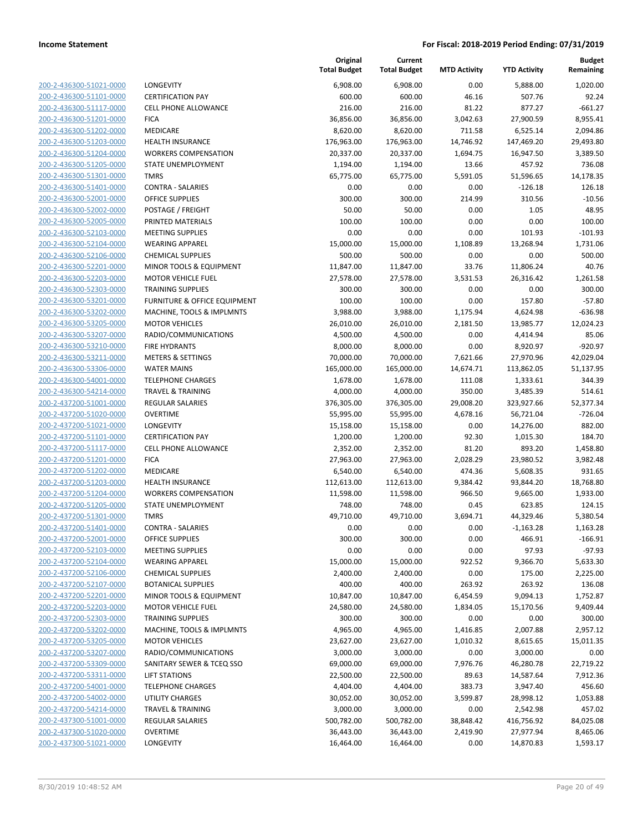| 200-2-436300-51021-0000         |
|---------------------------------|
| 200-2-436300-51101-<br>-0000    |
| 200-2-436300-51117-0000         |
| 200-2-436300-51201-0000         |
| 200-2-436300-51202-0000         |
| 200-2-436300-51203-0000         |
| 2-436300-51204-0000<br>200-     |
| 200-2-436300-51205-0000         |
| 200-2-436300-51301-0000         |
| <u>200-2-436300-51401-0000</u>  |
| 200-2-436300-52001-0000         |
| 2-436300-52002-0000<br>200-     |
| 200-2-436300-52005-0000         |
| 200-2-436300-52103-0000         |
| 200-2-436300-52104-0000         |
| 200-2-436300-52106-0000         |
| 2-436300-52201-0000<br>200-     |
| 200-2-436300-52203-0000         |
| 200-2-436300-52303-0000         |
| <u>200-2-436300-53201-0000</u>  |
| 200-2-436300-53202-0000         |
| 2-436300-53205-0000<br>200-     |
| 200-2-436300-53207-0000         |
| 200-2-436300-53210-0000         |
| <u>200-2-436300-53211-0000</u>  |
| 200-2-436300-53306-0000         |
| 2-436300-54001-0000<br>200-     |
| 200-2-436300-54214-0000         |
| 200-2-437200-51001-0000         |
| <u>200-2-437200-51020-0000</u>  |
| 200-2-437200-51021-0000         |
| 2-437200-51101<br>-0000<br>200- |
| 200-2-437200-51117-0000         |
| 200-2-437200-51201-0000         |
| <u>200-2-437200-51202-0000</u>  |
| 200-2-437200-51203-0000         |
| 2-437200-51204-0000<br>200-     |
| 200-2-437200-51205-0000         |
| 200-2-437200-51301-0000         |
| 200-2-437200-51401-0000         |
| 200-2-437200-52001-0000         |
| 200-2-437200-52103-0000         |
| 200-2-437200-52104-0000         |
| 200-2-437200-52106-0000         |
| <u>200-2-437200-52107-0000</u>  |
| <u>200-2-437200-52201-0000</u>  |
| 200-2-437200-52203-0000         |
| 200-2-437200-52303-0000         |
| 200-2-437200-53202-0000         |
| <u>200-2-437200-53205-0000</u>  |
| <u>200-2-437200-53207-0000</u>  |
| 200-2-437200-53309-0000         |
| 200-2-437200-53311-0000         |
| 200-2-437200-54001-0000         |
| <u>200-2-437200-54002-0000</u>  |
| <u>200-2-437200-54214-0000</u>  |
| 200-2-437300-51001-0000         |
| 200-2-437300-51020-0000         |
| 200-2-437300-51021-0000         |
|                                 |

| LONGEVITY                    |
|------------------------------|
| CERTIFICATION PAY            |
| CELL PHONE ALLOWANCE         |
| FICA                         |
| MEDICARE                     |
| HEALTH INSURANCE             |
| WORKERS COMPENSATION         |
| STATE UNEMPLOYMENT           |
| TMRS                         |
| CONTRA - SALARIES            |
| <b>OFFICE SUPPLIES</b>       |
| POSTAGE / FREIGHT            |
| PRINTED MATERIALS            |
| <b>MEETING SUPPLIES</b>      |
| WEARING APPAREL              |
| CHEMICAL SUPPLIES            |
| MINOR TOOLS & EQUIPMENT      |
| MOTOR VEHICLE FUEL           |
| TRAINING SUPPLIES            |
| FURNITURE & OFFICE EQUIPMENT |
| MACHINE, TOOLS & IMPLMNTS    |
| MOTOR VEHICLES               |
| RADIO/COMMUNICATIONS         |
| FIRE HYDRANTS                |
| <b>METERS &amp; SETTINGS</b> |
| WATER MAINS                  |
| TELEPHONE CHARGES            |
| TRAVEL & TRAINING            |
| REGULAR SALARIES             |
| OVERTIME                     |
| LONGEVITY                    |
| CERTIFICATION PAY            |
| CELL PHONE ALLOWANCE         |
| FICA                         |
| MEDICARE<br>HEALTH INSURANCE |
| WORKERS COMPENSATION         |
| STATE UNEMPLOYMENT           |
| TMRS                         |
| CONTRA - SALARIES            |
| OFFICE SUPPLIES              |
| <b>MEETING SUPPLIES</b>      |
| WEARING APPAREL              |
| CHEMICAL SUPPLIES            |
| <b>BOTANICAL SUPPLIES</b>    |
| MINOR TOOLS & EQUIPMENT      |
| MOTOR VEHICLE FUEL           |
| TRAINING SUPPLIES            |
| MACHINE, TOOLS & IMPLMNTS    |
| <b>MOTOR VEHICLES</b>        |
| RADIO/COMMUNICATIONS         |
| SANITARY SEWER & TCEO SSO    |
| <b>LIFT STATIONS</b>         |
| <b>TELEPHONE CHARGES</b>     |
| UTILITY CHARGES              |
| TRAVEL & TRAINING            |
| REGULAR SALARIES             |
| OVERTIME                     |
|                              |

|                         |                                                    | Original<br><b>Total Budget</b> | Current<br><b>Total Budget</b> | <b>MTD Activity</b> | <b>YTD Activity</b> | Budget<br>Remaining |
|-------------------------|----------------------------------------------------|---------------------------------|--------------------------------|---------------------|---------------------|---------------------|
| 200-2-436300-51021-0000 | LONGEVITY                                          | 6,908.00                        | 6,908.00                       | 0.00                | 5,888.00            | 1,020.00            |
| 200-2-436300-51101-0000 | <b>CERTIFICATION PAY</b>                           | 600.00                          | 600.00                         | 46.16               | 507.76              | 92.24               |
| 200-2-436300-51117-0000 | <b>CELL PHONE ALLOWANCE</b>                        | 216.00                          | 216.00                         | 81.22               | 877.27              | $-661.27$           |
| 200-2-436300-51201-0000 | <b>FICA</b>                                        | 36,856.00                       | 36,856.00                      | 3,042.63            | 27,900.59           | 8,955.41            |
| 200-2-436300-51202-0000 | MEDICARE                                           | 8,620.00                        | 8,620.00                       | 711.58              | 6,525.14            | 2,094.86            |
| 200-2-436300-51203-0000 | <b>HEALTH INSURANCE</b>                            | 176,963.00                      | 176,963.00                     | 14,746.92           | 147,469.20          | 29,493.80           |
| 200-2-436300-51204-0000 | <b>WORKERS COMPENSATION</b>                        | 20,337.00                       | 20,337.00                      | 1,694.75            | 16,947.50           | 3,389.50            |
| 200-2-436300-51205-0000 | STATE UNEMPLOYMENT                                 | 1,194.00                        | 1,194.00                       | 13.66               | 457.92              | 736.08              |
| 200-2-436300-51301-0000 | <b>TMRS</b>                                        | 65,775.00                       | 65,775.00                      | 5,591.05            | 51,596.65           | 14,178.35           |
| 200-2-436300-51401-0000 | <b>CONTRA - SALARIES</b>                           | 0.00                            | 0.00                           | 0.00                | $-126.18$           | 126.18              |
| 200-2-436300-52001-0000 | <b>OFFICE SUPPLIES</b>                             | 300.00                          | 300.00                         | 214.99              | 310.56              | $-10.56$            |
| 200-2-436300-52002-0000 | POSTAGE / FREIGHT                                  | 50.00                           | 50.00                          | 0.00                | 1.05                | 48.95               |
| 200-2-436300-52005-0000 | PRINTED MATERIALS                                  | 100.00                          | 100.00                         | 0.00                | 0.00                | 100.00              |
| 200-2-436300-52103-0000 | <b>MEETING SUPPLIES</b>                            | 0.00                            | 0.00                           | 0.00                | 101.93              | $-101.93$           |
| 200-2-436300-52104-0000 | <b>WEARING APPAREL</b>                             | 15,000.00                       | 15,000.00                      | 1,108.89            | 13,268.94           | 1,731.06            |
| 200-2-436300-52106-0000 | <b>CHEMICAL SUPPLIES</b>                           | 500.00                          | 500.00                         | 0.00                | 0.00                | 500.00              |
| 200-2-436300-52201-0000 | MINOR TOOLS & EQUIPMENT                            | 11,847.00                       | 11,847.00                      | 33.76               | 11,806.24           | 40.76               |
| 200-2-436300-52203-0000 | <b>MOTOR VEHICLE FUEL</b>                          | 27,578.00                       | 27,578.00                      | 3,531.53            | 26,316.42           | 1,261.58            |
| 200-2-436300-52303-0000 | <b>TRAINING SUPPLIES</b>                           | 300.00                          | 300.00                         | 0.00                | 0.00                | 300.00              |
| 200-2-436300-53201-0000 | <b>FURNITURE &amp; OFFICE EQUIPMENT</b>            | 100.00                          | 100.00                         | 0.00                | 157.80              | $-57.80$            |
| 200-2-436300-53202-0000 | MACHINE, TOOLS & IMPLMNTS                          | 3,988.00                        | 3,988.00                       | 1,175.94            | 4,624.98            | $-636.98$           |
| 200-2-436300-53205-0000 | <b>MOTOR VEHICLES</b>                              | 26,010.00                       | 26,010.00                      | 2,181.50            | 13,985.77           | 12,024.23           |
| 200-2-436300-53207-0000 | RADIO/COMMUNICATIONS                               | 4,500.00                        | 4,500.00                       | 0.00                | 4,414.94            | 85.06               |
| 200-2-436300-53210-0000 | <b>FIRE HYDRANTS</b>                               | 8,000.00                        | 8,000.00                       | 0.00                | 8,920.97            | $-920.97$           |
| 200-2-436300-53211-0000 | <b>METERS &amp; SETTINGS</b>                       | 70,000.00                       | 70,000.00                      | 7,621.66            | 27,970.96           | 42,029.04           |
| 200-2-436300-53306-0000 | <b>WATER MAINS</b>                                 | 165,000.00                      | 165,000.00                     | 14,674.71           | 113,862.05          | 51,137.95           |
| 200-2-436300-54001-0000 | <b>TELEPHONE CHARGES</b>                           | 1,678.00                        | 1,678.00                       | 111.08              | 1,333.61            | 344.39              |
| 200-2-436300-54214-0000 | <b>TRAVEL &amp; TRAINING</b>                       | 4,000.00                        | 4,000.00                       | 350.00              | 3,485.39            | 514.61              |
| 200-2-437200-51001-0000 | <b>REGULAR SALARIES</b>                            | 376,305.00                      | 376,305.00                     | 29,008.20           | 323,927.66          | 52,377.34           |
| 200-2-437200-51020-0000 | <b>OVERTIME</b>                                    | 55,995.00                       | 55,995.00                      | 4,678.16            | 56,721.04           | $-726.04$           |
| 200-2-437200-51021-0000 | LONGEVITY                                          | 15,158.00                       | 15,158.00                      | 0.00                | 14,276.00           | 882.00              |
| 200-2-437200-51101-0000 | <b>CERTIFICATION PAY</b>                           | 1,200.00                        | 1,200.00                       | 92.30               | 1,015.30            | 184.70              |
| 200-2-437200-51117-0000 | <b>CELL PHONE ALLOWANCE</b>                        | 2,352.00                        | 2,352.00                       | 81.20               | 893.20              | 1,458.80            |
| 200-2-437200-51201-0000 | <b>FICA</b>                                        | 27,963.00                       | 27,963.00                      | 2,028.29            | 23,980.52           | 3,982.48            |
| 200-2-437200-51202-0000 | MEDICARE                                           | 6,540.00                        | 6,540.00                       | 474.36              | 5,608.35            | 931.65              |
| 200-2-437200-51203-0000 | <b>HEALTH INSURANCE</b>                            | 112,613.00                      | 112,613.00                     | 9,384.42            | 93,844.20           | 18,768.80           |
| 200-2-437200-51204-0000 | <b>WORKERS COMPENSATION</b>                        | 11,598.00                       | 11,598.00                      | 966.50              | 9,665.00            | 1,933.00            |
| 200-2-437200-51205-0000 | <b>STATE UNEMPLOYMENT</b>                          | 748.00                          | 748.00                         | 0.45                | 623.85              | 124.15              |
| 200-2-437200-51301-0000 | <b>TMRS</b>                                        | 49,710.00                       | 49,710.00                      | 3,694.71            | 44,329.46           | 5,380.54            |
| 200-2-437200-51401-0000 | <b>CONTRA - SALARIES</b>                           | 0.00                            | 0.00                           | 0.00                | $-1,163.28$         | 1,163.28            |
| 200-2-437200-52001-0000 | OFFICE SUPPLIES                                    | 300.00                          | 300.00                         | 0.00                | 466.91              | $-166.91$           |
| 200-2-437200-52103-0000 | <b>MEETING SUPPLIES</b>                            | 0.00                            | 0.00                           | 0.00                | 97.93               | $-97.93$            |
| 200-2-437200-52104-0000 | <b>WEARING APPAREL</b>                             | 15,000.00                       | 15,000.00                      | 922.52              | 9,366.70            | 5,633.30            |
| 200-2-437200-52106-0000 | <b>CHEMICAL SUPPLIES</b>                           | 2,400.00                        | 2,400.00                       | 0.00                | 175.00              | 2,225.00            |
| 200-2-437200-52107-0000 | <b>BOTANICAL SUPPLIES</b>                          | 400.00                          | 400.00                         | 263.92              | 263.92              | 136.08              |
| 200-2-437200-52201-0000 | MINOR TOOLS & EQUIPMENT                            | 10,847.00                       | 10,847.00                      | 6,454.59            | 9,094.13            | 1,752.87            |
| 200-2-437200-52203-0000 | <b>MOTOR VEHICLE FUEL</b>                          | 24,580.00                       | 24,580.00                      | 1,834.05            | 15,170.56           | 9,409.44            |
| 200-2-437200-52303-0000 | <b>TRAINING SUPPLIES</b>                           | 300.00                          | 300.00                         | 0.00                | 0.00                | 300.00              |
| 200-2-437200-53202-0000 | MACHINE, TOOLS & IMPLMNTS                          | 4,965.00                        | 4,965.00                       | 1,416.85            | 2,007.88            | 2,957.12            |
| 200-2-437200-53205-0000 | <b>MOTOR VEHICLES</b>                              | 23,627.00                       | 23,627.00                      | 1,010.32            | 8,615.65            | 15,011.35           |
| 200-2-437200-53207-0000 | RADIO/COMMUNICATIONS                               | 3,000.00                        | 3,000.00                       | 0.00                | 3,000.00            | 0.00                |
| 200-2-437200-53309-0000 | SANITARY SEWER & TCEQ SSO                          | 69,000.00                       | 69,000.00                      | 7,976.76            | 46,280.78           | 22,719.22           |
| 200-2-437200-53311-0000 | <b>LIFT STATIONS</b>                               | 22,500.00                       | 22,500.00                      | 89.63               |                     | 7,912.36            |
| 200-2-437200-54001-0000 |                                                    |                                 |                                |                     | 14,587.64           |                     |
|                         | <b>TELEPHONE CHARGES</b><br><b>UTILITY CHARGES</b> | 4,404.00                        | 4,404.00                       | 383.73              | 3,947.40            | 456.60              |
| 200-2-437200-54002-0000 |                                                    | 30,052.00                       | 30,052.00                      | 3,599.87            | 28,998.12           | 1,053.88            |
| 200-2-437200-54214-0000 | <b>TRAVEL &amp; TRAINING</b>                       | 3,000.00                        | 3,000.00                       | 0.00                | 2,542.98            | 457.02              |
| 200-2-437300-51001-0000 | <b>REGULAR SALARIES</b>                            | 500,782.00                      | 500,782.00                     | 38,848.42           | 416,756.92          | 84,025.08           |
| 200-2-437300-51020-0000 | <b>OVERTIME</b>                                    | 36,443.00                       | 36,443.00                      | 2,419.90            | 27,977.94           | 8,465.06            |
| 200-2-437300-51021-0000 | LONGEVITY                                          | 16,464.00                       | 16,464.00                      | 0.00                | 14,870.83           | 1,593.17            |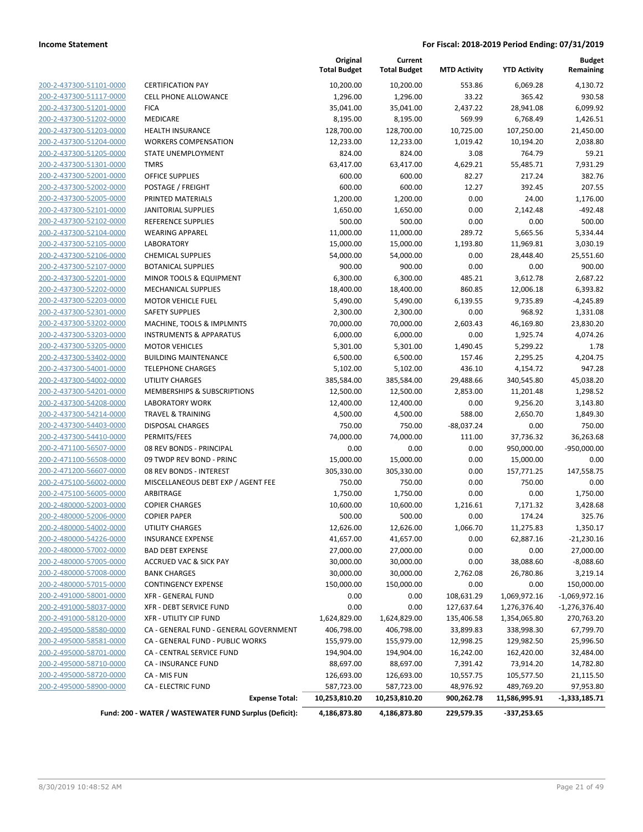| 200-2-437300-51101-0000        |
|--------------------------------|
| 200-2-437300-51117-0000        |
| 200-2-437300-51201-0000        |
| 200-2-437300-51202-0000        |
| 200-2-437300-51203-0000        |
| 200-2-437300-51204-0000        |
| 200-2-437300-51205-0000        |
| 200-2-437300-51301-0000        |
| 200-2-437300-52001-0000        |
| <u>200-2-437300-52002-0000</u> |
| 200-2-437300-52005-0000        |
| 200-2-437300-52101-0000        |
| 200-2-437300-52102-0000        |
| 200-2-437300-52104-0000        |
| <u>200-2-437300-52105-0000</u> |
| 200-2-437300-52106-0000        |
| 200-2-437300-52107-0000        |
| 200-2-437300-52201-0000        |
| 200-2-437300-52202-0000        |
| 200-2-437300-52203-0000        |
| 200-2-437300-52301-0000        |
| 200-2-437300-53202-0000        |
| 200-2-437300-53203-0000        |
| 200-2-437300-53205-0000        |
| 200-2-437300-53402-0000        |
| 200-2-437300-54001-0000        |
| 200-2-437300-54002-0000        |
| 200-2-437300-54201-0000        |
| 200-2-437300-54208-0000        |
| 200-2-437300-54214-0000        |
|                                |
| 200-2-437300-54403-0000        |
| 200-2-437300-54410-0000        |
| 200-2-471100-56507-0000        |
| 200-2-471100-56508-0000        |
| 200-2-471200-56607-0000        |
| 200-2-475100-56002-0000        |
| 200-2-475100-56005-0000        |
| 200-2-480000-52003-0000        |
| 200-2-480000-52006-0000        |
| 200-2-480000-54002-0000        |
| 200-2-480000-54226-0000        |
| <u>200-2-480000-57002-0000</u> |
| 200-2-480000-57005-0000        |
| 200-2-480000-57008-0000        |
| <u>200-2-480000-57015-0000</u> |
| 200-2-491000-58001-0000        |
| <u>200-2-491000-58037-0000</u> |
| 200-2-491000-58120-0000        |
| 200-2-495000-58580-0000        |
| 200-2-495000-58581-0000        |
| <u>200-2-495000-58701-0000</u> |
| 200-2-495000-58710-0000        |
| 200-2-495000-58720-0000        |
| 200-2-495000-58900-0000        |
|                                |

|                                                    |                                        | Original<br><b>Total Budget</b> | Current<br><b>Total Budget</b> | <b>MTD Activity</b> | <b>YTD Activity</b> | Budget<br>Remaining |
|----------------------------------------------------|----------------------------------------|---------------------------------|--------------------------------|---------------------|---------------------|---------------------|
| 200-2-437300-51101-0000                            | <b>CERTIFICATION PAY</b>               | 10,200.00                       | 10,200.00                      | 553.86              | 6,069.28            | 4,130.72            |
| 200-2-437300-51117-0000                            | CELL PHONE ALLOWANCE                   | 1,296.00                        | 1,296.00                       | 33.22               | 365.42              | 930.58              |
| 200-2-437300-51201-0000                            | <b>FICA</b>                            | 35,041.00                       | 35,041.00                      | 2,437.22            | 28,941.08           | 6,099.92            |
| 200-2-437300-51202-0000                            | MEDICARE                               | 8,195.00                        | 8,195.00                       | 569.99              | 6,768.49            | 1,426.51            |
| 200-2-437300-51203-0000                            | <b>HEALTH INSURANCE</b>                | 128,700.00                      | 128,700.00                     | 10,725.00           | 107,250.00          | 21,450.00           |
| 200-2-437300-51204-0000                            | <b>WORKERS COMPENSATION</b>            | 12,233.00                       | 12,233.00                      | 1,019.42            | 10,194.20           | 2,038.80            |
| 200-2-437300-51205-0000                            | STATE UNEMPLOYMENT                     | 824.00                          | 824.00                         | 3.08                | 764.79              | 59.21               |
| 200-2-437300-51301-0000                            | <b>TMRS</b>                            | 63,417.00                       | 63,417.00                      | 4,629.21            | 55,485.71           | 7,931.29            |
| 200-2-437300-52001-0000                            | <b>OFFICE SUPPLIES</b>                 | 600.00                          | 600.00                         | 82.27               | 217.24              | 382.76              |
| 200-2-437300-52002-0000                            | POSTAGE / FREIGHT                      | 600.00                          | 600.00                         | 12.27               | 392.45              | 207.55              |
| 200-2-437300-52005-0000                            | PRINTED MATERIALS                      | 1,200.00                        | 1,200.00                       | 0.00                | 24.00               | 1,176.00            |
| 200-2-437300-52101-0000                            | <b>JANITORIAL SUPPLIES</b>             | 1,650.00                        | 1,650.00                       | 0.00                | 2,142.48            | $-492.48$           |
| 200-2-437300-52102-0000                            | REFERENCE SUPPLIES                     | 500.00                          | 500.00                         | 0.00                | 0.00                | 500.00              |
| 200-2-437300-52104-0000                            | <b>WEARING APPAREL</b>                 | 11,000.00                       | 11,000.00                      | 289.72              | 5,665.56            | 5,334.44            |
| 200-2-437300-52105-0000                            | <b>LABORATORY</b>                      | 15,000.00                       | 15,000.00                      | 1,193.80            | 11,969.81           | 3,030.19            |
| 200-2-437300-52106-0000                            | <b>CHEMICAL SUPPLIES</b>               | 54,000.00                       | 54,000.00                      | 0.00                | 28,448.40           | 25,551.60           |
| 200-2-437300-52107-0000                            | <b>BOTANICAL SUPPLIES</b>              | 900.00                          | 900.00                         | 0.00                | 0.00                | 900.00              |
| 200-2-437300-52201-0000                            | MINOR TOOLS & EQUIPMENT                | 6,300.00                        | 6,300.00                       | 485.21              | 3,612.78            | 2,687.22            |
| 200-2-437300-52202-0000                            | <b>MECHANICAL SUPPLIES</b>             | 18,400.00                       | 18,400.00                      | 860.85              | 12,006.18           | 6,393.82            |
| 200-2-437300-52203-0000                            | <b>MOTOR VEHICLE FUEL</b>              | 5,490.00                        | 5,490.00                       | 6,139.55            | 9,735.89            | $-4,245.89$         |
| 200-2-437300-52301-0000                            | <b>SAFETY SUPPLIES</b>                 | 2,300.00                        | 2,300.00                       | 0.00                | 968.92              | 1,331.08            |
| 200-2-437300-53202-0000                            | MACHINE, TOOLS & IMPLMNTS              | 70,000.00                       | 70,000.00                      | 2,603.43            | 46,169.80           | 23,830.20           |
| 200-2-437300-53203-0000                            | <b>INSTRUMENTS &amp; APPARATUS</b>     | 6,000.00                        | 6,000.00                       | 0.00                | 1,925.74            | 4,074.26            |
| 200-2-437300-53205-0000                            | <b>MOTOR VEHICLES</b>                  | 5,301.00                        | 5,301.00                       | 1,490.45            | 5,299.22            | 1.78                |
| 200-2-437300-53402-0000                            | <b>BUILDING MAINTENANCE</b>            | 6,500.00                        | 6,500.00                       | 157.46              | 2,295.25            | 4,204.75            |
| 200-2-437300-54001-0000                            | <b>TELEPHONE CHARGES</b>               | 5,102.00                        | 5,102.00                       | 436.10              | 4,154.72            | 947.28              |
| 200-2-437300-54002-0000                            | UTILITY CHARGES                        | 385,584.00                      | 385,584.00                     | 29,488.66           | 340,545.80          | 45,038.20           |
| 200-2-437300-54201-0000                            | <b>MEMBERSHIPS &amp; SUBSCRIPTIONS</b> | 12,500.00                       | 12,500.00                      | 2,853.00            | 11,201.48           | 1,298.52            |
| 200-2-437300-54208-0000                            | <b>LABORATORY WORK</b>                 | 12,400.00                       | 12,400.00                      | 0.00                | 9,256.20            | 3,143.80            |
| 200-2-437300-54214-0000                            | <b>TRAVEL &amp; TRAINING</b>           | 4,500.00                        | 4,500.00                       | 588.00              | 2,650.70            | 1,849.30            |
| 200-2-437300-54403-0000                            | DISPOSAL CHARGES                       | 750.00                          | 750.00                         | $-88,037.24$        | 0.00                | 750.00              |
| 200-2-437300-54410-0000                            | PERMITS/FEES                           | 74,000.00                       | 74,000.00                      | 111.00              | 37,736.32           | 36,263.68           |
| 200-2-471100-56507-0000                            | 08 REV BONDS - PRINCIPAL               | 0.00                            | 0.00                           | 0.00                | 950,000.00          | $-950,000.00$       |
| 200-2-471100-56508-0000                            | 09 TWDP REV BOND - PRINC               | 15,000.00                       | 15,000.00                      | 0.00                | 15,000.00           | 0.00                |
| 200-2-471200-56607-0000                            | 08 REV BONDS - INTEREST                | 305,330.00                      | 305,330.00                     | 0.00                | 157,771.25          | 147,558.75          |
| 200-2-475100-56002-0000                            | MISCELLANEOUS DEBT EXP / AGENT FEE     | 750.00                          | 750.00                         | 0.00                | 750.00              | 0.00                |
| 200-2-475100-56005-0000                            | ARBITRAGE                              | 1,750.00                        | 1,750.00                       | 0.00                | 0.00                | 1,750.00            |
| 200-2-480000-52003-0000                            | <b>COPIER CHARGES</b>                  | 10,600.00                       | 10,600.00                      | 1,216.61            | 7,171.32            | 3,428.68            |
| 200-2-480000-52006-0000                            | <b>COPIER PAPER</b>                    | 500.00                          | 500.00                         | 0.00                | 174.24              | 325.76              |
| 200-2-480000-54002-0000                            | UTILITY CHARGES                        | 12,626.00                       | 12,626.00                      | 1,066.70            | 11,275.83           | 1,350.17            |
| 200-2-480000-54226-0000                            | <b>INSURANCE EXPENSE</b>               | 41,657.00                       | 41,657.00                      | 0.00                | 62,887.16           | $-21,230.16$        |
| 200-2-480000-57002-0000                            | <b>BAD DEBT EXPENSE</b>                | 27,000.00                       | 27,000.00                      | 0.00                | 0.00                | 27,000.00           |
| 200-2-480000-57005-0000                            | <b>ACCRUED VAC &amp; SICK PAY</b>      | 30,000.00                       | 30,000.00                      | 0.00                | 38,088.60           | $-8,088.60$         |
| 200-2-480000-57008-0000                            | <b>BANK CHARGES</b>                    | 30,000.00                       | 30,000.00                      | 2,762.08            | 26,780.86           | 3,219.14            |
| 200-2-480000-57015-0000                            | <b>CONTINGENCY EXPENSE</b>             | 150,000.00                      | 150,000.00                     | 0.00                | 0.00                | 150,000.00          |
| 200-2-491000-58001-0000                            | <b>XFR - GENERAL FUND</b>              | 0.00                            | 0.00                           | 108,631.29          | 1,069,972.16        | $-1,069,972.16$     |
| 200-2-491000-58037-0000                            | XFR - DEBT SERVICE FUND                | 0.00                            | 0.00                           | 127,637.64          | 1,276,376.40        | $-1,276,376.40$     |
| 200-2-491000-58120-0000                            | XFR - UTILITY CIP FUND                 | 1,624,829.00                    | 1,624,829.00                   | 135,406.58          | 1,354,065.80        | 270,763.20          |
| 200-2-495000-58580-0000                            | CA - GENERAL FUND - GENERAL GOVERNMENT | 406,798.00                      | 406,798.00                     | 33,899.83           | 338,998.30          | 67,799.70           |
| 200-2-495000-58581-0000                            | CA - GENERAL FUND - PUBLIC WORKS       | 155,979.00                      | 155,979.00                     | 12,998.25           | 129,982.50          | 25,996.50           |
| 200-2-495000-58701-0000                            | CA - CENTRAL SERVICE FUND              | 194,904.00                      | 194,904.00                     | 16,242.00           | 162,420.00          | 32,484.00           |
| 200-2-495000-58710-0000                            | <b>CA - INSURANCE FUND</b>             | 88,697.00                       | 88,697.00                      | 7,391.42            | 73,914.20           | 14,782.80           |
| 200-2-495000-58720-0000<br>200-2-495000-58900-0000 | CA - MIS FUN                           | 126,693.00                      | 126,693.00                     | 10,557.75           | 105,577.50          | 21,115.50           |
|                                                    | <b>CA - ELECTRIC FUND</b>              | 587,723.00                      | 587,723.00                     | 48,976.92           | 489,769.20          | 97,953.80           |
|                                                    | <b>Expense Total:</b>                  | 10,253,810.20                   | 10,253,810.20                  | 900,262.78          | 11,586,995.91       | $-1,333,185.71$     |

**Fund: 200 - WATER / WASTEWATER FUND Surplus (Deficit): 4,186,873.80 4,186,873.80 229,579.35 -337,253.65**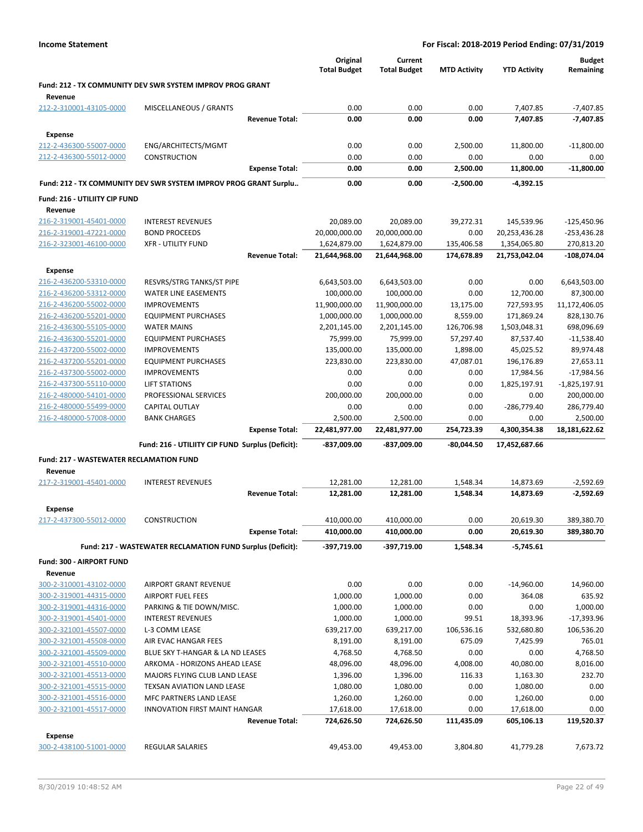|                                                    |                                                                  |                       | Original<br><b>Total Budget</b> | Current<br><b>Total Budget</b> | <b>MTD Activity</b>  | <b>YTD Activity</b>    | <b>Budget</b><br>Remaining |
|----------------------------------------------------|------------------------------------------------------------------|-----------------------|---------------------------------|--------------------------------|----------------------|------------------------|----------------------------|
| Revenue                                            | Fund: 212 - TX COMMUNITY DEV SWR SYSTEM IMPROV PROG GRANT        |                       |                                 |                                |                      |                        |                            |
| 212-2-310001-43105-0000                            | MISCELLANEOUS / GRANTS                                           |                       | 0.00                            | 0.00                           | 0.00                 | 7,407.85               | $-7,407.85$                |
|                                                    |                                                                  | <b>Revenue Total:</b> | 0.00                            | 0.00                           | 0.00                 | 7,407.85               | $-7,407.85$                |
| <b>Expense</b>                                     |                                                                  |                       |                                 |                                |                      |                        |                            |
| 212-2-436300-55007-0000                            | ENG/ARCHITECTS/MGMT                                              |                       | 0.00                            | 0.00                           | 2,500.00             | 11,800.00              | $-11,800.00$               |
| 212-2-436300-55012-0000                            | CONSTRUCTION                                                     |                       | 0.00                            | 0.00                           | 0.00                 | 0.00                   | 0.00                       |
|                                                    |                                                                  | <b>Expense Total:</b> | 0.00                            | 0.00                           | 2,500.00             | 11,800.00              | $-11,800.00$               |
|                                                    | Fund: 212 - TX COMMUNITY DEV SWR SYSTEM IMPROV PROG GRANT Surplu |                       | 0.00                            | 0.00                           | $-2,500.00$          | $-4,392.15$            |                            |
| Fund: 216 - UTILIITY CIP FUND                      |                                                                  |                       |                                 |                                |                      |                        |                            |
| Revenue                                            |                                                                  |                       |                                 |                                |                      |                        |                            |
| 216-2-319001-45401-0000                            | <b>INTEREST REVENUES</b>                                         |                       | 20,089.00                       | 20,089.00                      | 39,272.31            | 145,539.96             | $-125,450.96$              |
| 216-2-319001-47221-0000                            | <b>BOND PROCEEDS</b>                                             |                       | 20,000,000.00                   | 20,000,000.00                  | 0.00                 | 20,253,436.28          | $-253,436.28$              |
| 216-2-323001-46100-0000                            | <b>XFR - UTILITY FUND</b>                                        |                       | 1,624,879.00                    | 1,624,879.00                   | 135,406.58           | 1,354,065.80           | 270,813.20                 |
|                                                    |                                                                  | <b>Revenue Total:</b> | 21,644,968.00                   | 21,644,968.00                  | 174,678.89           | 21,753,042.04          | $-108,074.04$              |
| <b>Expense</b>                                     |                                                                  |                       |                                 |                                |                      |                        |                            |
| 216-2-436200-53310-0000                            | RESVRS/STRG TANKS/ST PIPE                                        |                       | 6,643,503.00                    | 6,643,503.00                   | 0.00                 | 0.00                   | 6,643,503.00               |
| 216-2-436200-53312-0000                            | <b>WATER LINE EASEMENTS</b>                                      |                       | 100,000.00                      | 100,000.00                     | 0.00                 | 12,700.00              | 87,300.00                  |
| 216-2-436200-55002-0000                            | <b>IMPROVEMENTS</b>                                              |                       | 11,900,000.00                   | 11,900,000.00                  | 13,175.00            | 727,593.95             | 11,172,406.05              |
| 216-2-436200-55201-0000                            | <b>EQUIPMENT PURCHASES</b>                                       |                       | 1,000,000.00                    | 1,000,000.00                   | 8,559.00             | 171,869.24             | 828,130.76                 |
| 216-2-436300-55105-0000                            | <b>WATER MAINS</b>                                               |                       | 2,201,145.00                    | 2,201,145.00                   | 126,706.98           | 1,503,048.31           | 698,096.69                 |
| 216-2-436300-55201-0000                            | <b>EQUIPMENT PURCHASES</b>                                       |                       | 75,999.00                       | 75,999.00                      | 57,297.40            | 87,537.40              | $-11,538.40$               |
| 216-2-437200-55002-0000                            | <b>IMPROVEMENTS</b>                                              |                       | 135,000.00                      | 135,000.00                     | 1,898.00             | 45,025.52              | 89,974.48                  |
| 216-2-437200-55201-0000                            | <b>EQUIPMENT PURCHASES</b>                                       |                       | 223,830.00                      | 223,830.00                     | 47,087.01            | 196,176.89             | 27,653.11                  |
| 216-2-437300-55002-0000                            | <b>IMPROVEMENTS</b>                                              |                       | 0.00                            | 0.00                           | 0.00                 | 17,984.56              | $-17,984.56$               |
| 216-2-437300-55110-0000                            | <b>LIFT STATIONS</b>                                             |                       | 0.00                            | 0.00                           | 0.00                 | 1,825,197.91           | $-1,825,197.91$            |
| 216-2-480000-54101-0000                            | PROFESSIONAL SERVICES                                            |                       | 200,000.00                      | 200,000.00                     | 0.00                 | 0.00                   | 200,000.00                 |
| 216-2-480000-55499-0000                            | CAPITAL OUTLAY                                                   |                       | 0.00                            | 0.00                           | 0.00                 | -286,779.40            | 286,779.40                 |
| 216-2-480000-57008-0000                            | <b>BANK CHARGES</b>                                              |                       | 2,500.00                        | 2,500.00                       | 0.00                 | 0.00                   | 2,500.00                   |
|                                                    |                                                                  | <b>Expense Total:</b> | 22,481,977.00                   | 22,481,977.00                  | 254,723.39           | 4,300,354.38           | 18,181,622.62              |
|                                                    | Fund: 216 - UTILIITY CIP FUND Surplus (Deficit):                 |                       | -837,009.00                     | -837,009.00                    | $-80,044.50$         | 17,452,687.66          |                            |
| <b>Fund: 217 - WASTEWATER RECLAMATION FUND</b>     |                                                                  |                       |                                 |                                |                      |                        |                            |
| Revenue                                            |                                                                  |                       |                                 |                                |                      |                        |                            |
| 217-2-319001-45401-0000                            | <b>INTEREST REVENUES</b>                                         | <b>Revenue Total:</b> | 12,281.00<br>12,281.00          | 12,281.00<br>12,281.00         | 1,548.34<br>1,548.34 | 14,873.69<br>14,873.69 | $-2,592.69$<br>$-2,592.69$ |
|                                                    |                                                                  |                       |                                 |                                |                      |                        |                            |
| Expense                                            |                                                                  |                       |                                 |                                |                      |                        |                            |
| 217-2-437300-55012-0000                            | <b>CONSTRUCTION</b>                                              |                       | 410,000.00                      | 410,000.00<br>410,000.00       | 0.00                 | 20,619.30              | 389,380.70                 |
|                                                    |                                                                  | <b>Expense Total:</b> | 410,000.00                      |                                | 0.00                 | 20,619.30              | 389,380.70                 |
|                                                    | Fund: 217 - WASTEWATER RECLAMATION FUND Surplus (Deficit):       |                       | -397,719.00                     | -397,719.00                    | 1,548.34             | $-5,745.61$            |                            |
| Fund: 300 - AIRPORT FUND                           |                                                                  |                       |                                 |                                |                      |                        |                            |
| Revenue                                            |                                                                  |                       |                                 |                                |                      |                        |                            |
| 300-2-310001-43102-0000                            | <b>AIRPORT GRANT REVENUE</b>                                     |                       | 0.00                            | 0.00                           | 0.00                 | $-14,960.00$           | 14,960.00                  |
| 300-2-319001-44315-0000                            | <b>AIRPORT FUEL FEES</b>                                         |                       | 1,000.00                        | 1,000.00                       | 0.00                 | 364.08                 | 635.92                     |
| 300-2-319001-44316-0000                            | PARKING & TIE DOWN/MISC.                                         |                       | 1,000.00                        | 1,000.00                       | 0.00                 | 0.00                   | 1,000.00                   |
| 300-2-319001-45401-0000                            | <b>INTEREST REVENUES</b>                                         |                       | 1,000.00                        | 1,000.00                       | 99.51                | 18,393.96              | $-17,393.96$               |
| 300-2-321001-45507-0000                            | L-3 COMM LEASE                                                   |                       | 639,217.00                      | 639,217.00                     | 106,536.16           | 532,680.80             | 106,536.20                 |
| 300-2-321001-45508-0000                            | AIR EVAC HANGAR FEES                                             |                       | 8,191.00                        | 8,191.00                       | 675.09               | 7,425.99               | 765.01                     |
| 300-2-321001-45509-0000                            | BLUE SKY T-HANGAR & LA ND LEASES                                 |                       | 4,768.50                        | 4,768.50                       | 0.00                 | 0.00                   | 4,768.50                   |
| 300-2-321001-45510-0000                            | ARKOMA - HORIZONS AHEAD LEASE                                    |                       | 48,096.00                       | 48,096.00                      | 4,008.00             | 40,080.00              | 8,016.00                   |
| 300-2-321001-45513-0000<br>300-2-321001-45515-0000 | MAJORS FLYING CLUB LAND LEASE                                    |                       | 1,396.00<br>1,080.00            | 1,396.00                       | 116.33<br>0.00       | 1,163.30               | 232.70<br>0.00             |
| 300-2-321001-45516-0000                            | TEXSAN AVIATION LAND LEASE<br>MFC PARTNERS LAND LEASE            |                       | 1,260.00                        | 1,080.00<br>1,260.00           | 0.00                 | 1,080.00<br>1,260.00   | 0.00                       |
| 300-2-321001-45517-0000                            | <b>INNOVATION FIRST MAINT HANGAR</b>                             |                       | 17,618.00                       | 17,618.00                      | 0.00                 | 17,618.00              | 0.00                       |
|                                                    |                                                                  | <b>Revenue Total:</b> | 724,626.50                      | 724,626.50                     | 111,435.09           | 605,106.13             | 119,520.37                 |
|                                                    |                                                                  |                       |                                 |                                |                      |                        |                            |
| <b>Expense</b><br>300-2-438100-51001-0000          | <b>REGULAR SALARIES</b>                                          |                       | 49,453.00                       | 49,453.00                      | 3,804.80             | 41,779.28              | 7,673.72                   |
|                                                    |                                                                  |                       |                                 |                                |                      |                        |                            |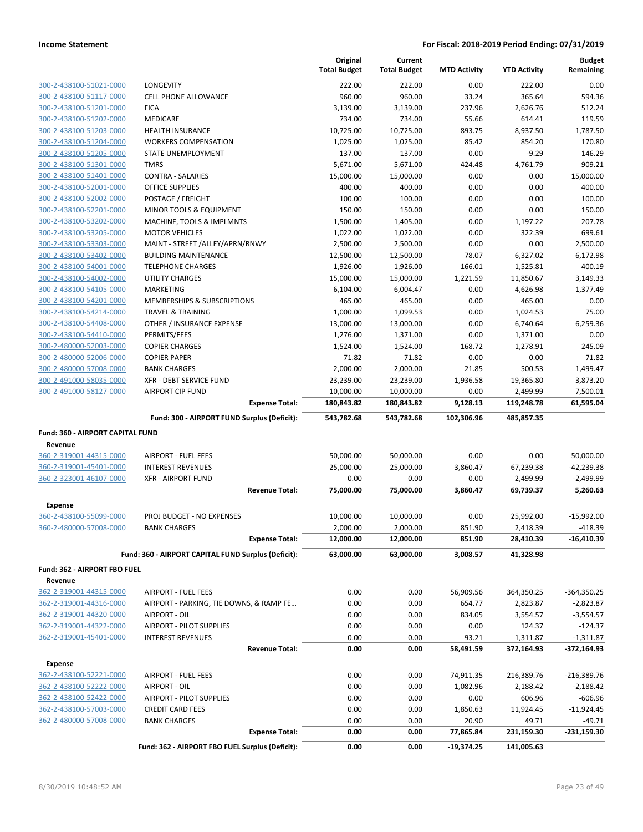|                                                    |                                                                 | Original<br><b>Total Budget</b> | Current<br><b>Total Budget</b> | <b>MTD Activity</b> | <b>YTD Activity</b>  | <b>Budget</b><br>Remaining |
|----------------------------------------------------|-----------------------------------------------------------------|---------------------------------|--------------------------------|---------------------|----------------------|----------------------------|
| 300-2-438100-51021-0000                            | <b>LONGEVITY</b>                                                | 222.00                          | 222.00                         | 0.00                | 222.00               | 0.00                       |
| 300-2-438100-51117-0000                            | <b>CELL PHONE ALLOWANCE</b>                                     | 960.00                          | 960.00                         | 33.24               | 365.64               | 594.36                     |
| 300-2-438100-51201-0000                            | <b>FICA</b>                                                     | 3,139.00                        | 3,139.00                       | 237.96              | 2,626.76             | 512.24                     |
| 300-2-438100-51202-0000                            | <b>MEDICARE</b>                                                 | 734.00                          | 734.00                         | 55.66               | 614.41               | 119.59                     |
| 300-2-438100-51203-0000                            | <b>HEALTH INSURANCE</b>                                         | 10,725.00                       | 10,725.00                      | 893.75              | 8,937.50             | 1,787.50                   |
| 300-2-438100-51204-0000                            | <b>WORKERS COMPENSATION</b>                                     | 1,025.00                        | 1,025.00                       | 85.42               | 854.20               | 170.80                     |
| 300-2-438100-51205-0000                            | STATE UNEMPLOYMENT                                              | 137.00                          | 137.00                         | 0.00                | $-9.29$              | 146.29                     |
| 300-2-438100-51301-0000                            | <b>TMRS</b>                                                     | 5,671.00                        | 5,671.00                       | 424.48              | 4,761.79             | 909.21                     |
| 300-2-438100-51401-0000                            | <b>CONTRA - SALARIES</b>                                        | 15,000.00                       | 15,000.00                      | 0.00                | 0.00                 | 15,000.00                  |
| 300-2-438100-52001-0000                            | <b>OFFICE SUPPLIES</b>                                          | 400.00                          | 400.00                         | 0.00                | 0.00                 | 400.00                     |
| 300-2-438100-52002-0000                            | POSTAGE / FREIGHT                                               | 100.00                          | 100.00                         | 0.00                | 0.00                 | 100.00                     |
| 300-2-438100-52201-0000                            | MINOR TOOLS & EQUIPMENT                                         | 150.00                          | 150.00                         | 0.00                | 0.00                 | 150.00                     |
| 300-2-438100-53202-0000                            | MACHINE, TOOLS & IMPLMNTS                                       | 1,500.00                        | 1,405.00                       | 0.00                | 1,197.22             | 207.78                     |
| 300-2-438100-53205-0000                            | <b>MOTOR VEHICLES</b>                                           | 1,022.00                        | 1,022.00                       | 0.00                | 322.39               | 699.61                     |
| 300-2-438100-53303-0000                            | MAINT - STREET / ALLEY/APRN/RNWY<br><b>BUILDING MAINTENANCE</b> | 2,500.00                        | 2,500.00                       | 0.00<br>78.07       | 0.00                 | 2,500.00                   |
| 300-2-438100-53402-0000<br>300-2-438100-54001-0000 | <b>TELEPHONE CHARGES</b>                                        | 12,500.00<br>1,926.00           | 12,500.00<br>1,926.00          | 166.01              | 6,327.02<br>1,525.81 | 6,172.98<br>400.19         |
| 300-2-438100-54002-0000                            | <b>UTILITY CHARGES</b>                                          | 15,000.00                       | 15,000.00                      | 1,221.59            | 11,850.67            | 3,149.33                   |
| 300-2-438100-54105-0000                            | MARKETING                                                       | 6,104.00                        | 6,004.47                       | 0.00                | 4,626.98             | 1,377.49                   |
| 300-2-438100-54201-0000                            | MEMBERSHIPS & SUBSCRIPTIONS                                     | 465.00                          | 465.00                         | 0.00                | 465.00               | 0.00                       |
| 300-2-438100-54214-0000                            | <b>TRAVEL &amp; TRAINING</b>                                    | 1,000.00                        | 1,099.53                       | 0.00                | 1,024.53             | 75.00                      |
| 300-2-438100-54408-0000                            | OTHER / INSURANCE EXPENSE                                       | 13,000.00                       | 13,000.00                      | 0.00                | 6,740.64             | 6,259.36                   |
| 300-2-438100-54410-0000                            | PERMITS/FEES                                                    | 1,276.00                        | 1,371.00                       | 0.00                | 1,371.00             | 0.00                       |
| 300-2-480000-52003-0000                            | <b>COPIER CHARGES</b>                                           | 1,524.00                        | 1,524.00                       | 168.72              | 1,278.91             | 245.09                     |
| 300-2-480000-52006-0000                            | <b>COPIER PAPER</b>                                             | 71.82                           | 71.82                          | 0.00                | 0.00                 | 71.82                      |
| 300-2-480000-57008-0000                            | <b>BANK CHARGES</b>                                             | 2,000.00                        | 2,000.00                       | 21.85               | 500.53               | 1,499.47                   |
| 300-2-491000-58035-0000                            | XFR - DEBT SERVICE FUND                                         | 23,239.00                       | 23,239.00                      | 1,936.58            | 19,365.80            | 3,873.20                   |
| 300-2-491000-58127-0000                            | <b>AIRPORT CIP FUND</b>                                         | 10,000.00                       | 10,000.00                      | 0.00                | 2,499.99             | 7,500.01                   |
|                                                    | <b>Expense Total:</b>                                           | 180,843.82                      | 180,843.82                     | 9,128.13            | 119,248.78           | 61,595.04                  |
|                                                    | Fund: 300 - AIRPORT FUND Surplus (Deficit):                     | 543,782.68                      | 543,782.68                     | 102,306.96          | 485,857.35           |                            |
| Fund: 360 - AIRPORT CAPITAL FUND                   |                                                                 |                                 |                                |                     |                      |                            |
| Revenue                                            |                                                                 |                                 |                                |                     |                      |                            |
| 360-2-319001-44315-0000                            | <b>AIRPORT - FUEL FEES</b>                                      | 50,000.00                       | 50,000.00                      | 0.00                | 0.00                 | 50,000.00                  |
| 360-2-319001-45401-0000                            | <b>INTEREST REVENUES</b>                                        | 25,000.00                       | 25,000.00                      | 3,860.47            | 67,239.38            | $-42,239.38$               |
| 360-2-323001-46107-0000                            | <b>XFR - AIRPORT FUND</b>                                       | 0.00                            | 0.00                           | 0.00                | 2,499.99             | $-2,499.99$                |
|                                                    | <b>Revenue Total:</b>                                           | 75,000.00                       | 75,000.00                      | 3,860.47            | 69,739.37            | 5,260.63                   |
| <b>Expense</b>                                     |                                                                 |                                 |                                |                     |                      |                            |
| 360-2-438100-55099-0000                            | PROJ BUDGET - NO EXPENSES                                       | 10,000.00                       | 10,000.00                      | 0.00                | 25,992.00            | $-15,992.00$               |
| 360-2-480000-57008-0000                            | <b>BANK CHARGES</b>                                             | 2,000.00                        | 2,000.00                       | 851.90              | 2,418.39             | $-418.39$                  |
|                                                    | <b>Expense Total:</b>                                           | 12,000.00                       | 12,000.00                      | 851.90              | 28,410.39            | -16,410.39                 |
|                                                    | Fund: 360 - AIRPORT CAPITAL FUND Surplus (Deficit):             | 63,000.00                       | 63,000.00                      | 3,008.57            | 41,328.98            |                            |
| Fund: 362 - AIRPORT FBO FUEL                       |                                                                 |                                 |                                |                     |                      |                            |
| Revenue                                            |                                                                 |                                 |                                |                     |                      |                            |
| 362-2-319001-44315-0000                            | <b>AIRPORT - FUEL FEES</b>                                      | 0.00                            | 0.00                           | 56,909.56           | 364,350.25           | $-364,350.25$              |
| 362-2-319001-44316-0000                            | AIRPORT - PARKING, TIE DOWNS, & RAMP FE                         | 0.00                            | 0.00                           | 654.77              | 2,823.87             | $-2,823.87$                |
| 362-2-319001-44320-0000                            | AIRPORT - OIL                                                   | 0.00                            | 0.00                           | 834.05              | 3,554.57             | $-3,554.57$                |
| 362-2-319001-44322-0000                            | <b>AIRPORT - PILOT SUPPLIES</b>                                 | 0.00                            | 0.00                           | 0.00                | 124.37               | $-124.37$                  |
| 362-2-319001-45401-0000                            | <b>INTEREST REVENUES</b>                                        | 0.00                            | 0.00                           | 93.21               | 1,311.87             | $-1,311.87$                |
|                                                    | <b>Revenue Total:</b>                                           | 0.00                            | 0.00                           | 58,491.59           | 372,164.93           | $-372,164.93$              |
| <b>Expense</b>                                     |                                                                 |                                 |                                |                     |                      |                            |
| 362-2-438100-52221-0000                            | <b>AIRPORT - FUEL FEES</b>                                      | 0.00                            | 0.00                           | 74,911.35           | 216,389.76           | $-216,389.76$              |
| 362-2-438100-52222-0000                            | AIRPORT - OIL                                                   | 0.00                            | 0.00                           | 1,082.96            | 2,188.42             | $-2,188.42$                |
| 362-2-438100-52422-0000                            | AIRPORT - PILOT SUPPLIES                                        | 0.00                            | 0.00                           | 0.00                | 606.96               | $-606.96$                  |
| 362-2-438100-57003-0000                            | <b>CREDIT CARD FEES</b>                                         | 0.00                            | 0.00                           | 1,850.63            | 11,924.45            | $-11,924.45$               |
| 362-2-480000-57008-0000                            | <b>BANK CHARGES</b>                                             | 0.00                            | 0.00                           | 20.90               | 49.71                | $-49.71$                   |
|                                                    | <b>Expense Total:</b>                                           | 0.00                            | 0.00                           | 77,865.84           | 231,159.30           | -231,159.30                |
|                                                    | Fund: 362 - AIRPORT FBO FUEL Surplus (Deficit):                 | 0.00                            | 0.00                           | $-19,374.25$        | 141,005.63           |                            |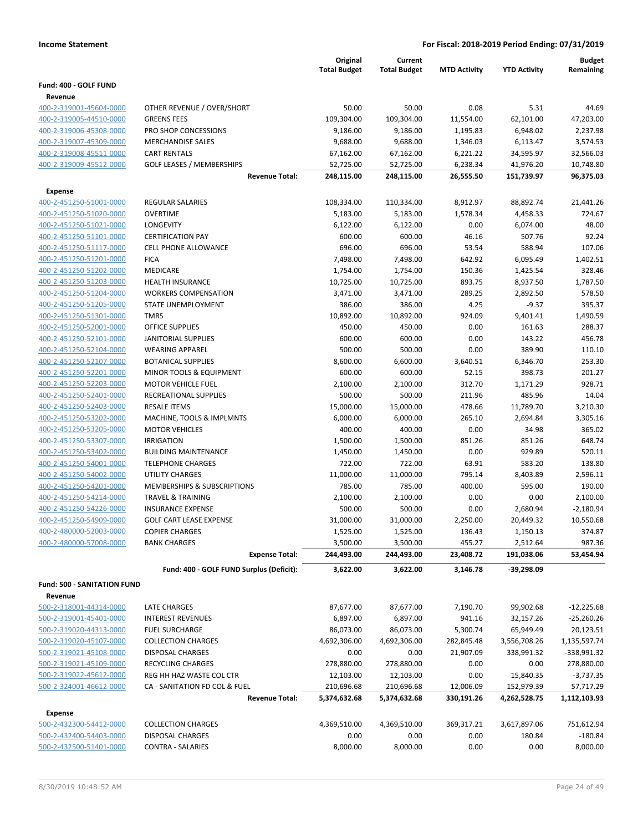|                                    |                                          | Original<br><b>Total Budget</b> | Current<br><b>Total Budget</b> | <b>MTD Activity</b> | <b>YTD Activity</b> | <b>Budget</b><br>Remaining |
|------------------------------------|------------------------------------------|---------------------------------|--------------------------------|---------------------|---------------------|----------------------------|
|                                    |                                          |                                 |                                |                     |                     |                            |
| Fund: 400 - GOLF FUND              |                                          |                                 |                                |                     |                     |                            |
| Revenue<br>400-2-319001-45604-0000 | OTHER REVENUE / OVER/SHORT               | 50.00                           | 50.00                          | 0.08                | 5.31                | 44.69                      |
| 400-2-319005-44510-0000            | <b>GREENS FEES</b>                       | 109,304.00                      | 109,304.00                     | 11,554.00           | 62,101.00           | 47,203.00                  |
| 400-2-319006-45308-0000            | PRO SHOP CONCESSIONS                     | 9,186.00                        | 9,186.00                       | 1,195.83            | 6,948.02            | 2,237.98                   |
| 400-2-319007-45309-0000            | <b>MERCHANDISE SALES</b>                 | 9,688.00                        | 9,688.00                       | 1,346.03            | 6,113.47            | 3,574.53                   |
| 400-2-319008-45511-0000            | <b>CART RENTALS</b>                      | 67,162.00                       | 67,162.00                      | 6,221.22            | 34,595.97           | 32,566.03                  |
| 400-2-319009-45512-0000            | <b>GOLF LEASES / MEMBERSHIPS</b>         | 52,725.00                       | 52,725.00                      | 6,238.34            | 41,976.20           | 10,748.80                  |
|                                    | <b>Revenue Total:</b>                    | 248,115.00                      | 248,115.00                     | 26,555.50           | 151,739.97          | 96,375.03                  |
|                                    |                                          |                                 |                                |                     |                     |                            |
| Expense<br>400-2-451250-51001-0000 | REGULAR SALARIES                         | 108,334.00                      |                                | 8,912.97            | 88,892.74           | 21,441.26                  |
| 400-2-451250-51020-0000            | <b>OVERTIME</b>                          | 5,183.00                        | 110,334.00<br>5,183.00         | 1,578.34            | 4,458.33            | 724.67                     |
| 400-2-451250-51021-0000            | LONGEVITY                                | 6,122.00                        | 6,122.00                       | 0.00                | 6,074.00            | 48.00                      |
| 400-2-451250-51101-0000            | <b>CERTIFICATION PAY</b>                 | 600.00                          | 600.00                         | 46.16               | 507.76              | 92.24                      |
| 400-2-451250-51117-0000            | <b>CELL PHONE ALLOWANCE</b>              | 696.00                          | 696.00                         | 53.54               | 588.94              | 107.06                     |
| 400-2-451250-51201-0000            | <b>FICA</b>                              | 7,498.00                        | 7,498.00                       | 642.92              | 6,095.49            | 1,402.51                   |
| 400-2-451250-51202-0000            | MEDICARE                                 | 1,754.00                        | 1,754.00                       | 150.36              | 1,425.54            | 328.46                     |
| 400-2-451250-51203-0000            | <b>HEALTH INSURANCE</b>                  | 10,725.00                       | 10,725.00                      | 893.75              | 8,937.50            | 1,787.50                   |
| 400-2-451250-51204-0000            | <b>WORKERS COMPENSATION</b>              | 3,471.00                        | 3,471.00                       | 289.25              | 2,892.50            | 578.50                     |
| 400-2-451250-51205-0000            | <b>STATE UNEMPLOYMENT</b>                | 386.00                          | 386.00                         | 4.25                | $-9.37$             | 395.37                     |
| 400-2-451250-51301-0000            | <b>TMRS</b>                              | 10,892.00                       | 10,892.00                      | 924.09              | 9,401.41            | 1,490.59                   |
| 400-2-451250-52001-0000            | <b>OFFICE SUPPLIES</b>                   | 450.00                          | 450.00                         | 0.00                | 161.63              | 288.37                     |
| 400-2-451250-52101-0000            | <b>JANITORIAL SUPPLIES</b>               | 600.00                          | 600.00                         | 0.00                | 143.22              | 456.78                     |
| 400-2-451250-52104-0000            | <b>WEARING APPAREL</b>                   | 500.00                          | 500.00                         | 0.00                | 389.90              | 110.10                     |
| 400-2-451250-52107-0000            | <b>BOTANICAL SUPPLIES</b>                | 8,600.00                        | 6,600.00                       | 3,640.51            | 6,346.70            | 253.30                     |
| 400-2-451250-52201-0000            | MINOR TOOLS & EQUIPMENT                  | 600.00                          | 600.00                         | 52.15               | 398.73              | 201.27                     |
| 400-2-451250-52203-0000            | <b>MOTOR VEHICLE FUEL</b>                | 2,100.00                        | 2,100.00                       | 312.70              | 1,171.29            | 928.71                     |
| 400-2-451250-52401-0000            | RECREATIONAL SUPPLIES                    | 500.00                          | 500.00                         | 211.96              | 485.96              | 14.04                      |
| 400-2-451250-52403-0000            | <b>RESALE ITEMS</b>                      | 15,000.00                       | 15,000.00                      | 478.66              | 11,789.70           | 3,210.30                   |
| 400-2-451250-53202-0000            | MACHINE, TOOLS & IMPLMNTS                | 6,000.00                        | 6,000.00                       | 265.10              | 2,694.84            | 3,305.16                   |
| 400-2-451250-53205-0000            | <b>MOTOR VEHICLES</b>                    | 400.00                          | 400.00                         | 0.00                | 34.98               | 365.02                     |
| 400-2-451250-53307-0000            | <b>IRRIGATION</b>                        | 1,500.00                        | 1,500.00                       | 851.26              | 851.26              | 648.74                     |
| 400-2-451250-53402-0000            | <b>BUILDING MAINTENANCE</b>              | 1,450.00                        | 1,450.00                       | 0.00                | 929.89              | 520.11                     |
| 400-2-451250-54001-0000            | <b>TELEPHONE CHARGES</b>                 | 722.00                          | 722.00                         | 63.91               | 583.20              | 138.80                     |
| 400-2-451250-54002-0000            | <b>UTILITY CHARGES</b>                   | 11,000.00                       | 11,000.00                      | 795.14              | 8,403.89            | 2,596.11                   |
| 400-2-451250-54201-0000            | MEMBERSHIPS & SUBSCRIPTIONS              | 785.00                          | 785.00                         | 400.00              | 595.00              | 190.00                     |
| 400-2-451250-54214-0000            | <b>TRAVEL &amp; TRAINING</b>             | 2,100.00                        | 2,100.00                       | 0.00                | 0.00                | 2,100.00                   |
| 400-2-451250-54226-0000            | <b>INSURANCE EXPENSE</b>                 | 500.00                          | 500.00                         | 0.00                | 2,680.94            | $-2,180.94$                |
| 400-2-451250-54909-0000            | <b>GOLF CART LEASE EXPENSE</b>           | 31,000.00                       | 31,000.00                      | 2,250.00            | 20,449.32           | 10,550.68                  |
| 400-2-480000-52003-0000            | <b>COPIER CHARGES</b>                    | 1,525.00                        | 1,525.00                       | 136.43              | 1,150.13            | 374.87                     |
| 400-2-480000-57008-0000            | <b>BANK CHARGES</b>                      | 3,500.00                        | 3,500.00                       | 455.27              | 2,512.64            | 987.36                     |
|                                    | <b>Expense Total:</b>                    | 244,493.00                      | 244,493.00                     | 23,408.72           | 191,038.06          | 53,454.94                  |
|                                    |                                          |                                 |                                |                     |                     |                            |
|                                    | Fund: 400 - GOLF FUND Surplus (Deficit): | 3,622.00                        | 3,622.00                       | 3,146.78            | $-39,298.09$        |                            |
| <b>Fund: 500 - SANITATION FUND</b> |                                          |                                 |                                |                     |                     |                            |
| Revenue                            |                                          |                                 |                                |                     |                     |                            |
| 500-2-318001-44314-0000            | <b>LATE CHARGES</b>                      | 87,677.00                       | 87,677.00                      | 7,190.70            | 99,902.68           | $-12,225.68$               |
| 500-2-319001-45401-0000            | <b>INTEREST REVENUES</b>                 | 6,897.00                        | 6,897.00                       | 941.16              | 32,157.26           | $-25,260.26$               |
| 500-2-319020-44313-0000            | <b>FUEL SURCHARGE</b>                    | 86,073.00                       | 86,073.00                      | 5,300.74            | 65,949.49           | 20,123.51                  |
| 500-2-319020-45107-0000            | <b>COLLECTION CHARGES</b>                | 4,692,306.00                    | 4,692,306.00                   | 282,845.48          | 3,556,708.26        | 1,135,597.74               |
| 500-2-319021-45108-0000            | <b>DISPOSAL CHARGES</b>                  | 0.00                            | 0.00                           | 21,907.09           | 338,991.32          | -338,991.32                |
| 500-2-319021-45109-0000            | RECYCLING CHARGES                        | 278,880.00                      | 278,880.00                     | 0.00                | 0.00                | 278,880.00                 |
| 500-2-319022-45612-0000            | REG HH HAZ WASTE COL CTR                 | 12,103.00                       | 12,103.00                      | 0.00                | 15,840.35           | $-3,737.35$                |
| 500-2-324001-46612-0000            | CA - SANITATION FD COL & FUEL            | 210,696.68                      | 210,696.68                     | 12,006.09           | 152,979.39          | 57,717.29                  |
|                                    | <b>Revenue Total:</b>                    | 5,374,632.68                    | 5,374,632.68                   | 330,191.26          | 4,262,528.75        | 1,112,103.93               |
| <b>Expense</b>                     |                                          |                                 |                                |                     |                     |                            |
| 500-2-432300-54412-0000            | <b>COLLECTION CHARGES</b>                | 4,369,510.00                    | 4,369,510.00                   | 369,317.21          | 3,617,897.06        | 751,612.94                 |
| 500-2-432400-54403-0000            | <b>DISPOSAL CHARGES</b>                  | 0.00                            | 0.00                           | 0.00                | 180.84              | $-180.84$                  |
| 500-2-432500-51401-0000            | <b>CONTRA - SALARIES</b>                 | 8,000.00                        | 8,000.00                       | 0.00                | 0.00                | 8,000.00                   |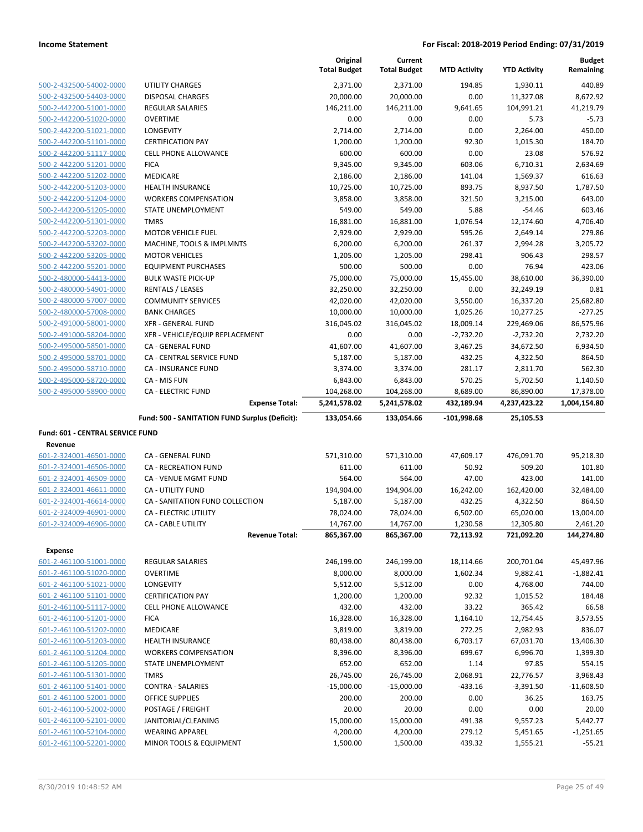|                                                    |                                                      | Original<br><b>Total Budget</b> | Current<br><b>Total Budget</b> | <b>MTD Activity</b> | <b>YTD Activity</b>    | <b>Budget</b><br>Remaining |
|----------------------------------------------------|------------------------------------------------------|---------------------------------|--------------------------------|---------------------|------------------------|----------------------------|
| 500-2-432500-54002-0000                            | UTILITY CHARGES                                      | 2,371.00                        | 2,371.00                       | 194.85              | 1,930.11               | 440.89                     |
| 500-2-432500-54403-0000                            | <b>DISPOSAL CHARGES</b>                              | 20,000.00                       | 20,000.00                      | 0.00                | 11,327.08              | 8,672.92                   |
| 500-2-442200-51001-0000                            | <b>REGULAR SALARIES</b>                              | 146,211.00                      | 146,211.00                     | 9,641.65            | 104,991.21             | 41,219.79                  |
| 500-2-442200-51020-0000                            | <b>OVERTIME</b>                                      | 0.00                            | 0.00                           | 0.00                | 5.73                   | $-5.73$                    |
| 500-2-442200-51021-0000                            | LONGEVITY                                            | 2,714.00                        | 2,714.00                       | 0.00                | 2,264.00               | 450.00                     |
| 500-2-442200-51101-0000                            | <b>CERTIFICATION PAY</b>                             | 1,200.00                        | 1,200.00                       | 92.30               | 1,015.30               | 184.70                     |
| 500-2-442200-51117-0000                            | CELL PHONE ALLOWANCE                                 | 600.00                          | 600.00                         | 0.00                | 23.08                  | 576.92                     |
| 500-2-442200-51201-0000                            | <b>FICA</b>                                          | 9,345.00                        | 9,345.00                       | 603.06              | 6,710.31               | 2,634.69                   |
| 500-2-442200-51202-0000                            | MEDICARE                                             | 2,186.00                        | 2,186.00                       | 141.04              | 1,569.37               | 616.63                     |
| 500-2-442200-51203-0000                            | <b>HEALTH INSURANCE</b>                              | 10,725.00                       | 10,725.00                      | 893.75              | 8,937.50               | 1,787.50                   |
| 500-2-442200-51204-0000                            | <b>WORKERS COMPENSATION</b>                          | 3,858.00                        | 3,858.00                       | 321.50              | 3,215.00               | 643.00                     |
| 500-2-442200-51205-0000                            | STATE UNEMPLOYMENT                                   | 549.00                          | 549.00                         | 5.88                | $-54.46$               | 603.46                     |
| 500-2-442200-51301-0000                            | <b>TMRS</b>                                          | 16,881.00                       | 16,881.00                      | 1,076.54            | 12,174.60              | 4,706.40                   |
| 500-2-442200-52203-0000                            | <b>MOTOR VEHICLE FUEL</b>                            | 2,929.00                        | 2,929.00                       | 595.26              | 2,649.14               | 279.86                     |
| 500-2-442200-53202-0000                            | MACHINE, TOOLS & IMPLMNTS                            | 6,200.00                        | 6,200.00                       | 261.37              | 2,994.28               | 3,205.72                   |
| 500-2-442200-53205-0000                            | <b>MOTOR VEHICLES</b>                                | 1,205.00                        | 1,205.00                       | 298.41              | 906.43                 | 298.57                     |
| 500-2-442200-55201-0000<br>500-2-480000-54413-0000 | <b>EQUIPMENT PURCHASES</b>                           | 500.00                          | 500.00<br>75,000.00            | 0.00<br>15,455.00   | 76.94                  | 423.06                     |
| 500-2-480000-54901-0000                            | <b>BULK WASTE PICK-UP</b>                            | 75,000.00                       |                                | 0.00                | 38,610.00              | 36,390.00<br>0.81          |
| 500-2-480000-57007-0000                            | <b>RENTALS / LEASES</b><br><b>COMMUNITY SERVICES</b> | 32,250.00<br>42,020.00          | 32,250.00<br>42,020.00         | 3,550.00            | 32,249.19<br>16,337.20 | 25,682.80                  |
| 500-2-480000-57008-0000                            | <b>BANK CHARGES</b>                                  | 10,000.00                       | 10,000.00                      | 1,025.26            | 10,277.25              | $-277.25$                  |
| 500-2-491000-58001-0000                            | <b>XFR - GENERAL FUND</b>                            | 316,045.02                      | 316,045.02                     | 18,009.14           | 229,469.06             | 86,575.96                  |
| 500-2-491000-58204-0000                            | XFR - VEHICLE/EQUIP REPLACEMENT                      | 0.00                            | 0.00                           | $-2,732.20$         | $-2,732.20$            | 2,732.20                   |
| 500-2-495000-58501-0000                            | <b>CA - GENERAL FUND</b>                             | 41,607.00                       | 41,607.00                      | 3,467.25            | 34,672.50              | 6,934.50                   |
| 500-2-495000-58701-0000                            | CA - CENTRAL SERVICE FUND                            | 5,187.00                        | 5,187.00                       | 432.25              | 4,322.50               | 864.50                     |
| 500-2-495000-58710-0000                            | CA - INSURANCE FUND                                  | 3,374.00                        | 3,374.00                       | 281.17              | 2,811.70               | 562.30                     |
| 500-2-495000-58720-0000                            | CA - MIS FUN                                         | 6,843.00                        | 6,843.00                       | 570.25              | 5,702.50               | 1,140.50                   |
| 500-2-495000-58900-0000                            | <b>CA - ELECTRIC FUND</b>                            | 104,268.00                      | 104,268.00                     | 8,689.00            | 86,890.00              | 17,378.00                  |
|                                                    | <b>Expense Total:</b>                                | 5,241,578.02                    | 5,241,578.02                   | 432,189.94          | 4,237,423.22           | 1,004,154.80               |
|                                                    | Fund: 500 - SANITATION FUND Surplus (Deficit):       | 133,054.66                      | 133,054.66                     | $-101,998.68$       | 25,105.53              |                            |
| Fund: 601 - CENTRAL SERVICE FUND                   |                                                      |                                 |                                |                     |                        |                            |
| Revenue                                            |                                                      |                                 |                                |                     |                        |                            |
| 601-2-324001-46501-0000                            | CA - GENERAL FUND                                    | 571,310.00                      | 571,310.00                     | 47,609.17           | 476,091.70             | 95,218.30                  |
| 601-2-324001-46506-0000                            | <b>CA - RECREATION FUND</b>                          | 611.00                          | 611.00                         | 50.92               | 509.20                 | 101.80                     |
| 601-2-324001-46509-0000                            | CA - VENUE MGMT FUND                                 | 564.00                          | 564.00                         | 47.00               | 423.00                 | 141.00                     |
| 601-2-324001-46611-0000                            | CA - UTILITY FUND                                    | 194,904.00                      | 194,904.00                     | 16,242.00           | 162,420.00             | 32,484.00                  |
| 601-2-324001-46614-0000                            | CA - SANITATION FUND COLLECTION                      | 5,187.00                        | 5,187.00                       | 432.25              | 4,322.50               | 864.50                     |
| 601-2-324009-46901-0000                            | <b>CA - ELECTRIC UTILITY</b>                         | 78,024.00                       | 78,024.00                      | 6,502.00            | 65,020.00              | 13,004.00                  |
| 601-2-324009-46906-0000                            | CA - CABLE UTILITY                                   | 14,767.00                       | 14,767.00                      | 1,230.58            | 12,305.80              | 2,461.20                   |
| <b>Expense</b>                                     | <b>Revenue Total:</b>                                | 865,367.00                      | 865,367.00                     | 72,113.92           | 721,092.20             | 144,274.80                 |
| 601-2-461100-51001-0000                            | REGULAR SALARIES                                     | 246,199.00                      | 246,199.00                     | 18,114.66           | 200,701.04             | 45,497.96                  |
| 601-2-461100-51020-0000                            | <b>OVERTIME</b>                                      | 8,000.00                        | 8,000.00                       | 1,602.34            | 9,882.41               | $-1,882.41$                |
| 601-2-461100-51021-0000                            | LONGEVITY                                            | 5,512.00                        | 5,512.00                       | 0.00                | 4,768.00               | 744.00                     |
| 601-2-461100-51101-0000                            | <b>CERTIFICATION PAY</b>                             | 1,200.00                        | 1,200.00                       | 92.32               | 1,015.52               | 184.48                     |
| 601-2-461100-51117-0000                            | CELL PHONE ALLOWANCE                                 | 432.00                          | 432.00                         | 33.22               | 365.42                 | 66.58                      |
| 601-2-461100-51201-0000                            | <b>FICA</b>                                          | 16,328.00                       | 16,328.00                      | 1,164.10            | 12,754.45              | 3,573.55                   |
| 601-2-461100-51202-0000                            | MEDICARE                                             | 3,819.00                        | 3,819.00                       | 272.25              | 2,982.93               | 836.07                     |
| 601-2-461100-51203-0000                            | <b>HEALTH INSURANCE</b>                              | 80,438.00                       | 80,438.00                      | 6,703.17            | 67,031.70              | 13,406.30                  |
| 601-2-461100-51204-0000                            | <b>WORKERS COMPENSATION</b>                          | 8,396.00                        | 8,396.00                       | 699.67              | 6,996.70               | 1,399.30                   |
| 601-2-461100-51205-0000                            | STATE UNEMPLOYMENT                                   | 652.00                          | 652.00                         | 1.14                | 97.85                  | 554.15                     |
| 601-2-461100-51301-0000                            | <b>TMRS</b>                                          | 26,745.00                       | 26,745.00                      | 2,068.91            | 22,776.57              | 3,968.43                   |
| 601-2-461100-51401-0000                            | <b>CONTRA - SALARIES</b>                             | $-15,000.00$                    | $-15,000.00$                   | $-433.16$           | $-3,391.50$            | $-11,608.50$               |
| 601-2-461100-52001-0000                            | OFFICE SUPPLIES                                      | 200.00                          | 200.00                         | 0.00                | 36.25                  | 163.75                     |
| 601-2-461100-52002-0000                            | POSTAGE / FREIGHT                                    | 20.00                           | 20.00                          | 0.00                | 0.00                   | 20.00                      |
| 601-2-461100-52101-0000                            | JANITORIAL/CLEANING                                  | 15,000.00                       | 15,000.00                      | 491.38              | 9,557.23               | 5,442.77                   |
| 601-2-461100-52104-0000                            | <b>WEARING APPAREL</b>                               | 4,200.00                        | 4,200.00                       | 279.12              | 5,451.65               | $-1,251.65$                |
| 601-2-461100-52201-0000                            | MINOR TOOLS & EQUIPMENT                              | 1,500.00                        | 1,500.00                       | 439.32              | 1,555.21               | $-55.21$                   |
|                                                    |                                                      |                                 |                                |                     |                        |                            |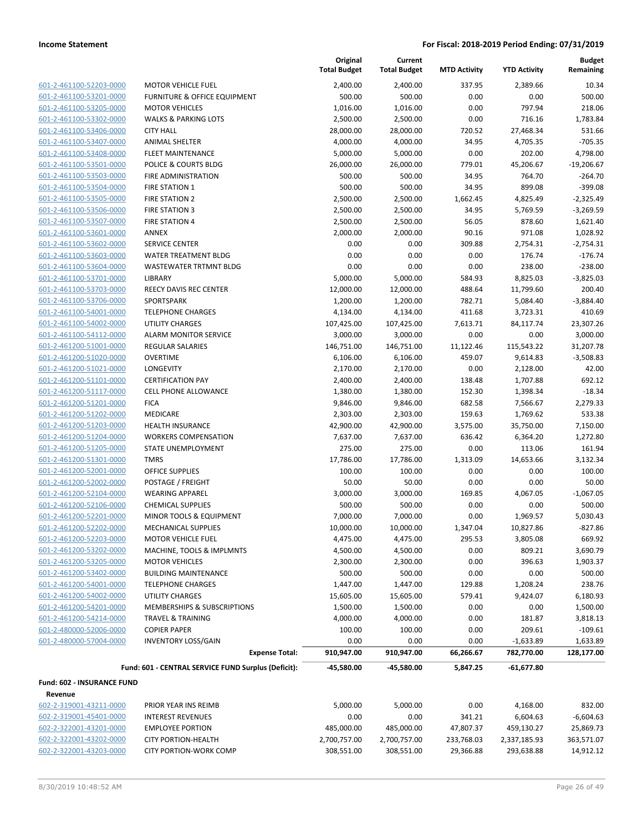| 601-2-461100-52203-0000              |
|--------------------------------------|
| 601-2-461100-53201-0000              |
| 601-2-461100-53205-0000              |
| 601-2-461100-53302-0000              |
| 601-2-461100-53406-0000              |
| 601-2-461100-53407-0000              |
| 601-2-461100-53408-0000              |
| 601-2-461100-53501-0000              |
| 601-2-461100-53503-0000              |
| 601-2-461100-53504-0000              |
| 601-2-461100-53505-0000              |
| 601-2-461100-53506-0000              |
| 601-2-461100-53507-0000              |
| 601-2-461100-53601-0000              |
| 601-2-461100-53602-0000              |
| 601-2-461100-53603-0000              |
| 601-2-461100-53604-0000              |
| 601-2-461100-53701-0000              |
| 2-461100-53703-0000<br>601-          |
| 601-2-461100-53706-0000              |
| 601-2-461100-54001-0000              |
| 601-2-461100-54002-0000              |
| 601-2-461100-54112-0000              |
| $-2 - 461200 - 51001 - 0000$<br>601- |
| 601-2-461200-51020-0000              |
| 601-2-461200-51021-0000              |
| 601-2-461200-51101-0000              |
| 601-2-461200-51117-0000              |
| 2-461200-51201-0000<br>601-          |
| 601-2-461200-51202-0000              |
| 601-2-461200-51203-0000              |
| 601-2-461200-51204-0000              |
| 601-2-461200-51205-0000              |
| $-2 - 461200 - 51301 - 0000$<br>601- |
| 601-2-461200-52001-0000              |
| 601-2-461200-52002-0000              |
| 601-2-461200-52104-0000              |
| 601-2-461200-52106-0000              |
| 2-461200-52201-0000<br>601-          |
| 601-2-461200-52202-0000              |
| 601-2-461200-52203-0000              |
| <u>601-2-461200-53202-0000</u>       |
| 601-2-461200-53205-0000              |
| 601-2-461200-53402-0000              |
| 601-2-461200-54001-0000              |
| 601-2-461200-54002-0000              |
| 601-2-461200-54201-0000              |
| 601-2-461200-54214-0000              |
| 601-2-480000-52006-0000              |
| 601-2-480000-57004-0000              |
|                                      |

|                            |                                                     | Original<br><b>Total Budget</b> | Current<br><b>Total Budget</b> | <b>MTD Activity</b> | <b>YTD Activity</b> | <b>Budget</b><br>Remaining |
|----------------------------|-----------------------------------------------------|---------------------------------|--------------------------------|---------------------|---------------------|----------------------------|
| 601-2-461100-52203-0000    | <b>MOTOR VEHICLE FUEL</b>                           | 2,400.00                        | 2,400.00                       | 337.95              | 2,389.66            | 10.34                      |
| 601-2-461100-53201-0000    | FURNITURE & OFFICE EQUIPMENT                        | 500.00                          | 500.00                         | 0.00                | 0.00                | 500.00                     |
| 601-2-461100-53205-0000    | <b>MOTOR VEHICLES</b>                               | 1,016.00                        | 1,016.00                       | 0.00                | 797.94              | 218.06                     |
| 601-2-461100-53302-0000    | <b>WALKS &amp; PARKING LOTS</b>                     | 2,500.00                        | 2,500.00                       | 0.00                | 716.16              | 1,783.84                   |
| 601-2-461100-53406-0000    | <b>CITY HALL</b>                                    | 28,000.00                       | 28,000.00                      | 720.52              | 27,468.34           | 531.66                     |
| 601-2-461100-53407-0000    | <b>ANIMAL SHELTER</b>                               | 4,000.00                        | 4,000.00                       | 34.95               | 4,705.35            | $-705.35$                  |
| 601-2-461100-53408-0000    | <b>FLEET MAINTENANCE</b>                            | 5,000.00                        | 5,000.00                       | 0.00                | 202.00              | 4,798.00                   |
| 601-2-461100-53501-0000    | POLICE & COURTS BLDG                                | 26,000.00                       | 26,000.00                      | 779.01              | 45,206.67           | $-19,206.67$               |
| 601-2-461100-53503-0000    | FIRE ADMINISTRATION                                 | 500.00                          | 500.00                         | 34.95               | 764.70              | $-264.70$                  |
| 601-2-461100-53504-0000    | <b>FIRE STATION 1</b>                               | 500.00                          | 500.00                         | 34.95               | 899.08              | $-399.08$                  |
| 601-2-461100-53505-0000    | FIRE STATION 2                                      | 2,500.00                        | 2,500.00                       | 1,662.45            | 4,825.49            | $-2,325.49$                |
| 601-2-461100-53506-0000    | <b>FIRE STATION 3</b>                               | 2,500.00                        | 2,500.00                       | 34.95               | 5,769.59            | $-3,269.59$                |
| 601-2-461100-53507-0000    | <b>FIRE STATION 4</b>                               | 2,500.00                        | 2,500.00                       | 56.05               | 878.60              | 1,621.40                   |
| 601-2-461100-53601-0000    | <b>ANNEX</b>                                        | 2,000.00                        | 2,000.00                       | 90.16               | 971.08              | 1,028.92                   |
| 601-2-461100-53602-0000    | <b>SERVICE CENTER</b>                               | 0.00                            | 0.00                           | 309.88              | 2,754.31            | $-2,754.31$                |
| 601-2-461100-53603-0000    | WATER TREATMENT BLDG                                | 0.00                            | 0.00                           | 0.00                | 176.74              | $-176.74$                  |
| 601-2-461100-53604-0000    | <b>WASTEWATER TRTMNT BLDG</b>                       | 0.00                            | 0.00                           | 0.00                | 238.00              | $-238.00$                  |
| 601-2-461100-53701-0000    | LIBRARY                                             | 5,000.00                        | 5,000.00                       | 584.93              | 8,825.03            | $-3,825.03$                |
| 601-2-461100-53703-0000    | REECY DAVIS REC CENTER                              | 12,000.00                       | 12,000.00                      | 488.64              | 11,799.60           | 200.40                     |
| 601-2-461100-53706-0000    | SPORTSPARK                                          | 1,200.00                        | 1,200.00                       | 782.71              | 5,084.40            | $-3,884.40$                |
| 601-2-461100-54001-0000    | <b>TELEPHONE CHARGES</b>                            | 4,134.00                        | 4,134.00                       | 411.68              | 3,723.31            | 410.69                     |
| 601-2-461100-54002-0000    | <b>UTILITY CHARGES</b>                              | 107,425.00                      | 107,425.00                     | 7,613.71            | 84,117.74           | 23,307.26                  |
| 601-2-461100-54112-0000    | <b>ALARM MONITOR SERVICE</b>                        | 3,000.00                        | 3,000.00                       | 0.00                | 0.00                | 3,000.00                   |
| 601-2-461200-51001-0000    | <b>REGULAR SALARIES</b>                             | 146,751.00                      | 146,751.00                     | 11,122.46           | 115,543.22          | 31,207.78                  |
| 601-2-461200-51020-0000    | <b>OVERTIME</b>                                     | 6,106.00                        | 6,106.00                       | 459.07              | 9,614.83            | $-3,508.83$                |
| 601-2-461200-51021-0000    | LONGEVITY                                           | 2,170.00                        | 2,170.00                       | 0.00                | 2,128.00            | 42.00                      |
| 601-2-461200-51101-0000    | <b>CERTIFICATION PAY</b>                            | 2,400.00                        | 2,400.00                       | 138.48              | 1,707.88            | 692.12                     |
| 601-2-461200-51117-0000    | <b>CELL PHONE ALLOWANCE</b>                         | 1,380.00                        | 1,380.00                       | 152.30              | 1,398.34            | $-18.34$                   |
| 601-2-461200-51201-0000    | <b>FICA</b>                                         | 9,846.00                        | 9,846.00                       | 682.58              | 7,566.67            | 2,279.33                   |
| 601-2-461200-51202-0000    | MEDICARE                                            | 2,303.00                        | 2,303.00                       | 159.63              | 1,769.62            | 533.38                     |
| 601-2-461200-51203-0000    | <b>HEALTH INSURANCE</b>                             | 42,900.00                       | 42,900.00                      | 3,575.00            | 35,750.00           | 7,150.00                   |
| 601-2-461200-51204-0000    | <b>WORKERS COMPENSATION</b>                         | 7,637.00                        | 7,637.00                       | 636.42              | 6,364.20            | 1,272.80                   |
| 601-2-461200-51205-0000    | STATE UNEMPLOYMENT                                  | 275.00                          | 275.00                         | 0.00                | 113.06              | 161.94                     |
| 601-2-461200-51301-0000    | <b>TMRS</b>                                         | 17,786.00                       | 17,786.00                      | 1,313.09            | 14,653.66           | 3,132.34                   |
| 601-2-461200-52001-0000    | <b>OFFICE SUPPLIES</b>                              | 100.00                          | 100.00                         | 0.00                | 0.00                | 100.00                     |
| 601-2-461200-52002-0000    | POSTAGE / FREIGHT                                   | 50.00                           | 50.00                          | 0.00                | 0.00                | 50.00                      |
| 601-2-461200-52104-0000    | <b>WEARING APPAREL</b>                              | 3,000.00                        | 3,000.00                       | 169.85              | 4,067.05            | $-1,067.05$                |
| 601-2-461200-52106-0000    | <b>CHEMICAL SUPPLIES</b>                            | 500.00                          | 500.00                         | 0.00                | 0.00                | 500.00                     |
| 601-2-461200-52201-0000    | MINOR TOOLS & EQUIPMENT                             | 7,000.00                        | 7,000.00                       | 0.00                | 1,969.57            | 5,030.43                   |
| 601-2-461200-52202-0000    | MECHANICAL SUPPLIES                                 | 10,000.00                       | 10,000.00                      | 1,347.04            | 10,827.86           | $-827.86$                  |
| 601-2-461200-52203-0000    | <b>MOTOR VEHICLE FUEL</b>                           | 4,475.00                        | 4,475.00                       | 295.53              | 3,805.08            | 669.92                     |
| 601-2-461200-53202-0000    | MACHINE, TOOLS & IMPLMNTS                           | 4,500.00                        | 4,500.00                       | 0.00                | 809.21              | 3,690.79                   |
| 601-2-461200-53205-0000    | <b>MOTOR VEHICLES</b>                               | 2,300.00                        | 2,300.00                       | 0.00                | 396.63              | 1,903.37                   |
| 601-2-461200-53402-0000    | <b>BUILDING MAINTENANCE</b>                         | 500.00                          | 500.00                         | 0.00                | 0.00                | 500.00                     |
| 601-2-461200-54001-0000    | <b>TELEPHONE CHARGES</b>                            | 1,447.00                        | 1,447.00                       | 129.88              | 1,208.24            | 238.76                     |
| 601-2-461200-54002-0000    | UTILITY CHARGES                                     | 15,605.00                       | 15,605.00                      | 579.41              | 9,424.07            | 6,180.93                   |
| 601-2-461200-54201-0000    | MEMBERSHIPS & SUBSCRIPTIONS                         | 1,500.00                        | 1,500.00                       | 0.00                | 0.00                | 1,500.00                   |
| 601-2-461200-54214-0000    | <b>TRAVEL &amp; TRAINING</b>                        | 4,000.00                        | 4,000.00                       | 0.00                | 181.87              | 3,818.13                   |
| 601-2-480000-52006-0000    | <b>COPIER PAPER</b>                                 | 100.00                          | 100.00                         | 0.00                | 209.61              | $-109.61$                  |
| 601-2-480000-57004-0000    | <b>INVENTORY LOSS/GAIN</b>                          | 0.00                            | 0.00                           | 0.00                | $-1,633.89$         | 1,633.89                   |
|                            | <b>Expense Total:</b>                               | 910,947.00                      | 910,947.00                     | 66,266.67           | 782,770.00          | 128,177.00                 |
| Fund: 602 - INSURANCE FUND | Fund: 601 - CENTRAL SERVICE FUND Surplus (Deficit): | -45,580.00                      | -45,580.00                     | 5,847.25            | -61,677.80          |                            |
| Revenue                    |                                                     |                                 |                                |                     |                     |                            |
| 602-2-319001-43211-0000    | PRIOR YEAR INS REIMB                                | 5,000.00                        | 5,000.00                       | 0.00                | 4,168.00            | 832.00                     |
| 602-2-319001-45401-0000    | <b>INTEREST REVENUES</b>                            | 0.00                            | 0.00                           | 341.21              | 6,604.63            | $-6,604.63$                |
| 602-2-322001-43201-0000    | <b>EMPLOYEE PORTION</b>                             | 485,000.00                      | 485,000.00                     | 47,807.37           | 459,130.27          | 25,869.73                  |
| 602-2-322001-43202-0000    | <b>CITY PORTION-HEALTH</b>                          | 2,700,757.00                    | 2,700,757.00                   | 233,768.03          | 2,337,185.93        | 363,571.07                 |

602-2-322001-43203-0000 CITY PORTION-WORK COMP 308,551.00 308,551.00 29,366.88 293,638.88 14,912.12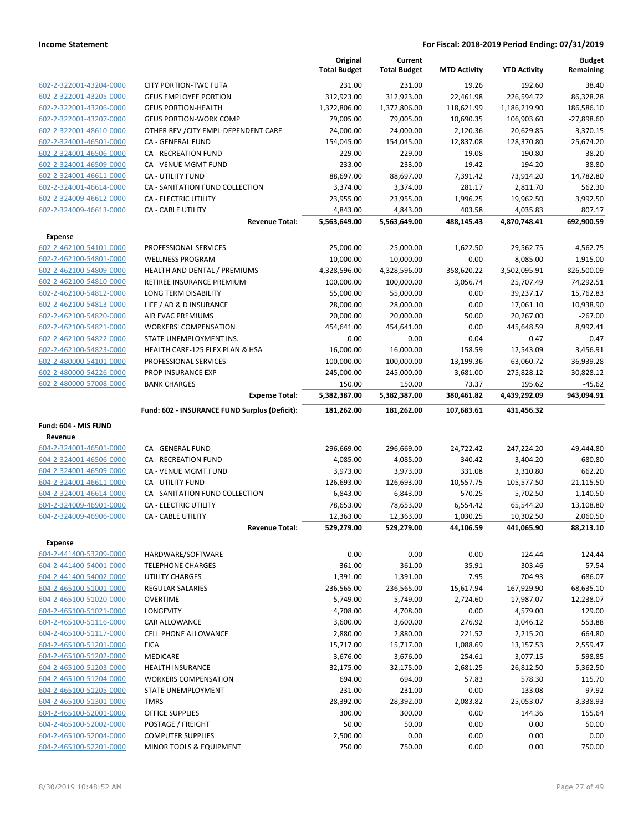|                                                    |                                               | Original<br><b>Total Budget</b> | Current<br><b>Total Budget</b> | <b>MTD Activity</b> | <b>YTD Activity</b> | <b>Budget</b><br>Remaining |
|----------------------------------------------------|-----------------------------------------------|---------------------------------|--------------------------------|---------------------|---------------------|----------------------------|
| 602-2-322001-43204-0000                            | <b>CITY PORTION-TWC FUTA</b>                  | 231.00                          | 231.00                         | 19.26               | 192.60              | 38.40                      |
| 602-2-322001-43205-0000                            | <b>GEUS EMPLOYEE PORTION</b>                  | 312,923.00                      | 312,923.00                     | 22,461.98           | 226,594.72          | 86,328.28                  |
| 602-2-322001-43206-0000                            | <b>GEUS PORTION-HEALTH</b>                    | 1,372,806.00                    | 1,372,806.00                   | 118,621.99          | 1,186,219.90        | 186,586.10                 |
| 602-2-322001-43207-0000                            | <b>GEUS PORTION-WORK COMP</b>                 | 79,005.00                       | 79,005.00                      | 10,690.35           | 106,903.60          | $-27,898.60$               |
| 602-2-322001-48610-0000                            | OTHER REV / CITY EMPL-DEPENDENT CARE          | 24,000.00                       | 24,000.00                      | 2,120.36            | 20,629.85           | 3,370.15                   |
| 602-2-324001-46501-0000                            | CA - GENERAL FUND                             | 154,045.00                      | 154,045.00                     | 12,837.08           | 128,370.80          | 25,674.20                  |
| 602-2-324001-46506-0000                            | <b>CA - RECREATION FUND</b>                   | 229.00                          | 229.00                         | 19.08               | 190.80              | 38.20                      |
| 602-2-324001-46509-0000                            | CA - VENUE MGMT FUND                          | 233.00                          | 233.00                         | 19.42               | 194.20              | 38.80                      |
| 602-2-324001-46611-0000                            | CA - UTILITY FUND                             | 88,697.00                       | 88,697.00                      | 7,391.42            | 73,914.20           | 14,782.80                  |
| 602-2-324001-46614-0000                            | CA - SANITATION FUND COLLECTION               | 3,374.00                        | 3,374.00                       | 281.17              | 2,811.70            | 562.30                     |
| 602-2-324009-46612-0000                            | CA - ELECTRIC UTILITY                         | 23,955.00                       | 23,955.00                      | 1,996.25            | 19,962.50           | 3,992.50                   |
| 602-2-324009-46613-0000                            | CA - CABLE UTILITY                            | 4,843.00                        | 4,843.00                       | 403.58              | 4,035.83            | 807.17                     |
|                                                    | <b>Revenue Total:</b>                         | 5,563,649.00                    | 5,563,649.00                   | 488,145.43          | 4,870,748.41        | 692,900.59                 |
| <b>Expense</b>                                     |                                               |                                 |                                |                     |                     |                            |
| 602-2-462100-54101-0000                            | PROFESSIONAL SERVICES                         | 25,000.00                       | 25,000.00                      | 1,622.50            | 29,562.75           | $-4,562.75$                |
| 602-2-462100-54801-0000                            | <b>WELLNESS PROGRAM</b>                       | 10,000.00                       | 10,000.00                      | 0.00                | 8,085.00            | 1,915.00                   |
| 602-2-462100-54809-0000                            | HEALTH AND DENTAL / PREMIUMS                  | 4,328,596.00                    | 4,328,596.00                   | 358,620.22          | 3,502,095.91        | 826,500.09                 |
| 602-2-462100-54810-0000                            | RETIREE INSURANCE PREMIUM                     | 100,000.00                      | 100,000.00                     | 3,056.74            | 25,707.49           | 74,292.51                  |
| 602-2-462100-54812-0000                            | LONG TERM DISABILITY                          | 55,000.00                       | 55,000.00                      | 0.00                | 39,237.17           | 15,762.83                  |
| 602-2-462100-54813-0000                            | LIFE / AD & D INSURANCE                       | 28,000.00                       | 28,000.00                      | 0.00                | 17,061.10           | 10,938.90                  |
| 602-2-462100-54820-0000                            | AIR EVAC PREMIUMS                             | 20,000.00                       | 20,000.00                      | 50.00               | 20,267.00           | $-267.00$                  |
| 602-2-462100-54821-0000                            | <b>WORKERS' COMPENSATION</b>                  | 454,641.00                      | 454,641.00                     | 0.00                | 445,648.59          | 8,992.41                   |
| 602-2-462100-54822-0000                            | STATE UNEMPLOYMENT INS.                       | 0.00                            | 0.00                           | 0.04                | $-0.47$             | 0.47                       |
| 602-2-462100-54823-0000                            | HEALTH CARE-125 FLEX PLAN & HSA               | 16,000.00                       | 16,000.00                      | 158.59              | 12,543.09           | 3,456.91                   |
| 602-2-480000-54101-0000                            | PROFESSIONAL SERVICES                         | 100,000.00                      | 100,000.00                     | 13,199.36           | 63,060.72           | 36,939.28                  |
| 602-2-480000-54226-0000                            | PROP INSURANCE EXP                            | 245,000.00                      | 245,000.00                     | 3,681.00            | 275,828.12          | $-30,828.12$               |
| 602-2-480000-57008-0000                            | <b>BANK CHARGES</b>                           | 150.00                          | 150.00                         | 73.37               | 195.62              | $-45.62$                   |
|                                                    | <b>Expense Total:</b>                         | 5,382,387.00                    | 5,382,387.00                   | 380,461.82          | 4,439,292.09        | 943,094.91                 |
|                                                    | Fund: 602 - INSURANCE FUND Surplus (Deficit): | 181,262.00                      | 181,262.00                     | 107,683.61          | 431,456.32          |                            |
| Fund: 604 - MIS FUND                               |                                               |                                 |                                |                     |                     |                            |
| Revenue                                            |                                               |                                 |                                |                     |                     |                            |
| 604-2-324001-46501-0000                            | CA - GENERAL FUND                             | 296,669.00                      | 296,669.00                     | 24,722.42           | 247,224.20          | 49,444.80                  |
| 604-2-324001-46506-0000                            | <b>CA - RECREATION FUND</b>                   | 4,085.00                        | 4,085.00                       | 340.42              | 3,404.20            | 680.80                     |
| 604-2-324001-46509-0000                            | CA - VENUE MGMT FUND                          | 3,973.00                        | 3,973.00                       | 331.08              | 3,310.80            | 662.20                     |
| 604-2-324001-46611-0000                            | CA - UTILITY FUND                             | 126,693.00                      | 126,693.00                     | 10,557.75           | 105,577.50          | 21,115.50                  |
| 604-2-324001-46614-0000                            | CA - SANITATION FUND COLLECTION               | 6,843.00                        | 6,843.00                       | 570.25              | 5,702.50            | 1,140.50                   |
| 604-2-324009-46901-0000                            | CA - ELECTRIC UTILITY                         | 78,653.00                       | 78,653.00                      | 6,554.42            | 65,544.20           | 13,108.80                  |
| 604-2-324009-46906-0000                            | CA - CABLE UTILITY                            | 12,363.00                       | 12,363.00                      | 1,030.25            | 10,302.50           | 2,060.50                   |
|                                                    | <b>Revenue Total:</b>                         | 529,279.00                      | 529,279.00                     | 44,106.59           | 441,065.90          | 88,213.10                  |
| <b>Expense</b><br>604-2-441400-53209-0000          |                                               |                                 |                                |                     |                     |                            |
|                                                    | HARDWARE/SOFTWARE<br><b>TELEPHONE CHARGES</b> | 0.00<br>361.00                  | 0.00<br>361.00                 | 0.00<br>35.91       | 124.44<br>303.46    | $-124.44$<br>57.54         |
| 604-2-441400-54001-0000<br>604-2-441400-54002-0000 | <b>UTILITY CHARGES</b>                        | 1,391.00                        | 1,391.00                       | 7.95                | 704.93              | 686.07                     |
| 604-2-465100-51001-0000                            | <b>REGULAR SALARIES</b>                       | 236,565.00                      | 236,565.00                     | 15,617.94           | 167,929.90          | 68,635.10                  |
| 604-2-465100-51020-0000                            | <b>OVERTIME</b>                               | 5,749.00                        | 5,749.00                       | 2,724.60            | 17,987.07           | $-12,238.07$               |
| 604-2-465100-51021-0000                            | LONGEVITY                                     | 4,708.00                        | 4,708.00                       | 0.00                | 4,579.00            | 129.00                     |
| 604-2-465100-51116-0000                            | CAR ALLOWANCE                                 | 3,600.00                        | 3,600.00                       | 276.92              | 3,046.12            | 553.88                     |
| 604-2-465100-51117-0000                            | <b>CELL PHONE ALLOWANCE</b>                   | 2,880.00                        | 2,880.00                       | 221.52              | 2,215.20            | 664.80                     |
| 604-2-465100-51201-0000                            | <b>FICA</b>                                   | 15,717.00                       | 15,717.00                      | 1,088.69            | 13,157.53           | 2,559.47                   |
| 604-2-465100-51202-0000                            | <b>MEDICARE</b>                               | 3,676.00                        | 3,676.00                       | 254.61              | 3,077.15            | 598.85                     |
| 604-2-465100-51203-0000                            | <b>HEALTH INSURANCE</b>                       | 32,175.00                       | 32,175.00                      | 2,681.25            | 26,812.50           | 5,362.50                   |
| 604-2-465100-51204-0000                            | <b>WORKERS COMPENSATION</b>                   | 694.00                          | 694.00                         | 57.83               | 578.30              | 115.70                     |
| 604-2-465100-51205-0000                            | STATE UNEMPLOYMENT                            | 231.00                          | 231.00                         | 0.00                | 133.08              | 97.92                      |
| 604-2-465100-51301-0000                            | <b>TMRS</b>                                   | 28,392.00                       | 28,392.00                      | 2,083.82            | 25,053.07           | 3,338.93                   |
| 604-2-465100-52001-0000                            | OFFICE SUPPLIES                               | 300.00                          | 300.00                         | 0.00                | 144.36              | 155.64                     |
| 604-2-465100-52002-0000                            | POSTAGE / FREIGHT                             | 50.00                           | 50.00                          | 0.00                | 0.00                | 50.00                      |
| 604-2-465100-52004-0000                            | <b>COMPUTER SUPPLIES</b>                      | 2,500.00                        | 0.00                           | 0.00                | 0.00                | 0.00                       |
| 604-2-465100-52201-0000                            | MINOR TOOLS & EQUIPMENT                       | 750.00                          | 750.00                         | 0.00                | 0.00                | 750.00                     |
|                                                    |                                               |                                 |                                |                     |                     |                            |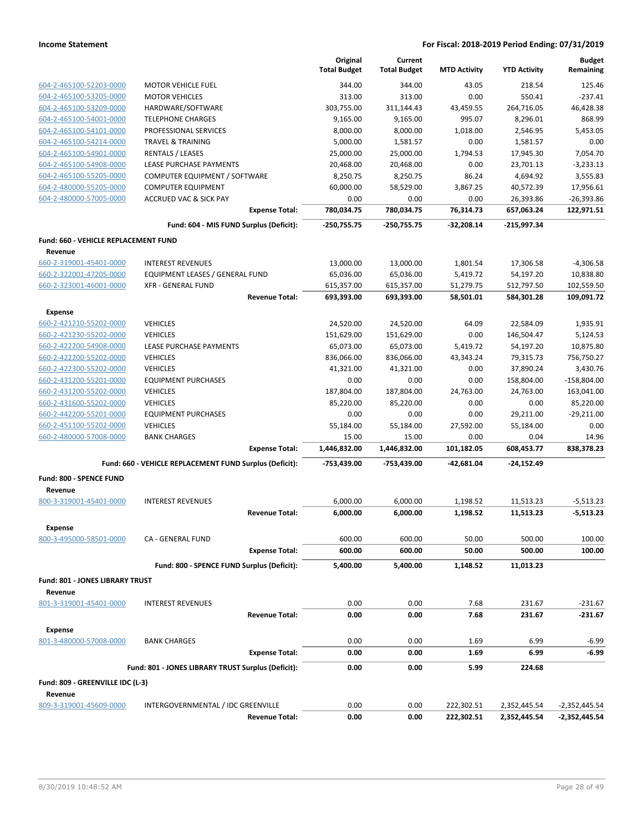|                                             |                                                         | Original<br><b>Total Budget</b> | Current             |                     |                     | <b>Budget</b><br>Remaining |
|---------------------------------------------|---------------------------------------------------------|---------------------------------|---------------------|---------------------|---------------------|----------------------------|
|                                             |                                                         |                                 | <b>Total Budget</b> | <b>MTD Activity</b> | <b>YTD Activity</b> |                            |
| 604-2-465100-52203-0000                     | <b>MOTOR VEHICLE FUEL</b>                               | 344.00                          | 344.00              | 43.05               | 218.54              | 125.46                     |
| 604-2-465100-53205-0000                     | <b>MOTOR VEHICLES</b>                                   | 313.00                          | 313.00              | 0.00                | 550.41              | $-237.41$                  |
| 604-2-465100-53209-0000                     | HARDWARE/SOFTWARE                                       | 303,755.00                      | 311,144.43          | 43,459.55           | 264,716.05          | 46,428.38                  |
| 604-2-465100-54001-0000                     | <b>TELEPHONE CHARGES</b>                                | 9,165.00                        | 9,165.00            | 995.07              | 8,296.01            | 868.99                     |
| 604-2-465100-54101-0000                     | PROFESSIONAL SERVICES                                   | 8,000.00                        | 8,000.00            | 1,018.00            | 2,546.95            | 5,453.05                   |
| 604-2-465100-54214-0000                     | <b>TRAVEL &amp; TRAINING</b>                            | 5,000.00                        | 1,581.57            | 0.00                | 1,581.57            | 0.00                       |
| 604-2-465100-54901-0000                     | <b>RENTALS / LEASES</b>                                 | 25,000.00                       | 25,000.00           | 1,794.53            | 17,945.30           | 7,054.70                   |
| 604-2-465100-54908-0000                     | <b>LEASE PURCHASE PAYMENTS</b>                          | 20,468.00                       | 20,468.00           | 0.00                | 23,701.13           | $-3,233.13$                |
| 604-2-465100-55205-0000                     | COMPUTER EQUIPMENT / SOFTWARE                           | 8,250.75                        | 8,250.75            | 86.24               | 4,694.92            | 3,555.83                   |
| 604-2-480000-55205-0000                     | <b>COMPUTER EQUIPMENT</b>                               | 60,000.00                       | 58,529.00           | 3,867.25            | 40,572.39           | 17,956.61                  |
| 604-2-480000-57005-0000                     | <b>ACCRUED VAC &amp; SICK PAY</b>                       | 0.00                            | 0.00                | 0.00                | 26,393.86           | $-26,393.86$               |
|                                             | <b>Expense Total:</b>                                   | 780,034.75                      | 780,034.75          | 76,314.73           | 657,063.24          | 122,971.51                 |
|                                             | Fund: 604 - MIS FUND Surplus (Deficit):                 | -250,755.75                     | -250,755.75         | $-32,208.14$        | $-215,997.34$       |                            |
| <b>Fund: 660 - VEHICLE REPLACEMENT FUND</b> |                                                         |                                 |                     |                     |                     |                            |
| Revenue                                     |                                                         |                                 |                     |                     |                     |                            |
| 660-2-319001-45401-0000                     | <b>INTEREST REVENUES</b>                                | 13,000.00                       | 13,000.00           | 1,801.54            | 17,306.58           | $-4,306.58$                |
| 660-2-322001-47205-0000                     | EQUIPMENT LEASES / GENERAL FUND                         | 65,036.00                       | 65,036.00           | 5,419.72            | 54,197.20           | 10,838.80                  |
| 660-2-323001-46001-0000                     | <b>XFR - GENERAL FUND</b>                               | 615,357.00                      | 615,357.00          | 51,279.75           | 512,797.50          | 102,559.50                 |
|                                             | <b>Revenue Total:</b>                                   | 693,393.00                      | 693,393.00          | 58,501.01           | 584,301.28          | 109,091.72                 |
| <b>Expense</b>                              |                                                         |                                 |                     |                     |                     |                            |
| 660-2-421210-55202-0000                     | <b>VEHICLES</b>                                         | 24,520.00                       | 24,520.00           | 64.09               | 22,584.09           | 1.935.91                   |
| 660-2-421230-55202-0000                     | <b>VEHICLES</b>                                         | 151,629.00                      | 151,629.00          | 0.00                | 146,504.47          | 5.124.53                   |
| 660-2-422200-54908-0000                     | <b>LEASE PURCHASE PAYMENTS</b>                          | 65,073.00                       | 65,073.00           | 5,419.72            | 54,197.20           | 10,875.80                  |
| 660-2-422200-55202-0000                     | <b>VEHICLES</b>                                         | 836,066.00                      | 836,066.00          | 43,343.24           | 79,315.73           | 756,750.27                 |
| 660-2-422300-55202-0000                     | <b>VEHICLES</b>                                         | 41,321.00                       | 41,321.00           | 0.00                | 37,890.24           | 3,430.76                   |
| 660-2-431200-55201-0000                     | <b>EQUIPMENT PURCHASES</b>                              | 0.00                            | 0.00                | 0.00                | 158,804.00          | $-158,804.00$              |
| 660-2-431200-55202-0000                     | <b>VEHICLES</b>                                         | 187,804.00                      | 187,804.00          | 24,763.00           | 24,763.00           | 163,041.00                 |
| 660-2-431600-55202-0000                     | <b>VEHICLES</b>                                         | 85,220.00                       | 85,220.00           | 0.00                | 0.00                | 85,220.00                  |
| 660-2-442200-55201-0000                     | <b>EQUIPMENT PURCHASES</b>                              | 0.00                            | 0.00                | 0.00                | 29,211.00           | $-29,211.00$               |
| 660-2-451100-55202-0000                     | <b>VEHICLES</b>                                         | 55,184.00                       | 55,184.00           | 27,592.00           | 55,184.00           | 0.00                       |
| 660-2-480000-57008-0000                     | <b>BANK CHARGES</b>                                     | 15.00                           | 15.00               | 0.00                | 0.04                | 14.96                      |
|                                             | <b>Expense Total:</b>                                   | 1,446,832.00                    | 1,446,832.00        | 101,182.05          | 608,453.77          | 838,378.23                 |
|                                             | Fund: 660 - VEHICLE REPLACEMENT FUND Surplus (Deficit): | -753,439.00                     | -753,439.00         | $-42.681.04$        | $-24,152.49$        |                            |
| <b>Fund: 800 - SPENCE FUND</b>              |                                                         |                                 |                     |                     |                     |                            |
| Revenue                                     |                                                         |                                 |                     |                     |                     |                            |
| 800-3-319001-45401-0000                     | <b>INTEREST REVENUES</b>                                | 6,000.00                        | 6,000.00            | 1,198.52            | 11,513.23           | $-5,513.23$                |
|                                             | <b>Revenue Total:</b>                                   | 6.000.00                        | 6,000.00            | 1,198.52            | 11.513.23           | $-5,513.23$                |
|                                             |                                                         |                                 |                     |                     |                     |                            |
| Expense                                     |                                                         |                                 |                     |                     |                     |                            |
| 800-3-495000-58501-0000                     | CA - GENERAL FUND                                       | 600.00                          | 600.00              | 50.00               | 500.00              | 100.00                     |
|                                             | <b>Expense Total:</b>                                   | 600.00                          | 600.00              | 50.00               | 500.00              | 100.00                     |
|                                             | Fund: 800 - SPENCE FUND Surplus (Deficit):              | 5,400.00                        | 5,400.00            | 1,148.52            | 11,013.23           |                            |
| Fund: 801 - JONES LIBRARY TRUST             |                                                         |                                 |                     |                     |                     |                            |
| Revenue                                     |                                                         |                                 |                     |                     |                     |                            |
| 801-3-319001-45401-0000                     | <b>INTEREST REVENUES</b>                                | 0.00                            | 0.00                | 7.68                | 231.67              | $-231.67$                  |
|                                             | <b>Revenue Total:</b>                                   | 0.00                            | 0.00                | 7.68                | 231.67              | $-231.67$                  |
| <b>Expense</b>                              |                                                         |                                 |                     |                     |                     |                            |
| 801-3-480000-57008-0000                     | <b>BANK CHARGES</b>                                     | 0.00                            | 0.00                | 1.69                | 6.99                | $-6.99$                    |
|                                             | <b>Expense Total:</b>                                   | 0.00                            | 0.00                | 1.69                | 6.99                | $-6.99$                    |
|                                             | Fund: 801 - JONES LIBRARY TRUST Surplus (Deficit):      | 0.00                            | 0.00                | 5.99                | 224.68              |                            |
| Fund: 809 - GREENVILLE IDC (L-3)            |                                                         |                                 |                     |                     |                     |                            |
| Revenue                                     |                                                         |                                 |                     |                     |                     |                            |
| 809-3-319001-45609-0000                     | INTERGOVERNMENTAL / IDC GREENVILLE                      | 0.00                            | 0.00                | 222,302.51          | 2,352,445.54        | -2,352,445.54              |
|                                             | <b>Revenue Total:</b>                                   | 0.00                            | 0.00                | 222,302.51          | 2,352,445.54        | -2,352,445.54              |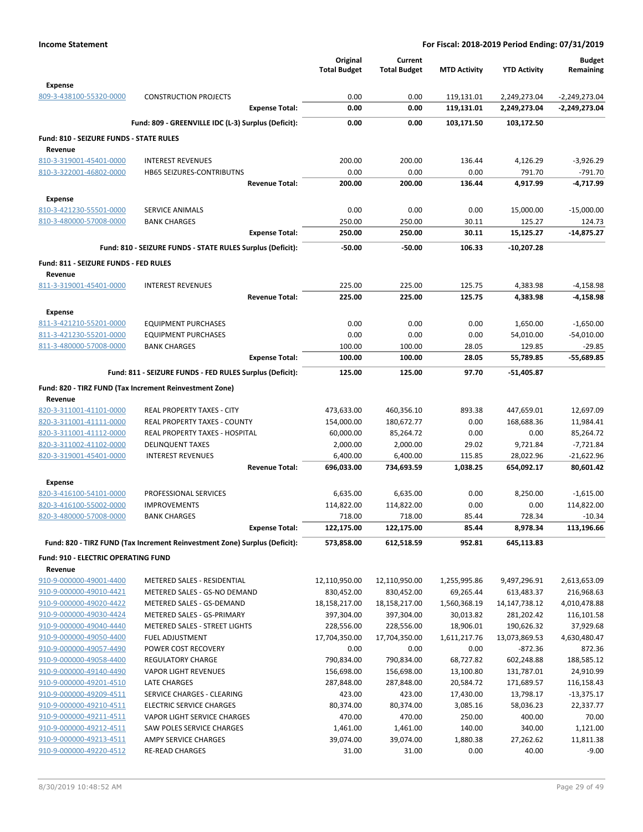|                                                    |                                                                            | Original<br><b>Total Budget</b> | Current<br><b>Total Budget</b> | <b>MTD Activity</b>    | <b>YTD Activity</b>      | <b>Budget</b><br>Remaining |
|----------------------------------------------------|----------------------------------------------------------------------------|---------------------------------|--------------------------------|------------------------|--------------------------|----------------------------|
| <b>Expense</b><br>809-3-438100-55320-0000          | <b>CONSTRUCTION PROJECTS</b>                                               | 0.00                            | 0.00                           | 119,131.01             | 2,249,273.04             | $-2,249,273.04$            |
|                                                    | <b>Expense Total:</b>                                                      | 0.00                            | 0.00                           | 119,131.01             | 2,249,273.04             | $-2,249,273.04$            |
|                                                    | Fund: 809 - GREENVILLE IDC (L-3) Surplus (Deficit):                        | 0.00                            | 0.00                           | 103,171.50             | 103,172.50               |                            |
| Fund: 810 - SEIZURE FUNDS - STATE RULES            |                                                                            |                                 |                                |                        |                          |                            |
| Revenue                                            |                                                                            |                                 |                                |                        |                          |                            |
| 810-3-319001-45401-0000                            | <b>INTEREST REVENUES</b>                                                   | 200.00                          | 200.00                         | 136.44                 | 4,126.29                 | $-3,926.29$                |
| 810-3-322001-46802-0000                            | HB65 SEIZURES-CONTRIBUTNS                                                  | 0.00                            | 0.00                           | 0.00                   | 791.70                   | $-791.70$                  |
|                                                    | <b>Revenue Total:</b>                                                      | 200.00                          | 200.00                         | 136.44                 | 4,917.99                 | -4,717.99                  |
| <b>Expense</b>                                     |                                                                            |                                 |                                |                        |                          |                            |
| 810-3-421230-55501-0000                            | <b>SERVICE ANIMALS</b>                                                     | 0.00                            | 0.00                           | 0.00                   | 15,000.00                | $-15,000.00$               |
| 810-3-480000-57008-0000                            | <b>BANK CHARGES</b>                                                        | 250.00                          | 250.00                         | 30.11                  | 125.27                   | 124.73                     |
|                                                    | <b>Expense Total:</b>                                                      | 250.00                          | 250.00                         | 30.11                  | 15,125.27                | $-14,875.27$               |
|                                                    | Fund: 810 - SEIZURE FUNDS - STATE RULES Surplus (Deficit):                 | $-50.00$                        | $-50.00$                       | 106.33                 | $-10,207.28$             |                            |
| Fund: 811 - SEIZURE FUNDS - FED RULES              |                                                                            |                                 |                                |                        |                          |                            |
| Revenue                                            |                                                                            |                                 |                                |                        |                          |                            |
| 811-3-319001-45401-0000                            | <b>INTEREST REVENUES</b><br><b>Revenue Total:</b>                          | 225.00<br>225.00                | 225.00<br>225.00               | 125.75<br>125.75       | 4,383.98<br>4,383.98     | $-4,158.98$<br>-4,158.98   |
|                                                    |                                                                            |                                 |                                |                        |                          |                            |
| <b>Expense</b>                                     |                                                                            |                                 |                                |                        |                          |                            |
| 811-3-421210-55201-0000                            | <b>EQUIPMENT PURCHASES</b>                                                 | 0.00                            | 0.00                           | 0.00                   | 1,650.00                 | $-1,650.00$                |
| 811-3-421230-55201-0000<br>811-3-480000-57008-0000 | <b>EQUIPMENT PURCHASES</b>                                                 | 0.00                            | 0.00                           | 0.00                   | 54,010.00                | $-54,010.00$               |
|                                                    | <b>BANK CHARGES</b><br><b>Expense Total:</b>                               | 100.00<br>100.00                | 100.00<br>100.00               | 28.05<br>28.05         | 129.85<br>55,789.85      | $-29.85$<br>$-55,689.85$   |
|                                                    |                                                                            |                                 |                                |                        |                          |                            |
|                                                    | Fund: 811 - SEIZURE FUNDS - FED RULES Surplus (Deficit):                   | 125.00                          | 125.00                         | 97.70                  | -51,405.87               |                            |
|                                                    | Fund: 820 - TIRZ FUND (Tax Increment Reinvestment Zone)                    |                                 |                                |                        |                          |                            |
| Revenue                                            |                                                                            |                                 |                                |                        |                          |                            |
| 820-3-311001-41101-0000                            | REAL PROPERTY TAXES - CITY                                                 | 473,633.00                      | 460,356.10                     | 893.38                 | 447,659.01               | 12,697.09                  |
| 820-3-311001-41111-0000<br>820-3-311001-41112-0000 | <b>REAL PROPERTY TAXES - COUNTY</b><br>REAL PROPERTY TAXES - HOSPITAL      | 154,000.00<br>60,000.00         | 180,672.77<br>85,264.72        | 0.00<br>0.00           | 168,688.36<br>0.00       | 11,984.41<br>85,264.72     |
| 820-3-311002-41102-0000                            | <b>DELINQUENT TAXES</b>                                                    | 2,000.00                        | 2,000.00                       | 29.02                  | 9,721.84                 | $-7,721.84$                |
| 820-3-319001-45401-0000                            | <b>INTEREST REVENUES</b>                                                   | 6,400.00                        | 6,400.00                       | 115.85                 | 28,022.96                | $-21,622.96$               |
|                                                    | <b>Revenue Total:</b>                                                      | 696,033.00                      | 734,693.59                     | 1,038.25               | 654,092.17               | 80,601.42                  |
| Expense                                            |                                                                            |                                 |                                |                        |                          |                            |
| 820-3-416100-54101-0000                            | PROFESSIONAL SERVICES                                                      | 6,635.00                        | 6,635.00                       | 0.00                   | 8,250.00                 | $-1,615.00$                |
| 820-3-416100-55002-0000                            | <b>IMPROVEMENTS</b>                                                        | 114,822.00                      | 114,822.00                     | 0.00                   | 0.00                     | 114,822.00                 |
| 820-3-480000-57008-0000                            | <b>BANK CHARGES</b>                                                        | 718.00                          | 718.00                         | 85.44                  | 728.34                   | $-10.34$                   |
|                                                    | <b>Expense Total:</b>                                                      | 122,175.00                      | 122,175.00                     | 85.44                  | 8,978.34                 | 113,196.66                 |
|                                                    | Fund: 820 - TIRZ FUND (Tax Increment Reinvestment Zone) Surplus (Deficit): | 573,858.00                      | 612,518.59                     | 952.81                 | 645,113.83               |                            |
| <b>Fund: 910 - ELECTRIC OPERATING FUND</b>         |                                                                            |                                 |                                |                        |                          |                            |
| Revenue                                            |                                                                            |                                 |                                |                        |                          |                            |
| 910-9-000000-49001-4400                            | METERED SALES - RESIDENTIAL                                                | 12,110,950.00                   | 12,110,950.00                  | 1,255,995.86           | 9,497,296.91             | 2,613,653.09               |
| 910-9-000000-49010-4421                            | METERED SALES - GS-NO DEMAND                                               | 830,452.00                      | 830,452.00                     | 69,265.44              | 613,483.37               | 216,968.63                 |
| 910-9-000000-49020-4422                            | METERED SALES - GS-DEMAND                                                  | 18,158,217.00                   | 18,158,217.00                  | 1,560,368.19           | 14, 147, 738. 12         | 4,010,478.88               |
| 910-9-000000-49030-4424                            | METERED SALES - GS-PRIMARY                                                 | 397,304.00                      | 397,304.00                     | 30,013.82              | 281,202.42               | 116,101.58                 |
| 910-9-000000-49040-4440                            | METERED SALES - STREET LIGHTS                                              | 228,556.00                      | 228,556.00                     | 18,906.01              | 190,626.32               | 37,929.68                  |
| 910-9-000000-49050-4400                            | <b>FUEL ADJUSTMENT</b>                                                     | 17,704,350.00                   | 17,704,350.00                  | 1,611,217.76           | 13,073,869.53            | 4,630,480.47               |
| 910-9-000000-49057-4490                            | POWER COST RECOVERY                                                        | 0.00                            | 0.00                           | 0.00                   | $-872.36$                | 872.36                     |
| 910-9-000000-49058-4400<br>910-9-000000-49140-4490 | <b>REGULATORY CHARGE</b><br><b>VAPOR LIGHT REVENUES</b>                    | 790,834.00<br>156,698.00        | 790,834.00<br>156,698.00       | 68,727.82<br>13,100.80 | 602,248.88<br>131,787.01 | 188,585.12<br>24,910.99    |
|                                                    | LATE CHARGES                                                               |                                 |                                |                        |                          |                            |
| 910-9-000000-49201-4510<br>910-9-000000-49209-4511 | SERVICE CHARGES - CLEARING                                                 | 287,848.00<br>423.00            | 287,848.00<br>423.00           | 20,584.72<br>17,430.00 | 171,689.57<br>13,798.17  | 116,158.43<br>$-13,375.17$ |
| 910-9-000000-49210-4511                            | <b>ELECTRIC SERVICE CHARGES</b>                                            | 80,374.00                       | 80,374.00                      | 3,085.16               | 58,036.23                | 22,337.77                  |
| 910-9-000000-49211-4511                            | VAPOR LIGHT SERVICE CHARGES                                                | 470.00                          | 470.00                         | 250.00                 | 400.00                   | 70.00                      |
| 910-9-000000-49212-4511                            | SAW POLES SERVICE CHARGES                                                  | 1,461.00                        | 1,461.00                       | 140.00                 | 340.00                   | 1,121.00                   |
| 910-9-000000-49213-4511                            | AMPY SERVICE CHARGES                                                       | 39,074.00                       | 39,074.00                      | 1,880.38               | 27,262.62                | 11,811.38                  |
| 910-9-000000-49220-4512                            | <b>RE-READ CHARGES</b>                                                     | 31.00                           | 31.00                          | 0.00                   | 40.00                    | $-9.00$                    |
|                                                    |                                                                            |                                 |                                |                        |                          |                            |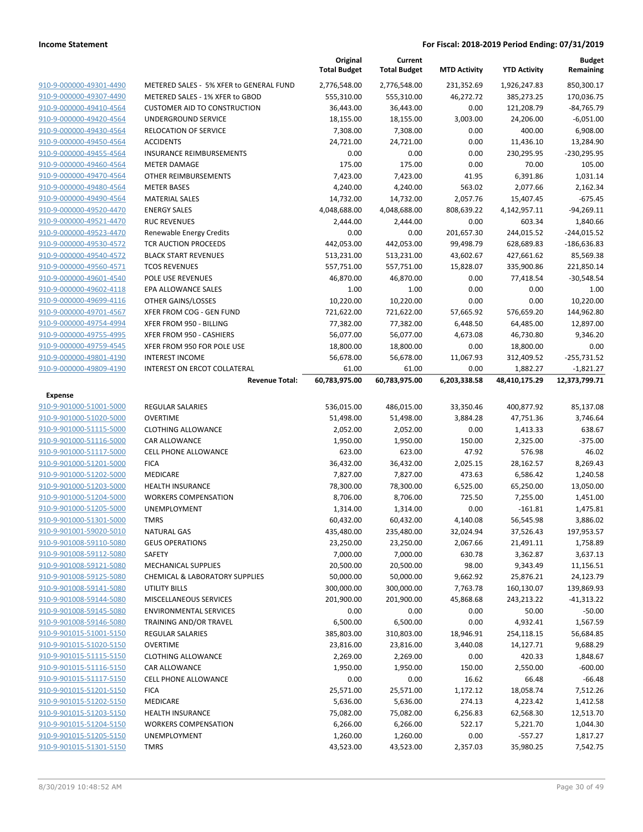|                                           |                                                       | Original<br><b>Total Budget</b> | Current<br><b>Total Budget</b> | <b>MTD Activity</b>  | <b>YTD Activity</b>       | <b>Budget</b><br>Remaining   |
|-------------------------------------------|-------------------------------------------------------|---------------------------------|--------------------------------|----------------------|---------------------------|------------------------------|
| 910-9-000000-49301-4490                   | METERED SALES - 5% XFER to GENERAL FUND               | 2,776,548.00                    | 2,776,548.00                   | 231,352.69           | 1,926,247.83              | 850,300.17                   |
| 910-9-000000-49307-4490                   | METERED SALES - 1% XFER to GBOD                       | 555,310.00                      | 555,310.00                     | 46,272.72            | 385,273.25                | 170,036.75                   |
| 910-9-000000-49410-4564                   | <b>CUSTOMER AID TO CONSTRUCTION</b>                   | 36,443.00                       | 36,443.00                      | 0.00                 | 121,208.79                | $-84,765.79$                 |
| 910-9-000000-49420-4564                   | UNDERGROUND SERVICE                                   | 18,155.00                       | 18,155.00                      | 3,003.00             | 24,206.00                 | $-6,051.00$                  |
| 910-9-000000-49430-4564                   | RELOCATION OF SERVICE                                 | 7,308.00                        | 7,308.00                       | 0.00                 | 400.00                    | 6,908.00                     |
| 910-9-000000-49450-4564                   | <b>ACCIDENTS</b>                                      | 24,721.00                       | 24,721.00                      | 0.00                 | 11,436.10                 | 13,284.90                    |
| 910-9-000000-49455-4564                   | <b>INSURANCE REIMBURSEMENTS</b>                       | 0.00                            | 0.00                           | 0.00                 | 230,295.95                | -230,295.95                  |
| 910-9-000000-49460-4564                   | <b>METER DAMAGE</b>                                   | 175.00                          | 175.00                         | 0.00                 | 70.00                     | 105.00                       |
| 910-9-000000-49470-4564                   | <b>OTHER REIMBURSEMENTS</b>                           | 7,423.00                        | 7,423.00                       | 41.95                | 6,391.86                  | 1,031.14                     |
| 910-9-000000-49480-4564                   | <b>METER BASES</b>                                    | 4,240.00                        | 4,240.00                       | 563.02               | 2,077.66                  | 2,162.34                     |
| 910-9-000000-49490-4564                   | <b>MATERIAL SALES</b>                                 | 14,732.00                       | 14,732.00                      | 2,057.76             | 15,407.45                 | $-675.45$                    |
| 910-9-000000-49520-4470                   | <b>ENERGY SALES</b>                                   | 4,048,688.00                    | 4,048,688.00                   | 808,639.22           | 4,142,957.11              | $-94,269.11$                 |
| 910-9-000000-49521-4470                   | <b>RUC REVENUES</b>                                   | 2,444.00                        | 2,444.00                       | 0.00                 | 603.34                    | 1,840.66                     |
| 910-9-000000-49523-4470                   | Renewable Energy Credits                              | 0.00                            | 0.00                           | 201,657.30           | 244,015.52                | $-244,015.52$                |
| 910-9-000000-49530-4572                   | TCR AUCTION PROCEEDS                                  | 442,053.00                      | 442,053.00                     | 99,498.79            | 628,689.83                | $-186,636.83$                |
| 910-9-000000-49540-4572                   | <b>BLACK START REVENUES</b>                           | 513,231.00                      | 513,231.00                     | 43,602.67            | 427,661.62                | 85,569.38                    |
| 910-9-000000-49560-4571                   | <b>TCOS REVENUES</b>                                  | 557,751.00                      | 557,751.00                     | 15,828.07            | 335,900.86                | 221,850.14                   |
| 910-9-000000-49601-4540                   | POLE USE REVENUES                                     | 46,870.00                       | 46,870.00                      | 0.00                 | 77,418.54                 | $-30,548.54$                 |
| 910-9-000000-49602-4118                   | EPA ALLOWANCE SALES                                   | 1.00                            | 1.00                           | 0.00                 | 0.00                      | 1.00                         |
| 910-9-000000-49699-4116                   | OTHER GAINS/LOSSES                                    | 10,220.00                       | 10,220.00                      | 0.00                 | 0.00                      | 10,220.00                    |
| 910-9-000000-49701-4567                   | XFER FROM COG - GEN FUND                              | 721,622.00                      | 721,622.00                     | 57,665.92            | 576,659.20                | 144,962.80                   |
| 910-9-000000-49754-4994                   | XFER FROM 950 - BILLING                               | 77,382.00                       | 77,382.00                      | 6,448.50             | 64,485.00                 | 12,897.00                    |
| 910-9-000000-49755-4995                   | XFER FROM 950 - CASHIERS                              | 56,077.00                       | 56,077.00                      | 4,673.08             | 46,730.80                 | 9,346.20                     |
| 910-9-000000-49759-4545                   | XFER FROM 950 FOR POLE USE                            | 18,800.00                       | 18,800.00                      | 0.00                 | 18,800.00                 | 0.00                         |
| 910-9-000000-49801-4190                   | <b>INTEREST INCOME</b>                                | 56,678.00                       | 56,678.00                      | 11,067.93            | 312,409.52                | $-255,731.52$                |
| 910-9-000000-49809-4190                   | INTEREST ON ERCOT COLLATERAL<br><b>Revenue Total:</b> | 61.00<br>60,783,975.00          | 61.00<br>60,783,975.00         | 0.00<br>6,203,338.58 | 1,882.27<br>48,410,175.29 | $-1,821.27$<br>12,373,799.71 |
|                                           |                                                       |                                 |                                |                      |                           |                              |
| <b>Expense</b><br>910-9-901000-51001-5000 | <b>REGULAR SALARIES</b>                               | 536,015.00                      | 486,015.00                     | 33,350.46            | 400,877.92                | 85,137.08                    |
| 910-9-901000-51020-5000                   | <b>OVERTIME</b>                                       | 51,498.00                       | 51,498.00                      | 3,884.28             | 47,751.36                 | 3,746.64                     |
| 910-9-901000-51115-5000                   | <b>CLOTHING ALLOWANCE</b>                             | 2,052.00                        | 2,052.00                       | 0.00                 | 1,413.33                  | 638.67                       |
| 910-9-901000-51116-5000                   | CAR ALLOWANCE                                         | 1,950.00                        | 1,950.00                       | 150.00               | 2,325.00                  | $-375.00$                    |
| 910-9-901000-51117-5000                   | CELL PHONE ALLOWANCE                                  | 623.00                          | 623.00                         | 47.92                | 576.98                    | 46.02                        |
| 910-9-901000-51201-5000                   | <b>FICA</b>                                           | 36,432.00                       | 36,432.00                      | 2,025.15             | 28,162.57                 | 8,269.43                     |
| 910-9-901000-51202-5000                   | MEDICARE                                              | 7,827.00                        | 7,827.00                       | 473.63               | 6,586.42                  | 1,240.58                     |
| 910-9-901000-51203-5000                   | <b>HEALTH INSURANCE</b>                               | 78,300.00                       | 78,300.00                      | 6,525.00             | 65,250.00                 | 13,050.00                    |
| 910-9-901000-51204-5000                   | <b>WORKERS COMPENSATION</b>                           | 8,706.00                        | 8,706.00                       | 725.50               | 7,255.00                  | 1,451.00                     |
| 910-9-901000-51205-5000                   | UNEMPLOYMENT                                          | 1,314.00                        | 1,314.00                       | 0.00                 | $-161.81$                 | 1,475.81                     |
| 910-9-901000-51301-5000                   | <b>TMRS</b>                                           | 60,432.00                       | 60,432.00                      | 4,140.08             | 56,545.98                 | 3,886.02                     |
| 910-9-901001-59020-5010                   | <b>NATURAL GAS</b>                                    | 435,480.00                      | 235,480.00                     | 32,024.94            | 37,526.43                 | 197,953.57                   |
| 910-9-901008-59110-5080                   | <b>GEUS OPERATIONS</b>                                | 23,250.00                       | 23,250.00                      | 2,067.66             | 21,491.11                 | 1,758.89                     |
| 910-9-901008-59112-5080                   | SAFETY                                                | 7,000.00                        | 7,000.00                       | 630.78               | 3,362.87                  | 3,637.13                     |
| 910-9-901008-59121-5080                   | <b>MECHANICAL SUPPLIES</b>                            | 20,500.00                       | 20,500.00                      | 98.00                | 9,343.49                  | 11,156.51                    |
| 910-9-901008-59125-5080                   | CHEMICAL & LABORATORY SUPPLIES                        | 50,000.00                       | 50,000.00                      | 9,662.92             | 25,876.21                 | 24,123.79                    |
| 910-9-901008-59141-5080                   | UTILITY BILLS                                         | 300,000.00                      | 300,000.00                     | 7,763.78             | 160,130.07                | 139,869.93                   |
| 910-9-901008-59144-5080                   | MISCELLANEOUS SERVICES                                | 201,900.00                      | 201,900.00                     | 45,868.68            | 243,213.22                | $-41,313.22$                 |
| 910-9-901008-59145-5080                   | <b>ENVIRONMENTAL SERVICES</b>                         | 0.00                            | 0.00                           | 0.00                 | 50.00                     | $-50.00$                     |
| 910-9-901008-59146-5080                   | TRAINING AND/OR TRAVEL                                | 6,500.00                        | 6,500.00                       | 0.00                 | 4,932.41                  | 1,567.59                     |
| 910-9-901015-51001-5150                   | <b>REGULAR SALARIES</b>                               | 385,803.00                      | 310,803.00                     | 18,946.91            | 254,118.15                | 56,684.85                    |
| 910-9-901015-51020-5150                   | <b>OVERTIME</b>                                       | 23,816.00                       | 23,816.00                      | 3,440.08             | 14,127.71                 | 9,688.29                     |
| 910-9-901015-51115-5150                   | <b>CLOTHING ALLOWANCE</b>                             | 2,269.00                        | 2,269.00                       | 0.00                 | 420.33                    | 1,848.67                     |
| 910-9-901015-51116-5150                   | CAR ALLOWANCE                                         | 1,950.00                        | 1,950.00                       | 150.00               | 2,550.00                  | $-600.00$                    |
| 910-9-901015-51117-5150                   | <b>CELL PHONE ALLOWANCE</b>                           | 0.00                            | 0.00                           | 16.62                | 66.48                     | $-66.48$                     |
| 910-9-901015-51201-5150                   | <b>FICA</b>                                           | 25,571.00                       | 25,571.00                      | 1,172.12             | 18,058.74                 | 7,512.26                     |
| 910-9-901015-51202-5150                   | MEDICARE                                              | 5,636.00                        | 5,636.00                       | 274.13               | 4,223.42                  | 1,412.58                     |
| 910-9-901015-51203-5150                   | <b>HEALTH INSURANCE</b>                               | 75,082.00                       | 75,082.00                      | 6,256.83             | 62,568.30                 | 12,513.70                    |
| 910-9-901015-51204-5150                   | <b>WORKERS COMPENSATION</b>                           | 6,266.00                        | 6,266.00                       | 522.17               | 5,221.70                  | 1,044.30                     |
| 910-9-901015-51205-5150                   | UNEMPLOYMENT                                          | 1,260.00                        | 1,260.00                       | 0.00                 | $-557.27$                 | 1,817.27                     |
| 910-9-901015-51301-5150                   | <b>TMRS</b>                                           | 43,523.00                       | 43,523.00                      | 2,357.03             | 35,980.25                 | 7,542.75                     |
|                                           |                                                       |                                 |                                |                      |                           |                              |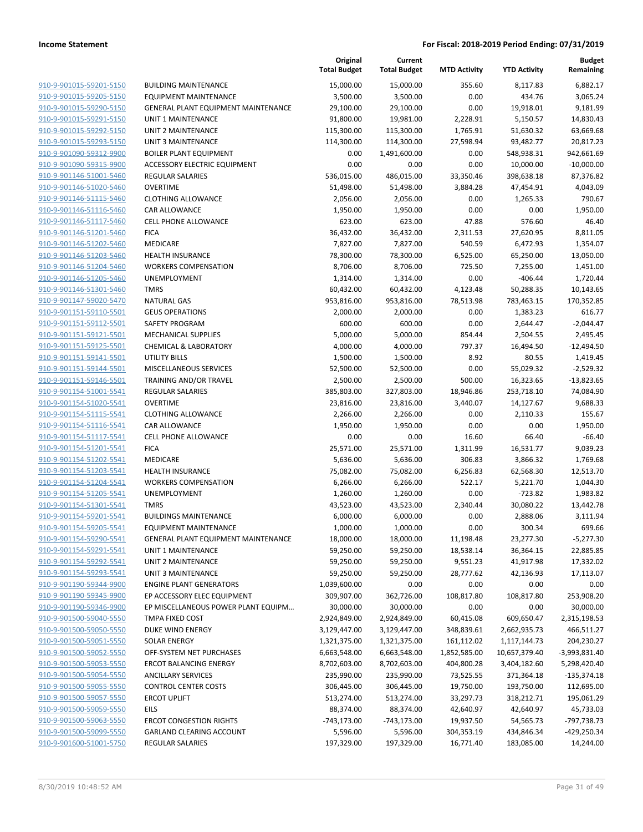|                                                    |                                                          | Original<br><b>Total Budget</b> | Current<br><b>Total Budget</b> | <b>MTD Activity</b> | <b>YTD Activity</b> | <b>Budget</b><br>Remaining |
|----------------------------------------------------|----------------------------------------------------------|---------------------------------|--------------------------------|---------------------|---------------------|----------------------------|
| 910-9-901015-59201-5150                            | <b>BUILDING MAINTENANCE</b>                              | 15,000.00                       | 15,000.00                      | 355.60              | 8,117.83            | 6,882.17                   |
| 910-9-901015-59205-5150                            | <b>EQUIPMENT MAINTENANCE</b>                             | 3,500.00                        | 3,500.00                       | 0.00                | 434.76              | 3,065.24                   |
| 910-9-901015-59290-5150                            | <b>GENERAL PLANT EQUIPMENT MAINTENANCE</b>               | 29,100.00                       | 29,100.00                      | 0.00                | 19,918.01           | 9,181.99                   |
| 910-9-901015-59291-5150                            | <b>UNIT 1 MAINTENANCE</b>                                | 91,800.00                       | 19,981.00                      | 2,228.91            | 5,150.57            | 14,830.43                  |
| 910-9-901015-59292-5150                            | <b>UNIT 2 MAINTENANCE</b>                                | 115,300.00                      | 115,300.00                     | 1,765.91            | 51,630.32           | 63,669.68                  |
| 910-9-901015-59293-5150                            | <b>UNIT 3 MAINTENANCE</b>                                | 114,300.00                      | 114,300.00                     | 27,598.94           | 93,482.77           | 20,817.23                  |
| 910-9-901090-59312-9900                            | <b>BOILER PLANT EQUIPMENT</b>                            | 0.00                            | 1,491,600.00                   | 0.00                | 548,938.31          | 942,661.69                 |
| 910-9-901090-59315-9900                            | <b>ACCESSORY ELECTRIC EQUIPMENT</b>                      | 0.00                            | 0.00                           | 0.00                | 10,000.00           | $-10,000.00$               |
| 910-9-901146-51001-5460                            | <b>REGULAR SALARIES</b>                                  | 536,015.00                      | 486,015.00                     | 33,350.46           | 398,638.18          | 87,376.82                  |
| 910-9-901146-51020-5460                            | <b>OVERTIME</b>                                          | 51,498.00                       | 51,498.00                      | 3,884.28            | 47,454.91           | 4,043.09                   |
| 910-9-901146-51115-5460                            | <b>CLOTHING ALLOWANCE</b>                                | 2,056.00                        | 2,056.00                       | 0.00                | 1,265.33            | 790.67                     |
| 910-9-901146-51116-5460                            | CAR ALLOWANCE                                            | 1,950.00                        | 1,950.00                       | 0.00                | 0.00                | 1,950.00                   |
| 910-9-901146-51117-5460                            | <b>CELL PHONE ALLOWANCE</b>                              | 623.00                          | 623.00                         | 47.88               | 576.60              | 46.40                      |
| 910-9-901146-51201-5460                            | <b>FICA</b>                                              | 36,432.00                       | 36,432.00                      | 2,311.53            | 27,620.95           | 8,811.05                   |
| 910-9-901146-51202-5460                            | <b>MEDICARE</b>                                          | 7,827.00                        | 7,827.00                       | 540.59              | 6,472.93            | 1,354.07                   |
| 910-9-901146-51203-5460                            | <b>HEALTH INSURANCE</b>                                  | 78,300.00                       | 78,300.00                      | 6,525.00            | 65,250.00           | 13,050.00                  |
| 910-9-901146-51204-5460                            | <b>WORKERS COMPENSATION</b>                              | 8,706.00                        | 8,706.00                       | 725.50              | 7,255.00            | 1,451.00                   |
| 910-9-901146-51205-5460                            | <b>UNEMPLOYMENT</b>                                      | 1,314.00                        | 1,314.00                       | 0.00                | $-406.44$           | 1,720.44                   |
| 910-9-901146-51301-5460                            | <b>TMRS</b>                                              | 60,432.00                       | 60,432.00                      | 4,123.48            | 50,288.35           | 10,143.65                  |
| 910-9-901147-59020-5470                            | <b>NATURAL GAS</b>                                       | 953,816.00                      | 953,816.00                     | 78,513.98           | 783,463.15          | 170,352.85                 |
| 910-9-901151-59110-5501                            | <b>GEUS OPERATIONS</b><br><b>SAFETY PROGRAM</b>          | 2,000.00                        | 2,000.00                       | 0.00                | 1,383.23            | 616.77                     |
| 910-9-901151-59112-5501                            |                                                          | 600.00                          | 600.00                         | 0.00                | 2,644.47            | $-2,044.47$                |
| 910-9-901151-59121-5501                            | <b>MECHANICAL SUPPLIES</b>                               | 5,000.00                        | 5,000.00                       | 854.44              | 2,504.55            | 2,495.45                   |
| 910-9-901151-59125-5501                            | <b>CHEMICAL &amp; LABORATORY</b><br><b>UTILITY BILLS</b> | 4,000.00                        | 4,000.00                       | 797.37<br>8.92      | 16,494.50           | $-12,494.50$               |
| 910-9-901151-59141-5501<br>910-9-901151-59144-5501 | MISCELLANEOUS SERVICES                                   | 1,500.00<br>52,500.00           | 1,500.00<br>52,500.00          | 0.00                | 80.55<br>55,029.32  | 1,419.45<br>$-2,529.32$    |
| 910-9-901151-59146-5501                            | TRAINING AND/OR TRAVEL                                   | 2,500.00                        | 2,500.00                       | 500.00              | 16,323.65           | $-13,823.65$               |
| 910-9-901154-51001-5541                            | <b>REGULAR SALARIES</b>                                  | 385,803.00                      | 327,803.00                     | 18,946.86           | 253,718.10          | 74,084.90                  |
| 910-9-901154-51020-5541                            | <b>OVERTIME</b>                                          | 23,816.00                       | 23,816.00                      | 3,440.07            | 14,127.67           | 9,688.33                   |
| 910-9-901154-51115-5541                            | <b>CLOTHING ALLOWANCE</b>                                | 2,266.00                        | 2,266.00                       | 0.00                | 2,110.33            | 155.67                     |
| 910-9-901154-51116-5541                            | CAR ALLOWANCE                                            | 1,950.00                        | 1,950.00                       | 0.00                | 0.00                | 1,950.00                   |
| 910-9-901154-51117-5541                            | <b>CELL PHONE ALLOWANCE</b>                              | 0.00                            | 0.00                           | 16.60               | 66.40               | $-66.40$                   |
| 910-9-901154-51201-5541                            | <b>FICA</b>                                              | 25,571.00                       | 25,571.00                      | 1,311.99            | 16,531.77           | 9,039.23                   |
| 910-9-901154-51202-5541                            | MEDICARE                                                 | 5,636.00                        | 5,636.00                       | 306.83              | 3,866.32            | 1,769.68                   |
| 910-9-901154-51203-5541                            | <b>HEALTH INSURANCE</b>                                  | 75,082.00                       | 75,082.00                      | 6,256.83            | 62,568.30           | 12,513.70                  |
| 910-9-901154-51204-5541                            | <b>WORKERS COMPENSATION</b>                              | 6,266.00                        | 6,266.00                       | 522.17              | 5,221.70            | 1,044.30                   |
| 910-9-901154-51205-5541                            | <b>UNEMPLOYMENT</b>                                      | 1,260.00                        | 1,260.00                       | 0.00                | $-723.82$           | 1,983.82                   |
| 910-9-901154-51301-5541                            | <b>TMRS</b>                                              | 43,523.00                       | 43,523.00                      | 2,340.44            | 30,080.22           | 13,442.78                  |
| 910-9-901154-59201-5541                            | <b>BUILDINGS MAINTENANCE</b>                             | 6,000.00                        | 6,000.00                       | 0.00                | 2,888.06            | 3,111.94                   |
| 910-9-901154-59205-5541                            | <b>EQUIPMENT MAINTENANCE</b>                             | 1,000.00                        | 1,000.00                       | 0.00                | 300.34              | 699.66                     |
| 910-9-901154-59290-5541                            | <b>GENERAL PLANT EQUIPMENT MAINTENANCE</b>               | 18,000.00                       | 18,000.00                      | 11,198.48           | 23,277.30           | $-5,277.30$                |
| 910-9-901154-59291-5541                            | UNIT 1 MAINTENANCE                                       | 59,250.00                       | 59,250.00                      | 18,538.14           | 36,364.15           | 22,885.85                  |
| 910-9-901154-59292-5541                            | UNIT 2 MAINTENANCE                                       | 59,250.00                       | 59,250.00                      | 9,551.23            | 41,917.98           | 17,332.02                  |
| 910-9-901154-59293-5541                            | <b>UNIT 3 MAINTENANCE</b>                                | 59,250.00                       | 59,250.00                      | 28,777.62           | 42,136.93           | 17,113.07                  |
| 910-9-901190-59344-9900                            | <b>ENGINE PLANT GENERATORS</b>                           | 1,039,600.00                    | 0.00                           | 0.00                | 0.00                | 0.00                       |
| 910-9-901190-59345-9900                            | EP ACCESSORY ELEC EQUIPMENT                              | 309,907.00                      | 362,726.00                     | 108,817.80          | 108,817.80          | 253,908.20                 |
| 910-9-901190-59346-9900                            | EP MISCELLANEOUS POWER PLANT EQUIPM                      | 30,000.00                       | 30,000.00                      | 0.00                | 0.00                | 30,000.00                  |
| 910-9-901500-59040-5550                            | <b>TMPA FIXED COST</b>                                   | 2,924,849.00                    | 2,924,849.00                   | 60,415.08           | 609,650.47          | 2,315,198.53               |
| 910-9-901500-59050-5550                            | DUKE WIND ENERGY                                         | 3,129,447.00                    | 3,129,447.00                   | 348,839.61          | 2,662,935.73        | 466,511.27                 |
| 910-9-901500-59051-5550                            | <b>SOLAR ENERGY</b>                                      | 1,321,375.00                    | 1,321,375.00                   | 161,112.02          | 1,117,144.73        | 204,230.27                 |
| 910-9-901500-59052-5550                            | OFF-SYSTEM NET PURCHASES                                 | 6,663,548.00                    | 6,663,548.00                   | 1,852,585.00        | 10,657,379.40       | -3,993,831.40              |
| 910-9-901500-59053-5550                            | <b>ERCOT BALANCING ENERGY</b>                            | 8,702,603.00                    | 8,702,603.00                   | 404,800.28          | 3,404,182.60        | 5,298,420.40               |
| 910-9-901500-59054-5550                            | <b>ANCILLARY SERVICES</b>                                | 235,990.00                      | 235,990.00                     | 73,525.55           | 371,364.18          | $-135,374.18$              |
| 910-9-901500-59055-5550                            | <b>CONTROL CENTER COSTS</b>                              | 306,445.00                      | 306,445.00                     | 19,750.00           | 193,750.00          | 112,695.00                 |
| 910-9-901500-59057-5550                            | <b>ERCOT UPLIFT</b>                                      | 513,274.00                      | 513,274.00                     | 33,297.73           | 318,212.71          | 195,061.29                 |
| 910-9-901500-59059-5550                            | EILS                                                     | 88,374.00                       | 88,374.00                      | 42,640.97           | 42,640.97           | 45,733.03                  |
| 910-9-901500-59063-5550                            | <b>ERCOT CONGESTION RIGHTS</b>                           | $-743,173.00$                   | $-743,173.00$                  | 19,937.50           | 54,565.73           | -797,738.73                |
| 910-9-901500-59099-5550                            | GARLAND CLEARING ACCOUNT                                 | 5,596.00                        | 5,596.00                       | 304,353.19          | 434,846.34          | -429,250.34                |
| 910-9-901600-51001-5750                            | REGULAR SALARIES                                         | 197,329.00                      | 197,329.00                     | 16,771.40           | 183,085.00          | 14,244.00                  |
|                                                    |                                                          |                                 |                                |                     |                     |                            |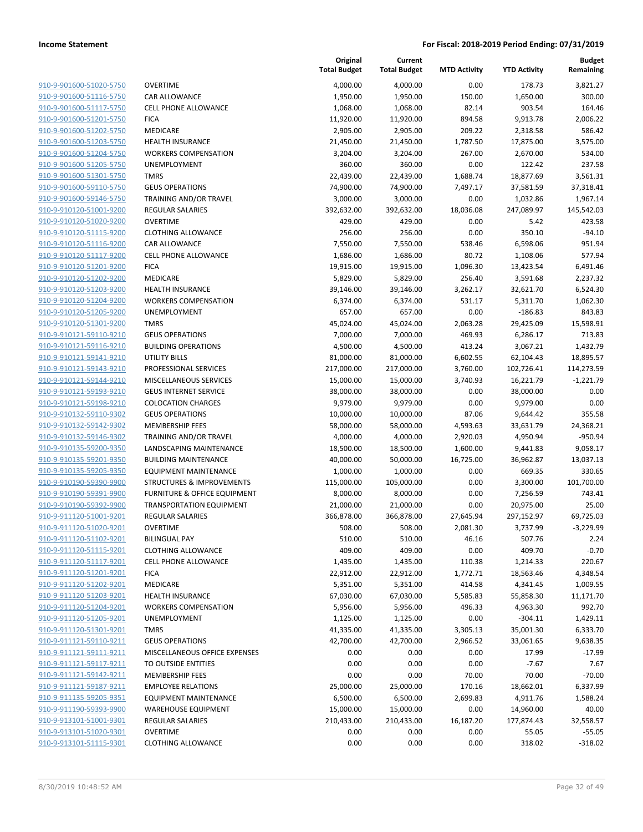**Current**

**Original**

**Budget Remaining**

|                                                    |                                                                      | <b>Total Budget</b>   | <b>Total Budget</b>  | <b>MTD Activity</b>   | <b>YTD Activity</b>     | Remaining            |
|----------------------------------------------------|----------------------------------------------------------------------|-----------------------|----------------------|-----------------------|-------------------------|----------------------|
| 910-9-901600-51020-5750                            | <b>OVERTIME</b>                                                      | 4,000.00              | 4,000.00             | 0.00                  | 178.73                  | 3,821.27             |
| 910-9-901600-51116-5750                            | CAR ALLOWANCE                                                        | 1,950.00              | 1,950.00             | 150.00                | 1,650.00                | 300.00               |
| 910-9-901600-51117-5750                            | <b>CELL PHONE ALLOWANCE</b>                                          | 1,068.00              | 1,068.00             | 82.14                 | 903.54                  | 164.46               |
| 910-9-901600-51201-5750                            | <b>FICA</b>                                                          | 11,920.00             | 11,920.00            | 894.58                | 9,913.78                | 2,006.22             |
| 910-9-901600-51202-5750                            | MEDICARE                                                             | 2,905.00              | 2,905.00             | 209.22                | 2,318.58                | 586.42               |
| 910-9-901600-51203-5750                            | HEALTH INSURANCE                                                     | 21,450.00             | 21,450.00            | 1,787.50              | 17,875.00               | 3,575.00             |
| 910-9-901600-51204-5750                            | <b>WORKERS COMPENSATION</b>                                          | 3,204.00              | 3,204.00             | 267.00                | 2,670.00                | 534.00               |
| 910-9-901600-51205-5750                            | UNEMPLOYMENT                                                         | 360.00                | 360.00               | 0.00                  | 122.42                  | 237.58               |
| 910-9-901600-51301-5750                            | <b>TMRS</b>                                                          | 22,439.00             | 22,439.00            | 1,688.74              | 18,877.69               | 3,561.31             |
| 910-9-901600-59110-5750                            | <b>GEUS OPERATIONS</b>                                               | 74,900.00             | 74,900.00            | 7,497.17              | 37,581.59               | 37,318.41            |
| 910-9-901600-59146-5750                            | <b>TRAINING AND/OR TRAVEL</b>                                        | 3,000.00              | 3,000.00             | 0.00                  | 1,032.86                | 1,967.14             |
| 910-9-910120-51001-9200                            | <b>REGULAR SALARIES</b>                                              | 392,632.00            | 392,632.00           | 18,036.08             | 247,089.97              | 145,542.03           |
| 910-9-910120-51020-9200                            | <b>OVERTIME</b>                                                      | 429.00                | 429.00               | 0.00                  | 5.42                    | 423.58               |
| 910-9-910120-51115-9200                            | <b>CLOTHING ALLOWANCE</b>                                            | 256.00                | 256.00               | 0.00                  | 350.10                  | $-94.10$             |
| 910-9-910120-51116-9200                            | CAR ALLOWANCE                                                        | 7,550.00              | 7,550.00             | 538.46                | 6,598.06                | 951.94               |
| 910-9-910120-51117-9200                            | <b>CELL PHONE ALLOWANCE</b>                                          | 1,686.00              | 1,686.00             | 80.72                 | 1,108.06                | 577.94               |
| 910-9-910120-51201-9200                            | <b>FICA</b>                                                          | 19,915.00             | 19,915.00            | 1,096.30              | 13,423.54               | 6,491.46             |
| 910-9-910120-51202-9200                            | MEDICARE                                                             | 5,829.00              | 5,829.00             | 256.40                | 3,591.68                | 2,237.32             |
| 910-9-910120-51203-9200                            | HEALTH INSURANCE                                                     | 39,146.00             | 39,146.00            | 3,262.17              | 32,621.70               | 6,524.30             |
| 910-9-910120-51204-9200                            | <b>WORKERS COMPENSATION</b>                                          | 6,374.00              | 6,374.00             | 531.17                | 5,311.70                | 1,062.30             |
| 910-9-910120-51205-9200                            | UNEMPLOYMENT                                                         | 657.00                | 657.00               | 0.00                  | $-186.83$               | 843.83               |
| 910-9-910120-51301-9200                            | <b>TMRS</b>                                                          | 45,024.00             | 45,024.00            | 2,063.28              | 29,425.09               | 15,598.91            |
| 910-9-910121-59110-9210                            | <b>GEUS OPERATIONS</b>                                               | 7,000.00              | 7,000.00             | 469.93                | 6,286.17                | 713.83               |
| 910-9-910121-59116-9210                            | <b>BUILDING OPERATIONS</b>                                           | 4,500.00              | 4,500.00             | 413.24                | 3,067.21                | 1,432.79             |
| 910-9-910121-59141-9210                            | UTILITY BILLS                                                        | 81,000.00             | 81,000.00            | 6,602.55              | 62,104.43               | 18,895.57            |
| 910-9-910121-59143-9210                            | PROFESSIONAL SERVICES                                                | 217,000.00            | 217,000.00           | 3,760.00              | 102,726.41              | 114,273.59           |
| 910-9-910121-59144-9210                            | MISCELLANEOUS SERVICES                                               | 15,000.00             | 15,000.00            | 3,740.93              | 16,221.79               | $-1,221.79$          |
| 910-9-910121-59193-9210                            | <b>GEUS INTERNET SERVICE</b>                                         | 38,000.00             | 38,000.00            | 0.00                  | 38,000.00               | 0.00                 |
| 910-9-910121-59198-9210                            | <b>COLOCATION CHARGES</b>                                            | 9,979.00              | 9,979.00             | 0.00                  | 9,979.00                | 0.00                 |
| 910-9-910132-59110-9302                            | <b>GEUS OPERATIONS</b>                                               | 10,000.00             | 10,000.00            | 87.06                 | 9,644.42                | 355.58               |
| 910-9-910132-59142-9302                            | <b>MEMBERSHIP FEES</b>                                               | 58,000.00             | 58,000.00            | 4,593.63              | 33,631.79               | 24,368.21            |
| 910-9-910132-59146-9302                            | TRAINING AND/OR TRAVEL                                               | 4,000.00              | 4,000.00             | 2,920.03              | 4,950.94                | $-950.94$            |
| 910-9-910135-59200-9350                            | LANDSCAPING MAINTENANCE                                              | 18,500.00             | 18,500.00            | 1,600.00              | 9,441.83                | 9,058.17             |
| 910-9-910135-59201-9350<br>910-9-910135-59205-9350 | <b>BUILDING MAINTENANCE</b>                                          | 40,000.00             | 50,000.00            | 16,725.00             | 36,962.87               | 13,037.13            |
| 910-9-910190-59390-9900                            | <b>EQUIPMENT MAINTENANCE</b><br><b>STRUCTURES &amp; IMPROVEMENTS</b> | 1,000.00              | 1,000.00             | 0.00                  | 669.35                  | 330.65<br>101,700.00 |
| 910-9-910190-59391-9900                            | FURNITURE & OFFICE EQUIPMENT                                         | 115,000.00            | 105,000.00           | 0.00                  | 3,300.00                |                      |
| 910-9-910190-59392-9900                            | <b>TRANSPORTATION EQUIPMENT</b>                                      | 8,000.00<br>21,000.00 | 8,000.00             | 0.00<br>0.00          | 7,256.59                | 743.41<br>25.00      |
| 910-9-911120-51001-9201                            | <b>REGULAR SALARIES</b>                                              | 366,878.00            | 21,000.00            |                       | 20,975.00<br>297,152.97 | 69,725.03            |
| 910-9-911120-51020-9201                            | <b>OVERTIME</b>                                                      | 508.00                | 366,878.00<br>508.00 | 27,645.94<br>2,081.30 | 3,737.99                | $-3,229.99$          |
| 910-9-911120-51102-9201                            | <b>BILINGUAL PAY</b>                                                 | 510.00                | 510.00               | 46.16                 | 507.76                  | 2.24                 |
| 910-9-911120-51115-9201                            | <b>CLOTHING ALLOWANCE</b>                                            | 409.00                | 409.00               | 0.00                  | 409.70                  | $-0.70$              |
| 910-9-911120-51117-9201                            | <b>CELL PHONE ALLOWANCE</b>                                          | 1,435.00              | 1,435.00             | 110.38                | 1,214.33                | 220.67               |
| 910-9-911120-51201-9201                            | <b>FICA</b>                                                          | 22,912.00             | 22,912.00            | 1,772.71              | 18,563.46               | 4,348.54             |
| 910-9-911120-51202-9201                            | MEDICARE                                                             | 5,351.00              | 5,351.00             | 414.58                | 4,341.45                | 1,009.55             |
| 910-9-911120-51203-9201                            | HEALTH INSURANCE                                                     | 67,030.00             | 67,030.00            | 5,585.83              | 55,858.30               | 11,171.70            |
| 910-9-911120-51204-9201                            | <b>WORKERS COMPENSATION</b>                                          | 5,956.00              | 5,956.00             | 496.33                | 4,963.30                | 992.70               |
| 910-9-911120-51205-9201                            | UNEMPLOYMENT                                                         | 1,125.00              | 1,125.00             | 0.00                  | $-304.11$               | 1,429.11             |
| 910-9-911120-51301-9201                            | <b>TMRS</b>                                                          | 41,335.00             | 41,335.00            | 3,305.13              | 35,001.30               | 6,333.70             |
| 910-9-911121-59110-9211                            | <b>GEUS OPERATIONS</b>                                               | 42,700.00             | 42,700.00            | 2,966.52              | 33,061.65               | 9,638.35             |
| 910-9-911121-59111-9211                            | MISCELLANEOUS OFFICE EXPENSES                                        | 0.00                  | 0.00                 | 0.00                  | 17.99                   | $-17.99$             |
| 910-9-911121-59117-9211                            | TO OUTSIDE ENTITIES                                                  | 0.00                  | 0.00                 | 0.00                  | $-7.67$                 | 7.67                 |
| 910-9-911121-59142-9211                            | <b>MEMBERSHIP FEES</b>                                               | 0.00                  | 0.00                 | 70.00                 | 70.00                   | $-70.00$             |
| 910-9-911121-59187-9211                            | <b>EMPLOYEE RELATIONS</b>                                            | 25,000.00             | 25,000.00            | 170.16                | 18,662.01               | 6,337.99             |
| 910-9-911135-59205-9351                            | <b>EQUIPMENT MAINTENANCE</b>                                         | 6,500.00              | 6,500.00             | 2,699.83              | 4,911.76                | 1,588.24             |
| 910-9-911190-59393-9900                            | <b>WAREHOUSE EQUIPMENT</b>                                           | 15,000.00             | 15,000.00            | 0.00                  | 14,960.00               | 40.00                |
| 910-9-913101-51001-9301                            | <b>REGULAR SALARIES</b>                                              | 210,433.00            | 210,433.00           | 16,187.20             | 177,874.43              | 32,558.57            |
| 910-9-913101-51020-9301                            | <b>OVERTIME</b>                                                      | 0.00                  | 0.00                 | 0.00                  | 55.05                   | $-55.05$             |
| 910-9-913101-51115-9301                            | <b>CLOTHING ALLOWANCE</b>                                            | 0.00                  | 0.00                 | 0.00                  | 318.02                  | $-318.02$            |
|                                                    |                                                                      |                       |                      |                       |                         |                      |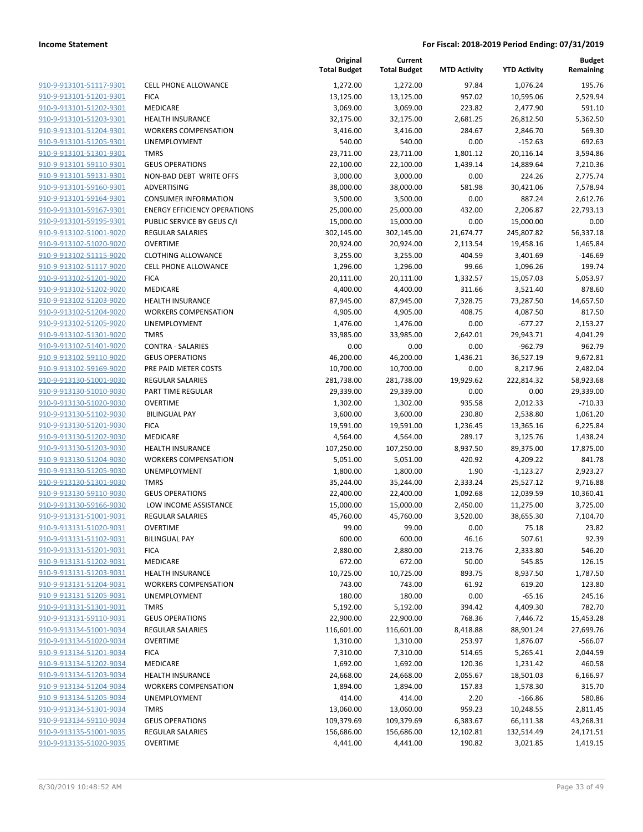| <u>910-9-913101-51117-9301</u>                     | <b>CELL PHONE ALL</b>                        |
|----------------------------------------------------|----------------------------------------------|
| 910-9-913101-51201-9301                            | <b>FICA</b>                                  |
| 910-9-913101-51202-9301                            | MEDICARE                                     |
| 910-9-913101-51203-9301                            | <b>HEALTH INSURA</b>                         |
| 910-9-913101-51204-9301                            | <b>WORKERS COMF</b>                          |
| 910-9-913101-51205-9301                            | UNEMPLOYMEN                                  |
| 910-9-913101-51301-9301                            | TMRS                                         |
| 910-9-913101-59110-9301                            | <b>GEUS OPERATIO</b>                         |
| 910-9-913101-59131-9301                            | <b>NON-BAD DEBT</b>                          |
| 910-9-913101-59160-9301                            | ADVERTISING                                  |
| 910-9-913101-59164-9301                            | <b>CONSUMER INFO</b>                         |
| 910-9-913101-59167-9301                            | <b>ENERGY EFFICIEN</b>                       |
| 910-9-913101-59195-9301                            | <b>PUBLIC SERVICE</b>                        |
| 910-9-913102-51001-9020                            | <b>REGULAR SALAR</b>                         |
| 910-9-913102-51020-9020                            | OVERTIME                                     |
| 910-9-913102-51115-9020                            | <b>CLOTHING ALLO'</b>                        |
| 910-9-913102-51117-9020                            | <b>CELL PHONE ALL</b>                        |
| 910-9-913102-51201-9020                            | <b>FICA</b>                                  |
| 910-9-913102-51202-9020                            | <b>MEDICARE</b>                              |
| 910-9-913102-51203-9020                            | <b>HEALTH INSURA</b>                         |
| 910-9-913102-51204-9020                            | <b>WORKERS COMF</b>                          |
| 910-9-913102-51205-9020                            | UNEMPLOYMEN                                  |
| 910-9-913102-51301-9020                            | TMRS                                         |
| 910-9-913102-51401-9020                            | <b>CONTRA - SALAR</b>                        |
| 910-9-913102-59110-9020                            | <b>GEUS OPERATIO</b>                         |
| <u>910-9-913102-59169-9020</u>                     | PRE PAID METER                               |
| 910-9-913130-51001-9030                            | REGULAR SALAR                                |
| 910-9-913130-51010-9030                            | PART TIME REGU                               |
| 910-9-913130-51020-9030                            | OVERTIME                                     |
| 910-9-913130-51102-9030                            | BILINGUAL PAY                                |
| 910-9-913130-51201-9030                            | <b>FICA</b>                                  |
| 910-9-913130-51202-9030                            | MEDICARE                                     |
| 910-9-913130-51203-9030                            | <b>HEALTH INSURA</b>                         |
| 910-9-913130-51204-9030                            | <b>WORKERS COMF</b>                          |
| 910-9-913130-51205-9030                            | <b>UNEMPLOYMEN</b>                           |
| 910-9-913130-51301-9030                            | <b>TMRS</b>                                  |
| 910-9-913130-59110-9030                            | <b>GEUS OPERATIO</b>                         |
| 910-9-913130-59166-9030                            | LOW INCOME A                                 |
| 910-9-913131-51001-9031                            | <b>REGULAR SALAR</b>                         |
| 910-9-913131-51020-9031                            | OVERTIME                                     |
| 910-9-913131-51102-9031                            | BILINGUAL PAY                                |
| 910-9-913131-51201-9031                            | <b>FICA</b>                                  |
| 910-9-913131-51202-9031                            | MEDICARE                                     |
| 910-9-913131-51203-9031<br>910-9-913131-51204-9031 | <b>HEALTH INSURA</b>                         |
|                                                    | <b>WORKERS COMF</b>                          |
| 910-9-913131-51205-9031                            | UNEMPLOYMEN                                  |
| 910-9-913131-51301-9031                            | TMRS                                         |
| 910-9-913131-59110-9031                            | <b>GEUS OPERATIO</b><br><b>REGULAR SALAR</b> |
| 910-9-913134-51001-9034                            |                                              |
| 910-9-913134-51020-9034                            | OVERTIME                                     |
| 910-9-913134-51201-9034                            | <b>FICA</b><br><b>MEDICARE</b>               |
| 910-9-913134-51202-9034                            |                                              |
| 910-9-913134-51203-9034                            | <b>HEALTH INSURA</b>                         |
| 910-9-913134-51204-9034                            | <b>WORKERS COMF</b>                          |
| 910-9-913134-51205-9034                            | UNEMPLOYMEN                                  |
| 910-9-913134-51301-9034                            | <b>TMRS</b>                                  |
| 910-9-913134-59110-9034                            | <b>GEUS OPERATIO</b>                         |
| 910-9-913135-51001-9035                            | REGULAR SALAR                                |
| 910-9-913135-51020-9035                            | <b>OVERTIME</b>                              |
|                                                    |                                              |

|                                                    |                                     | Original<br><b>Total Budget</b> | Current<br><b>Total Budget</b> | <b>MTD Activity</b> | <b>YTD Activity</b> | <b>Budget</b><br>Remaining |
|----------------------------------------------------|-------------------------------------|---------------------------------|--------------------------------|---------------------|---------------------|----------------------------|
| 910-9-913101-51117-9301                            | CELL PHONE ALLOWANCE                | 1,272.00                        | 1,272.00                       | 97.84               | 1,076.24            | 195.76                     |
| 910-9-913101-51201-9301                            | <b>FICA</b>                         | 13,125.00                       | 13,125.00                      | 957.02              | 10,595.06           | 2,529.94                   |
| 910-9-913101-51202-9301                            | MEDICARE                            | 3,069.00                        | 3,069.00                       | 223.82              | 2,477.90            | 591.10                     |
| 910-9-913101-51203-9301                            | <b>HEALTH INSURANCE</b>             | 32,175.00                       | 32,175.00                      | 2,681.25            | 26,812.50           | 5,362.50                   |
| 910-9-913101-51204-9301                            | <b>WORKERS COMPENSATION</b>         | 3,416.00                        | 3,416.00                       | 284.67              | 2,846.70            | 569.30                     |
| 910-9-913101-51205-9301                            | UNEMPLOYMENT                        | 540.00                          | 540.00                         | 0.00                | $-152.63$           | 692.63                     |
| 910-9-913101-51301-9301                            | <b>TMRS</b>                         | 23,711.00                       | 23,711.00                      | 1,801.12            | 20,116.14           | 3,594.86                   |
| 910-9-913101-59110-9301                            | <b>GEUS OPERATIONS</b>              | 22,100.00                       | 22,100.00                      | 1,439.14            | 14,889.64           | 7,210.36                   |
| 910-9-913101-59131-9301                            | NON-BAD DEBT WRITE OFFS             | 3,000.00                        | 3,000.00                       | 0.00                | 224.26              | 2,775.74                   |
| 910-9-913101-59160-9301                            | ADVERTISING                         | 38,000.00                       | 38,000.00                      | 581.98              | 30,421.06           | 7,578.94                   |
| 910-9-913101-59164-9301                            | <b>CONSUMER INFORMATION</b>         | 3,500.00                        | 3,500.00                       | 0.00                | 887.24              | 2,612.76                   |
| 910-9-913101-59167-9301                            | <b>ENERGY EFFICIENCY OPERATIONS</b> | 25,000.00                       | 25,000.00                      | 432.00              | 2,206.87            | 22,793.13                  |
| 910-9-913101-59195-9301                            | PUBLIC SERVICE BY GEUS C/I          | 15,000.00                       | 15,000.00                      | 0.00                | 15,000.00           | 0.00                       |
| 910-9-913102-51001-9020                            | <b>REGULAR SALARIES</b>             | 302,145.00                      | 302,145.00                     | 21,674.77           | 245,807.82          | 56,337.18                  |
| 910-9-913102-51020-9020                            | <b>OVERTIME</b>                     | 20,924.00                       | 20,924.00                      | 2,113.54            | 19,458.16           | 1,465.84                   |
| 910-9-913102-51115-9020                            | <b>CLOTHING ALLOWANCE</b>           | 3,255.00                        | 3,255.00                       | 404.59              | 3,401.69            | $-146.69$                  |
| 910-9-913102-51117-9020                            | <b>CELL PHONE ALLOWANCE</b>         | 1,296.00                        | 1,296.00                       | 99.66               | 1,096.26            | 199.74                     |
| 910-9-913102-51201-9020                            | <b>FICA</b>                         | 20,111.00                       | 20,111.00                      | 1,332.57            | 15,057.03           | 5,053.97                   |
| 910-9-913102-51202-9020                            | MEDICARE                            | 4,400.00                        | 4,400.00                       | 311.66              | 3,521.40            | 878.60                     |
| 910-9-913102-51203-9020                            | <b>HEALTH INSURANCE</b>             | 87,945.00                       | 87,945.00                      | 7,328.75            | 73,287.50           | 14,657.50                  |
| 910-9-913102-51204-9020                            | <b>WORKERS COMPENSATION</b>         | 4,905.00                        | 4,905.00                       | 408.75              | 4,087.50            | 817.50                     |
| 910-9-913102-51205-9020                            | <b>UNEMPLOYMENT</b>                 | 1,476.00                        | 1,476.00                       | 0.00                | $-677.27$           | 2,153.27                   |
| 910-9-913102-51301-9020                            | <b>TMRS</b>                         | 33,985.00                       | 33,985.00                      | 2,642.01            | 29,943.71           | 4,041.29                   |
| 910-9-913102-51401-9020                            | <b>CONTRA - SALARIES</b>            | 0.00                            | 0.00                           | 0.00                | $-962.79$           | 962.79                     |
| 910-9-913102-59110-9020                            | <b>GEUS OPERATIONS</b>              | 46,200.00                       | 46,200.00                      | 1,436.21            | 36,527.19           | 9,672.81                   |
| 910-9-913102-59169-9020                            | PRE PAID METER COSTS                | 10,700.00                       | 10,700.00                      | 0.00                | 8,217.96            | 2,482.04                   |
| 910-9-913130-51001-9030                            | <b>REGULAR SALARIES</b>             | 281,738.00                      | 281,738.00                     | 19,929.62           | 222,814.32          | 58,923.68                  |
| 910-9-913130-51010-9030                            | PART TIME REGULAR                   | 29,339.00                       | 29,339.00                      | 0.00                | 0.00                | 29,339.00                  |
| 910-9-913130-51020-9030                            | <b>OVERTIME</b>                     | 1,302.00                        | 1,302.00                       | 935.58              | 2,012.33            | $-710.33$                  |
| 910-9-913130-51102-9030                            | <b>BILINGUAL PAY</b>                | 3,600.00                        | 3,600.00                       | 230.80              | 2,538.80            | 1,061.20                   |
| 910-9-913130-51201-9030                            | <b>FICA</b>                         | 19,591.00                       | 19,591.00                      | 1,236.45            | 13,365.16           | 6,225.84                   |
| 910-9-913130-51202-9030                            | MEDICARE                            | 4,564.00                        | 4,564.00                       | 289.17              | 3,125.76            | 1,438.24                   |
| 910-9-913130-51203-9030                            | <b>HEALTH INSURANCE</b>             | 107,250.00                      | 107,250.00                     | 8,937.50            | 89,375.00           | 17,875.00                  |
| 910-9-913130-51204-9030                            | <b>WORKERS COMPENSATION</b>         | 5,051.00                        | 5,051.00                       | 420.92              | 4,209.22            | 841.78                     |
| 910-9-913130-51205-9030                            | <b>UNEMPLOYMENT</b>                 | 1,800.00                        | 1,800.00                       | 1.90                | $-1,123.27$         | 2,923.27                   |
| 910-9-913130-51301-9030                            | <b>TMRS</b>                         | 35,244.00                       | 35,244.00                      | 2,333.24            | 25,527.12           | 9,716.88                   |
| 910-9-913130-59110-9030                            | <b>GEUS OPERATIONS</b>              | 22,400.00                       | 22,400.00                      | 1,092.68            | 12,039.59           | 10,360.41                  |
| 910-9-913130-59166-9030                            | LOW INCOME ASSISTANCE               | 15,000.00                       | 15,000.00                      | 2,450.00            | 11,275.00           | 3,725.00                   |
| 910-9-913131-51001-9031                            | <b>REGULAR SALARIES</b>             | 45,760.00                       | 45,760.00                      | 3,520.00            | 38,655.30           | 7,104.70                   |
| 910-9-913131-51020-9031                            | <b>OVERTIME</b>                     | 99.00                           | 99.00                          | 0.00                | 75.18               | 23.82                      |
| 910-9-913131-51102-9031                            | <b>BILINGUAL PAY</b>                | 600.00                          | 600.00                         | 46.16               | 507.61              | 92.39                      |
| 910-9-913131-51201-9031                            | <b>FICA</b>                         | 2,880.00                        | 2,880.00                       | 213.76              | 2,333.80            | 546.20                     |
| 910-9-913131-51202-9031                            | MEDICARE                            | 672.00                          | 672.00                         | 50.00               | 545.85              | 126.15                     |
| 910-9-913131-51203-9031                            | <b>HEALTH INSURANCE</b>             | 10,725.00                       | 10,725.00                      | 893.75              | 8,937.50            | 1,787.50                   |
| 910-9-913131-51204-9031                            | <b>WORKERS COMPENSATION</b>         | 743.00                          | 743.00                         | 61.92               | 619.20              | 123.80                     |
| 910-9-913131-51205-9031                            | UNEMPLOYMENT                        | 180.00                          | 180.00                         | 0.00                | $-65.16$            | 245.16                     |
| 910-9-913131-51301-9031                            | <b>TMRS</b>                         | 5,192.00                        | 5,192.00                       | 394.42              | 4,409.30            | 782.70                     |
| 910-9-913131-59110-9031                            | <b>GEUS OPERATIONS</b>              | 22,900.00                       | 22,900.00                      | 768.36              | 7,446.72            | 15,453.28                  |
| 910-9-913134-51001-9034                            | REGULAR SALARIES                    | 116,601.00                      | 116,601.00                     | 8,418.88            | 88,901.24           | 27,699.76                  |
| 910-9-913134-51020-9034                            | <b>OVERTIME</b>                     | 1,310.00                        | 1,310.00                       | 253.97              | 1,876.07            | $-566.07$                  |
| 910-9-913134-51201-9034                            | <b>FICA</b>                         | 7,310.00                        | 7,310.00                       | 514.65              | 5,265.41            | 2,044.59                   |
| 910-9-913134-51202-9034                            | MEDICARE                            | 1,692.00                        | 1,692.00                       | 120.36              | 1,231.42            | 460.58                     |
| 910-9-913134-51203-9034                            | <b>HEALTH INSURANCE</b>             | 24,668.00                       | 24,668.00                      | 2,055.67            | 18,501.03           | 6,166.97                   |
| 910-9-913134-51204-9034                            | <b>WORKERS COMPENSATION</b>         | 1,894.00                        | 1,894.00                       | 157.83              | 1,578.30            | 315.70                     |
| 910-9-913134-51205-9034                            | UNEMPLOYMENT                        | 414.00                          | 414.00                         | 2.20                | $-166.86$           | 580.86                     |
| 910-9-913134-51301-9034                            | <b>TMRS</b>                         | 13,060.00                       | 13,060.00                      | 959.23              | 10,248.55           | 2,811.45                   |
| 910-9-913134-59110-9034                            | <b>GEUS OPERATIONS</b>              | 109,379.69                      | 109,379.69                     | 6,383.67            | 66,111.38           | 43,268.31                  |
| 910-9-913135-51001-9035<br>910-9-913135-51020-9035 | REGULAR SALARIES                    | 156,686.00                      | 156,686.00                     | 12,102.81           | 132,514.49          | 24,171.51                  |
|                                                    | <b>OVERTIME</b>                     | 4,441.00                        | 4,441.00                       | 190.82              | 3,021.85            | 1,419.15                   |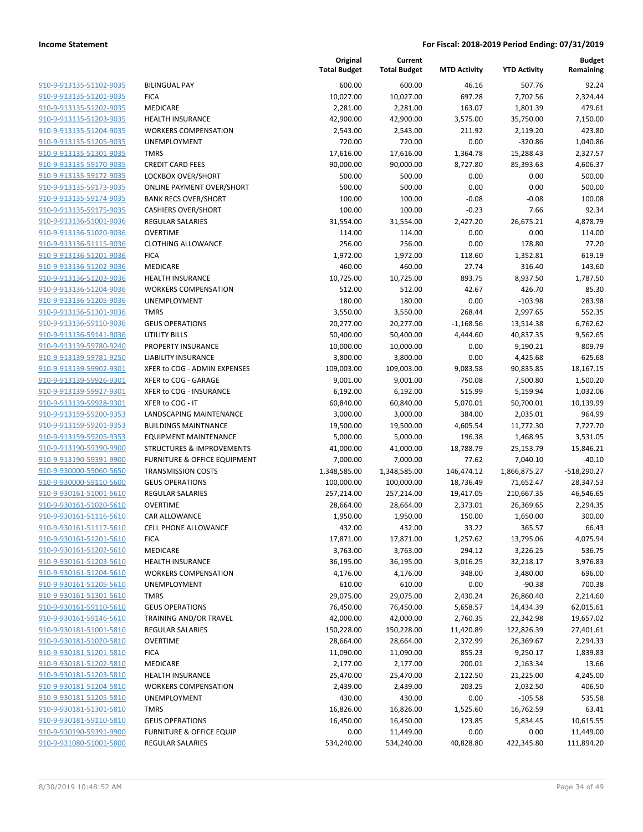| 910-9-913135-51102-9035                                   |
|-----------------------------------------------------------|
| 910-9-913135-51201-9035                                   |
| 910-9-913135-51202-9035                                   |
| 910-9-913135-51203-9035                                   |
| 910-9-913135-51204-9035                                   |
| 910-9-913135-51205-9035                                   |
| 910-9-913135-51301-9035                                   |
| 910-9-913135-59170-9035                                   |
| 910-9-913135-59172-9035                                   |
| 910-9-913135-59173-9035                                   |
| 910-9-913135-59174-9035                                   |
| 910-9-913135-59175-9035                                   |
| 910-9-913136-51001-9036                                   |
| 910-9-913136-51020-9036                                   |
| 910-9-913136-51115-9036                                   |
| 910-9-913136-51201-9036                                   |
| 910-9-913136-51202-9036                                   |
| 910-9-913136-51203-9036                                   |
|                                                           |
| 910-9-913136-51204-9036                                   |
| 910-9-913136-51205-9036                                   |
| 910-9-913136-51301-9036                                   |
| 910-9-913136-59110-9036                                   |
| 910-9-913136-59141-9036                                   |
| 910-9-913139-59780-9240                                   |
| 910-9-913139-59781-9250                                   |
| 910-9-913139-59902-9301                                   |
| 910-9-913139-59926-9301                                   |
| 910-9-913139-59927-9301                                   |
| 910-9-913139-59928-9301                                   |
| 910-9-913159-59200-9353                                   |
| 910-9-913159-59201-9353                                   |
| 910-9-913159-59205-9353                                   |
| 910-9-913190-59390-9900                                   |
| 910-9-913190-59391-9900                                   |
| 910-9-930000-59060-5650                                   |
| 910-9-930000-59110-5600                                   |
| 910-9-930161-51001-5610                                   |
| 910-9-930161-51020-5610                                   |
| 910-9-930161-51116-5610                                   |
| 910-9-930161-51117-5610                                   |
| 910-9-930161-51201-5610                                   |
| <u>910-9-930161-51202-5610</u>                            |
| 910-9-930161-51203-5610                                   |
| <u>910-9-930161-51204-5610</u>                            |
| 910-9-930161-51205-5610                                   |
| <u>910-9-930161-51301-5610</u>                            |
| 910-9-930161-59110-5610                                   |
| <u>910-9-930161-59146-5610</u>                            |
| 910-9-930181-51001-5810                                   |
|                                                           |
| <u>910-9-930181-51020-5810</u><br>910-9-930181-51201-5810 |
| 910-9-930181-51202-5810                                   |
| 910-9-930181-51203-5810                                   |
|                                                           |
| <u>910-9-930181-51204-5810</u>                            |
| 910-9-930181-51205-5810                                   |
| <u>910-9-930181-51301-5810</u>                            |
| 910-9-930181-59110-5810                                   |
| <u>910-9-930190-59391-9900</u>                            |
| 910-9-931080-51001-5800                                   |

|                                                    |                                      | Original<br><b>Total Budget</b> | Current<br><b>Total Budget</b> | <b>MTD Activity</b> | <b>YTD Activity</b>  | <b>Budget</b><br>Remaining |
|----------------------------------------------------|--------------------------------------|---------------------------------|--------------------------------|---------------------|----------------------|----------------------------|
| 910-9-913135-51102-9035                            | <b>BILINGUAL PAY</b>                 | 600.00                          | 600.00                         | 46.16               | 507.76               | 92.24                      |
| 910-9-913135-51201-9035                            | <b>FICA</b>                          | 10,027.00                       | 10,027.00                      | 697.28              | 7,702.56             | 2,324.44                   |
| 910-9-913135-51202-9035                            | MEDICARE                             | 2,281.00                        | 2,281.00                       | 163.07              | 1,801.39             | 479.61                     |
| 910-9-913135-51203-9035                            | <b>HEALTH INSURANCE</b>              | 42,900.00                       | 42,900.00                      | 3,575.00            | 35,750.00            | 7,150.00                   |
| 910-9-913135-51204-9035                            | <b>WORKERS COMPENSATION</b>          | 2,543.00                        | 2,543.00                       | 211.92              | 2,119.20             | 423.80                     |
| 910-9-913135-51205-9035                            | UNEMPLOYMENT                         | 720.00                          | 720.00                         | 0.00                | $-320.86$            | 1,040.86                   |
| 910-9-913135-51301-9035                            | <b>TMRS</b>                          | 17,616.00                       | 17,616.00                      | 1,364.78            | 15,288.43            | 2,327.57                   |
| 910-9-913135-59170-9035                            | <b>CREDIT CARD FEES</b>              | 90,000.00                       | 90,000.00                      | 8,727.80            | 85,393.63            | 4,606.37                   |
| 910-9-913135-59172-9035                            | LOCKBOX OVER/SHORT                   | 500.00                          | 500.00                         | 0.00                | 0.00                 | 500.00                     |
| 910-9-913135-59173-9035                            | <b>ONLINE PAYMENT OVER/SHORT</b>     | 500.00                          | 500.00                         | 0.00                | 0.00                 | 500.00                     |
| 910-9-913135-59174-9035                            | <b>BANK RECS OVER/SHORT</b>          | 100.00                          | 100.00                         | $-0.08$             | $-0.08$              | 100.08                     |
| 910-9-913135-59175-9035                            | <b>CASHIERS OVER/SHORT</b>           | 100.00                          | 100.00                         | $-0.23$             | 7.66                 | 92.34                      |
| 910-9-913136-51001-9036                            | <b>REGULAR SALARIES</b>              | 31,554.00                       | 31,554.00                      | 2,427.20            | 26,675.21            | 4,878.79                   |
| 910-9-913136-51020-9036                            | <b>OVERTIME</b>                      | 114.00                          | 114.00                         | 0.00                | 0.00                 | 114.00                     |
| 910-9-913136-51115-9036                            | <b>CLOTHING ALLOWANCE</b>            | 256.00                          | 256.00                         | 0.00                | 178.80               | 77.20                      |
| 910-9-913136-51201-9036                            | <b>FICA</b>                          | 1,972.00                        | 1,972.00                       | 118.60              | 1,352.81             | 619.19                     |
| 910-9-913136-51202-9036                            | MEDICARE                             | 460.00                          | 460.00                         | 27.74               | 316.40               | 143.60                     |
| 910-9-913136-51203-9036                            | HEALTH INSURANCE                     | 10,725.00                       | 10,725.00                      | 893.75              | 8,937.50             | 1,787.50                   |
| 910-9-913136-51204-9036                            | <b>WORKERS COMPENSATION</b>          | 512.00                          | 512.00                         | 42.67               | 426.70               | 85.30                      |
| 910-9-913136-51205-9036                            | UNEMPLOYMENT                         | 180.00                          | 180.00                         | 0.00                | $-103.98$            | 283.98                     |
| 910-9-913136-51301-9036                            | <b>TMRS</b>                          | 3,550.00                        | 3,550.00                       | 268.44              | 2,997.65             | 552.35                     |
| 910-9-913136-59110-9036                            | <b>GEUS OPERATIONS</b>               | 20,277.00                       | 20,277.00                      | $-1,168.56$         | 13,514.38            | 6,762.62                   |
| 910-9-913136-59141-9036                            | <b>UTILITY BILLS</b>                 | 50,400.00                       | 50,400.00                      | 4,444.60            | 40,837.35            | 9,562.65                   |
| 910-9-913139-59780-9240                            | PROPERTY INSURANCE                   | 10,000.00                       | 10,000.00                      | 0.00                | 9,190.21             | 809.79                     |
| 910-9-913139-59781-9250                            | <b>LIABILITY INSURANCE</b>           | 3,800.00                        | 3,800.00                       | 0.00                | 4,425.68             | $-625.68$                  |
| 910-9-913139-59902-9301                            | XFER to COG - ADMIN EXPENSES         | 109,003.00                      | 109,003.00                     | 9,083.58            | 90,835.85            | 18,167.15                  |
| 910-9-913139-59926-9301                            | XFER to COG - GARAGE                 | 9,001.00                        | 9,001.00                       | 750.08              | 7,500.80             | 1,500.20                   |
| 910-9-913139-59927-9301                            | XFER to COG - INSURANCE              | 6,192.00                        | 6,192.00                       | 515.99              | 5,159.94             | 1,032.06                   |
| 910-9-913139-59928-9301                            | XFER to COG - IT                     | 60,840.00                       | 60,840.00                      | 5,070.01            | 50,700.01            | 10,139.99                  |
| 910-9-913159-59200-9353                            | LANDSCAPING MAINTENANCE              | 3,000.00                        | 3,000.00                       | 384.00              | 2,035.01             | 964.99                     |
| 910-9-913159-59201-9353                            | <b>BUILDINGS MAINTNANCE</b>          | 19,500.00                       | 19,500.00                      | 4,605.54            | 11,772.30            | 7,727.70                   |
| 910-9-913159-59205-9353                            | <b>EQUIPMENT MAINTENANCE</b>         | 5,000.00                        | 5,000.00                       | 196.38              | 1,468.95             | 3,531.05                   |
| 910-9-913190-59390-9900                            | <b>STRUCTURES &amp; IMPROVEMENTS</b> | 41,000.00                       | 41,000.00                      | 18,788.79           | 25,153.79            | 15,846.21                  |
| 910-9-913190-59391-9900                            | FURNITURE & OFFICE EQUIPMENT         | 7,000.00                        | 7,000.00                       | 77.62               | 7,040.10             | $-40.10$                   |
| 910-9-930000-59060-5650                            | <b>TRANSMISSION COSTS</b>            | 1,348,585.00                    | 1,348,585.00                   | 146,474.12          | 1,866,875.27         | $-518,290.27$              |
| 910-9-930000-59110-5600                            | <b>GEUS OPERATIONS</b>               | 100,000.00                      | 100,000.00                     | 18,736.49           | 71,652.47            | 28,347.53                  |
| 910-9-930161-51001-5610                            | <b>REGULAR SALARIES</b>              | 257,214.00                      | 257,214.00                     | 19,417.05           | 210,667.35           | 46,546.65                  |
| 910-9-930161-51020-5610                            | <b>OVERTIME</b>                      | 28,664.00                       | 28,664.00                      | 2,373.01            | 26,369.65            | 2,294.35                   |
| 910-9-930161-51116-5610                            | <b>CAR ALLOWANCE</b>                 | 1,950.00                        | 1,950.00                       | 150.00              | 1,650.00             | 300.00                     |
| 910-9-930161-51117-5610                            | CELL PHONE ALLOWANCE                 | 432.00                          | 432.00                         | 33.22               | 365.57               | 66.43                      |
| 910-9-930161-51201-5610                            | <b>FICA</b>                          | 17,871.00                       | 17,871.00                      | 1,257.62            | 13,795.06            | 4,075.94                   |
| 910-9-930161-51202-5610<br>910-9-930161-51203-5610 | MEDICARE<br><b>HEALTH INSURANCE</b>  | 3,763.00                        | 3,763.00                       | 294.12              | 3,226.25             | 536.75                     |
| 910-9-930161-51204-5610                            | <b>WORKERS COMPENSATION</b>          | 36,195.00                       | 36,195.00<br>4,176.00          | 3,016.25            | 32,218.17            | 3,976.83<br>696.00         |
| 910-9-930161-51205-5610                            | <b>UNEMPLOYMENT</b>                  | 4,176.00<br>610.00              | 610.00                         | 348.00<br>0.00      | 3,480.00<br>$-90.38$ | 700.38                     |
| 910-9-930161-51301-5610                            | <b>TMRS</b>                          | 29,075.00                       | 29,075.00                      | 2,430.24            | 26,860.40            | 2,214.60                   |
| 910-9-930161-59110-5610                            | <b>GEUS OPERATIONS</b>               | 76,450.00                       | 76,450.00                      | 5,658.57            | 14,434.39            | 62,015.61                  |
| 910-9-930161-59146-5610                            | TRAINING AND/OR TRAVEL               | 42,000.00                       | 42,000.00                      | 2,760.35            | 22,342.98            | 19,657.02                  |
| 910-9-930181-51001-5810                            | <b>REGULAR SALARIES</b>              | 150,228.00                      | 150,228.00                     | 11,420.89           | 122,826.39           | 27,401.61                  |
| 910-9-930181-51020-5810                            | <b>OVERTIME</b>                      | 28,664.00                       | 28,664.00                      | 2,372.99            | 26,369.67            | 2,294.33                   |
| 910-9-930181-51201-5810                            | <b>FICA</b>                          | 11,090.00                       | 11,090.00                      | 855.23              | 9,250.17             | 1,839.83                   |
| 910-9-930181-51202-5810                            | MEDICARE                             | 2,177.00                        | 2,177.00                       | 200.01              | 2,163.34             | 13.66                      |
| 910-9-930181-51203-5810                            | HEALTH INSURANCE                     | 25,470.00                       | 25,470.00                      | 2,122.50            | 21,225.00            | 4,245.00                   |
| 910-9-930181-51204-5810                            | <b>WORKERS COMPENSATION</b>          | 2,439.00                        | 2,439.00                       | 203.25              | 2,032.50             | 406.50                     |
| 910-9-930181-51205-5810                            | UNEMPLOYMENT                         | 430.00                          | 430.00                         | 0.00                | $-105.58$            | 535.58                     |
| 910-9-930181-51301-5810                            | <b>TMRS</b>                          | 16,826.00                       | 16,826.00                      | 1,525.60            | 16,762.59            | 63.41                      |
| 910-9-930181-59110-5810                            | <b>GEUS OPERATIONS</b>               | 16,450.00                       | 16,450.00                      | 123.85              | 5,834.45             | 10,615.55                  |
| 910-9-930190-59391-9900                            | <b>FURNITURE &amp; OFFICE EQUIP</b>  | 0.00                            | 11,449.00                      | 0.00                | 0.00                 | 11,449.00                  |
| 910-9-931080-51001-5800                            | REGULAR SALARIES                     | 534,240.00                      | 534,240.00                     | 40,828.80           | 422,345.80           | 111,894.20                 |
|                                                    |                                      |                                 |                                |                     |                      |                            |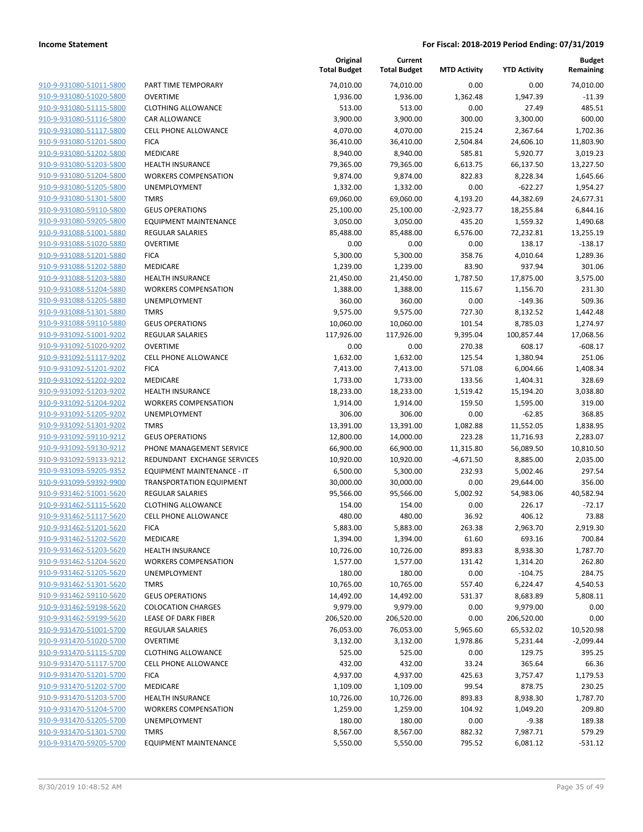| 910-9-931080-51011-5800        |
|--------------------------------|
| 910-9-931080-51020-5800        |
| <u>910-9-931080-51115-5800</u> |
| <u>910-9-931080-51116-5800</u> |
| 910-9-931080-51117-5800        |
| 910-9-931080-51201-5800        |
| 910-9-931080-51202-5800        |
| <u>910-9-931080-51203-5800</u> |
| <u>910-9-931080-51204-5800</u> |
| 910-9-931080-51205-5800        |
| 910-9-931080-51301-5800        |
| 910-9-931080-59110-5800        |
| <u>910-9-931080-59205-5800</u> |
| <u>910-9-931088-51001-5880</u> |
| 910-9-931088-51020-5880        |
| 910-9-931088-51201-5880        |
| 910-9-931088-51202-5880        |
| 910-9-931088-51203-5880        |
| <u>910-9-931088-51204-5880</u> |
| 910-9-931088-51205-5880        |
| 910-9-931088-51301-5880        |
| 910-9-931088-59110-5880        |
| <u>910-9-931092-51001-9202</u> |
| <u>910-9-931092-51020-9202</u> |
| 910-9-931092-51117-9202        |
| 910-9-931092-51201-9202        |
| 910-9-931092-51202-9202        |
| <u>910-9-931092-51203-9202</u> |
| <u>910-9-931092-51204-9202</u> |
| 910-9-931092-51205-9202        |
| 910-9-931092-51301-9202        |
| 910-9-931092-59110-9212        |
| <u>910-9-931092-59130-9212</u> |
| <u>910-9-931092-59133-9212</u> |
| 910-9-931093-59205-9352        |
| 910-9-931099-59392-9900        |
| 910-9-931462-51001-5620        |
| 910-9-931462-51115-5620        |
| <u>910-9-931462-51117-5620</u> |
| 910-9-931462-51201-5620        |
| 910-9-931462-51202-5620        |
| 910-9-931462-51203-5620        |
| 910-9-931462-51204-5620        |
| <u>910-9-931462-51205-5620</u> |
| 910-9-931462-51301-5620        |
| 910-9-931462-59110-5620        |
| 910-9-931462-59198-5620        |
| 910-9-931462-59199-5620        |
| <u>910-9-931470-51001-5700</u> |
| 910-9-931470-51020-5700        |
| 910-9-931470-51115-5700        |
| 910-9-931470-51117-5700        |
| 910-9-931470-51201-5700        |
| <u>910-9-931470-51202-5700</u> |
| 910-9-931470-51203-5700        |
| 910-9-931470-51204-5700        |
| 910-9-931470-51205-5700        |
| 910-9-931470-51301-5700        |
| 910-9-931470-59205-5700        |
|                                |

|                         |                                   | Original<br><b>Total Budget</b> | Current<br><b>Total Budget</b> | <b>MTD Activity</b> | <b>YTD Activity</b> | <b>Budget</b><br>Remaining |
|-------------------------|-----------------------------------|---------------------------------|--------------------------------|---------------------|---------------------|----------------------------|
| 910-9-931080-51011-5800 | PART TIME TEMPORARY               | 74,010.00                       | 74,010.00                      | 0.00                | 0.00                | 74,010.00                  |
| 910-9-931080-51020-5800 | <b>OVERTIME</b>                   | 1,936.00                        | 1,936.00                       | 1,362.48            | 1,947.39            | $-11.39$                   |
| 910-9-931080-51115-5800 | <b>CLOTHING ALLOWANCE</b>         | 513.00                          | 513.00                         | 0.00                | 27.49               | 485.51                     |
| 910-9-931080-51116-5800 | <b>CAR ALLOWANCE</b>              | 3,900.00                        | 3,900.00                       | 300.00              | 3,300.00            | 600.00                     |
| 910-9-931080-51117-5800 | <b>CELL PHONE ALLOWANCE</b>       | 4,070.00                        | 4,070.00                       | 215.24              | 2,367.64            | 1,702.36                   |
| 910-9-931080-51201-5800 | <b>FICA</b>                       | 36,410.00                       | 36,410.00                      | 2,504.84            | 24,606.10           | 11,803.90                  |
| 910-9-931080-51202-5800 | MEDICARE                          | 8,940.00                        | 8,940.00                       | 585.81              | 5,920.77            | 3,019.23                   |
| 910-9-931080-51203-5800 | <b>HEALTH INSURANCE</b>           | 79,365.00                       | 79,365.00                      | 6,613.75            | 66,137.50           | 13,227.50                  |
| 910-9-931080-51204-5800 | <b>WORKERS COMPENSATION</b>       | 9,874.00                        | 9,874.00                       | 822.83              | 8,228.34            | 1,645.66                   |
| 910-9-931080-51205-5800 | <b>UNEMPLOYMENT</b>               | 1,332.00                        | 1,332.00                       | 0.00                | $-622.27$           | 1,954.27                   |
| 910-9-931080-51301-5800 | <b>TMRS</b>                       | 69,060.00                       | 69,060.00                      | 4,193.20            | 44,382.69           | 24,677.31                  |
| 910-9-931080-59110-5800 | <b>GEUS OPERATIONS</b>            | 25,100.00                       | 25,100.00                      | $-2,923.77$         | 18,255.84           | 6,844.16                   |
| 910-9-931080-59205-5800 | <b>EQUIPMENT MAINTENANCE</b>      | 3,050.00                        | 3,050.00                       | 435.20              | 1,559.32            | 1,490.68                   |
| 910-9-931088-51001-5880 | <b>REGULAR SALARIES</b>           | 85,488.00                       | 85,488.00                      | 6,576.00            | 72,232.81           | 13,255.19                  |
| 910-9-931088-51020-5880 | <b>OVERTIME</b>                   | 0.00                            | 0.00                           | 0.00                | 138.17              | $-138.17$                  |
| 910-9-931088-51201-5880 | <b>FICA</b>                       | 5,300.00                        | 5,300.00                       | 358.76              | 4,010.64            | 1,289.36                   |
| 910-9-931088-51202-5880 | MEDICARE                          | 1,239.00                        | 1,239.00                       | 83.90               | 937.94              | 301.06                     |
| 910-9-931088-51203-5880 | <b>HEALTH INSURANCE</b>           | 21,450.00                       | 21,450.00                      | 1,787.50            | 17,875.00           | 3,575.00                   |
| 910-9-931088-51204-5880 | <b>WORKERS COMPENSATION</b>       | 1,388.00                        | 1,388.00                       | 115.67              | 1,156.70            | 231.30                     |
| 910-9-931088-51205-5880 | <b>UNEMPLOYMENT</b>               | 360.00                          | 360.00                         | 0.00                | $-149.36$           | 509.36                     |
| 910-9-931088-51301-5880 | <b>TMRS</b>                       | 9,575.00                        | 9,575.00                       | 727.30              | 8,132.52            | 1,442.48                   |
| 910-9-931088-59110-5880 | <b>GEUS OPERATIONS</b>            | 10,060.00                       | 10,060.00                      | 101.54              | 8,785.03            | 1,274.97                   |
| 910-9-931092-51001-9202 | <b>REGULAR SALARIES</b>           | 117,926.00                      | 117,926.00                     | 9,395.04            | 100,857.44          | 17,068.56                  |
| 910-9-931092-51020-9202 | <b>OVERTIME</b>                   | 0.00                            | 0.00                           | 270.38              | 608.17              | $-608.17$                  |
| 910-9-931092-51117-9202 | <b>CELL PHONE ALLOWANCE</b>       | 1,632.00                        | 1,632.00                       | 125.54              | 1,380.94            | 251.06                     |
| 910-9-931092-51201-9202 | <b>FICA</b>                       | 7,413.00                        | 7,413.00                       | 571.08              | 6,004.66            | 1,408.34                   |
| 910-9-931092-51202-9202 | MEDICARE                          | 1,733.00                        | 1,733.00                       | 133.56              | 1,404.31            | 328.69                     |
| 910-9-931092-51203-9202 | <b>HEALTH INSURANCE</b>           | 18,233.00                       | 18,233.00                      | 1,519.42            | 15,194.20           | 3,038.80                   |
| 910-9-931092-51204-9202 | <b>WORKERS COMPENSATION</b>       | 1,914.00                        | 1,914.00                       | 159.50              | 1,595.00            | 319.00                     |
| 910-9-931092-51205-9202 | UNEMPLOYMENT                      | 306.00                          | 306.00                         | 0.00                | $-62.85$            | 368.85                     |
| 910-9-931092-51301-9202 | <b>TMRS</b>                       | 13,391.00                       | 13,391.00                      | 1,082.88            | 11,552.05           | 1,838.95                   |
| 910-9-931092-59110-9212 | <b>GEUS OPERATIONS</b>            | 12,800.00                       | 14,000.00                      | 223.28              | 11,716.93           | 2,283.07                   |
| 910-9-931092-59130-9212 | PHONE MANAGEMENT SERVICE          | 66,900.00                       | 66,900.00                      | 11,315.80           | 56,089.50           | 10,810.50                  |
| 910-9-931092-59133-9212 | REDUNDANT EXCHANGE SERVICES       | 10,920.00                       | 10,920.00                      | $-4,671.50$         | 8,885.00            | 2,035.00                   |
| 910-9-931093-59205-9352 | <b>EQUIPMENT MAINTENANCE - IT</b> | 6,500.00                        | 5,300.00                       | 232.93              | 5,002.46            | 297.54                     |
| 910-9-931099-59392-9900 | TRANSPORTATION EQUIPMENT          | 30,000.00                       | 30,000.00                      | 0.00                | 29,644.00           | 356.00                     |
| 910-9-931462-51001-5620 | <b>REGULAR SALARIES</b>           | 95,566.00                       | 95,566.00                      | 5,002.92            | 54,983.06           | 40,582.94                  |
| 910-9-931462-51115-5620 | <b>CLOTHING ALLOWANCE</b>         | 154.00                          | 154.00                         | 0.00                | 226.17              | $-72.17$                   |
| 910-9-931462-51117-5620 | <b>CELL PHONE ALLOWANCE</b>       | 480.00                          | 480.00                         | 36.92               | 406.12              | 73.88                      |
| 910-9-931462-51201-5620 | <b>FICA</b>                       | 5,883.00                        | 5,883.00                       | 263.38              | 2,963.70            | 2,919.30                   |
| 910-9-931462-51202-5620 | MEDICARE                          | 1,394.00                        | 1,394.00                       | 61.60               | 693.16              | 700.84                     |
| 910-9-931462-51203-5620 | <b>HEALTH INSURANCE</b>           | 10,726.00                       | 10,726.00                      | 893.83              | 8,938.30            | 1,787.70                   |
| 910-9-931462-51204-5620 | <b>WORKERS COMPENSATION</b>       | 1,577.00                        | 1,577.00                       | 131.42              | 1,314.20            | 262.80                     |
| 910-9-931462-51205-5620 | UNEMPLOYMENT                      | 180.00                          | 180.00                         | 0.00                | $-104.75$           | 284.75                     |
| 910-9-931462-51301-5620 | <b>TMRS</b>                       | 10,765.00                       | 10,765.00                      | 557.40              | 6,224.47            | 4,540.53                   |
| 910-9-931462-59110-5620 | <b>GEUS OPERATIONS</b>            | 14,492.00                       | 14,492.00                      | 531.37              | 8,683.89            | 5,808.11                   |
| 910-9-931462-59198-5620 | <b>COLOCATION CHARGES</b>         | 9,979.00                        | 9,979.00                       | 0.00                | 9,979.00            | 0.00                       |
| 910-9-931462-59199-5620 | <b>LEASE OF DARK FIBER</b>        | 206,520.00                      | 206,520.00                     | 0.00                | 206,520.00          | 0.00                       |
| 910-9-931470-51001-5700 | <b>REGULAR SALARIES</b>           | 76,053.00                       | 76,053.00                      | 5,965.60            | 65,532.02           | 10,520.98                  |
| 910-9-931470-51020-5700 | <b>OVERTIME</b>                   | 3,132.00                        | 3,132.00                       | 1,978.86            | 5,231.44            | $-2,099.44$                |
| 910-9-931470-51115-5700 | <b>CLOTHING ALLOWANCE</b>         | 525.00                          | 525.00                         | 0.00                | 129.75              | 395.25                     |
| 910-9-931470-51117-5700 | <b>CELL PHONE ALLOWANCE</b>       | 432.00                          | 432.00                         | 33.24               | 365.64              | 66.36                      |
| 910-9-931470-51201-5700 | <b>FICA</b>                       | 4,937.00                        | 4,937.00                       | 425.63              | 3,757.47            | 1,179.53                   |
| 910-9-931470-51202-5700 | MEDICARE                          | 1,109.00                        | 1,109.00                       | 99.54               | 878.75              | 230.25                     |
| 910-9-931470-51203-5700 | <b>HEALTH INSURANCE</b>           | 10,726.00                       | 10,726.00                      | 893.83              | 8,938.30            | 1,787.70                   |
| 910-9-931470-51204-5700 | <b>WORKERS COMPENSATION</b>       | 1,259.00                        | 1,259.00                       | 104.92              | 1,049.20            | 209.80                     |
| 910-9-931470-51205-5700 | UNEMPLOYMENT                      | 180.00                          | 180.00                         | 0.00                | $-9.38$             | 189.38                     |
| 910-9-931470-51301-5700 | <b>TMRS</b>                       | 8,567.00                        | 8,567.00                       | 882.32              | 7,987.71            | 579.29                     |
| 910-9-931470-59205-5700 | <b>EQUIPMENT MAINTENANCE</b>      | 5,550.00                        | 5,550.00                       | 795.52              | 6,081.12            | $-531.12$                  |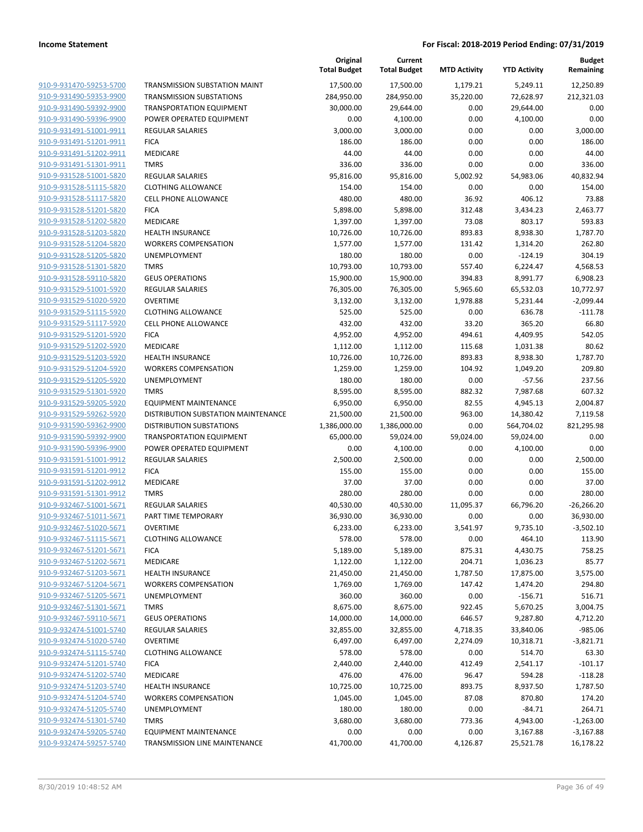|                                                    |                                                     | Original<br><b>Total Budget</b> | Current<br><b>Total Budget</b> | <b>MTD Activity</b> | <b>YTD Activity</b> | <b>Budget</b><br>Remaining |
|----------------------------------------------------|-----------------------------------------------------|---------------------------------|--------------------------------|---------------------|---------------------|----------------------------|
| 910-9-931470-59253-5700                            | TRANSMISSION SUBSTATION MAINT                       | 17,500.00                       | 17,500.00                      | 1,179.21            | 5,249.11            | 12,250.89                  |
| 910-9-931490-59353-9900                            | <b>TRANSMISSION SUBSTATIONS</b>                     | 284,950.00                      | 284,950.00                     | 35,220.00           | 72,628.97           | 212,321.03                 |
| 910-9-931490-59392-9900                            | <b>TRANSPORTATION EQUIPMENT</b>                     | 30,000.00                       | 29,644.00                      | 0.00                | 29,644.00           | 0.00                       |
| 910-9-931490-59396-9900                            | POWER OPERATED EQUIPMENT                            | 0.00                            | 4,100.00                       | 0.00                | 4,100.00            | 0.00                       |
| 910-9-931491-51001-9911                            | <b>REGULAR SALARIES</b>                             | 3,000.00                        | 3,000.00                       | 0.00                | 0.00                | 3,000.00                   |
| 910-9-931491-51201-9911                            | <b>FICA</b>                                         | 186.00                          | 186.00                         | 0.00                | 0.00                | 186.00                     |
| 910-9-931491-51202-9911                            | MEDICARE                                            | 44.00                           | 44.00                          | 0.00                | 0.00                | 44.00                      |
| 910-9-931491-51301-9911                            | <b>TMRS</b>                                         | 336.00                          | 336.00                         | 0.00                | 0.00                | 336.00                     |
| 910-9-931528-51001-5820                            | <b>REGULAR SALARIES</b>                             | 95,816.00                       | 95,816.00                      | 5,002.92            | 54,983.06           | 40,832.94                  |
| 910-9-931528-51115-5820                            | <b>CLOTHING ALLOWANCE</b>                           | 154.00                          | 154.00                         | 0.00                | 0.00                | 154.00                     |
| 910-9-931528-51117-5820                            | <b>CELL PHONE ALLOWANCE</b>                         | 480.00                          | 480.00                         | 36.92               | 406.12              | 73.88                      |
| 910-9-931528-51201-5820                            | <b>FICA</b>                                         | 5,898.00                        | 5,898.00                       | 312.48              | 3,434.23            | 2,463.77                   |
| 910-9-931528-51202-5820                            | MEDICARE                                            | 1,397.00                        | 1,397.00                       | 73.08               | 803.17              | 593.83                     |
| 910-9-931528-51203-5820                            | <b>HEALTH INSURANCE</b>                             | 10,726.00                       | 10,726.00                      | 893.83              | 8,938.30            | 1,787.70                   |
| 910-9-931528-51204-5820                            | <b>WORKERS COMPENSATION</b>                         | 1,577.00                        | 1,577.00                       | 131.42              | 1,314.20            | 262.80                     |
| 910-9-931528-51205-5820                            | <b>UNEMPLOYMENT</b>                                 | 180.00                          | 180.00                         | 0.00                | $-124.19$           | 304.19                     |
| 910-9-931528-51301-5820                            | <b>TMRS</b>                                         | 10,793.00                       | 10,793.00                      | 557.40              | 6,224.47            | 4,568.53                   |
| 910-9-931528-59110-5820                            | <b>GEUS OPERATIONS</b>                              | 15,900.00                       | 15,900.00                      | 394.83              | 8,991.77            | 6,908.23                   |
| 910-9-931529-51001-5920                            | <b>REGULAR SALARIES</b>                             | 76,305.00                       | 76,305.00                      | 5,965.60            | 65,532.03           | 10,772.97                  |
| 910-9-931529-51020-5920                            | <b>OVERTIME</b>                                     | 3,132.00                        | 3,132.00                       | 1,978.88            | 5,231.44            | $-2,099.44$                |
| 910-9-931529-51115-5920                            | <b>CLOTHING ALLOWANCE</b>                           | 525.00                          | 525.00                         | 0.00                | 636.78              | $-111.78$                  |
| 910-9-931529-51117-5920                            | <b>CELL PHONE ALLOWANCE</b>                         | 432.00                          | 432.00                         | 33.20               | 365.20              | 66.80                      |
| 910-9-931529-51201-5920                            | <b>FICA</b>                                         | 4,952.00                        | 4,952.00                       | 494.61              | 4,409.95            | 542.05                     |
| 910-9-931529-51202-5920                            | MEDICARE                                            | 1,112.00                        | 1,112.00                       | 115.68              | 1,031.38            | 80.62                      |
| 910-9-931529-51203-5920                            | <b>HEALTH INSURANCE</b>                             | 10,726.00                       | 10,726.00                      | 893.83              | 8,938.30            | 1,787.70                   |
| 910-9-931529-51204-5920                            | <b>WORKERS COMPENSATION</b>                         | 1,259.00                        | 1,259.00                       | 104.92              | 1,049.20            | 209.80                     |
| 910-9-931529-51205-5920                            | <b>UNEMPLOYMENT</b>                                 | 180.00                          | 180.00                         | 0.00                | $-57.56$            | 237.56                     |
| 910-9-931529-51301-5920                            | <b>TMRS</b>                                         | 8,595.00                        | 8,595.00                       | 882.32              | 7,987.68            | 607.32                     |
| 910-9-931529-59205-5920                            | <b>EQUIPMENT MAINTENANCE</b>                        | 6,950.00                        | 6,950.00                       | 82.55               | 4,945.13            | 2,004.87                   |
| 910-9-931529-59262-5920                            | DISTRIBUTION SUBSTATION MAINTENANCE                 | 21,500.00                       | 21,500.00                      | 963.00              | 14,380.42           | 7,119.58                   |
| 910-9-931590-59362-9900                            | <b>DISTRIBUTION SUBSTATIONS</b>                     | 1,386,000.00                    | 1,386,000.00                   | 0.00                | 564,704.02          | 821,295.98                 |
| 910-9-931590-59392-9900                            | <b>TRANSPORTATION EQUIPMENT</b>                     | 65,000.00                       | 59,024.00                      | 59,024.00           | 59,024.00           | 0.00                       |
| 910-9-931590-59396-9900<br>910-9-931591-51001-9912 | POWER OPERATED EQUIPMENT<br><b>REGULAR SALARIES</b> | 0.00                            | 4,100.00                       | 0.00<br>0.00        | 4,100.00<br>0.00    | 0.00                       |
| 910-9-931591-51201-9912                            | <b>FICA</b>                                         | 2,500.00<br>155.00              | 2,500.00<br>155.00             | 0.00                | 0.00                | 2,500.00<br>155.00         |
| 910-9-931591-51202-9912                            | MEDICARE                                            | 37.00                           | 37.00                          | 0.00                | 0.00                | 37.00                      |
| 910-9-931591-51301-9912                            | <b>TMRS</b>                                         | 280.00                          | 280.00                         | 0.00                | 0.00                | 280.00                     |
| 910-9-932467-51001-5671                            | <b>REGULAR SALARIES</b>                             | 40,530.00                       | 40,530.00                      | 11,095.37           | 66,796.20           | $-26,266.20$               |
| 910-9-932467-51011-5671                            | PART TIME TEMPORARY                                 | 36,930.00                       | 36,930.00                      | 0.00                | 0.00                | 36,930.00                  |
| 910-9-932467-51020-5671                            | OVERTIME                                            | 6,233.00                        | 6,233.00                       | 3,541.97            | 9,735.10            | $-3,502.10$                |
| 910-9-932467-51115-5671                            | <b>CLOTHING ALLOWANCE</b>                           | 578.00                          | 578.00                         | 0.00                | 464.10              | 113.90                     |
| 910-9-932467-51201-5671                            | <b>FICA</b>                                         | 5,189.00                        | 5,189.00                       | 875.31              | 4,430.75            | 758.25                     |
| 910-9-932467-51202-5671                            | MEDICARE                                            | 1,122.00                        | 1,122.00                       | 204.71              | 1,036.23            | 85.77                      |
| 910-9-932467-51203-5671                            | <b>HEALTH INSURANCE</b>                             | 21,450.00                       | 21,450.00                      | 1,787.50            | 17,875.00           | 3,575.00                   |
| 910-9-932467-51204-5671                            | <b>WORKERS COMPENSATION</b>                         | 1,769.00                        | 1,769.00                       | 147.42              | 1,474.20            | 294.80                     |
| 910-9-932467-51205-5671                            | <b>UNEMPLOYMENT</b>                                 | 360.00                          | 360.00                         | 0.00                | $-156.71$           | 516.71                     |
| 910-9-932467-51301-5671                            | <b>TMRS</b>                                         | 8,675.00                        | 8,675.00                       | 922.45              | 5,670.25            | 3,004.75                   |
| 910-9-932467-59110-5671                            | <b>GEUS OPERATIONS</b>                              | 14,000.00                       | 14,000.00                      | 646.57              | 9,287.80            | 4,712.20                   |
| 910-9-932474-51001-5740                            | REGULAR SALARIES                                    | 32,855.00                       | 32,855.00                      | 4,718.35            | 33,840.06           | $-985.06$                  |
| 910-9-932474-51020-5740                            | <b>OVERTIME</b>                                     | 6,497.00                        | 6,497.00                       | 2,274.09            | 10,318.71           | $-3,821.71$                |
| 910-9-932474-51115-5740                            | <b>CLOTHING ALLOWANCE</b>                           | 578.00                          | 578.00                         | 0.00                | 514.70              | 63.30                      |
| 910-9-932474-51201-5740                            | <b>FICA</b>                                         | 2,440.00                        | 2,440.00                       | 412.49              | 2,541.17            | $-101.17$                  |
| 910-9-932474-51202-5740                            | MEDICARE                                            | 476.00                          | 476.00                         | 96.47               | 594.28              | $-118.28$                  |
| 910-9-932474-51203-5740                            | <b>HEALTH INSURANCE</b>                             | 10,725.00                       | 10,725.00                      | 893.75              | 8,937.50            | 1,787.50                   |
| 910-9-932474-51204-5740                            | <b>WORKERS COMPENSATION</b>                         | 1,045.00                        | 1,045.00                       | 87.08               | 870.80              | 174.20                     |
| 910-9-932474-51205-5740                            | UNEMPLOYMENT                                        | 180.00                          | 180.00                         | 0.00                | $-84.71$            | 264.71                     |
| 910-9-932474-51301-5740                            | <b>TMRS</b>                                         | 3,680.00                        | 3,680.00                       | 773.36              | 4,943.00            | $-1,263.00$                |
| 910-9-932474-59205-5740                            | <b>EQUIPMENT MAINTENANCE</b>                        | 0.00                            | 0.00                           | 0.00                | 3,167.88            | $-3,167.88$                |
| 910-9-932474-59257-5740                            | TRANSMISSION LINE MAINTENANCE                       | 41,700.00                       | 41,700.00                      | 4,126.87            | 25,521.78           | 16,178.22                  |
|                                                    |                                                     |                                 |                                |                     |                     |                            |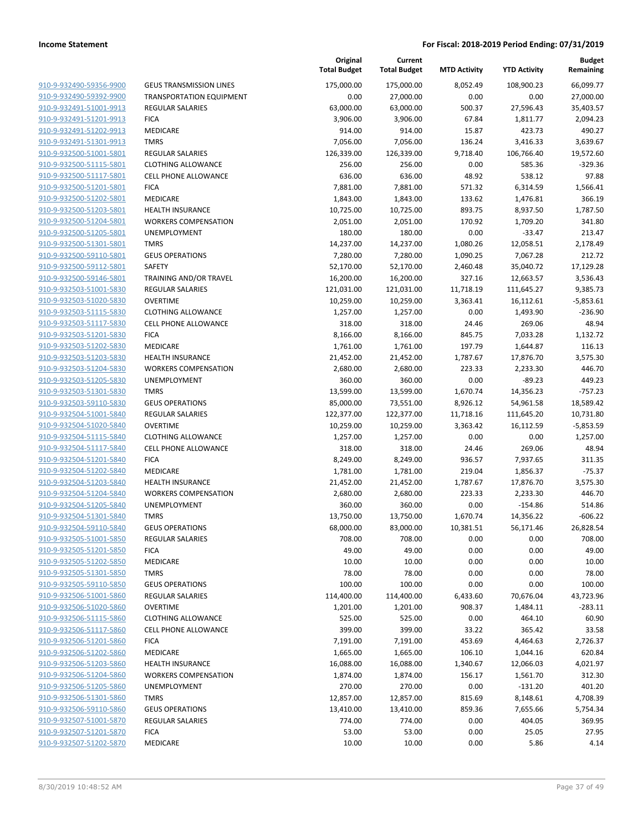**Current**

**Original**

**Budget Remaining**

|                         |                                 | <b>Total Budget</b> | <b>Total Budget</b> | <b>MTD Activity</b> | <b>YTD Activity</b> | Remaining   |
|-------------------------|---------------------------------|---------------------|---------------------|---------------------|---------------------|-------------|
| 910-9-932490-59356-9900 | <b>GEUS TRANSMISSION LINES</b>  | 175,000.00          | 175,000.00          | 8,052.49            | 108,900.23          | 66,099.77   |
| 910-9-932490-59392-9900 | <b>TRANSPORTATION EQUIPMENT</b> | 0.00                | 27,000.00           | 0.00                | 0.00                | 27,000.00   |
| 910-9-932491-51001-9913 | <b>REGULAR SALARIES</b>         | 63,000.00           | 63,000.00           | 500.37              | 27,596.43           | 35,403.57   |
| 910-9-932491-51201-9913 | <b>FICA</b>                     | 3,906.00            | 3,906.00            | 67.84               | 1,811.77            | 2,094.23    |
| 910-9-932491-51202-9913 | MEDICARE                        | 914.00              | 914.00              | 15.87               | 423.73              | 490.27      |
| 910-9-932491-51301-9913 | <b>TMRS</b>                     | 7,056.00            | 7,056.00            | 136.24              | 3,416.33            | 3,639.67    |
| 910-9-932500-51001-5801 | <b>REGULAR SALARIES</b>         | 126,339.00          | 126,339.00          | 9,718.40            | 106,766.40          | 19,572.60   |
| 910-9-932500-51115-5801 | <b>CLOTHING ALLOWANCE</b>       | 256.00              | 256.00              | 0.00                | 585.36              | $-329.36$   |
| 910-9-932500-51117-5801 | <b>CELL PHONE ALLOWANCE</b>     | 636.00              | 636.00              | 48.92               | 538.12              | 97.88       |
| 910-9-932500-51201-5801 | <b>FICA</b>                     | 7,881.00            | 7,881.00            | 571.32              | 6,314.59            | 1,566.41    |
| 910-9-932500-51202-5801 | <b>MEDICARE</b>                 | 1,843.00            | 1,843.00            | 133.62              | 1,476.81            | 366.19      |
| 910-9-932500-51203-5801 | <b>HEALTH INSURANCE</b>         | 10,725.00           | 10,725.00           | 893.75              | 8,937.50            | 1,787.50    |
| 910-9-932500-51204-5801 | <b>WORKERS COMPENSATION</b>     | 2,051.00            | 2,051.00            | 170.92              | 1,709.20            | 341.80      |
| 910-9-932500-51205-5801 | UNEMPLOYMENT                    | 180.00              | 180.00              | 0.00                | $-33.47$            | 213.47      |
| 910-9-932500-51301-5801 | <b>TMRS</b>                     | 14,237.00           | 14,237.00           | 1,080.26            | 12,058.51           | 2,178.49    |
| 910-9-932500-59110-5801 | <b>GEUS OPERATIONS</b>          | 7,280.00            | 7,280.00            | 1,090.25            | 7,067.28            | 212.72      |
| 910-9-932500-59112-5801 | SAFETY                          | 52,170.00           | 52,170.00           | 2,460.48            | 35,040.72           | 17,129.28   |
| 910-9-932500-59146-5801 | TRAINING AND/OR TRAVEL          | 16,200.00           | 16,200.00           | 327.16              | 12,663.57           | 3,536.43    |
| 910-9-932503-51001-5830 | <b>REGULAR SALARIES</b>         | 121,031.00          | 121,031.00          | 11,718.19           | 111,645.27          | 9,385.73    |
| 910-9-932503-51020-5830 | <b>OVERTIME</b>                 | 10,259.00           | 10,259.00           | 3,363.41            | 16,112.61           | $-5,853.61$ |
| 910-9-932503-51115-5830 | <b>CLOTHING ALLOWANCE</b>       | 1,257.00            | 1,257.00            | 0.00                | 1,493.90            | $-236.90$   |
| 910-9-932503-51117-5830 | CELL PHONE ALLOWANCE            | 318.00              | 318.00              | 24.46               | 269.06              | 48.94       |
| 910-9-932503-51201-5830 | <b>FICA</b>                     | 8,166.00            | 8,166.00            | 845.75              | 7,033.28            | 1,132.72    |
| 910-9-932503-51202-5830 | <b>MEDICARE</b>                 | 1,761.00            | 1,761.00            | 197.79              | 1,644.87            | 116.13      |
| 910-9-932503-51203-5830 | <b>HEALTH INSURANCE</b>         | 21,452.00           | 21,452.00           | 1,787.67            | 17,876.70           | 3,575.30    |
| 910-9-932503-51204-5830 | <b>WORKERS COMPENSATION</b>     | 2,680.00            | 2,680.00            | 223.33              | 2,233.30            | 446.70      |
| 910-9-932503-51205-5830 | UNEMPLOYMENT                    | 360.00              | 360.00              | 0.00                | $-89.23$            | 449.23      |
| 910-9-932503-51301-5830 | <b>TMRS</b>                     | 13,599.00           | 13,599.00           | 1,670.74            | 14,356.23           | $-757.23$   |
| 910-9-932503-59110-5830 | <b>GEUS OPERATIONS</b>          | 85,000.00           | 73,551.00           | 8,926.12            | 54,961.58           | 18,589.42   |
| 910-9-932504-51001-5840 | <b>REGULAR SALARIES</b>         | 122,377.00          | 122,377.00          | 11,718.16           | 111,645.20          | 10,731.80   |
| 910-9-932504-51020-5840 | <b>OVERTIME</b>                 | 10,259.00           | 10,259.00           | 3,363.42            | 16,112.59           | $-5,853.59$ |
| 910-9-932504-51115-5840 | <b>CLOTHING ALLOWANCE</b>       | 1,257.00            | 1,257.00            | 0.00                | 0.00                | 1,257.00    |
| 910-9-932504-51117-5840 | <b>CELL PHONE ALLOWANCE</b>     | 318.00              | 318.00              | 24.46               | 269.06              | 48.94       |
| 910-9-932504-51201-5840 | <b>FICA</b>                     | 8,249.00            | 8,249.00            | 936.57              | 7,937.65            | 311.35      |
| 910-9-932504-51202-5840 | MEDICARE                        | 1,781.00            | 1,781.00            | 219.04              | 1,856.37            | $-75.37$    |
| 910-9-932504-51203-5840 | <b>HEALTH INSURANCE</b>         | 21,452.00           | 21,452.00           | 1,787.67            | 17,876.70           | 3,575.30    |
| 910-9-932504-51204-5840 | <b>WORKERS COMPENSATION</b>     | 2,680.00            | 2,680.00            | 223.33              | 2,233.30            | 446.70      |
| 910-9-932504-51205-5840 | UNEMPLOYMENT                    | 360.00              | 360.00              | 0.00                | $-154.86$           | 514.86      |
| 910-9-932504-51301-5840 | <b>TMRS</b>                     | 13,750.00           | 13,750.00           | 1,670.74            | 14,356.22           | $-606.22$   |
| 910-9-932504-59110-5840 | <b>GEUS OPERATIONS</b>          | 68,000.00           | 83,000.00           | 10,381.51           | 56,171.46           | 26,828.54   |
| 910-9-932505-51001-5850 | REGULAR SALARIES                | 708.00              | 708.00              | 0.00                | 0.00                | 708.00      |
| 910-9-932505-51201-5850 | <b>FICA</b>                     | 49.00               | 49.00               | 0.00                | 0.00                | 49.00       |
| 910-9-932505-51202-5850 | MEDICARE                        | 10.00               | 10.00               | 0.00                | 0.00                | 10.00       |
| 910-9-932505-51301-5850 | <b>TMRS</b>                     | 78.00               | 78.00               | 0.00                | 0.00                | 78.00       |
| 910-9-932505-59110-5850 | <b>GEUS OPERATIONS</b>          | 100.00              | 100.00              | 0.00                | 0.00                | 100.00      |
| 910-9-932506-51001-5860 | <b>REGULAR SALARIES</b>         | 114,400.00          | 114,400.00          | 6,433.60            | 70,676.04           | 43,723.96   |
| 910-9-932506-51020-5860 | <b>OVERTIME</b>                 | 1,201.00            | 1,201.00            | 908.37              | 1,484.11            | -283.11     |
| 910-9-932506-51115-5860 | <b>CLOTHING ALLOWANCE</b>       | 525.00              | 525.00              | 0.00                | 464.10              | 60.90       |
| 910-9-932506-51117-5860 | <b>CELL PHONE ALLOWANCE</b>     | 399.00              | 399.00              | 33.22               | 365.42              | 33.58       |
| 910-9-932506-51201-5860 | <b>FICA</b>                     | 7,191.00            | 7,191.00            | 453.69              | 4,464.63            | 2,726.37    |
| 910-9-932506-51202-5860 | MEDICARE                        | 1,665.00            | 1,665.00            | 106.10              | 1,044.16            | 620.84      |
| 910-9-932506-51203-5860 | <b>HEALTH INSURANCE</b>         | 16,088.00           | 16,088.00           | 1,340.67            | 12,066.03           | 4,021.97    |
| 910-9-932506-51204-5860 | <b>WORKERS COMPENSATION</b>     | 1,874.00            | 1,874.00            | 156.17              | 1,561.70            | 312.30      |
| 910-9-932506-51205-5860 | UNEMPLOYMENT                    | 270.00              | 270.00              | 0.00                | $-131.20$           | 401.20      |
| 910-9-932506-51301-5860 | <b>TMRS</b>                     | 12,857.00           | 12,857.00           | 815.69              | 8,148.61            | 4,708.39    |
| 910-9-932506-59110-5860 | <b>GEUS OPERATIONS</b>          | 13,410.00           | 13,410.00           | 859.36              | 7,655.66            | 5,754.34    |
| 910-9-932507-51001-5870 | REGULAR SALARIES                | 774.00              | 774.00              | 0.00                | 404.05              | 369.95      |
| 910-9-932507-51201-5870 | <b>FICA</b>                     | 53.00               | 53.00               | 0.00                | 25.05               | 27.95       |
| 910-9-932507-51202-5870 | MEDICARE                        | 10.00               | 10.00               | 0.00                | 5.86                | 4.14        |
|                         |                                 |                     |                     |                     |                     |             |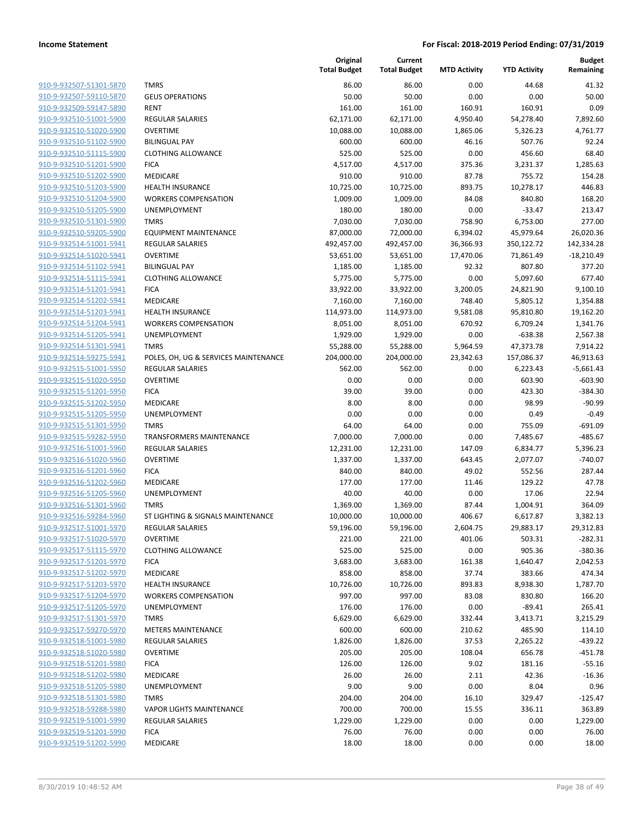| 910-9-932507-51301-5870        |
|--------------------------------|
| 910-9-932507-59110-5870        |
| 910-9-932509-59147-5890        |
| 910-9-932510-51001-5900        |
| 910-9-932510-51020-5900        |
| 910-9-932510-51102-5900        |
| 910-9-932510-51115-5900        |
| 910-9-932510-51201-5900        |
| 910-9-932510-51202-5900        |
| 910-9-932510-51203-5900        |
| 910-9-932510-51204-5900        |
| 910-9-932510-51205-5900        |
| 910-9-932510-51301-5900        |
| 910-9-932510-59205-5900        |
| 910-9-932514-51001-5941        |
| <u>910-9-932514-51020-5941</u> |
| 910-9-932514-51102-5941        |
| 910-9-932514-51115-5941        |
| 910-9-932514-51201-5941        |
| 910-9-932514-51202-5941        |
| 910-9-932514-51203-5941        |
| 910-9-932514-51204-5941        |
| 910-9-932514-51205-5941        |
| 910-9-932514-51301-5941        |
| 910-9-932514-59275-5941        |
| 910-9-932515-51001-5950        |
| 910-9-932515-51020-5950        |
| 910-9-932515-51201-5950        |
| 910-9-932515-51202-5950        |
| 910-9-932515-51205-5950        |
| 910-9-932515-51301-5950        |
| 910-9-932515-59282-5950        |
| 910-9-932516-51001-5960        |
| 910-9-932516-51020-5960        |
| 910-9-932516-51201-5960        |
| 910-9-932516-51202-5960        |
| 910-9-932516-51205-5960        |
| 910-9-932516-51301-5960        |
| 910-9-932516-59284-5960        |
| 910-9-932517-51001-5970        |
| 910-9-932517-51020-5970        |
| <u>910-9-932517-51115-5970</u> |
| 910-9-932517-51201-5970        |
| 910-9-932517-51202-5970        |
| <u>910-9-932517-51203-5970</u> |
| <u>910-9-932517-51204-5970</u> |
| 910-9-932517-51205-5970        |
| 910-9-932517-51301-5970        |
| 910-9-932517-59270-5970        |
| <u>910-9-932518-51001-5980</u> |
| <u>910-9-932518-51020-5980</u> |
| <u>910-9-932518-51201-5980</u> |
| 910-9-932518-51202-5980        |
| 910-9-932518-51205-5980        |
| 910-9-932518-51301-5980        |
| <u>910-9-932518-59288-5980</u> |
| <u>910-9-932519-51001-5990</u> |
| <u>910-9-932519-51201-5990</u> |
| 910-9-932519-51202-5990        |
|                                |

|                                                    |                                            | Original<br><b>Total Budget</b> | Current<br><b>Total Budget</b> | <b>MTD Activity</b> | <b>YTD Activity</b> | <b>Budget</b><br>Remaining |
|----------------------------------------------------|--------------------------------------------|---------------------------------|--------------------------------|---------------------|---------------------|----------------------------|
| 910-9-932507-51301-5870                            | <b>TMRS</b>                                | 86.00                           | 86.00                          | 0.00                | 44.68               | 41.32                      |
| 910-9-932507-59110-5870                            | <b>GEUS OPERATIONS</b>                     | 50.00                           | 50.00                          | 0.00                | 0.00                | 50.00                      |
| 910-9-932509-59147-5890                            | <b>RENT</b>                                | 161.00                          | 161.00                         | 160.91              | 160.91              | 0.09                       |
| 910-9-932510-51001-5900                            | <b>REGULAR SALARIES</b>                    | 62,171.00                       | 62,171.00                      | 4,950.40            | 54,278.40           | 7,892.60                   |
| 910-9-932510-51020-5900                            | <b>OVERTIME</b>                            | 10,088.00                       | 10,088.00                      | 1,865.06            | 5,326.23            | 4,761.77                   |
| 910-9-932510-51102-5900                            | <b>BILINGUAL PAY</b>                       | 600.00                          | 600.00                         | 46.16               | 507.76              | 92.24                      |
| 910-9-932510-51115-5900                            | <b>CLOTHING ALLOWANCE</b>                  | 525.00                          | 525.00                         | 0.00                | 456.60              | 68.40                      |
| 910-9-932510-51201-5900                            | <b>FICA</b>                                | 4,517.00                        | 4,517.00                       | 375.36              | 3,231.37            | 1,285.63                   |
| 910-9-932510-51202-5900                            | MEDICARE                                   | 910.00                          | 910.00                         | 87.78               | 755.72              | 154.28                     |
| 910-9-932510-51203-5900                            | <b>HEALTH INSURANCE</b>                    | 10,725.00                       | 10,725.00                      | 893.75              | 10,278.17           | 446.83                     |
| 910-9-932510-51204-5900                            | <b>WORKERS COMPENSATION</b>                | 1,009.00                        | 1,009.00                       | 84.08               | 840.80              | 168.20                     |
| 910-9-932510-51205-5900                            | UNEMPLOYMENT                               | 180.00                          | 180.00                         | 0.00                | $-33.47$            | 213.47                     |
| 910-9-932510-51301-5900                            | <b>TMRS</b>                                | 7,030.00                        | 7,030.00                       | 758.90              | 6,753.00            | 277.00                     |
| 910-9-932510-59205-5900                            | <b>EQUIPMENT MAINTENANCE</b>               | 87,000.00                       | 72,000.00                      | 6,394.02            | 45,979.64           | 26,020.36                  |
| 910-9-932514-51001-5941                            | <b>REGULAR SALARIES</b>                    | 492,457.00                      | 492,457.00                     | 36,366.93           | 350,122.72          | 142,334.28                 |
| 910-9-932514-51020-5941                            | <b>OVERTIME</b>                            | 53,651.00                       | 53,651.00                      | 17,470.06           | 71,861.49           | $-18,210.49$               |
| 910-9-932514-51102-5941                            | <b>BILINGUAL PAY</b>                       | 1,185.00                        | 1,185.00                       | 92.32               | 807.80              | 377.20                     |
| 910-9-932514-51115-5941                            | <b>CLOTHING ALLOWANCE</b>                  | 5,775.00                        | 5,775.00                       | 0.00                | 5,097.60            | 677.40                     |
| 910-9-932514-51201-5941                            | <b>FICA</b>                                | 33,922.00                       | 33,922.00                      | 3,200.05            | 24,821.90           | 9,100.10                   |
| 910-9-932514-51202-5941                            | MEDICARE                                   | 7,160.00                        | 7,160.00                       | 748.40              | 5,805.12            | 1,354.88                   |
| 910-9-932514-51203-5941                            | <b>HEALTH INSURANCE</b>                    | 114,973.00                      | 114,973.00                     | 9,581.08            | 95,810.80           | 19,162.20                  |
| 910-9-932514-51204-5941                            | <b>WORKERS COMPENSATION</b>                | 8,051.00                        | 8,051.00                       | 670.92              | 6,709.24            | 1,341.76                   |
| 910-9-932514-51205-5941                            | UNEMPLOYMENT                               | 1,929.00                        | 1,929.00                       | 0.00                | $-638.38$           | 2,567.38                   |
| 910-9-932514-51301-5941                            | <b>TMRS</b>                                | 55,288.00                       | 55,288.00                      | 5,964.59            | 47,373.78           | 7,914.22                   |
| 910-9-932514-59275-5941                            | POLES, OH, UG & SERVICES MAINTENANCE       | 204,000.00                      | 204,000.00                     | 23,342.63           | 157,086.37          | 46,913.63                  |
| 910-9-932515-51001-5950                            | <b>REGULAR SALARIES</b>                    | 562.00                          | 562.00                         | 0.00                | 6,223.43            | $-5,661.43$                |
| 910-9-932515-51020-5950                            | <b>OVERTIME</b>                            | 0.00                            | 0.00                           | 0.00                | 603.90              | $-603.90$                  |
| 910-9-932515-51201-5950                            | <b>FICA</b>                                | 39.00                           | 39.00                          | 0.00                | 423.30              | -384.30                    |
| 910-9-932515-51202-5950                            | MEDICARE                                   | 8.00                            | 8.00                           | 0.00                | 98.99               | $-90.99$                   |
| 910-9-932515-51205-5950                            | UNEMPLOYMENT                               | 0.00                            | 0.00                           | 0.00                | 0.49                | $-0.49$                    |
| 910-9-932515-51301-5950                            | <b>TMRS</b>                                | 64.00                           | 64.00                          | 0.00                | 755.09              | $-691.09$                  |
| 910-9-932515-59282-5950                            | <b>TRANSFORMERS MAINTENANCE</b>            | 7,000.00                        | 7,000.00                       | 0.00                | 7,485.67            | $-485.67$                  |
| 910-9-932516-51001-5960<br>910-9-932516-51020-5960 | <b>REGULAR SALARIES</b><br><b>OVERTIME</b> | 12,231.00                       | 12,231.00                      | 147.09              | 6,834.77            | 5,396.23<br>$-740.07$      |
| 910-9-932516-51201-5960                            | <b>FICA</b>                                | 1,337.00<br>840.00              | 1,337.00<br>840.00             | 643.45<br>49.02     | 2,077.07<br>552.56  | 287.44                     |
| 910-9-932516-51202-5960                            | MEDICARE                                   | 177.00                          | 177.00                         | 11.46               | 129.22              | 47.78                      |
| 910-9-932516-51205-5960                            | UNEMPLOYMENT                               | 40.00                           | 40.00                          | 0.00                | 17.06               | 22.94                      |
| 910-9-932516-51301-5960                            | <b>TMRS</b>                                | 1,369.00                        | 1,369.00                       | 87.44               | 1,004.91            | 364.09                     |
| 910-9-932516-59284-5960                            | ST LIGHTING & SIGNALS MAINTENANCE          | 10,000.00                       | 10,000.00                      | 406.67              | 6,617.87            | 3,382.13                   |
| 910-9-932517-51001-5970                            | REGULAR SALARIES                           | 59,196.00                       | 59,196.00                      | 2,604.75            | 29,883.17           | 29,312.83                  |
| 910-9-932517-51020-5970                            | <b>OVERTIME</b>                            | 221.00                          | 221.00                         | 401.06              | 503.31              | $-282.31$                  |
| 910-9-932517-51115-5970                            | <b>CLOTHING ALLOWANCE</b>                  | 525.00                          | 525.00                         | 0.00                | 905.36              | $-380.36$                  |
| 910-9-932517-51201-5970                            | <b>FICA</b>                                | 3,683.00                        | 3,683.00                       | 161.38              | 1,640.47            | 2,042.53                   |
| 910-9-932517-51202-5970                            | MEDICARE                                   | 858.00                          | 858.00                         | 37.74               | 383.66              | 474.34                     |
| 910-9-932517-51203-5970                            | <b>HEALTH INSURANCE</b>                    | 10,726.00                       | 10,726.00                      | 893.83              | 8,938.30            | 1,787.70                   |
| 910-9-932517-51204-5970                            | <b>WORKERS COMPENSATION</b>                | 997.00                          | 997.00                         | 83.08               | 830.80              | 166.20                     |
| 910-9-932517-51205-5970                            | UNEMPLOYMENT                               | 176.00                          | 176.00                         | 0.00                | $-89.41$            | 265.41                     |
| 910-9-932517-51301-5970                            | <b>TMRS</b>                                | 6,629.00                        | 6,629.00                       | 332.44              | 3,413.71            | 3,215.29                   |
| 910-9-932517-59270-5970                            | <b>METERS MAINTENANCE</b>                  | 600.00                          | 600.00                         | 210.62              | 485.90              | 114.10                     |
| 910-9-932518-51001-5980                            | <b>REGULAR SALARIES</b>                    | 1,826.00                        | 1,826.00                       | 37.53               | 2,265.22            | $-439.22$                  |
| 910-9-932518-51020-5980                            | <b>OVERTIME</b>                            | 205.00                          | 205.00                         | 108.04              | 656.78              | -451.78                    |
| 910-9-932518-51201-5980                            | <b>FICA</b>                                | 126.00                          | 126.00                         | 9.02                | 181.16              | $-55.16$                   |
| 910-9-932518-51202-5980                            | MEDICARE                                   | 26.00                           | 26.00                          | 2.11                | 42.36               | $-16.36$                   |
| 910-9-932518-51205-5980                            | UNEMPLOYMENT                               | 9.00                            | 9.00                           | 0.00                | 8.04                | 0.96                       |
| 910-9-932518-51301-5980                            | <b>TMRS</b>                                | 204.00                          | 204.00                         | 16.10               | 329.47              | $-125.47$                  |
| 910-9-932518-59288-5980                            | <b>VAPOR LIGHTS MAINTENANCE</b>            | 700.00                          | 700.00                         | 15.55               | 336.11              | 363.89                     |
| 910-9-932519-51001-5990                            | REGULAR SALARIES                           | 1,229.00                        | 1,229.00                       | 0.00                | 0.00                | 1,229.00                   |
| 910-9-932519-51201-5990                            | <b>FICA</b>                                | 76.00                           | 76.00                          | 0.00                | 0.00                | 76.00                      |
| 910-9-932519-51202-5990                            | MEDICARE                                   | 18.00                           | 18.00                          | 0.00                | 0.00                | 18.00                      |
|                                                    |                                            |                                 |                                |                     |                     |                            |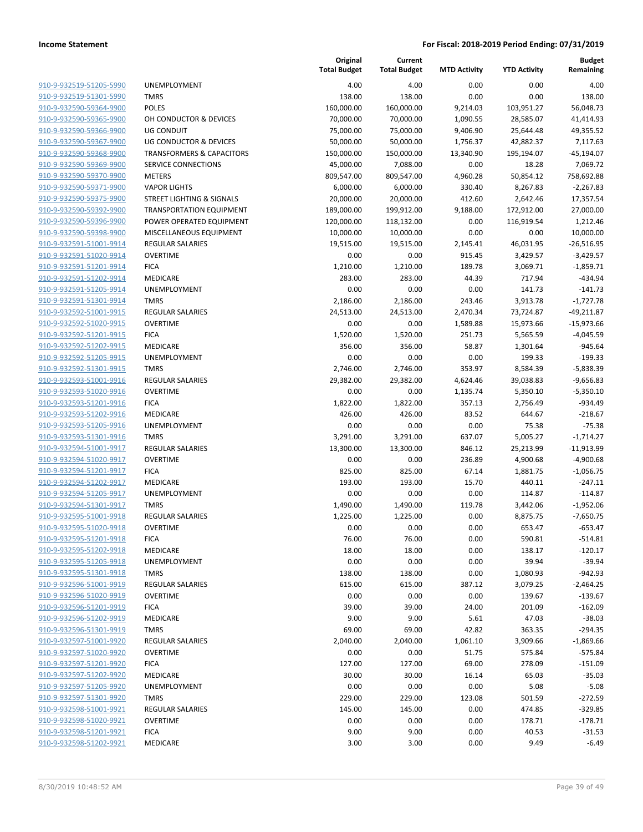|                                                    |                                        | Original<br><b>Total Budget</b> | Current<br><b>Total Budget</b> | <b>MTD Activity</b> | <b>YTD Activity</b> | <b>Budget</b><br>Remaining |
|----------------------------------------------------|----------------------------------------|---------------------------------|--------------------------------|---------------------|---------------------|----------------------------|
| 910-9-932519-51205-5990                            | <b>UNEMPLOYMENT</b>                    | 4.00                            | 4.00                           | 0.00                | 0.00                | 4.00                       |
| 910-9-932519-51301-5990                            | <b>TMRS</b>                            | 138.00                          | 138.00                         | 0.00                | 0.00                | 138.00                     |
| 910-9-932590-59364-9900                            | <b>POLES</b>                           | 160,000.00                      | 160,000.00                     | 9,214.03            | 103,951.27          | 56,048.73                  |
| 910-9-932590-59365-9900                            | OH CONDUCTOR & DEVICES                 | 70,000.00                       | 70,000.00                      | 1,090.55            | 28,585.07           | 41,414.93                  |
| 910-9-932590-59366-9900                            | <b>UG CONDUIT</b>                      | 75,000.00                       | 75,000.00                      | 9,406.90            | 25,644.48           | 49,355.52                  |
| 910-9-932590-59367-9900                            | <b>UG CONDUCTOR &amp; DEVICES</b>      | 50,000.00                       | 50,000.00                      | 1,756.37            | 42,882.37           | 7,117.63                   |
| 910-9-932590-59368-9900                            | <b>TRANSFORMERS &amp; CAPACITORS</b>   | 150,000.00                      | 150,000.00                     | 13,340.90           | 195,194.07          | $-45,194.07$               |
| 910-9-932590-59369-9900                            | SERVICE CONNECTIONS                    | 45,000.00                       | 7,088.00                       | 0.00                | 18.28               | 7,069.72                   |
| 910-9-932590-59370-9900                            | <b>METERS</b>                          | 809,547.00                      | 809,547.00                     | 4,960.28            | 50,854.12           | 758,692.88                 |
| 910-9-932590-59371-9900                            | <b>VAPOR LIGHTS</b>                    | 6,000.00                        | 6,000.00                       | 330.40              | 8,267.83            | $-2,267.83$                |
| 910-9-932590-59375-9900                            | <b>STREET LIGHTING &amp; SIGNALS</b>   | 20,000.00                       | 20,000.00                      | 412.60              | 2,642.46            | 17,357.54                  |
| 910-9-932590-59392-9900                            | <b>TRANSPORTATION EQUIPMENT</b>        | 189,000.00                      | 199,912.00                     | 9,188.00            | 172,912.00          | 27,000.00                  |
| 910-9-932590-59396-9900                            | POWER OPERATED EQUIPMENT               | 120,000.00                      | 118,132.00                     | 0.00                | 116,919.54          | 1,212.46                   |
| 910-9-932590-59398-9900                            | MISCELLANEOUS EQUIPMENT                | 10,000.00                       | 10,000.00                      | 0.00                | 0.00                | 10,000.00                  |
| 910-9-932591-51001-9914                            | <b>REGULAR SALARIES</b>                | 19,515.00                       | 19,515.00                      | 2,145.41            | 46,031.95           | $-26,516.95$               |
| 910-9-932591-51020-9914                            | <b>OVERTIME</b>                        | 0.00                            | 0.00                           | 915.45              | 3,429.57            | $-3,429.57$                |
| 910-9-932591-51201-9914                            | <b>FICA</b>                            | 1,210.00                        | 1,210.00                       | 189.78              | 3,069.71            | $-1,859.71$                |
| 910-9-932591-51202-9914                            | MEDICARE                               | 283.00                          | 283.00                         | 44.39               | 717.94              | $-434.94$                  |
| 910-9-932591-51205-9914                            | <b>UNEMPLOYMENT</b>                    | 0.00                            | 0.00                           | 0.00                | 141.73              | $-141.73$                  |
| 910-9-932591-51301-9914                            | <b>TMRS</b>                            | 2,186.00                        | 2,186.00                       | 243.46              | 3,913.78            | $-1,727.78$                |
| 910-9-932592-51001-9915                            | <b>REGULAR SALARIES</b>                | 24,513.00                       | 24,513.00                      | 2,470.34            | 73,724.87           | $-49,211.87$               |
| 910-9-932592-51020-9915                            | <b>OVERTIME</b>                        | 0.00                            | 0.00                           | 1,589.88            | 15,973.66           | $-15,973.66$               |
| 910-9-932592-51201-9915                            | <b>FICA</b>                            | 1,520.00                        | 1,520.00                       | 251.73              | 5,565.59            | $-4,045.59$                |
| 910-9-932592-51202-9915                            | MEDICARE                               | 356.00                          | 356.00                         | 58.87               | 1,301.64            | $-945.64$                  |
| 910-9-932592-51205-9915                            | <b>UNEMPLOYMENT</b>                    | 0.00                            | 0.00                           | 0.00                | 199.33              | $-199.33$                  |
| 910-9-932592-51301-9915                            | <b>TMRS</b>                            | 2,746.00                        | 2,746.00                       | 353.97              | 8,584.39            | $-5,838.39$                |
| 910-9-932593-51001-9916                            | REGULAR SALARIES                       | 29,382.00                       | 29,382.00                      | 4,624.46            | 39,038.83           | $-9,656.83$                |
| 910-9-932593-51020-9916                            | <b>OVERTIME</b>                        | 0.00                            | 0.00                           | 1,135.74            | 5,350.10            | $-5,350.10$                |
| 910-9-932593-51201-9916                            | <b>FICA</b>                            | 1,822.00                        | 1,822.00                       | 357.13              | 2,756.49            | $-934.49$                  |
| 910-9-932593-51202-9916                            | MEDICARE                               | 426.00                          | 426.00                         | 83.52               | 644.67              | $-218.67$                  |
| 910-9-932593-51205-9916                            | UNEMPLOYMENT                           | 0.00                            | 0.00                           | 0.00                | 75.38               | $-75.38$                   |
| 910-9-932593-51301-9916                            | <b>TMRS</b>                            | 3,291.00                        | 3,291.00                       | 637.07              | 5,005.27            | $-1,714.27$                |
| 910-9-932594-51001-9917                            | <b>REGULAR SALARIES</b>                | 13,300.00                       | 13,300.00                      | 846.12              | 25,213.99           | $-11,913.99$               |
| 910-9-932594-51020-9917                            | <b>OVERTIME</b>                        | 0.00                            | 0.00                           | 236.89              | 4,900.68            | $-4,900.68$                |
| 910-9-932594-51201-9917                            | <b>FICA</b>                            | 825.00                          | 825.00                         | 67.14               | 1,881.75            | $-1,056.75$                |
| 910-9-932594-51202-9917                            | MEDICARE                               | 193.00                          | 193.00                         | 15.70               | 440.11              | $-247.11$                  |
| 910-9-932594-51205-9917                            | UNEMPLOYMENT                           | 0.00                            | 0.00                           | 0.00                | 114.87              | $-114.87$                  |
| 910-9-932594-51301-9917                            | <b>TMRS</b>                            | 1,490.00                        | 1,490.00                       | 119.78              | 3,442.06            | $-1,952.06$                |
| 910-9-932595-51001-9918                            | <b>REGULAR SALARIES</b>                | 1,225.00                        | 1,225.00                       | 0.00                | 8,875.75            | $-7,650.75$                |
| 910-9-932595-51020-9918                            | OVERTIME                               | 0.00                            | 0.00                           | 0.00                | 653.47              | $-653.47$                  |
| 910-9-932595-51201-9918                            | <b>FICA</b>                            | 76.00                           | 76.00                          | 0.00                | 590.81              | $-514.81$                  |
| 910-9-932595-51202-9918                            | MEDICARE                               | 18.00                           | 18.00                          | 0.00                | 138.17              | $-120.17$                  |
| 910-9-932595-51205-9918<br>910-9-932595-51301-9918 | UNEMPLOYMENT                           | 0.00                            | 0.00                           | 0.00                | 39.94               | $-39.94$                   |
| 910-9-932596-51001-9919                            | <b>TMRS</b><br><b>REGULAR SALARIES</b> | 138.00                          | 138.00                         | 0.00                | 1,080.93            | $-942.93$                  |
|                                                    |                                        | 615.00                          | 615.00                         | 387.12              | 3,079.25            | $-2,464.25$                |
| 910-9-932596-51020-9919<br>910-9-932596-51201-9919 | <b>OVERTIME</b>                        | 0.00                            | 0.00                           | 0.00                | 139.67              | $-139.67$                  |
|                                                    | <b>FICA</b>                            | 39.00                           | 39.00                          | 24.00               | 201.09              | $-162.09$                  |
| 910-9-932596-51202-9919<br>910-9-932596-51301-9919 | MEDICARE                               | 9.00                            | 9.00                           | 5.61                | 47.03               | $-38.03$                   |
| 910-9-932597-51001-9920                            | <b>TMRS</b><br>REGULAR SALARIES        | 69.00                           | 69.00                          | 42.82               | 363.35              | $-294.35$                  |
| 910-9-932597-51020-9920                            | <b>OVERTIME</b>                        | 2,040.00                        | 2,040.00                       | 1,061.10            | 3,909.66            | $-1,869.66$                |
| 910-9-932597-51201-9920                            |                                        | 0.00                            | 0.00                           | 51.75               | 575.84              | $-575.84$                  |
|                                                    | <b>FICA</b>                            | 127.00                          | 127.00                         | 69.00               | 278.09              | $-151.09$                  |
| 910-9-932597-51202-9920<br>910-9-932597-51205-9920 | MEDICARE                               | 30.00                           | 30.00                          | 16.14               | 65.03               | $-35.03$                   |
| 910-9-932597-51301-9920                            | <b>UNEMPLOYMENT</b><br><b>TMRS</b>     | 0.00<br>229.00                  | 0.00<br>229.00                 | 0.00<br>123.08      | 5.08<br>501.59      | $-5.08$<br>$-272.59$       |
| 910-9-932598-51001-9921                            | <b>REGULAR SALARIES</b>                | 145.00                          | 145.00                         |                     |                     |                            |
| 910-9-932598-51020-9921                            |                                        | 0.00                            | 0.00                           | 0.00                | 474.85              | $-329.85$                  |
| 910-9-932598-51201-9921                            | <b>OVERTIME</b>                        |                                 |                                | 0.00                | 178.71              | $-178.71$                  |
| 910-9-932598-51202-9921                            | <b>FICA</b>                            | 9.00                            | 9.00                           | 0.00                | 40.53               | $-31.53$                   |
|                                                    | MEDICARE                               | 3.00                            | 3.00                           | 0.00                | 9.49                | $-6.49$                    |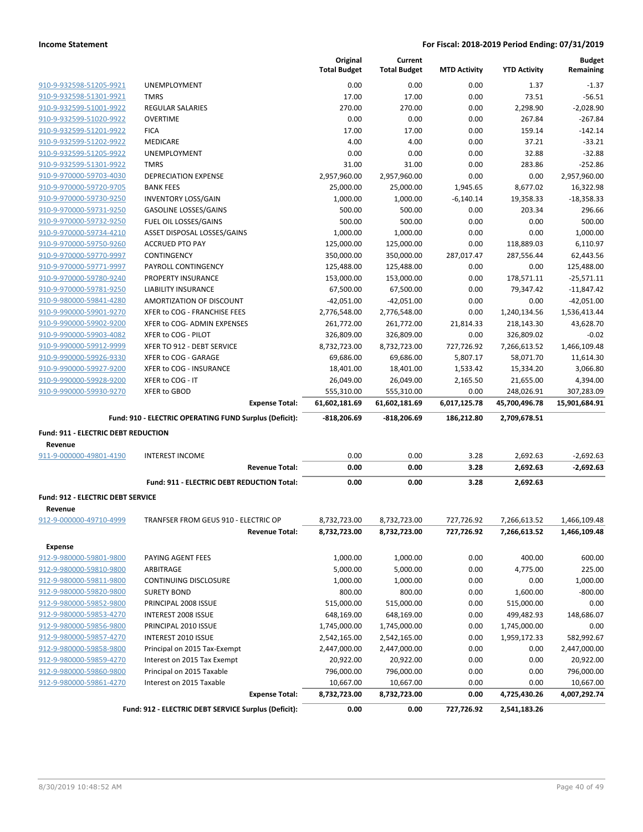|                                                    |                                                        |                       | Original<br><b>Total Budget</b> | Current<br><b>Total Budget</b> | <b>MTD Activity</b>  | <b>YTD Activity</b>    | <b>Budget</b><br>Remaining |
|----------------------------------------------------|--------------------------------------------------------|-----------------------|---------------------------------|--------------------------------|----------------------|------------------------|----------------------------|
| 910-9-932598-51205-9921                            | <b>UNEMPLOYMENT</b>                                    |                       | 0.00                            | 0.00                           | 0.00                 | 1.37                   | $-1.37$                    |
| 910-9-932598-51301-9921                            | <b>TMRS</b>                                            |                       | 17.00                           | 17.00                          | 0.00                 | 73.51                  | $-56.51$                   |
| 910-9-932599-51001-9922                            | <b>REGULAR SALARIES</b>                                |                       | 270.00                          | 270.00                         | 0.00                 | 2,298.90               | $-2,028.90$                |
| 910-9-932599-51020-9922                            | <b>OVERTIME</b>                                        |                       | 0.00                            | 0.00                           | 0.00                 | 267.84                 | $-267.84$                  |
| 910-9-932599-51201-9922                            | <b>FICA</b>                                            |                       | 17.00                           | 17.00                          | 0.00                 | 159.14                 | $-142.14$                  |
| 910-9-932599-51202-9922                            | MEDICARE                                               |                       | 4.00                            | 4.00                           | 0.00                 | 37.21                  | $-33.21$                   |
| 910-9-932599-51205-9922                            | <b>UNEMPLOYMENT</b>                                    |                       | 0.00                            | 0.00                           | 0.00                 | 32.88                  | $-32.88$                   |
| 910-9-932599-51301-9922                            | <b>TMRS</b>                                            |                       | 31.00                           | 31.00                          | 0.00                 | 283.86                 | $-252.86$                  |
| 910-9-970000-59703-4030                            | <b>DEPRECIATION EXPENSE</b>                            |                       | 2,957,960.00                    | 2,957,960.00                   | 0.00                 | 0.00                   | 2,957,960.00               |
| 910-9-970000-59720-9705                            | <b>BANK FEES</b>                                       |                       | 25,000.00                       | 25,000.00                      | 1,945.65             | 8,677.02               | 16,322.98                  |
| 910-9-970000-59730-9250                            | <b>INVENTORY LOSS/GAIN</b>                             |                       | 1,000.00                        | 1,000.00                       | $-6,140.14$          | 19,358.33              | $-18,358.33$               |
| 910-9-970000-59731-9250                            | <b>GASOLINE LOSSES/GAINS</b>                           |                       | 500.00                          | 500.00                         | 0.00                 | 203.34                 | 296.66                     |
| 910-9-970000-59732-9250                            | FUEL OIL LOSSES/GAINS                                  |                       | 500.00                          | 500.00                         | 0.00                 | 0.00                   | 500.00                     |
| 910-9-970000-59734-4210                            | ASSET DISPOSAL LOSSES/GAINS                            |                       | 1,000.00                        | 1,000.00                       | 0.00                 | 0.00                   | 1,000.00                   |
| 910-9-970000-59750-9260                            | <b>ACCRUED PTO PAY</b>                                 |                       | 125,000.00                      | 125,000.00                     | 0.00                 | 118,889.03             | 6,110.97                   |
| 910-9-970000-59770-9997                            | <b>CONTINGENCY</b>                                     |                       | 350,000.00                      | 350,000.00                     | 287,017.47           | 287,556.44             | 62,443.56                  |
| 910-9-970000-59771-9997                            | PAYROLL CONTINGENCY                                    |                       | 125,488.00                      | 125,488.00                     | 0.00                 | 0.00                   | 125,488.00                 |
| 910-9-970000-59780-9240                            | <b>PROPERTY INSURANCE</b>                              |                       | 153,000.00                      | 153,000.00                     | 0.00                 | 178,571.11             | $-25,571.11$               |
| 910-9-970000-59781-9250                            | LIABILITY INSURANCE                                    |                       | 67,500.00                       | 67,500.00                      | 0.00                 | 79,347.42              | $-11,847.42$               |
| 910-9-980000-59841-4280                            | AMORTIZATION OF DISCOUNT                               |                       | $-42,051.00$                    | $-42,051.00$                   | 0.00                 | 0.00                   | $-42,051.00$               |
| 910-9-990000-59901-9270                            | XFER to COG - FRANCHISE FEES                           |                       | 2,776,548.00                    | 2,776,548.00                   | 0.00                 | 1,240,134.56           | 1,536,413.44               |
| 910-9-990000-59902-9200                            | XFER to COG- ADMIN EXPENSES                            |                       | 261,772.00                      | 261,772.00                     | 21,814.33            | 218,143.30             | 43,628.70                  |
| 910-9-990000-59903-4082                            | XFER to COG - PILOT                                    |                       | 326,809.00                      | 326,809.00                     | 0.00                 | 326,809.02             | $-0.02$                    |
| 910-9-990000-59912-9999                            | XFER TO 912 - DEBT SERVICE                             |                       | 8,732,723.00                    | 8,732,723.00                   | 727,726.92           | 7,266,613.52           | 1,466,109.48               |
| 910-9-990000-59926-9330                            | XFER to COG - GARAGE                                   |                       | 69,686.00                       | 69,686.00                      | 5,807.17             | 58,071.70              | 11,614.30                  |
| 910-9-990000-59927-9200<br>910-9-990000-59928-9200 | XFER to COG - INSURANCE<br>XFER to COG - IT            |                       | 18,401.00<br>26,049.00          | 18,401.00<br>26,049.00         | 1,533.42<br>2,165.50 | 15,334.20<br>21,655.00 | 3,066.80<br>4,394.00       |
| 910-9-990000-59930-9270                            | XFER to GBOD                                           |                       | 555,310.00                      | 555,310.00                     | 0.00                 | 248,026.91             | 307,283.09                 |
|                                                    |                                                        | <b>Expense Total:</b> | 61,602,181.69                   | 61,602,181.69                  | 6,017,125.78         | 45,700,496.78          | 15,901,684.91              |
|                                                    | Fund: 910 - ELECTRIC OPERATING FUND Surplus (Deficit): |                       | $-818,206.69$                   | -818,206.69                    | 186,212.80           | 2,709,678.51           |                            |
| Fund: 911 - ELECTRIC DEBT REDUCTION                |                                                        |                       |                                 |                                |                      |                        |                            |
| Revenue                                            |                                                        |                       |                                 |                                |                      |                        |                            |
| 911-9-000000-49801-4190                            | <b>INTEREST INCOME</b>                                 |                       | 0.00                            | 0.00                           | 3.28                 | 2,692.63               | $-2,692.63$                |
|                                                    |                                                        | <b>Revenue Total:</b> | 0.00                            | 0.00                           | 3.28                 | 2,692.63               | $-2,692.63$                |
|                                                    | Fund: 911 - ELECTRIC DEBT REDUCTION Total:             |                       | 0.00                            | 0.00                           | 3.28                 | 2,692.63               |                            |
|                                                    |                                                        |                       |                                 |                                |                      |                        |                            |
| Fund: 912 - ELECTRIC DEBT SERVICE<br>Revenue       |                                                        |                       |                                 |                                |                      |                        |                            |
| 912-9-000000-49710-4999                            | TRANFSER FROM GEUS 910 - ELECTRIC OP                   |                       | 8,732,723.00                    | 8,732,723.00                   | 727,726.92           | 7,266,613.52           | 1,466,109.48               |
|                                                    |                                                        | <b>Revenue Total:</b> | 8,732,723.00                    | 8,732,723.00                   | 727,726.92           | 7,266,613.52           | 1,466,109.48               |
|                                                    |                                                        |                       |                                 |                                |                      |                        |                            |
| <b>Expense</b>                                     |                                                        |                       |                                 |                                |                      |                        |                            |
| 912-9-980000-59801-9800                            | PAYING AGENT FEES                                      |                       | 1,000.00<br>5,000.00            | 1,000.00                       | 0.00                 | 400.00                 | 600.00                     |
| 912-9-980000-59810-9800<br>912-9-980000-59811-9800 | ARBITRAGE<br>CONTINUING DISCLOSURE                     |                       |                                 | 5,000.00                       | 0.00                 | 4,775.00               | 225.00                     |
| 912-9-980000-59820-9800                            | <b>SURETY BOND</b>                                     |                       | 1,000.00<br>800.00              | 1,000.00<br>800.00             | 0.00<br>0.00         | 0.00<br>1,600.00       | 1,000.00<br>$-800.00$      |
| 912-9-980000-59852-9800                            | PRINCIPAL 2008 ISSUE                                   |                       | 515,000.00                      | 515,000.00                     | 0.00                 | 515,000.00             | 0.00                       |
| 912-9-980000-59853-4270                            | INTEREST 2008 ISSUE                                    |                       | 648,169.00                      | 648,169.00                     | 0.00                 | 499,482.93             | 148,686.07                 |
| 912-9-980000-59856-9800                            | PRINCIPAL 2010 ISSUE                                   |                       | 1,745,000.00                    | 1,745,000.00                   | 0.00                 | 1,745,000.00           | 0.00                       |
| 912-9-980000-59857-4270                            | INTEREST 2010 ISSUE                                    |                       | 2,542,165.00                    | 2,542,165.00                   | 0.00                 | 1,959,172.33           | 582,992.67                 |
| 912-9-980000-59858-9800                            | Principal on 2015 Tax-Exempt                           |                       | 2,447,000.00                    | 2,447,000.00                   | 0.00                 | 0.00                   | 2,447,000.00               |
| 912-9-980000-59859-4270                            | Interest on 2015 Tax Exempt                            |                       | 20,922.00                       | 20,922.00                      | 0.00                 | 0.00                   | 20,922.00                  |
| 912-9-980000-59860-9800                            | Principal on 2015 Taxable                              |                       | 796,000.00                      | 796,000.00                     | 0.00                 | 0.00                   | 796,000.00                 |
| 912-9-980000-59861-4270                            | Interest on 2015 Taxable                               |                       | 10,667.00                       | 10,667.00                      | 0.00                 | 0.00                   | 10,667.00                  |
|                                                    |                                                        | <b>Expense Total:</b> | 8,732,723.00                    | 8,732,723.00                   | 0.00                 | 4,725,430.26           | 4,007,292.74               |
|                                                    | Fund: 912 - ELECTRIC DEBT SERVICE Surplus (Deficit):   |                       | 0.00                            | 0.00                           | 727,726.92           | 2,541,183.26           |                            |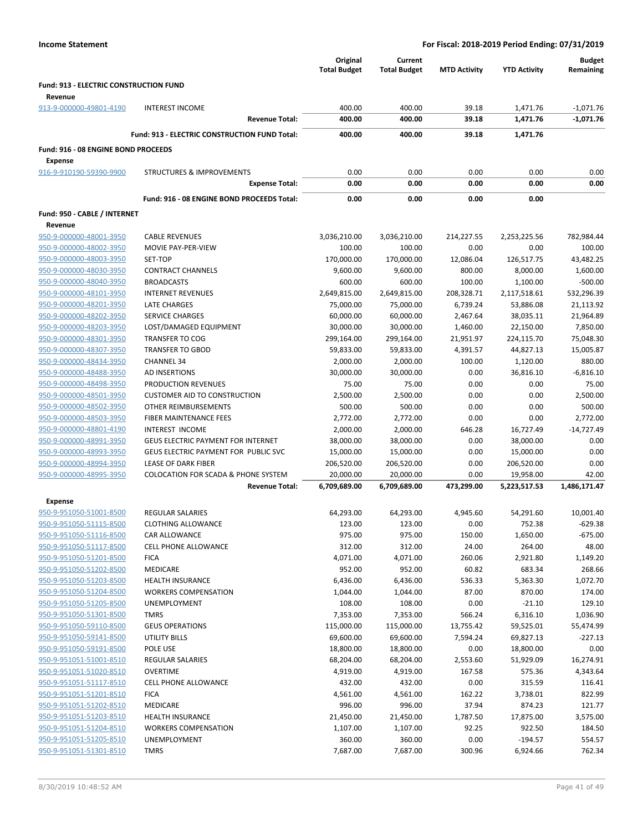|                                        |                                                | Original            | Current             |                     |                     | <b>Budget</b> |
|----------------------------------------|------------------------------------------------|---------------------|---------------------|---------------------|---------------------|---------------|
|                                        |                                                | <b>Total Budget</b> | <b>Total Budget</b> | <b>MTD Activity</b> | <b>YTD Activity</b> | Remaining     |
| Fund: 913 - ELECTRIC CONSTRUCTION FUND |                                                |                     |                     |                     |                     |               |
| Revenue                                |                                                |                     |                     |                     |                     |               |
| 913-9-000000-49801-4190                | <b>INTEREST INCOME</b>                         | 400.00              | 400.00              | 39.18               | 1,471.76            | $-1,071.76$   |
|                                        | <b>Revenue Total:</b>                          | 400.00              | 400.00              | 39.18               | 1,471.76            | $-1,071.76$   |
|                                        | Fund: 913 - ELECTRIC CONSTRUCTION FUND Total:  | 400.00              | 400.00              | 39.18               | 1,471.76            |               |
| Fund: 916 - 08 ENGINE BOND PROCEEDS    |                                                |                     |                     |                     |                     |               |
| <b>Expense</b>                         |                                                |                     |                     |                     |                     |               |
| 916-9-910190-59390-9900                | <b>STRUCTURES &amp; IMPROVEMENTS</b>           | 0.00                | 0.00                | 0.00                | 0.00                | 0.00          |
|                                        | <b>Expense Total:</b>                          | 0.00                | 0.00                | 0.00                | 0.00                | 0.00          |
|                                        | Fund: 916 - 08 ENGINE BOND PROCEEDS Total:     | 0.00                | 0.00                | 0.00                | 0.00                |               |
| Fund: 950 - CABLE / INTERNET           |                                                |                     |                     |                     |                     |               |
| Revenue                                |                                                |                     |                     |                     |                     |               |
| 950-9-000000-48001-3950                | <b>CABLE REVENUES</b>                          | 3,036,210.00        | 3,036,210.00        | 214,227.55          | 2,253,225.56        | 782,984.44    |
| 950-9-000000-48002-3950                | MOVIE PAY-PER-VIEW                             | 100.00              | 100.00              | 0.00                | 0.00                | 100.00        |
| 950-9-000000-48003-3950                | SET-TOP                                        | 170,000.00          | 170,000.00          | 12,086.04           | 126,517.75          | 43,482.25     |
| 950-9-000000-48030-3950                | <b>CONTRACT CHANNELS</b>                       | 9,600.00            | 9,600.00            | 800.00              | 8,000.00            | 1,600.00      |
| 950-9-000000-48040-3950                | <b>BROADCASTS</b>                              | 600.00              | 600.00              | 100.00              | 1,100.00            | $-500.00$     |
| 950-9-000000-48101-3950                | <b>INTERNET REVENUES</b>                       | 2,649,815.00        | 2,649,815.00        | 208,328.71          | 2,117,518.61        | 532,296.39    |
| 950-9-000000-48201-3950                | <b>LATE CHARGES</b>                            | 75,000.00           | 75,000.00           | 6,739.24            | 53,886.08           | 21,113.92     |
| 950-9-000000-48202-3950                | <b>SERVICE CHARGES</b>                         | 60,000.00           | 60,000.00           | 2,467.64            | 38,035.11           | 21,964.89     |
| 950-9-000000-48203-3950                | LOST/DAMAGED EQUIPMENT                         | 30,000.00           | 30,000.00           | 1,460.00            | 22,150.00           | 7,850.00      |
| 950-9-000000-48301-3950                | <b>TRANSFER TO COG</b>                         | 299,164.00          | 299,164.00          | 21,951.97           | 224,115.70          | 75,048.30     |
| 950-9-000000-48307-3950                | <b>TRANSFER TO GBOD</b>                        | 59,833.00           | 59,833.00           | 4,391.57            | 44,827.13           | 15,005.87     |
| 950-9-000000-48434-3950                | <b>CHANNEL 34</b>                              | 2,000.00            | 2,000.00            | 100.00              | 1,120.00            | 880.00        |
| 950-9-000000-48488-3950                | AD INSERTIONS                                  | 30,000.00           | 30,000.00           | 0.00                | 36,816.10           | $-6,816.10$   |
| 950-9-000000-48498-3950                | PRODUCTION REVENUES                            | 75.00               | 75.00               | 0.00                | 0.00                | 75.00         |
| 950-9-000000-48501-3950                | <b>CUSTOMER AID TO CONSTRUCTION</b>            | 2,500.00            | 2,500.00            | 0.00                | 0.00                | 2,500.00      |
| 950-9-000000-48502-3950                | OTHER REIMBURSEMENTS                           | 500.00              | 500.00              | 0.00                | 0.00                | 500.00        |
| 950-9-000000-48503-3950                | FIBER MAINTENANCE FEES                         | 2,772.00            | 2,772.00            | 0.00                | 0.00                | 2,772.00      |
| 950-9-000000-48801-4190                | <b>INTEREST INCOME</b>                         | 2,000.00            | 2,000.00            | 646.28              | 16,727.49           | $-14,727.49$  |
| 950-9-000000-48991-3950                | <b>GEUS ELECTRIC PAYMENT FOR INTERNET</b>      | 38,000.00           | 38,000.00           | 0.00                | 38,000.00           | 0.00          |
| 950-9-000000-48993-3950                | GEUS ELECTRIC PAYMENT FOR PUBLIC SVC           | 15,000.00           | 15,000.00           | 0.00                | 15,000.00           | 0.00          |
| 950-9-000000-48994-3950                | LEASE OF DARK FIBER                            | 206,520.00          | 206,520.00          | 0.00                | 206,520.00          | 0.00          |
| 950-9-000000-48995-3950                | <b>COLOCATION FOR SCADA &amp; PHONE SYSTEM</b> | 20,000.00           | 20,000.00           | 0.00                | 19,958.00           | 42.00         |
|                                        | <b>Revenue Total:</b>                          | 6,709,689.00        | 6,709,689.00        | 473,299.00          | 5,223,517.53        | 1,486,171.47  |
| Expense                                |                                                |                     |                     |                     |                     |               |
| 950-9-951050-51001-8500                | REGULAR SALARIES                               | 64,293.00           | 64,293.00           | 4,945.60            | 54,291.60           | 10,001.40     |
| 950-9-951050-51115-8500                | <b>CLOTHING ALLOWANCE</b>                      | 123.00              | 123.00              | 0.00                | 752.38              | $-629.38$     |
| 950-9-951050-51116-8500                | CAR ALLOWANCE                                  | 975.00              | 975.00              | 150.00              | 1,650.00            | $-675.00$     |
| 950-9-951050-51117-8500                | CELL PHONE ALLOWANCE                           | 312.00              | 312.00              | 24.00               | 264.00              | 48.00         |
| 950-9-951050-51201-8500                | <b>FICA</b>                                    | 4,071.00            | 4,071.00            | 260.06              | 2,921.80            | 1,149.20      |
| 950-9-951050-51202-8500                | <b>MEDICARE</b>                                | 952.00              | 952.00              | 60.82               | 683.34              | 268.66        |
| 950-9-951050-51203-8500                | <b>HEALTH INSURANCE</b>                        | 6,436.00            | 6,436.00            | 536.33              | 5,363.30            | 1,072.70      |

|                         |                             | <b>Revenue Total:</b> | 6,709,689.00 | 6,709,689.00 | 473,299.00 | 5,223,517.53 | 1,486,171.47 |
|-------------------------|-----------------------------|-----------------------|--------------|--------------|------------|--------------|--------------|
| <b>Expense</b>          |                             |                       |              |              |            |              |              |
| 950-9-951050-51001-8500 | <b>REGULAR SALARIES</b>     |                       | 64,293.00    | 64,293.00    | 4,945.60   | 54,291.60    | 10,001.40    |
| 950-9-951050-51115-8500 | <b>CLOTHING ALLOWANCE</b>   |                       | 123.00       | 123.00       | 0.00       | 752.38       | $-629.38$    |
| 950-9-951050-51116-8500 | <b>CAR ALLOWANCE</b>        |                       | 975.00       | 975.00       | 150.00     | 1,650.00     | $-675.00$    |
| 950-9-951050-51117-8500 | <b>CELL PHONE ALLOWANCE</b> |                       | 312.00       | 312.00       | 24.00      | 264.00       | 48.00        |
| 950-9-951050-51201-8500 | <b>FICA</b>                 |                       | 4,071.00     | 4,071.00     | 260.06     | 2,921.80     | 1,149.20     |
| 950-9-951050-51202-8500 | <b>MEDICARE</b>             |                       | 952.00       | 952.00       | 60.82      | 683.34       | 268.66       |
| 950-9-951050-51203-8500 | <b>HEALTH INSURANCE</b>     |                       | 6,436.00     | 6,436.00     | 536.33     | 5,363.30     | 1,072.70     |
| 950-9-951050-51204-8500 | <b>WORKERS COMPENSATION</b> |                       | 1,044.00     | 1,044.00     | 87.00      | 870.00       | 174.00       |
| 950-9-951050-51205-8500 | UNEMPLOYMENT                |                       | 108.00       | 108.00       | 0.00       | $-21.10$     | 129.10       |
| 950-9-951050-51301-8500 | <b>TMRS</b>                 |                       | 7,353.00     | 7,353.00     | 566.24     | 6,316.10     | 1,036.90     |
| 950-9-951050-59110-8500 | <b>GEUS OPERATIONS</b>      |                       | 115,000.00   | 115,000.00   | 13,755.42  | 59,525.01    | 55,474.99    |
| 950-9-951050-59141-8500 | <b>UTILITY BILLS</b>        |                       | 69,600.00    | 69,600.00    | 7,594.24   | 69,827.13    | $-227.13$    |
| 950-9-951050-59191-8500 | POLE USE                    |                       | 18,800.00    | 18,800.00    | 0.00       | 18,800.00    | 0.00         |
| 950-9-951051-51001-8510 | <b>REGULAR SALARIES</b>     |                       | 68,204.00    | 68,204.00    | 2,553.60   | 51,929.09    | 16,274.91    |
| 950-9-951051-51020-8510 | <b>OVERTIME</b>             |                       | 4,919.00     | 4,919.00     | 167.58     | 575.36       | 4,343.64     |
| 950-9-951051-51117-8510 | <b>CELL PHONE ALLOWANCE</b> |                       | 432.00       | 432.00       | 0.00       | 315.59       | 116.41       |
| 950-9-951051-51201-8510 | <b>FICA</b>                 |                       | 4,561.00     | 4,561.00     | 162.22     | 3,738.01     | 822.99       |
| 950-9-951051-51202-8510 | <b>MEDICARE</b>             |                       | 996.00       | 996.00       | 37.94      | 874.23       | 121.77       |
| 950-9-951051-51203-8510 | <b>HEALTH INSURANCE</b>     |                       | 21,450.00    | 21,450.00    | 1,787.50   | 17,875.00    | 3,575.00     |
| 950-9-951051-51204-8510 | <b>WORKERS COMPENSATION</b> |                       | 1,107.00     | 1,107.00     | 92.25      | 922.50       | 184.50       |
| 950-9-951051-51205-8510 | <b>UNEMPLOYMENT</b>         |                       | 360.00       | 360.00       | 0.00       | $-194.57$    | 554.57       |
| 950-9-951051-51301-8510 | <b>TMRS</b>                 |                       | 7,687.00     | 7,687.00     | 300.96     | 6,924.66     | 762.34       |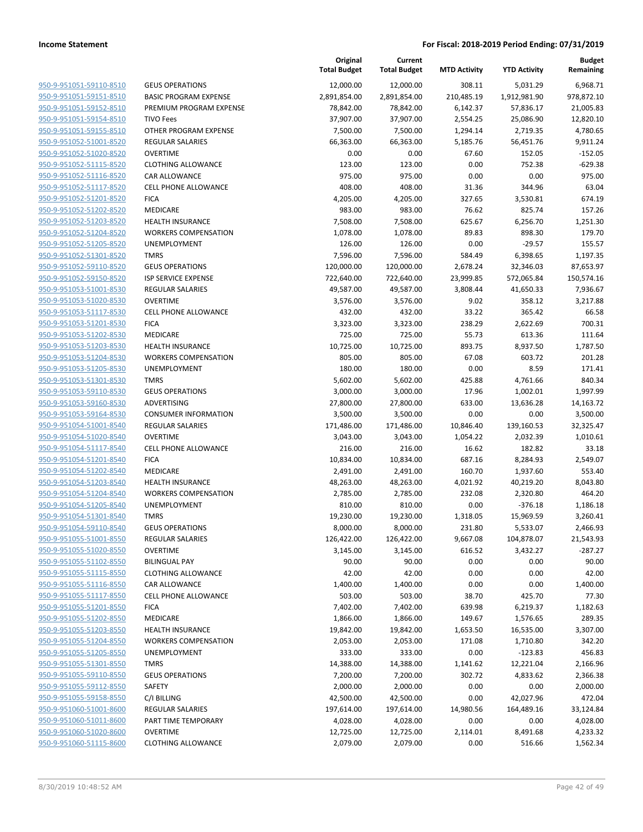|                         |                              | Original<br><b>Total Budget</b> | Current<br><b>Total Budget</b> | <b>MTD Activity</b> | <b>YTD Activity</b> | <b>Budget</b><br>Remaining |
|-------------------------|------------------------------|---------------------------------|--------------------------------|---------------------|---------------------|----------------------------|
| 950-9-951051-59110-8510 | <b>GEUS OPERATIONS</b>       | 12,000.00                       | 12,000.00                      | 308.11              | 5,031.29            | 6,968.71                   |
| 950-9-951051-59151-8510 | <b>BASIC PROGRAM EXPENSE</b> | 2,891,854.00                    | 2,891,854.00                   | 210,485.19          | 1,912,981.90        | 978,872.10                 |
| 950-9-951051-59152-8510 | PREMIUM PROGRAM EXPENSE      | 78,842.00                       | 78,842.00                      | 6,142.37            | 57,836.17           | 21,005.83                  |
| 950-9-951051-59154-8510 | <b>TIVO Fees</b>             | 37,907.00                       | 37,907.00                      | 2,554.25            | 25,086.90           | 12,820.10                  |
| 950-9-951051-59155-8510 | OTHER PROGRAM EXPENSE        | 7,500.00                        | 7,500.00                       | 1,294.14            | 2,719.35            | 4,780.65                   |
| 950-9-951052-51001-8520 | <b>REGULAR SALARIES</b>      | 66,363.00                       | 66,363.00                      | 5,185.76            | 56,451.76           | 9,911.24                   |
| 950-9-951052-51020-8520 | <b>OVERTIME</b>              | 0.00                            | 0.00                           | 67.60               | 152.05              | $-152.05$                  |
| 950-9-951052-51115-8520 | <b>CLOTHING ALLOWANCE</b>    | 123.00                          | 123.00                         | 0.00                | 752.38              | $-629.38$                  |
| 950-9-951052-51116-8520 | CAR ALLOWANCE                | 975.00                          | 975.00                         | 0.00                | 0.00                | 975.00                     |
| 950-9-951052-51117-8520 | CELL PHONE ALLOWANCE         | 408.00                          | 408.00                         | 31.36               | 344.96              | 63.04                      |
| 950-9-951052-51201-8520 | <b>FICA</b>                  | 4,205.00                        | 4,205.00                       | 327.65              | 3,530.81            | 674.19                     |
| 950-9-951052-51202-8520 | MEDICARE                     | 983.00                          | 983.00                         | 76.62               | 825.74              | 157.26                     |
| 950-9-951052-51203-8520 | <b>HEALTH INSURANCE</b>      | 7,508.00                        | 7,508.00                       | 625.67              | 6,256.70            | 1,251.30                   |
| 950-9-951052-51204-8520 | <b>WORKERS COMPENSATION</b>  | 1,078.00                        | 1,078.00                       | 89.83               | 898.30              | 179.70                     |
| 950-9-951052-51205-8520 | <b>UNEMPLOYMENT</b>          | 126.00                          | 126.00                         | 0.00                | $-29.57$            | 155.57                     |
| 950-9-951052-51301-8520 | <b>TMRS</b>                  | 7,596.00                        | 7,596.00                       | 584.49              | 6,398.65            | 1,197.35                   |
| 950-9-951052-59110-8520 | <b>GEUS OPERATIONS</b>       | 120,000.00                      | 120,000.00                     | 2,678.24            | 32,346.03           | 87,653.97                  |
| 950-9-951052-59150-8520 | <b>ISP SERVICE EXPENSE</b>   | 722,640.00                      | 722,640.00                     | 23,999.85           | 572,065.84          | 150,574.16                 |
| 950-9-951053-51001-8530 | <b>REGULAR SALARIES</b>      | 49,587.00                       | 49,587.00                      | 3,808.44            | 41,650.33           | 7,936.67                   |
| 950-9-951053-51020-8530 | <b>OVERTIME</b>              | 3,576.00                        | 3,576.00                       | 9.02                | 358.12              | 3,217.88                   |
| 950-9-951053-51117-8530 | <b>CELL PHONE ALLOWANCE</b>  | 432.00                          | 432.00                         | 33.22               | 365.42              | 66.58                      |
| 950-9-951053-51201-8530 | <b>FICA</b>                  | 3,323.00                        | 3,323.00                       | 238.29              | 2,622.69            | 700.31                     |
| 950-9-951053-51202-8530 | MEDICARE                     | 725.00                          | 725.00                         | 55.73               | 613.36              | 111.64                     |
| 950-9-951053-51203-8530 | <b>HEALTH INSURANCE</b>      | 10,725.00                       | 10,725.00                      | 893.75              | 8,937.50            | 1,787.50                   |
| 950-9-951053-51204-8530 | <b>WORKERS COMPENSATION</b>  | 805.00                          | 805.00                         | 67.08               | 603.72              | 201.28                     |
| 950-9-951053-51205-8530 | <b>UNEMPLOYMENT</b>          | 180.00                          | 180.00                         | 0.00                | 8.59                | 171.41                     |
| 950-9-951053-51301-8530 | <b>TMRS</b>                  | 5,602.00                        | 5,602.00                       | 425.88              | 4,761.66            | 840.34                     |
| 950-9-951053-59110-8530 | <b>GEUS OPERATIONS</b>       | 3,000.00                        | 3,000.00                       | 17.96               | 1,002.01            | 1,997.99                   |
| 950-9-951053-59160-8530 | ADVERTISING                  | 27,800.00                       | 27,800.00                      | 633.00              | 13,636.28           | 14,163.72                  |
| 950-9-951053-59164-8530 | <b>CONSUMER INFORMATION</b>  | 3,500.00                        | 3,500.00                       | 0.00                | 0.00                | 3,500.00                   |
| 950-9-951054-51001-8540 | REGULAR SALARIES             | 171,486.00                      | 171,486.00                     | 10,846.40           | 139,160.53          | 32,325.47                  |
| 950-9-951054-51020-8540 | <b>OVERTIME</b>              | 3,043.00                        | 3,043.00                       | 1,054.22            | 2,032.39            | 1,010.61                   |
| 950-9-951054-51117-8540 | <b>CELL PHONE ALLOWANCE</b>  | 216.00                          | 216.00                         | 16.62               | 182.82              | 33.18                      |
| 950-9-951054-51201-8540 | <b>FICA</b>                  | 10,834.00                       | 10,834.00                      | 687.16              | 8,284.93            | 2,549.07                   |
| 950-9-951054-51202-8540 | MEDICARE                     | 2,491.00                        | 2,491.00                       | 160.70              | 1,937.60            | 553.40                     |
| 950-9-951054-51203-8540 | <b>HEALTH INSURANCE</b>      | 48,263.00                       | 48,263.00                      | 4,021.92            | 40,219.20           | 8,043.80                   |
| 950-9-951054-51204-8540 | <b>WORKERS COMPENSATION</b>  | 2,785.00                        | 2,785.00                       | 232.08              | 2,320.80            | 464.20                     |
| 950-9-951054-51205-8540 | UNEMPLOYMENT                 | 810.00                          | 810.00                         | 0.00                | $-376.18$           | 1,186.18                   |
| 950-9-951054-51301-8540 | <b>TMRS</b>                  | 19,230.00                       | 19,230.00                      | 1,318.05            | 15,969.59           | 3,260.41                   |
| 950-9-951054-59110-8540 | <b>GEUS OPERATIONS</b>       | 8,000.00                        | 8,000.00                       | 231.80              | 5,533.07            | 2,466.93                   |
| 950-9-951055-51001-8550 | <b>REGULAR SALARIES</b>      | 126,422.00                      | 126,422.00                     | 9,667.08            | 104,878.07          | 21,543.93                  |
| 950-9-951055-51020-8550 | <b>OVERTIME</b>              | 3,145.00                        | 3,145.00                       | 616.52              | 3,432.27            | $-287.27$                  |
| 950-9-951055-51102-8550 | <b>BILINGUAL PAY</b>         | 90.00                           | 90.00                          | 0.00                | 0.00                | 90.00                      |
| 950-9-951055-51115-8550 | <b>CLOTHING ALLOWANCE</b>    | 42.00                           | 42.00                          | 0.00                | 0.00                | 42.00                      |
| 950-9-951055-51116-8550 | CAR ALLOWANCE                | 1,400.00                        | 1,400.00                       | 0.00                | 0.00                | 1,400.00                   |
| 950-9-951055-51117-8550 | <b>CELL PHONE ALLOWANCE</b>  | 503.00                          | 503.00                         | 38.70               | 425.70              | 77.30                      |
| 950-9-951055-51201-8550 | <b>FICA</b>                  | 7,402.00                        | 7,402.00                       | 639.98              | 6,219.37            | 1,182.63                   |
| 950-9-951055-51202-8550 | MEDICARE                     | 1,866.00                        | 1,866.00                       | 149.67              | 1,576.65            | 289.35                     |
| 950-9-951055-51203-8550 | <b>HEALTH INSURANCE</b>      | 19,842.00                       | 19,842.00                      | 1,653.50            | 16,535.00           | 3,307.00                   |
| 950-9-951055-51204-8550 | <b>WORKERS COMPENSATION</b>  | 2,053.00                        | 2,053.00                       | 171.08              | 1,710.80            | 342.20                     |
| 950-9-951055-51205-8550 | <b>UNEMPLOYMENT</b>          | 333.00                          | 333.00                         | 0.00                | $-123.83$           | 456.83                     |
| 950-9-951055-51301-8550 | <b>TMRS</b>                  | 14,388.00                       | 14,388.00                      | 1,141.62            | 12,221.04           | 2,166.96                   |
| 950-9-951055-59110-8550 | <b>GEUS OPERATIONS</b>       | 7,200.00                        | 7,200.00                       | 302.72              | 4,833.62            | 2,366.38                   |
| 950-9-951055-59112-8550 | SAFETY                       | 2,000.00                        | 2,000.00                       | 0.00                | 0.00                | 2,000.00                   |
| 950-9-951055-59158-8550 | C/I BILLING                  | 42,500.00                       | 42,500.00                      | 0.00                | 42,027.96           | 472.04                     |
| 950-9-951060-51001-8600 | REGULAR SALARIES             | 197,614.00                      | 197,614.00                     | 14,980.56           | 164,489.16          | 33,124.84                  |
| 950-9-951060-51011-8600 | PART TIME TEMPORARY          | 4,028.00                        | 4,028.00                       | 0.00                | 0.00                | 4,028.00                   |
| 950-9-951060-51020-8600 | <b>OVERTIME</b>              | 12,725.00                       | 12,725.00                      | 2,114.01            | 8,491.68            | 4,233.32                   |
| 950-9-951060-51115-8600 | <b>CLOTHING ALLOWANCE</b>    | 2,079.00                        | 2,079.00                       | 0.00                | 516.66              | 1,562.34                   |
|                         |                              |                                 |                                |                     |                     |                            |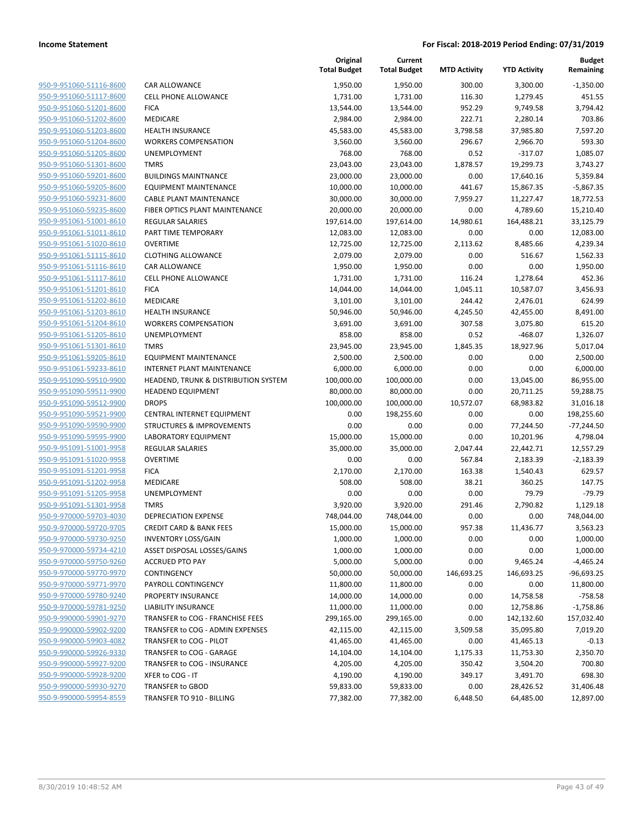| 950-9-951060-51116-8600        | I                        |
|--------------------------------|--------------------------|
| 950-9-951060-51117-8600        | (                        |
| 950-9-951060-51201-8600        | I                        |
| <u>950-9-951060-51202-8600</u> | I                        |
| 950-9-951060-51203-8600        | I                        |
| 950-9-951060-51204-8600        | ļ                        |
| 950-9-951060-51205-8600        | I                        |
| 950-9-951060-51301-8600        |                          |
| <u>950-9-951060-59201-8600</u> | I                        |
| 950-9-951060-59205-8600        | I                        |
| 950-9-951060-59231-8600        | I                        |
| 950-9-951060-59235-8600        | I                        |
| 950-9-951061-51001-8610        | ı                        |
| <u>950-9-951061-51011-8610</u> | I                        |
| <u>950-9-951061-51020-8610</u> | $\overline{\phantom{a}}$ |
| 950-9-951061-51115-8610        | I                        |
| 950-9-951061-51116-8610        | I                        |
| 950-9-951061-51117-8610        |                          |
| <u>950-9-951061-51201-8610</u> | ı                        |
| <u>950-9-951061-51202-8610</u> | I                        |
| 950-9-951061-51203-8610        | I                        |
| 950-9-951061-51204-8610        | ľ                        |
| 950-9-951061-51205-8610        | l                        |
| <u>950-9-951061-51301-8610</u> |                          |
| <u>950-9-951061-59205-8610</u> | I                        |
| 950-9-951061-59233-8610        | I                        |
| 950-9-951090-59510-9900        | I                        |
| <u>950-9-951090-59511-9900</u> | I                        |
| <u>950-9-951090-59512-9900</u> | I                        |
| 950-9-951090-59521-9900        | I                        |
| 950-9-951090-59590-9900        | :                        |
| 950-9-951090-59595-9900        | I                        |
| <u>950-9-951091-51001-9958</u> | I                        |
| <u>950-9-951091-51020-9958</u> | I                        |
| <u>950-9-951091-51201-9958</u> | I                        |
| 950-9-951091-51202-9958        | $\overline{\phantom{a}}$ |
| 950-9-951091-51205-9958        | Į                        |
| 950-9-951091-51301-9958        |                          |
| 950-9-970000-59703-4030        | I                        |
| 950-9-970000-59720-9705        | $\overline{\phantom{a}}$ |
| 950-9-970000-59730-9250        | I                        |
| 950-9-970000-59734-4210        |                          |
| 950-9-970000-59750-9260        |                          |
| <u>950-9-970000-59770-9970</u> | (                        |
| 950-9-970000-59771-9970        | I                        |
| 950-9-970000-59780-9240        | I                        |
| 950-9-970000-59781-9250        | I                        |
| 950-9-990000-59901-9270        |                          |
| <u>950-9-990000-59902-9200</u> |                          |
| 950-9-990000-59903-4082        |                          |
| 950-9-990000-59926-9330        |                          |
| 950-9-990000-59927-9200        |                          |
| <u>950-9-990000-59928-9200</u> | ì                        |
| <u>950-9-990000-59930-9270</u> |                          |
| 950-9-990000-59954-8559        |                          |
|                                |                          |

|                         |                                      | Original<br><b>Total Budget</b> | Current<br><b>Total Budget</b> | <b>MTD Activity</b> | <b>YTD Activity</b> | <b>Budget</b><br>Remaining |
|-------------------------|--------------------------------------|---------------------------------|--------------------------------|---------------------|---------------------|----------------------------|
| 950-9-951060-51116-8600 | <b>CAR ALLOWANCE</b>                 | 1,950.00                        | 1,950.00                       | 300.00              | 3,300.00            | $-1,350.00$                |
| 950-9-951060-51117-8600 | <b>CELL PHONE ALLOWANCE</b>          | 1,731.00                        | 1,731.00                       | 116.30              | 1,279.45            | 451.55                     |
| 950-9-951060-51201-8600 | <b>FICA</b>                          | 13,544.00                       | 13,544.00                      | 952.29              | 9,749.58            | 3,794.42                   |
| 950-9-951060-51202-8600 | MEDICARE                             | 2,984.00                        | 2,984.00                       | 222.71              | 2,280.14            | 703.86                     |
| 950-9-951060-51203-8600 | <b>HEALTH INSURANCE</b>              | 45,583.00                       | 45,583.00                      | 3,798.58            | 37,985.80           | 7,597.20                   |
| 950-9-951060-51204-8600 | <b>WORKERS COMPENSATION</b>          | 3,560.00                        | 3,560.00                       | 296.67              | 2,966.70            | 593.30                     |
| 950-9-951060-51205-8600 | UNEMPLOYMENT                         | 768.00                          | 768.00                         | 0.52                | $-317.07$           | 1,085.07                   |
| 950-9-951060-51301-8600 | <b>TMRS</b>                          | 23,043.00                       | 23,043.00                      | 1,878.57            | 19,299.73           | 3,743.27                   |
| 950-9-951060-59201-8600 | <b>BUILDINGS MAINTNANCE</b>          | 23,000.00                       | 23,000.00                      | 0.00                | 17,640.16           | 5,359.84                   |
| 950-9-951060-59205-8600 | <b>EQUIPMENT MAINTENANCE</b>         | 10,000.00                       | 10,000.00                      | 441.67              | 15,867.35           | $-5,867.35$                |
| 950-9-951060-59231-8600 | <b>CABLE PLANT MAINTENANCE</b>       | 30,000.00                       | 30,000.00                      | 7,959.27            | 11,227.47           | 18,772.53                  |
| 950-9-951060-59235-8600 | FIBER OPTICS PLANT MAINTENANCE       | 20,000.00                       | 20,000.00                      | 0.00                | 4,789.60            | 15,210.40                  |
| 950-9-951061-51001-8610 | <b>REGULAR SALARIES</b>              | 197,614.00                      | 197,614.00                     | 14,980.61           | 164,488.21          | 33,125.79                  |
| 950-9-951061-51011-8610 | PART TIME TEMPORARY                  | 12,083.00                       | 12,083.00                      | 0.00                | 0.00                | 12,083.00                  |
| 950-9-951061-51020-8610 | <b>OVERTIME</b>                      | 12,725.00                       | 12,725.00                      | 2,113.62            | 8,485.66            | 4,239.34                   |
| 950-9-951061-51115-8610 | CLOTHING ALLOWANCE                   | 2,079.00                        | 2,079.00                       | 0.00                | 516.67              | 1,562.33                   |
| 950-9-951061-51116-8610 | CAR ALLOWANCE                        | 1,950.00                        | 1,950.00                       | 0.00                | 0.00                | 1,950.00                   |
| 950-9-951061-51117-8610 | <b>CELL PHONE ALLOWANCE</b>          | 1,731.00                        | 1,731.00                       | 116.24              | 1,278.64            | 452.36                     |
| 950-9-951061-51201-8610 | <b>FICA</b>                          | 14,044.00                       | 14,044.00                      | 1,045.11            | 10,587.07           | 3,456.93                   |
| 950-9-951061-51202-8610 | MEDICARE                             | 3,101.00                        | 3,101.00                       | 244.42              | 2,476.01            | 624.99                     |
| 950-9-951061-51203-8610 | <b>HEALTH INSURANCE</b>              | 50,946.00                       | 50,946.00                      | 4,245.50            | 42,455.00           | 8,491.00                   |
| 950-9-951061-51204-8610 | <b>WORKERS COMPENSATION</b>          | 3,691.00                        | 3,691.00                       | 307.58              | 3,075.80            | 615.20                     |
| 950-9-951061-51205-8610 | <b>UNEMPLOYMENT</b>                  | 858.00                          | 858.00                         | 0.52                | $-468.07$           | 1,326.07                   |
| 950-9-951061-51301-8610 | <b>TMRS</b>                          | 23,945.00                       | 23,945.00                      | 1,845.35            | 18,927.96           | 5,017.04                   |
| 950-9-951061-59205-8610 | <b>EQUIPMENT MAINTENANCE</b>         | 2,500.00                        | 2,500.00                       | 0.00                | 0.00                | 2,500.00                   |
| 950-9-951061-59233-8610 | INTERNET PLANT MAINTENANCE           | 6,000.00                        | 6,000.00                       | 0.00                | 0.00                | 6,000.00                   |
| 950-9-951090-59510-9900 | HEADEND, TRUNK & DISTRIBUTION SYSTEM | 100,000.00                      | 100,000.00                     | 0.00                | 13,045.00           | 86,955.00                  |
| 950-9-951090-59511-9900 | <b>HEADEND EQUIPMENT</b>             | 80,000.00                       | 80,000.00                      | 0.00                | 20,711.25           | 59,288.75                  |
| 950-9-951090-59512-9900 | <b>DROPS</b>                         | 100,000.00                      | 100,000.00                     | 10,572.07           | 68,983.82           | 31,016.18                  |
| 950-9-951090-59521-9900 | CENTRAL INTERNET EQUIPMENT           | 0.00                            | 198,255.60                     | 0.00                | 0.00                | 198,255.60                 |
| 950-9-951090-59590-9900 | STRUCTURES & IMPROVEMENTS            | 0.00                            | 0.00                           | 0.00                | 77,244.50           | $-77,244.50$               |
| 950-9-951090-59595-9900 | LABORATORY EQUIPMENT                 | 15,000.00                       | 15,000.00                      | 0.00                | 10,201.96           | 4,798.04                   |
| 950-9-951091-51001-9958 | <b>REGULAR SALARIES</b>              | 35,000.00                       | 35,000.00                      | 2,047.44            | 22,442.71           | 12,557.29                  |
| 950-9-951091-51020-9958 | <b>OVERTIME</b>                      | 0.00                            | 0.00                           | 567.84              | 2,183.39            | $-2,183.39$                |
| 950-9-951091-51201-9958 | <b>FICA</b>                          | 2,170.00                        | 2,170.00                       | 163.38              | 1,540.43            | 629.57                     |
| 950-9-951091-51202-9958 | MEDICARE                             | 508.00                          | 508.00                         | 38.21               | 360.25              | 147.75                     |
| 950-9-951091-51205-9958 | UNEMPLOYMENT                         | 0.00                            | 0.00                           | 0.00                | 79.79               | $-79.79$                   |
| 950-9-951091-51301-9958 | <b>TMRS</b>                          | 3,920.00                        | 3,920.00                       | 291.46              | 2,790.82            | 1,129.18                   |
| 950-9-970000-59703-4030 | <b>DEPRECIATION EXPENSE</b>          | 748,044.00                      | 748,044.00                     | 0.00                | 0.00                | 748,044.00                 |
| 950-9-970000-59720-9705 | <b>CREDIT CARD &amp; BANK FFFS</b>   | 15,000.00                       | 15,000.00                      | 957.38              | 11,436.77           | 3,563.23                   |
| 950-9-970000-59730-9250 | <b>INVENTORY LOSS/GAIN</b>           | 1,000.00                        | 1,000.00                       | 0.00                | 0.00                | 1,000.00                   |
| 950-9-970000-59734-4210 | ASSET DISPOSAL LOSSES/GAINS          | 1,000.00                        | 1,000.00                       | 0.00                | 0.00                | 1,000.00                   |
| 950-9-970000-59750-9260 | <b>ACCRUED PTO PAY</b>               | 5,000.00                        | 5,000.00                       | 0.00                | 9,465.24            | $-4,465.24$                |
| 950-9-970000-59770-9970 | CONTINGENCY                          | 50,000.00                       | 50,000.00                      | 146,693.25          | 146,693.25          | $-96,693.25$               |
| 950-9-970000-59771-9970 | PAYROLL CONTINGENCY                  | 11,800.00                       | 11,800.00                      | 0.00                | 0.00                | 11,800.00                  |
| 950-9-970000-59780-9240 | PROPERTY INSURANCE                   | 14,000.00                       | 14,000.00                      | 0.00                | 14,758.58           | $-758.58$                  |
| 950-9-970000-59781-9250 | LIABILITY INSURANCE                  | 11,000.00                       | 11,000.00                      | 0.00                | 12,758.86           | $-1,758.86$                |
| 950-9-990000-59901-9270 | TRANSFER to COG - FRANCHISE FEES     | 299,165.00                      | 299,165.00                     | 0.00                | 142,132.60          | 157,032.40                 |
| 950-9-990000-59902-9200 | TRANSFER to COG - ADMIN EXPENSES     | 42,115.00                       | 42,115.00                      | 3,509.58            | 35,095.80           | 7,019.20                   |
| 950-9-990000-59903-4082 | TRANSFER to COG - PILOT              | 41,465.00                       | 41,465.00                      | 0.00                | 41,465.13           | $-0.13$                    |
| 950-9-990000-59926-9330 | TRANSFER to COG - GARAGE             | 14,104.00                       | 14,104.00                      | 1,175.33            | 11,753.30           | 2,350.70                   |
| 950-9-990000-59927-9200 | TRANSFER to COG - INSURANCE          | 4,205.00                        | 4,205.00                       | 350.42              | 3,504.20            | 700.80                     |
| 950-9-990000-59928-9200 | XFER to COG - IT                     | 4,190.00                        | 4,190.00                       | 349.17              | 3,491.70            | 698.30                     |
| 950-9-990000-59930-9270 | <b>TRANSFER to GBOD</b>              | 59,833.00                       | 59,833.00                      | 0.00                | 28,426.52           | 31,406.48                  |
| 950-9-990000-59954-8559 | TRANSFER TO 910 - BILLING            | 77,382.00                       | 77,382.00                      | 6,448.50            | 64,485.00           | 12,897.00                  |
|                         |                                      |                                 |                                |                     |                     |                            |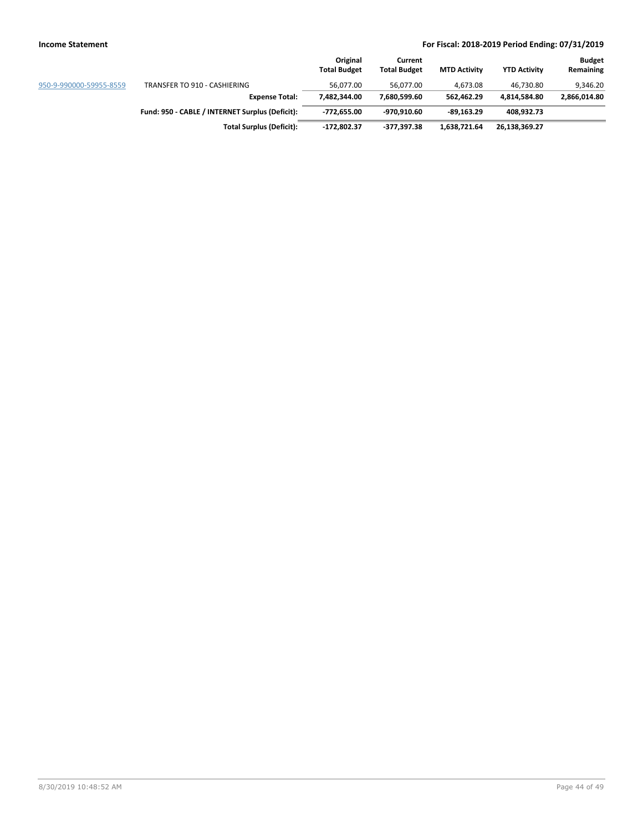|                         |                                                 | Original<br><b>Total Budget</b> | Current<br><b>Total Budget</b> | <b>MTD Activity</b> | <b>YTD Activity</b> | <b>Budget</b><br>Remaining |
|-------------------------|-------------------------------------------------|---------------------------------|--------------------------------|---------------------|---------------------|----------------------------|
| 950-9-990000-59955-8559 | TRANSFER TO 910 - CASHIERING                    | 56.077.00                       | 56.077.00                      | 4.673.08            | 46.730.80           | 9.346.20                   |
|                         | <b>Expense Total:</b>                           | 7.482.344.00                    | 7.680.599.60                   | 562.462.29          | 4.814.584.80        | 2,866,014.80               |
|                         | Fund: 950 - CABLE / INTERNET Surplus (Deficit): | -772.655.00                     | -970.910.60                    | -89.163.29          | 408,932.73          |                            |
|                         | <b>Total Surplus (Deficit):</b>                 | -172,802.37                     | -377,397.38                    | 1,638,721.64        | 26,138,369.27       |                            |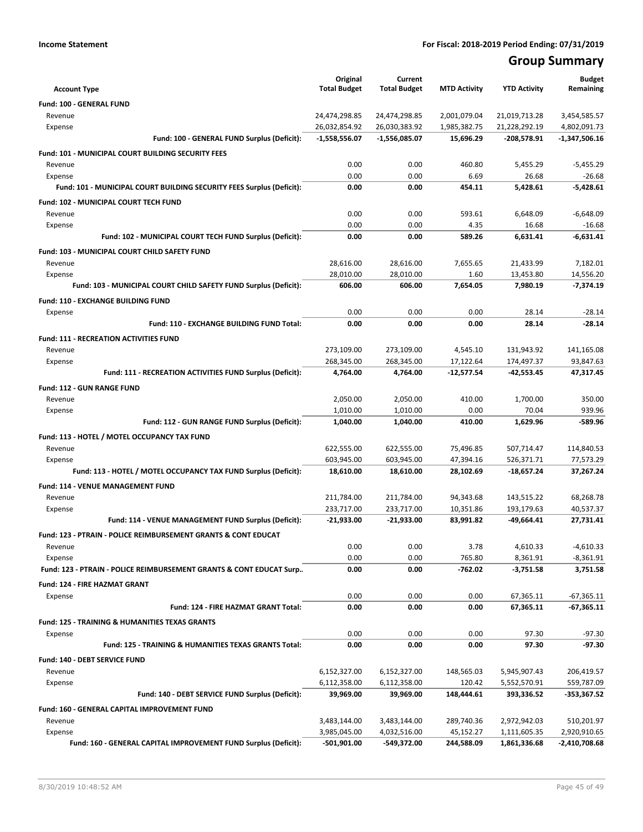# **Group Summary**

| <b>Account Type</b>                                                         | Original<br><b>Total Budget</b> | Current<br><b>Total Budget</b> | <b>MTD Activity</b> | <b>YTD Activity</b>   | <b>Budget</b><br>Remaining |
|-----------------------------------------------------------------------------|---------------------------------|--------------------------------|---------------------|-----------------------|----------------------------|
| Fund: 100 - GENERAL FUND                                                    |                                 |                                |                     |                       |                            |
| Revenue                                                                     | 24,474,298.85                   | 24,474,298.85                  | 2,001,079.04        | 21,019,713.28         | 3,454,585.57               |
| Expense                                                                     | 26,032,854.92                   | 26,030,383.92                  | 1,985,382.75        | 21,228,292.19         | 4,802,091.73               |
| Fund: 100 - GENERAL FUND Surplus (Deficit):                                 | $-1,558,556.07$                 | $-1,556,085.07$                | 15,696.29           | $-208,578.91$         | -1,347,506.16              |
| Fund: 101 - MUNICIPAL COURT BUILDING SECURITY FEES                          |                                 |                                |                     |                       |                            |
| Revenue                                                                     | 0.00                            | 0.00                           | 460.80              | 5,455.29              | $-5,455.29$                |
| Expense                                                                     | 0.00                            | 0.00                           | 6.69                | 26.68                 | $-26.68$                   |
| Fund: 101 - MUNICIPAL COURT BUILDING SECURITY FEES Surplus (Deficit):       | 0.00                            | 0.00                           | 454.11              | 5.428.61              | $-5,428.61$                |
|                                                                             |                                 |                                |                     |                       |                            |
| Fund: 102 - MUNICIPAL COURT TECH FUND<br>Revenue                            | 0.00                            | 0.00                           | 593.61              | 6,648.09              |                            |
| Expense                                                                     | 0.00                            | 0.00                           | 4.35                | 16.68                 | $-6,648.09$<br>$-16.68$    |
| Fund: 102 - MUNICIPAL COURT TECH FUND Surplus (Deficit):                    | 0.00                            | 0.00                           | 589.26              | 6,631.41              | -6,631.41                  |
|                                                                             |                                 |                                |                     |                       |                            |
| Fund: 103 - MUNICIPAL COURT CHILD SAFETY FUND                               |                                 |                                |                     |                       |                            |
| Revenue                                                                     | 28,616.00<br>28,010.00          | 28,616.00<br>28,010.00         | 7,655.65<br>1.60    | 21,433.99             | 7,182.01                   |
| Expense<br>Fund: 103 - MUNICIPAL COURT CHILD SAFETY FUND Surplus (Deficit): | 606.00                          | 606.00                         | 7,654.05            | 13,453.80<br>7,980.19 | 14,556.20<br>$-7,374.19$   |
|                                                                             |                                 |                                |                     |                       |                            |
| Fund: 110 - EXCHANGE BUILDING FUND                                          |                                 |                                |                     |                       |                            |
| Expense                                                                     | 0.00                            | 0.00                           | 0.00                | 28.14                 | $-28.14$                   |
| Fund: 110 - EXCHANGE BUILDING FUND Total:                                   | 0.00                            | 0.00                           | 0.00                | 28.14                 | $-28.14$                   |
| <b>Fund: 111 - RECREATION ACTIVITIES FUND</b>                               |                                 |                                |                     |                       |                            |
| Revenue                                                                     | 273,109.00                      | 273,109.00                     | 4,545.10            | 131,943.92            | 141,165.08                 |
| Expense                                                                     | 268,345.00                      | 268,345.00                     | 17,122.64           | 174,497.37            | 93.847.63                  |
| Fund: 111 - RECREATION ACTIVITIES FUND Surplus (Deficit):                   | 4,764.00                        | 4,764.00                       | -12,577.54          | -42,553.45            | 47,317.45                  |
| Fund: 112 - GUN RANGE FUND                                                  |                                 |                                |                     |                       |                            |
| Revenue                                                                     | 2,050.00                        | 2,050.00                       | 410.00              | 1,700.00              | 350.00                     |
| Expense                                                                     | 1,010.00                        | 1,010.00                       | 0.00                | 70.04                 | 939.96                     |
| Fund: 112 - GUN RANGE FUND Surplus (Deficit):                               | 1,040.00                        | 1,040.00                       | 410.00              | 1,629.96              | $-589.96$                  |
| Fund: 113 - HOTEL / MOTEL OCCUPANCY TAX FUND                                |                                 |                                |                     |                       |                            |
| Revenue                                                                     | 622,555.00                      | 622,555.00                     | 75,496.85           | 507,714.47            | 114,840.53                 |
| Expense                                                                     | 603,945.00                      | 603,945.00                     | 47,394.16           | 526,371.71            | 77,573.29                  |
| Fund: 113 - HOTEL / MOTEL OCCUPANCY TAX FUND Surplus (Deficit):             | 18,610.00                       | 18,610.00                      | 28,102.69           | $-18,657.24$          | 37,267.24                  |
| Fund: 114 - VENUE MANAGEMENT FUND                                           |                                 |                                |                     |                       |                            |
| Revenue                                                                     | 211,784.00                      | 211,784.00                     | 94,343.68           | 143,515.22            | 68,268.78                  |
| Expense                                                                     | 233,717.00                      | 233,717.00                     | 10,351.86           | 193,179.63            | 40,537.37                  |
| Fund: 114 - VENUE MANAGEMENT FUND Surplus (Deficit):                        | -21,933.00                      | -21,933.00                     | 83,991.82           | $-49,664.41$          | 27.731.41                  |
| <b>Fund: 123 - PTRAIN - POLICE REIMBURSEMENT GRANTS &amp; CONT EDUCAT</b>   |                                 |                                |                     |                       |                            |
| Revenue                                                                     | 0.00                            | 0.00                           | 3.78                | 4,610.33              | $-4,610.33$                |
| Expense                                                                     | 0.00                            | 0.00                           | 765.80              | 8,361.91              | $-8,361.91$                |
| Fund: 123 - PTRAIN - POLICE REIMBURSEMENT GRANTS & CONT EDUCAT Surp         | 0.00                            | 0.00                           | $-762.02$           | $-3,751.58$           | 3,751.58                   |
| Fund: 124 - FIRE HAZMAT GRANT                                               |                                 |                                |                     |                       |                            |
| Expense                                                                     | 0.00                            | 0.00                           | 0.00                | 67,365.11             | $-67,365.11$               |
| Fund: 124 - FIRE HAZMAT GRANT Total:                                        | 0.00                            | 0.00                           | 0.00                | 67,365.11             | $-67,365.11$               |
| <b>Fund: 125 - TRAINING &amp; HUMANITIES TEXAS GRANTS</b>                   |                                 |                                |                     |                       |                            |
| Expense                                                                     | 0.00                            | 0.00                           | 0.00                | 97.30                 | $-97.30$                   |
| <b>Fund: 125 - TRAINING &amp; HUMANITIES TEXAS GRANTS Total:</b>            | 0.00                            | 0.00                           | 0.00                | 97.30                 | $-97.30$                   |
|                                                                             |                                 |                                |                     |                       |                            |
| Fund: 140 - DEBT SERVICE FUND                                               |                                 |                                |                     |                       |                            |
| Revenue                                                                     | 6,152,327.00                    | 6,152,327.00                   | 148,565.03          | 5,945,907.43          | 206,419.57                 |
| Expense                                                                     | 6,112,358.00                    | 6,112,358.00                   | 120.42              | 5,552,570.91          | 559,787.09                 |
| Fund: 140 - DEBT SERVICE FUND Surplus (Deficit):                            | 39,969.00                       | 39,969.00                      | 148,444.61          | 393,336.52            | -353,367.52                |
| Fund: 160 - GENERAL CAPITAL IMPROVEMENT FUND                                |                                 |                                |                     |                       |                            |
| Revenue                                                                     | 3,483,144.00                    | 3,483,144.00                   | 289,740.36          | 2,972,942.03          | 510,201.97                 |
| Expense                                                                     | 3,985,045.00                    | 4,032,516.00                   | 45,152.27           | 1,111,605.35          | 2,920,910.65               |
| Fund: 160 - GENERAL CAPITAL IMPROVEMENT FUND Surplus (Deficit):             | $-501,901.00$                   | -549,372.00                    | 244,588.09          | 1,861,336.68          | $-2,410,708.68$            |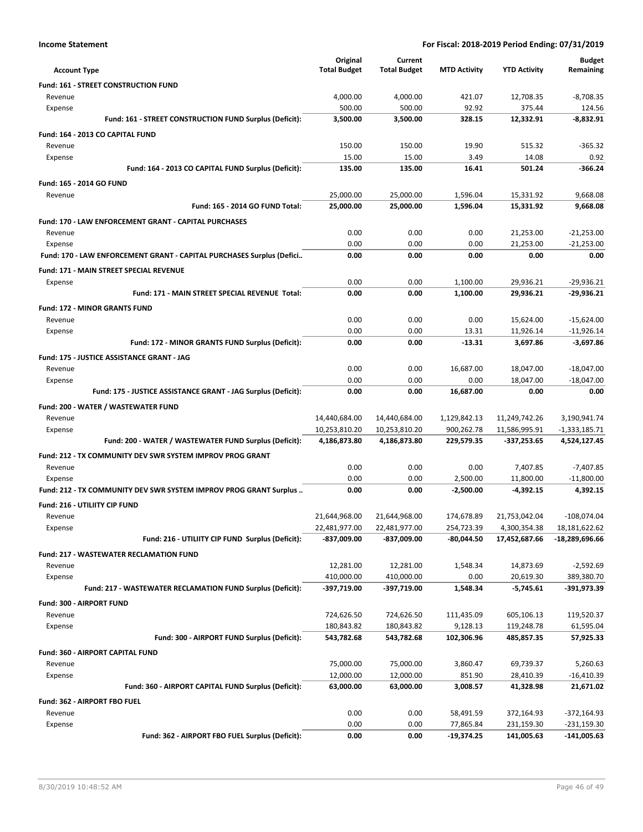|  | <b>Income Statement</b> |
|--|-------------------------|
|--|-------------------------|

| <b>Account Type</b>                                                   | Original<br><b>Total Budget</b> | Current<br><b>Total Budget</b> | <b>MTD Activity</b> | <b>YTD Activity</b> | <b>Budget</b><br>Remaining |
|-----------------------------------------------------------------------|---------------------------------|--------------------------------|---------------------|---------------------|----------------------------|
| <b>Fund: 161 - STREET CONSTRUCTION FUND</b>                           |                                 |                                |                     |                     |                            |
| Revenue                                                               | 4,000.00                        | 4,000.00                       | 421.07              | 12,708.35           | $-8,708.35$                |
| Expense                                                               | 500.00                          | 500.00                         | 92.92               | 375.44              | 124.56                     |
| Fund: 161 - STREET CONSTRUCTION FUND Surplus (Deficit):               | 3.500.00                        | 3,500.00                       | 328.15              | 12.332.91           | $-8,832.91$                |
| Fund: 164 - 2013 CO CAPITAL FUND                                      |                                 |                                |                     |                     |                            |
| Revenue                                                               | 150.00                          | 150.00                         | 19.90               | 515.32              | $-365.32$                  |
| Expense                                                               | 15.00                           | 15.00                          | 3.49                | 14.08               | 0.92                       |
| Fund: 164 - 2013 CO CAPITAL FUND Surplus (Deficit):                   | 135.00                          | 135.00                         | 16.41               | 501.24              | $-366.24$                  |
| Fund: 165 - 2014 GO FUND                                              |                                 |                                |                     |                     |                            |
| Revenue                                                               | 25,000.00                       | 25,000.00                      | 1,596.04            | 15,331.92           | 9,668.08                   |
| Fund: 165 - 2014 GO FUND Total:                                       | 25,000.00                       | 25,000.00                      | 1,596.04            | 15,331.92           | 9,668.08                   |
| Fund: 170 - LAW ENFORCEMENT GRANT - CAPITAL PURCHASES                 |                                 |                                |                     |                     |                            |
| Revenue                                                               | 0.00                            | 0.00                           | 0.00                | 21,253.00           | $-21,253.00$               |
| Expense                                                               | 0.00                            | 0.00                           | 0.00                | 21,253.00           | $-21,253.00$               |
| Fund: 170 - LAW ENFORCEMENT GRANT - CAPITAL PURCHASES Surplus (Defici | 0.00                            | 0.00                           | 0.00                | 0.00                | 0.00                       |
| Fund: 171 - MAIN STREET SPECIAL REVENUE                               |                                 |                                |                     |                     |                            |
| Expense                                                               | 0.00                            | 0.00                           | 1,100.00            | 29,936.21           | $-29.936.21$               |
| Fund: 171 - MAIN STREET SPECIAL REVENUE Total:                        | 0.00                            | 0.00                           | 1,100.00            | 29,936.21           | $-29.936.21$               |
| <b>Fund: 172 - MINOR GRANTS FUND</b>                                  |                                 |                                |                     |                     |                            |
| Revenue                                                               | 0.00                            | 0.00                           | 0.00                | 15,624.00           | $-15,624.00$               |
| Expense                                                               | 0.00                            | 0.00                           | 13.31               | 11,926.14           | $-11,926.14$               |
| Fund: 172 - MINOR GRANTS FUND Surplus (Deficit):                      | 0.00                            | 0.00                           | $-13.31$            | 3,697.86            | $-3,697.86$                |
| Fund: 175 - JUSTICE ASSISTANCE GRANT - JAG                            |                                 |                                |                     |                     |                            |
| Revenue                                                               | 0.00                            | 0.00                           | 16,687.00           | 18,047.00           | $-18,047.00$               |
| Expense                                                               | 0.00                            | 0.00                           | 0.00                | 18,047.00           | $-18,047.00$               |
| Fund: 175 - JUSTICE ASSISTANCE GRANT - JAG Surplus (Deficit):         | 0.00                            | 0.00                           | 16,687.00           | 0.00                | 0.00                       |
| Fund: 200 - WATER / WASTEWATER FUND                                   |                                 |                                |                     |                     |                            |
| Revenue                                                               | 14,440,684.00                   | 14,440,684.00                  | 1,129,842.13        | 11,249,742.26       | 3,190,941.74               |
| Expense                                                               | 10,253,810.20                   | 10,253,810.20                  | 900,262.78          | 11,586,995.91       | $-1,333,185.71$            |
| Fund: 200 - WATER / WASTEWATER FUND Surplus (Deficit):                | 4,186,873.80                    | 4,186,873.80                   | 229,579.35          | -337,253.65         | 4,524,127.45               |
| Fund: 212 - TX COMMUNITY DEV SWR SYSTEM IMPROV PROG GRANT             |                                 |                                |                     |                     |                            |
| Revenue                                                               | 0.00                            | 0.00                           | 0.00                | 7,407.85            | $-7,407.85$                |
| Expense                                                               | 0.00                            | 0.00                           | 2,500.00            | 11,800.00           | $-11,800.00$               |
| Fund: 212 - TX COMMUNITY DEV SWR SYSTEM IMPROV PROG GRANT Surplus     | 0.00                            | 0.00                           | $-2,500.00$         | $-4,392.15$         | 4,392.15                   |
| <b>Fund: 216 - UTILIITY CIP FUND</b>                                  |                                 |                                |                     |                     |                            |
| Revenue                                                               | 21,644,968.00                   | 21,644,968.00                  | 174.678.89          | 21,753,042.04       | $-108,074.04$              |
| Expense                                                               | 22,481,977.00                   | 22,481,977.00                  | 254,723.39          | 4,300,354.38        | 18,181,622.62              |
| Fund: 216 - UTILIITY CIP FUND Surplus (Deficit):                      | -837,009.00                     | -837,009.00                    | $-80,044.50$        | 17,452,687.66       | -18,289,696.66             |
| <b>Fund: 217 - WASTEWATER RECLAMATION FUND</b>                        |                                 |                                |                     |                     |                            |
| Revenue                                                               | 12,281.00                       | 12,281.00                      | 1,548.34            | 14,873.69           | $-2,592.69$                |
| Expense                                                               | 410,000.00                      | 410,000.00                     | 0.00                | 20,619.30           | 389,380.70                 |
| Fund: 217 - WASTEWATER RECLAMATION FUND Surplus (Deficit):            | -397,719.00                     | -397,719.00                    | 1,548.34            | $-5,745.61$         | -391,973.39                |
| Fund: 300 - AIRPORT FUND                                              |                                 |                                |                     |                     |                            |
| Revenue                                                               | 724,626.50                      | 724,626.50                     | 111,435.09          | 605,106.13          | 119,520.37                 |
| Expense                                                               | 180,843.82                      | 180,843.82                     | 9,128.13            | 119,248.78          | 61,595.04                  |
| Fund: 300 - AIRPORT FUND Surplus (Deficit):                           | 543,782.68                      | 543,782.68                     | 102,306.96          | 485,857.35          | 57,925.33                  |
| Fund: 360 - AIRPORT CAPITAL FUND                                      |                                 |                                |                     |                     |                            |
| Revenue                                                               | 75,000.00                       | 75,000.00                      | 3,860.47            | 69,739.37           | 5,260.63                   |
| Expense                                                               | 12,000.00                       | 12,000.00                      | 851.90              | 28,410.39           | $-16,410.39$               |
| Fund: 360 - AIRPORT CAPITAL FUND Surplus (Deficit):                   | 63,000.00                       | 63,000.00                      | 3,008.57            | 41,328.98           | 21,671.02                  |
| Fund: 362 - AIRPORT FBO FUEL                                          |                                 |                                |                     |                     |                            |
| Revenue                                                               | 0.00                            | 0.00                           | 58,491.59           | 372,164.93          | $-372,164.93$              |
| Expense                                                               | 0.00                            | 0.00                           | 77,865.84           | 231,159.30          | $-231,159.30$              |
| Fund: 362 - AIRPORT FBO FUEL Surplus (Deficit):                       | 0.00                            | 0.00                           | -19,374.25          | 141,005.63          | -141,005.63                |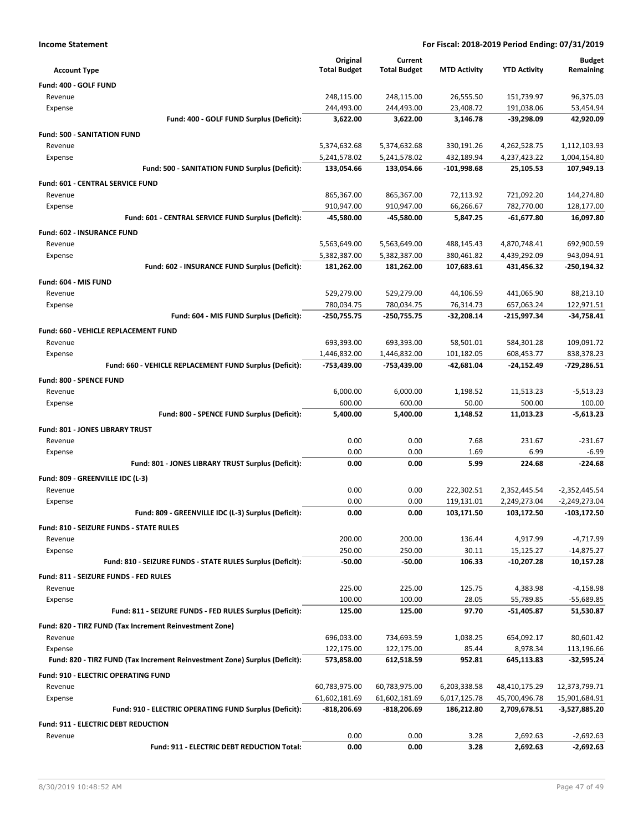| <b>Income Statement</b>                                                    |                                |                                |                             | For Fiscal: 2018-2019 Period Ending: 07/31/2019 |                            |
|----------------------------------------------------------------------------|--------------------------------|--------------------------------|-----------------------------|-------------------------------------------------|----------------------------|
|                                                                            | Original                       | Current                        |                             |                                                 | <b>Budget</b>              |
| <b>Account Type</b>                                                        | <b>Total Budget</b>            | <b>Total Budget</b>            | <b>MTD Activity</b>         | <b>YTD Activity</b>                             | Remaining                  |
| Fund: 400 - GOLF FUND                                                      |                                |                                |                             |                                                 |                            |
| Revenue                                                                    | 248,115.00                     | 248,115.00                     | 26,555.50                   | 151,739.97                                      | 96,375.03                  |
| Expense                                                                    | 244,493.00                     | 244,493.00                     | 23,408.72                   | 191,038.06                                      | 53,454.94                  |
| Fund: 400 - GOLF FUND Surplus (Deficit):                                   | 3,622.00                       | 3,622.00                       | 3,146.78                    | $-39,298.09$                                    | 42,920.09                  |
| <b>Fund: 500 - SANITATION FUND</b>                                         |                                |                                |                             |                                                 |                            |
| Revenue                                                                    | 5,374,632.68                   | 5,374,632.68                   | 330,191.26                  | 4,262,528.75                                    | 1,112,103.93               |
| Expense<br>Fund: 500 - SANITATION FUND Surplus (Deficit):                  | 5,241,578.02<br>133,054.66     | 5,241,578.02<br>133,054.66     | 432,189.94<br>$-101,998.68$ | 4,237,423.22<br>25,105.53                       | 1,004,154.80<br>107,949.13 |
|                                                                            |                                |                                |                             |                                                 |                            |
| Fund: 601 - CENTRAL SERVICE FUND                                           |                                |                                |                             |                                                 |                            |
| Revenue                                                                    | 865,367.00<br>910,947.00       | 865,367.00<br>910,947.00       | 72,113.92<br>66,266.67      | 721,092.20<br>782,770.00                        | 144,274.80<br>128,177.00   |
| Expense<br>Fund: 601 - CENTRAL SERVICE FUND Surplus (Deficit):             | -45,580.00                     | -45,580.00                     | 5,847.25                    | -61,677.80                                      | 16,097.80                  |
|                                                                            |                                |                                |                             |                                                 |                            |
| Fund: 602 - INSURANCE FUND<br>Revenue                                      | 5,563,649.00                   | 5,563,649.00                   | 488,145.43                  | 4,870,748.41                                    | 692,900.59                 |
| Expense                                                                    | 5,382,387.00                   | 5,382,387.00                   | 380,461.82                  | 4,439,292.09                                    | 943,094.91                 |
| Fund: 602 - INSURANCE FUND Surplus (Deficit):                              | 181,262.00                     | 181,262.00                     | 107,683.61                  | 431,456.32                                      | -250,194.32                |
|                                                                            |                                |                                |                             |                                                 |                            |
| Fund: 604 - MIS FUND<br>Revenue                                            | 529,279.00                     | 529,279.00                     | 44,106.59                   | 441,065.90                                      | 88,213.10                  |
| Expense                                                                    | 780,034.75                     | 780,034.75                     | 76,314.73                   | 657,063.24                                      | 122,971.51                 |
| Fund: 604 - MIS FUND Surplus (Deficit):                                    | -250,755.75                    | -250,755.75                    | -32,208.14                  | $-215,997.34$                                   | -34,758.41                 |
| Fund: 660 - VEHICLE REPLACEMENT FUND                                       |                                |                                |                             |                                                 |                            |
| Revenue                                                                    | 693,393.00                     | 693,393.00                     | 58,501.01                   | 584,301.28                                      | 109,091.72                 |
| Expense                                                                    | 1,446,832.00                   | 1,446,832.00                   | 101,182.05                  | 608,453.77                                      | 838,378.23                 |
| Fund: 660 - VEHICLE REPLACEMENT FUND Surplus (Deficit):                    | -753,439.00                    | -753,439.00                    | -42,681.04                  | $-24,152.49$                                    | $-729,286.51$              |
| Fund: 800 - SPENCE FUND                                                    |                                |                                |                             |                                                 |                            |
| Revenue                                                                    | 6,000.00                       | 6,000.00                       | 1,198.52                    | 11,513.23                                       | $-5,513.23$                |
| Expense                                                                    | 600.00                         | 600.00                         | 50.00                       | 500.00                                          | 100.00                     |
| Fund: 800 - SPENCE FUND Surplus (Deficit):                                 | 5,400.00                       | 5,400.00                       | 1,148.52                    | 11,013.23                                       | $-5,613.23$                |
| Fund: 801 - JONES LIBRARY TRUST                                            |                                |                                |                             |                                                 |                            |
| Revenue                                                                    | 0.00                           | 0.00                           | 7.68                        | 231.67                                          | $-231.67$                  |
| Expense                                                                    | 0.00                           | 0.00                           | 1.69                        | 6.99                                            | $-6.99$                    |
| Fund: 801 - JONES LIBRARY TRUST Surplus (Deficit):                         | 0.00                           | 0.00                           | 5.99                        | 224.68                                          | $-224.68$                  |
| Fund: 809 - GREENVILLE IDC (L-3)                                           |                                |                                |                             |                                                 |                            |
| Revenue                                                                    | 0.00                           | 0.00                           | 222,302.51                  | 2,352,445.54                                    | $-2,352,445.54$            |
| Expense                                                                    | 0.00                           | 0.00                           | 119,131.01                  | 2,249,273.04                                    | $-2,249,273.04$            |
| Fund: 809 - GREENVILLE IDC (L-3) Surplus (Deficit):                        | 0.00                           | 0.00                           | 103,171.50                  | 103,172.50                                      | -103,172.50                |
| <b>Fund: 810 - SEIZURE FUNDS - STATE RULES</b>                             |                                |                                |                             |                                                 |                            |
| Revenue                                                                    | 200.00                         | 200.00                         | 136.44                      | 4,917.99                                        | $-4,717.99$                |
| Expense                                                                    | 250.00                         | 250.00                         | 30.11                       | 15,125.27                                       | $-14,875.27$               |
| Fund: 810 - SEIZURE FUNDS - STATE RULES Surplus (Deficit):                 | $-50.00$                       | $-50.00$                       | 106.33                      | $-10,207.28$                                    | 10,157.28                  |
| Fund: 811 - SEIZURE FUNDS - FED RULES                                      |                                |                                |                             |                                                 |                            |
| Revenue                                                                    | 225.00                         | 225.00                         | 125.75                      | 4,383.98                                        | $-4,158.98$                |
| Expense                                                                    | 100.00                         | 100.00                         | 28.05                       | 55,789.85                                       | $-55,689.85$               |
| Fund: 811 - SEIZURE FUNDS - FED RULES Surplus (Deficit):                   | 125.00                         | 125.00                         | 97.70                       | -51,405.87                                      | 51,530.87                  |
| Fund: 820 - TIRZ FUND (Tax Increment Reinvestment Zone)                    |                                |                                |                             |                                                 |                            |
| Revenue                                                                    | 696,033.00                     | 734,693.59                     | 1,038.25                    | 654,092.17                                      | 80,601.42                  |
| Expense                                                                    | 122,175.00                     | 122,175.00                     | 85.44                       | 8,978.34                                        | 113,196.66                 |
| Fund: 820 - TIRZ FUND (Tax Increment Reinvestment Zone) Surplus (Deficit): | 573,858.00                     | 612,518.59                     | 952.81                      | 645,113.83                                      | -32,595.24                 |
| Fund: 910 - ELECTRIC OPERATING FUND                                        |                                |                                |                             |                                                 |                            |
| Revenue                                                                    | 60,783,975.00                  | 60,783,975.00                  | 6,203,338.58                | 48,410,175.29                                   | 12,373,799.71              |
| Expense                                                                    | 61,602,181.69<br>$-818,206.69$ | 61,602,181.69<br>$-818,206.69$ | 6,017,125.78<br>186,212.80  | 45,700,496.78<br>2,709,678.51                   | 15,901,684.91              |
| Fund: 910 - ELECTRIC OPERATING FUND Surplus (Deficit):                     |                                |                                |                             |                                                 | -3,527,885.20              |
| <b>Fund: 911 - ELECTRIC DEBT REDUCTION</b>                                 | 0.00                           |                                |                             |                                                 |                            |
| Revenue<br>Fund: 911 - ELECTRIC DEBT REDUCTION Total:                      | 0.00                           | 0.00<br>0.00                   | 3.28<br>3.28                | 2,692.63<br>2,692.63                            | $-2,692.63$<br>$-2,692.63$ |
|                                                                            |                                |                                |                             |                                                 |                            |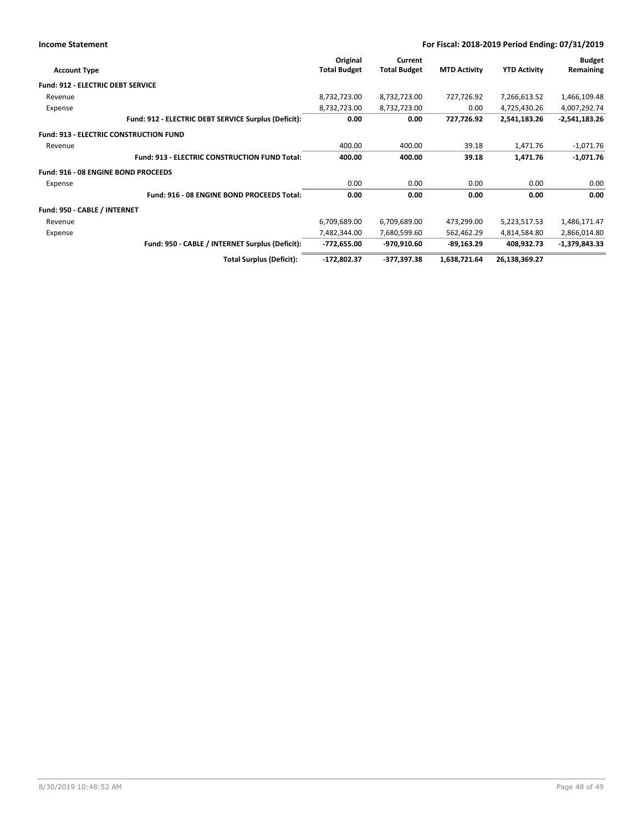| <b>Income Statement</b>                       |                                                      |                                 |                                |                     | For Fiscal: 2018-2019 Period Ending: 07/31/2019 |                            |
|-----------------------------------------------|------------------------------------------------------|---------------------------------|--------------------------------|---------------------|-------------------------------------------------|----------------------------|
| <b>Account Type</b>                           |                                                      | Original<br><b>Total Budget</b> | Current<br><b>Total Budget</b> | <b>MTD Activity</b> | <b>YTD Activity</b>                             | <b>Budget</b><br>Remaining |
| <b>Fund: 912 - ELECTRIC DEBT SERVICE</b>      |                                                      |                                 |                                |                     |                                                 |                            |
| Revenue                                       |                                                      | 8,732,723.00                    | 8,732,723.00                   | 727,726.92          | 7,266,613.52                                    | 1,466,109.48               |
| Expense                                       |                                                      | 8,732,723.00                    | 8,732,723.00                   | 0.00                | 4,725,430.26                                    | 4,007,292.74               |
|                                               | Fund: 912 - ELECTRIC DEBT SERVICE Surplus (Deficit): | 0.00                            | 0.00                           | 727,726.92          | 2,541,183.26                                    | $-2,541,183.26$            |
| <b>Fund: 913 - ELECTRIC CONSTRUCTION FUND</b> |                                                      |                                 |                                |                     |                                                 |                            |
| Revenue                                       |                                                      | 400.00                          | 400.00                         | 39.18               | 1,471.76                                        | $-1,071.76$                |
|                                               | <b>Fund: 913 - ELECTRIC CONSTRUCTION FUND Total:</b> | 400.00                          | 400.00                         | 39.18               | 1,471.76                                        | $-1,071.76$                |
| Fund: 916 - 08 ENGINE BOND PROCEEDS           |                                                      |                                 |                                |                     |                                                 |                            |
| Expense                                       |                                                      | 0.00                            | 0.00                           | 0.00                | 0.00                                            | 0.00                       |
|                                               | Fund: 916 - 08 ENGINE BOND PROCEEDS Total:           | 0.00                            | 0.00                           | 0.00                | 0.00                                            | 0.00                       |
| Fund: 950 - CABLE / INTERNET                  |                                                      |                                 |                                |                     |                                                 |                            |
| Revenue                                       |                                                      | 6,709,689.00                    | 6,709,689.00                   | 473,299.00          | 5,223,517.53                                    | 1,486,171.47               |
| Expense                                       |                                                      | 7,482,344.00                    | 7,680,599.60                   | 562,462.29          | 4,814,584.80                                    | 2,866,014.80               |
|                                               | Fund: 950 - CABLE / INTERNET Surplus (Deficit):      | -772,655.00                     | -970,910.60                    | $-89,163.29$        | 408,932.73                                      | $-1,379,843.33$            |
|                                               | <b>Total Surplus (Deficit):</b>                      | $-172,802.37$                   | -377,397.38                    | 1,638,721.64        | 26,138,369.27                                   |                            |